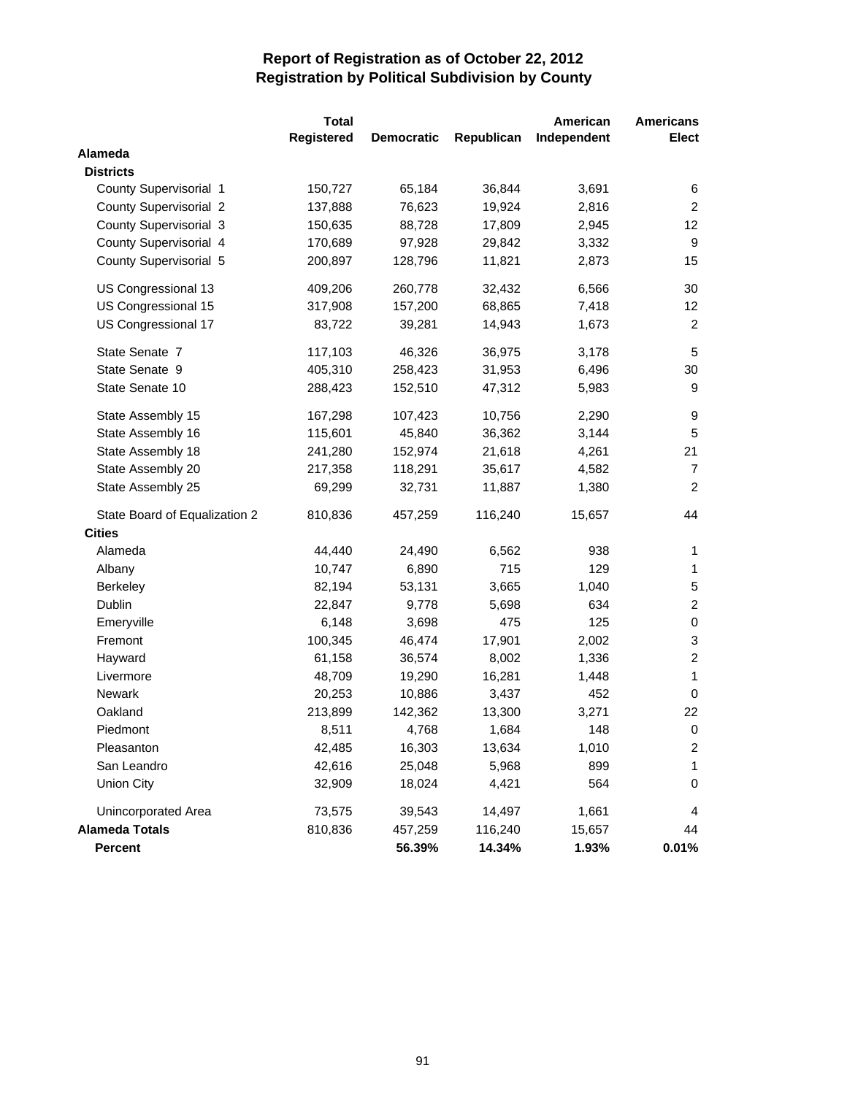|                               | <b>Total</b> |                   |            | American    | <b>Americans</b> |
|-------------------------------|--------------|-------------------|------------|-------------|------------------|
|                               | Registered   | <b>Democratic</b> | Republican | Independent | <b>Elect</b>     |
| Alameda                       |              |                   |            |             |                  |
| <b>Districts</b>              |              |                   |            |             |                  |
| County Supervisorial 1        | 150,727      | 65,184            | 36,844     | 3,691       | 6                |
| <b>County Supervisorial 2</b> | 137,888      | 76,623            | 19,924     | 2,816       | $\overline{2}$   |
| County Supervisorial 3        | 150,635      | 88,728            | 17,809     | 2,945       | 12               |
| County Supervisorial 4        | 170,689      | 97,928            | 29,842     | 3,332       | 9                |
| County Supervisorial 5        | 200,897      | 128,796           | 11,821     | 2,873       | 15               |
| US Congressional 13           | 409,206      | 260,778           | 32,432     | 6,566       | 30               |
| US Congressional 15           | 317,908      | 157,200           | 68,865     | 7,418       | 12 <sup>°</sup>  |
| US Congressional 17           | 83,722       | 39,281            | 14,943     | 1,673       | $\overline{c}$   |
| State Senate 7                | 117,103      | 46,326            | 36,975     | 3,178       | $\sqrt{5}$       |
| State Senate 9                | 405,310      | 258,423           | 31,953     | 6,496       | 30               |
| State Senate 10               | 288,423      | 152,510           | 47,312     | 5,983       | 9                |
| State Assembly 15             | 167,298      | 107,423           | 10,756     | 2,290       | 9                |
| State Assembly 16             | 115,601      | 45,840            | 36,362     | 3,144       | 5                |
| State Assembly 18             | 241,280      | 152,974           | 21,618     | 4,261       | 21               |
| State Assembly 20             | 217,358      | 118,291           | 35,617     | 4,582       | 7                |
| State Assembly 25             | 69,299       | 32,731            | 11,887     | 1,380       | $\overline{c}$   |
| State Board of Equalization 2 | 810,836      | 457,259           | 116,240    | 15,657      | 44               |
| <b>Cities</b>                 |              |                   |            |             |                  |
| Alameda                       | 44,440       | 24,490            | 6,562      | 938         | 1                |
| Albany                        | 10,747       | 6,890             | 715        | 129         | $\mathbf{1}$     |
| Berkeley                      | 82,194       | 53,131            | 3,665      | 1,040       | 5                |
| Dublin                        | 22,847       | 9,778             | 5,698      | 634         | $\overline{c}$   |
| Emeryville                    | 6,148        | 3,698             | 475        | 125         | $\,0\,$          |
| Fremont                       | 100,345      | 46,474            | 17,901     | 2,002       | 3                |
| Hayward                       | 61,158       | 36,574            | 8,002      | 1,336       | $\boldsymbol{2}$ |
| Livermore                     | 48,709       | 19,290            | 16,281     | 1,448       | 1                |
| <b>Newark</b>                 | 20,253       | 10,886            | 3,437      | 452         | $\mathbf 0$      |
| Oakland                       | 213,899      | 142,362           | 13,300     | 3,271       | 22               |
| Piedmont                      | 8,511        | 4,768             | 1,684      | 148         | $\Omega$         |
| Pleasanton                    | 42,485       | 16,303            | 13,634     | 1,010       | 2                |
| San Leandro                   | 42,616       | 25,048            | 5,968      | 899         | 1                |
| <b>Union City</b>             | 32,909       | 18,024            | 4,421      | 564         | 0                |
| Unincorporated Area           | 73,575       | 39,543            | 14,497     | 1,661       | 4                |
| <b>Alameda Totals</b>         | 810,836      | 457,259           | 116,240    | 15,657      | 44               |
| Percent                       |              | 56.39%            | 14.34%     | 1.93%       | 0.01%            |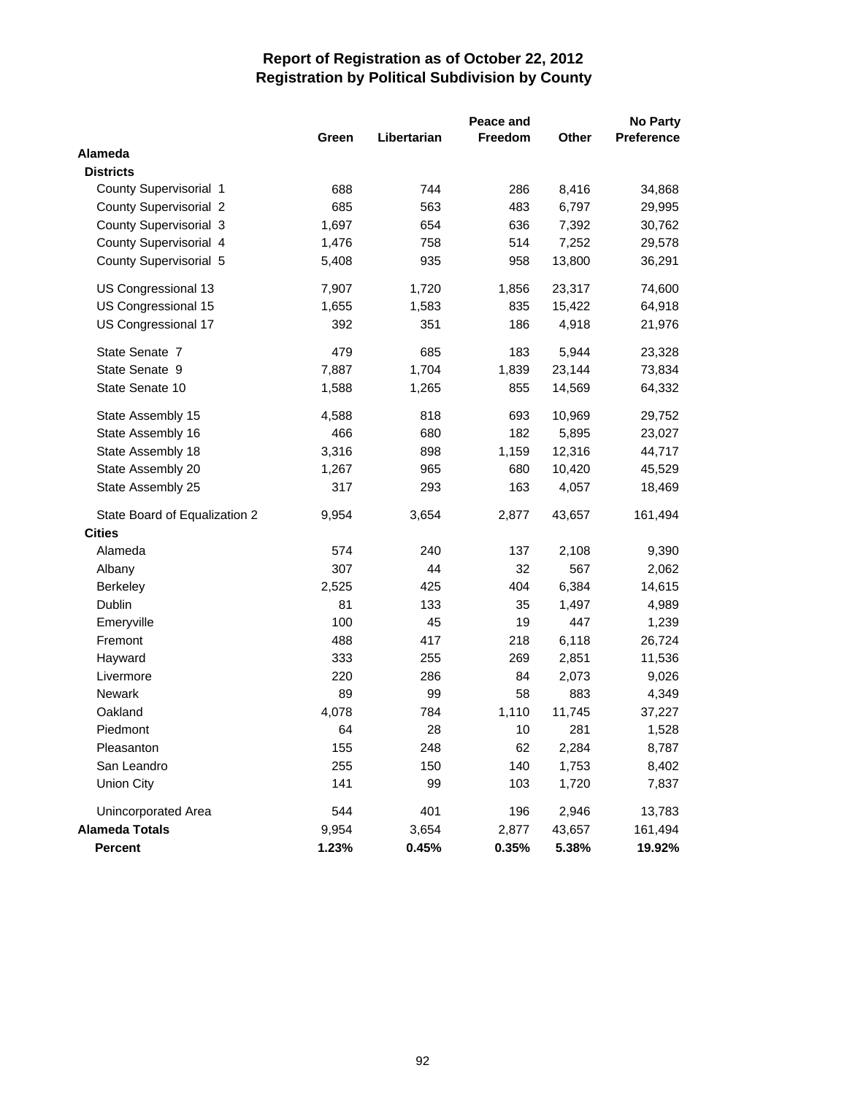|                               | Peace and |             |                |        |            |
|-------------------------------|-----------|-------------|----------------|--------|------------|
|                               | Green     | Libertarian | <b>Freedom</b> | Other  | Preference |
| Alameda                       |           |             |                |        |            |
| <b>Districts</b>              |           |             |                |        |            |
| County Supervisorial 1        | 688       | 744         | 286            | 8,416  | 34,868     |
| County Supervisorial 2        | 685       | 563         | 483            | 6,797  | 29,995     |
| County Supervisorial 3        | 1,697     | 654         | 636            | 7,392  | 30,762     |
| County Supervisorial 4        | 1,476     | 758         | 514            | 7,252  | 29,578     |
| County Supervisorial 5        | 5,408     | 935         | 958            | 13,800 | 36,291     |
| US Congressional 13           | 7,907     | 1,720       | 1,856          | 23,317 | 74,600     |
| US Congressional 15           | 1,655     | 1,583       | 835            | 15,422 | 64,918     |
| US Congressional 17           | 392       | 351         | 186            | 4,918  | 21,976     |
| State Senate 7                | 479       | 685         | 183            | 5,944  | 23,328     |
| State Senate 9                | 7,887     | 1,704       | 1,839          | 23,144 | 73,834     |
| State Senate 10               | 1,588     | 1,265       | 855            | 14,569 | 64,332     |
| State Assembly 15             | 4,588     | 818         | 693            | 10,969 | 29,752     |
| State Assembly 16             | 466       | 680         | 182            | 5,895  | 23,027     |
| State Assembly 18             | 3,316     | 898         | 1,159          | 12,316 | 44,717     |
| State Assembly 20             | 1,267     | 965         | 680            | 10,420 | 45,529     |
| State Assembly 25             | 317       | 293         | 163            | 4,057  | 18,469     |
| State Board of Equalization 2 | 9,954     | 3,654       | 2,877          | 43,657 | 161,494    |
| <b>Cities</b>                 |           |             |                |        |            |
| Alameda                       | 574       | 240         | 137            | 2,108  | 9,390      |
| Albany                        | 307       | 44          | 32             | 567    | 2,062      |
| Berkeley                      | 2,525     | 425         | 404            | 6,384  | 14,615     |
| Dublin                        | 81        | 133         | 35             | 1,497  | 4,989      |
| Emeryville                    | 100       | 45          | 19             | 447    | 1,239      |
| Fremont                       | 488       | 417         | 218            | 6,118  | 26,724     |
| Hayward                       | 333       | 255         | 269            | 2,851  | 11,536     |
| Livermore                     | 220       | 286         | 84             | 2,073  | 9,026      |
| Newark                        | 89        | 99          | 58             | 883    | 4,349      |
| Oakland                       | 4,078     | 784         | 1,110          | 11,745 | 37,227     |
| Piedmont                      | 64        | 28          | 10             | 281    | 1,528      |
| Pleasanton                    | 155       | 248         | 62             | 2,284  | 8,787      |
| San Leandro                   | 255       | 150         | 140            | 1,753  | 8,402      |
| <b>Union City</b>             | 141       | 99          | 103            | 1,720  | 7,837      |
| Unincorporated Area           | 544       | 401         | 196            | 2,946  | 13,783     |
| <b>Alameda Totals</b>         | 9,954     | 3,654       | 2,877          | 43,657 | 161,494    |
| Percent                       | 1.23%     | 0.45%       | 0.35%          | 5.38%  | 19.92%     |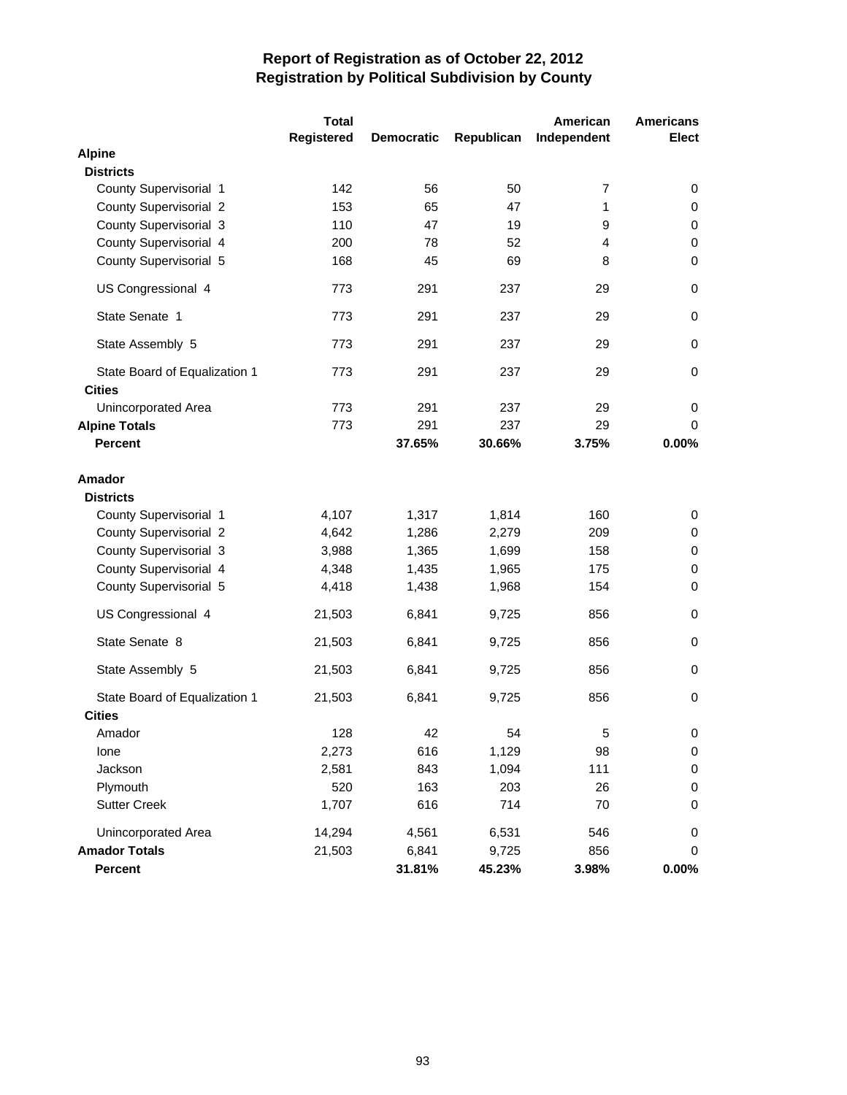|                                                | <b>Total</b> |                   |            | American    | <b>Americans</b> |
|------------------------------------------------|--------------|-------------------|------------|-------------|------------------|
|                                                | Registered   | <b>Democratic</b> | Republican | Independent | <b>Elect</b>     |
| <b>Alpine</b>                                  |              |                   |            |             |                  |
| <b>Districts</b>                               |              |                   |            |             |                  |
| County Supervisorial 1                         | 142          | 56                | 50         | 7           | 0                |
| <b>County Supervisorial 2</b>                  | 153          | 65                | 47         | 1           | 0                |
| County Supervisorial 3                         | 110          | 47                | 19         | 9           | 0                |
| County Supervisorial 4                         | 200          | 78                | 52         | 4           | $\mathbf 0$      |
| County Supervisorial 5                         | 168          | 45                | 69         | 8           | $\mathbf 0$      |
| US Congressional 4                             | 773          | 291               | 237        | 29          | 0                |
| State Senate 1                                 | 773          | 291               | 237        | 29          | $\pmb{0}$        |
| State Assembly 5                               | 773          | 291               | 237        | 29          | 0                |
| State Board of Equalization 1<br><b>Cities</b> | 773          | 291               | 237        | 29          | 0                |
| Unincorporated Area                            | 773          | 291               | 237        | 29          | 0                |
| <b>Alpine Totals</b>                           | 773          | 291               | 237        | 29          | 0                |
| <b>Percent</b>                                 |              | 37.65%            | 30.66%     | 3.75%       | 0.00%            |
| <b>Amador</b><br><b>Districts</b>              |              |                   |            |             |                  |
| County Supervisorial 1                         | 4,107        | 1,317             | 1,814      | 160         | 0                |
| <b>County Supervisorial 2</b>                  | 4,642        | 1,286             | 2,279      | 209         | 0                |
| County Supervisorial 3                         | 3,988        | 1,365             | 1,699      | 158         | 0                |
| County Supervisorial 4                         | 4,348        | 1,435             | 1,965      | 175         | $\pmb{0}$        |
| County Supervisorial 5                         | 4,418        | 1,438             | 1,968      | 154         | 0                |
| US Congressional 4                             | 21,503       | 6,841             | 9,725      | 856         | 0                |
| State Senate 8                                 | 21,503       | 6,841             | 9,725      | 856         | $\mathbf 0$      |
| State Assembly 5                               | 21,503       | 6,841             | 9,725      | 856         | 0                |
| State Board of Equalization 1<br><b>Cities</b> | 21,503       | 6,841             | 9,725      | 856         | 0                |
| Amador                                         | 128          | 42                | 54         | 5           | 0                |
| lone                                           | 2,273        | 616               | 1,129      | 98          | 0                |
| Jackson                                        | 2,581        | 843               | 1,094      | 111         | 0                |
| Plymouth                                       | 520          | 163               | 203        | 26          | 0                |
| <b>Sutter Creek</b>                            | 1,707        | 616               | 714        | 70          | 0                |
| Unincorporated Area                            | 14,294       | 4,561             | 6,531      | 546         | 0                |
| <b>Amador Totals</b>                           | 21,503       | 6,841             | 9,725      | 856         | 0                |
| Percent                                        |              | 31.81%            | 45.23%     | 3.98%       | $0.00\%$         |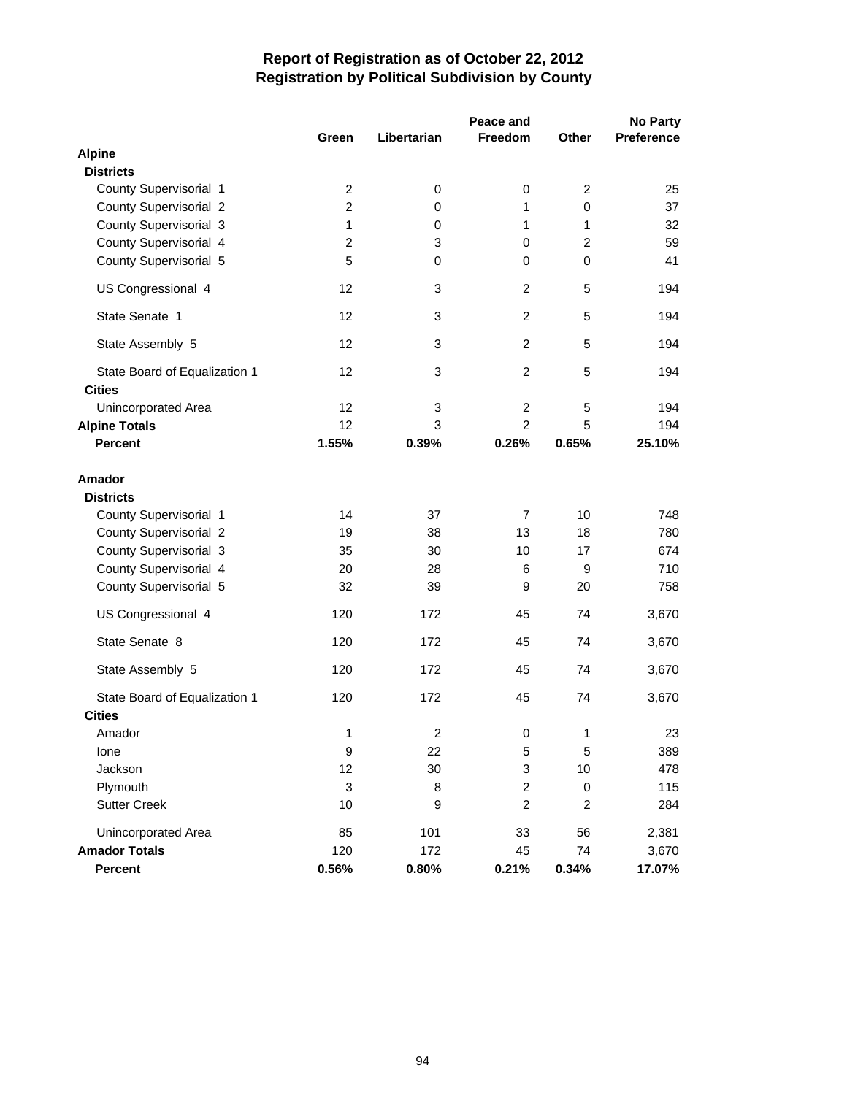|                                                |                |             | Peace and      |                | <b>No Party</b>   |
|------------------------------------------------|----------------|-------------|----------------|----------------|-------------------|
|                                                | Green          | Libertarian | <b>Freedom</b> | <b>Other</b>   | <b>Preference</b> |
| <b>Alpine</b>                                  |                |             |                |                |                   |
| <b>Districts</b>                               |                |             |                |                |                   |
| County Supervisorial 1                         | $\overline{2}$ | 0           | 0              | $\overline{c}$ | 25                |
| County Supervisorial 2                         | $\overline{c}$ | $\pmb{0}$   | 1              | $\mathbf 0$    | 37                |
| County Supervisorial 3                         | $\mathbf{1}$   | 0           | 1              | 1              | 32                |
| County Supervisorial 4                         | $\overline{2}$ | 3           | 0              | $\overline{2}$ | 59                |
| County Supervisorial 5                         | 5              | 0           | 0              | 0              | 41                |
| US Congressional 4                             | 12             | 3           | 2              | 5              | 194               |
| State Senate 1                                 | 12             | 3           | 2              | 5              | 194               |
| State Assembly 5                               | 12             | 3           | $\overline{c}$ | 5              | 194               |
| State Board of Equalization 1<br><b>Cities</b> | 12             | 3           | $\overline{c}$ | 5              | 194               |
| Unincorporated Area                            | 12             | 3           | $\overline{c}$ | 5              | 194               |
| <b>Alpine Totals</b>                           | 12             | 3           | $\overline{2}$ | 5              | 194               |
| <b>Percent</b>                                 | 1.55%          | 0.39%       | 0.26%          | 0.65%          | 25.10%            |
| Amador<br><b>Districts</b>                     |                |             |                |                |                   |
| County Supervisorial 1                         | 14             | 37          | $\overline{7}$ | 10             | 748               |
| County Supervisorial 2                         | 19             | 38          | 13             | 18             | 780               |
| County Supervisorial 3                         | 35             | 30          | 10             | 17             | 674               |
| County Supervisorial 4                         | 20             | 28          | 6              | 9              | 710               |
| County Supervisorial 5                         | 32             | 39          | 9              | 20             | 758               |
| US Congressional 4                             | 120            | 172         | 45             | 74             | 3,670             |
| State Senate 8                                 | 120            | 172         | 45             | 74             | 3,670             |
| State Assembly 5                               | 120            | 172         | 45             | 74             | 3,670             |
| State Board of Equalization 1<br><b>Cities</b> | 120            | 172         | 45             | 74             | 3,670             |
| Amador                                         | 1              | 2           | 0              | 1              | 23                |
| lone                                           | 9              | 22          | 5              | 5              | 389               |
| Jackson                                        | 12             | 30          | 3              | 10             | 478               |
| Plymouth                                       | 3              | 8           | $\overline{c}$ | $\pmb{0}$      | 115               |
| <b>Sutter Creek</b>                            | 10             | 9           | $\overline{c}$ | $\overline{c}$ | 284               |
| Unincorporated Area                            | 85             | 101         | 33             | 56             | 2,381             |
| <b>Amador Totals</b>                           | 120            | 172         | 45             | 74             | 3,670             |
| Percent                                        | 0.56%          | 0.80%       | 0.21%          | 0.34%          | 17.07%            |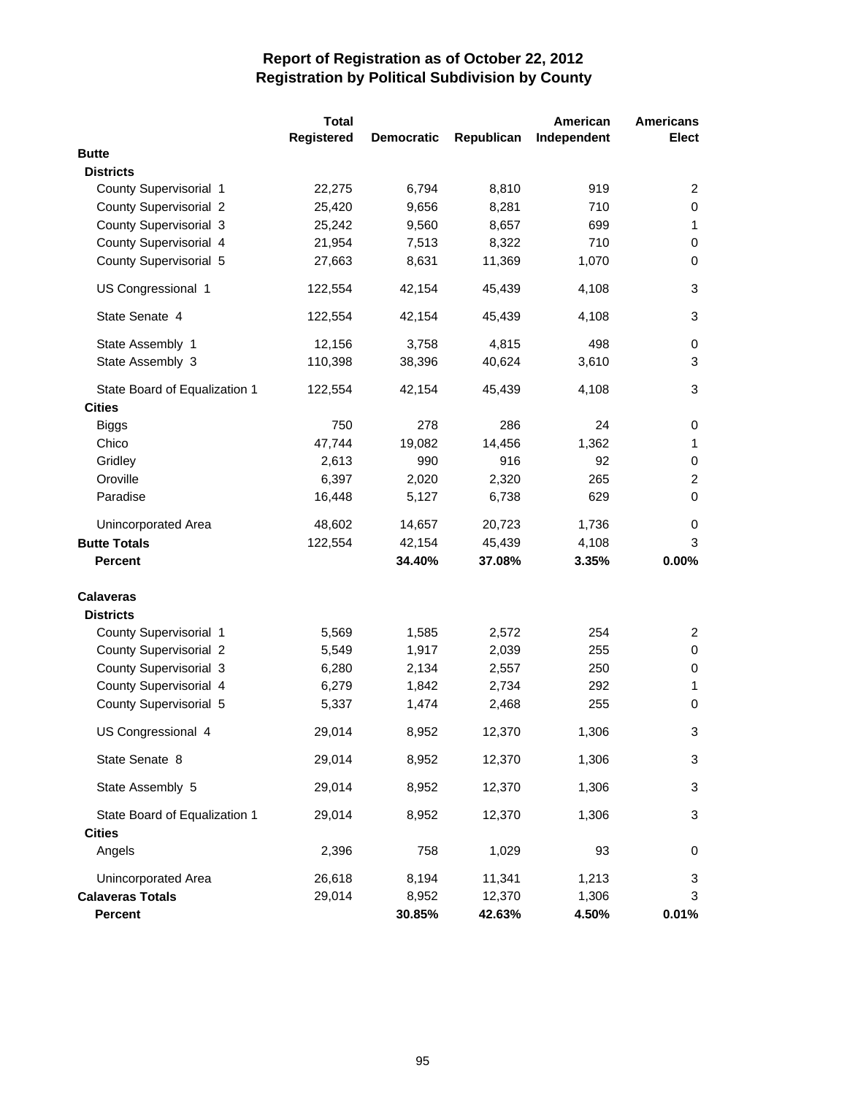|                               | <b>Total</b> |                   |            | American    | <b>Americans</b> |
|-------------------------------|--------------|-------------------|------------|-------------|------------------|
|                               | Registered   | <b>Democratic</b> | Republican | Independent | <b>Elect</b>     |
| <b>Butte</b>                  |              |                   |            |             |                  |
| <b>Districts</b>              |              |                   |            |             |                  |
| County Supervisorial 1        | 22,275       | 6,794             | 8,810      | 919         | $\overline{2}$   |
| <b>County Supervisorial 2</b> | 25,420       | 9,656             | 8,281      | 710         | 0                |
| County Supervisorial 3        | 25,242       | 9,560             | 8,657      | 699         | 1                |
| County Supervisorial 4        | 21,954       | 7,513             | 8,322      | 710         | $\mathbf 0$      |
| County Supervisorial 5        | 27,663       | 8,631             | 11,369     | 1,070       | 0                |
| US Congressional 1            | 122,554      | 42,154            | 45,439     | 4,108       | 3                |
| State Senate 4                | 122,554      | 42,154            | 45,439     | 4,108       | 3                |
| State Assembly 1              | 12,156       | 3,758             | 4,815      | 498         | 0                |
| State Assembly 3              | 110,398      | 38,396            | 40,624     | 3,610       | 3                |
| State Board of Equalization 1 | 122,554      | 42,154            | 45,439     | 4,108       | 3                |
| <b>Cities</b>                 |              |                   |            |             |                  |
| <b>Biggs</b>                  | 750          | 278               | 286        | 24          | 0                |
| Chico                         | 47,744       | 19,082            | 14,456     | 1,362       | $\mathbf{1}$     |
| Gridley                       | 2,613        | 990               | 916        | 92          | $\,0\,$          |
| Oroville                      | 6,397        | 2,020             | 2,320      | 265         | $\overline{c}$   |
| Paradise                      | 16,448       | 5,127             | 6,738      | 629         | $\mathbf 0$      |
| Unincorporated Area           | 48,602       | 14,657            | 20,723     | 1,736       | 0                |
| <b>Butte Totals</b>           | 122,554      | 42,154            | 45,439     | 4,108       | 3                |
| <b>Percent</b>                |              | 34.40%            | 37.08%     | 3.35%       | 0.00%            |
| <b>Calaveras</b>              |              |                   |            |             |                  |
| <b>Districts</b>              |              |                   |            |             |                  |
| County Supervisorial 1        | 5,569        | 1,585             | 2,572      | 254         | 2                |
| <b>County Supervisorial 2</b> | 5,549        | 1,917             | 2,039      | 255         | 0                |
| County Supervisorial 3        | 6,280        | 2,134             | 2,557      | 250         | 0                |
| County Supervisorial 4        | 6,279        | 1,842             | 2,734      | 292         | 1                |
| County Supervisorial 5        | 5,337        | 1,474             | 2,468      | 255         | 0                |
| US Congressional 4            | 29,014       | 8,952             | 12,370     | 1,306       | 3                |
| State Senate 8                | 29,014       | 8,952             | 12,370     | 1,306       | 3                |
| State Assembly 5              | 29,014       | 8,952             | 12,370     | 1,306       | 3                |
| State Board of Equalization 1 | 29,014       | 8,952             | 12,370     | 1,306       | 3                |
| <b>Cities</b>                 |              |                   |            |             |                  |
| Angels                        | 2,396        | 758               | 1,029      | 93          | 0                |
| Unincorporated Area           | 26,618       | 8,194             | 11,341     | 1,213       | 3                |
| <b>Calaveras Totals</b>       | 29,014       | 8,952             | 12,370     | 1,306       | 3                |
| <b>Percent</b>                |              | 30.85%            | 42.63%     | 4.50%       | 0.01%            |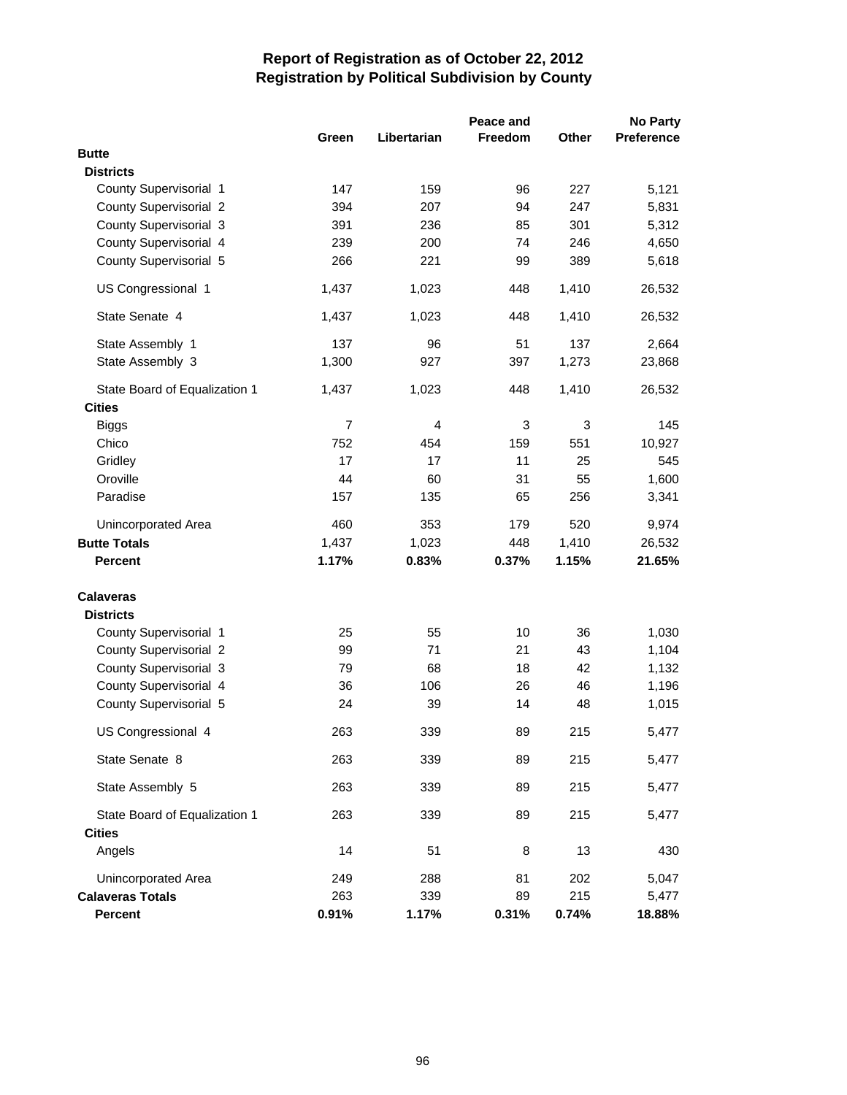|                               | Peace and      |             |                |       |                   |
|-------------------------------|----------------|-------------|----------------|-------|-------------------|
|                               | Green          | Libertarian | <b>Freedom</b> | Other | <b>Preference</b> |
| <b>Butte</b>                  |                |             |                |       |                   |
| <b>Districts</b>              |                |             |                |       |                   |
| County Supervisorial 1        | 147            | 159         | 96             | 227   | 5,121             |
| <b>County Supervisorial 2</b> | 394            | 207         | 94             | 247   | 5,831             |
| County Supervisorial 3        | 391            | 236         | 85             | 301   | 5,312             |
| County Supervisorial 4        | 239            | 200         | 74             | 246   | 4,650             |
| County Supervisorial 5        | 266            | 221         | 99             | 389   | 5,618             |
| US Congressional 1            | 1,437          | 1,023       | 448            | 1,410 | 26,532            |
| State Senate 4                | 1,437          | 1,023       | 448            | 1,410 | 26,532            |
| State Assembly 1              | 137            | 96          | 51             | 137   | 2,664             |
| State Assembly 3              | 1,300          | 927         | 397            | 1,273 | 23,868            |
| State Board of Equalization 1 | 1,437          | 1,023       | 448            | 1,410 | 26,532            |
| <b>Cities</b>                 |                |             |                |       |                   |
| <b>Biggs</b>                  | $\overline{7}$ | 4           | 3              | 3     | 145               |
| Chico                         | 752            | 454         | 159            | 551   | 10,927            |
| Gridley                       | 17             | 17          | 11             | 25    | 545               |
| Oroville                      | 44             | 60          | 31             | 55    | 1,600             |
| Paradise                      | 157            | 135         | 65             | 256   | 3,341             |
| Unincorporated Area           | 460            | 353         | 179            | 520   | 9,974             |
| <b>Butte Totals</b>           | 1,437          | 1,023       | 448            | 1,410 | 26,532            |
| <b>Percent</b>                | 1.17%          | 0.83%       | 0.37%          | 1.15% | 21.65%            |
| <b>Calaveras</b>              |                |             |                |       |                   |
| <b>Districts</b>              |                |             |                |       |                   |
| County Supervisorial 1        | 25             | 55          | 10             | 36    | 1,030             |
| <b>County Supervisorial 2</b> | 99             | 71          | 21             | 43    | 1,104             |
| County Supervisorial 3        | 79             | 68          | 18             | 42    | 1,132             |
| County Supervisorial 4        | 36             | 106         | 26             | 46    | 1,196             |
| County Supervisorial 5        | 24             | 39          | 14             | 48    | 1,015             |
| US Congressional 4            | 263            | 339         | 89             | 215   | 5,477             |
| State Senate 8                | 263            | 339         | 89             | 215   | 5,477             |
| State Assembly 5              | 263            | 339         | 89             | 215   | 5,477             |
| State Board of Equalization 1 | 263            | 339         | 89             | 215   | 5,477             |
| <b>Cities</b>                 |                |             |                |       |                   |
| Angels                        | 14             | 51          | 8              | 13    | 430               |
| Unincorporated Area           | 249            | 288         | 81             | 202   | 5,047             |
| <b>Calaveras Totals</b>       | 263            | 339         | 89             | 215   | 5,477             |
| <b>Percent</b>                | 0.91%          | 1.17%       | 0.31%          | 0.74% | 18.88%            |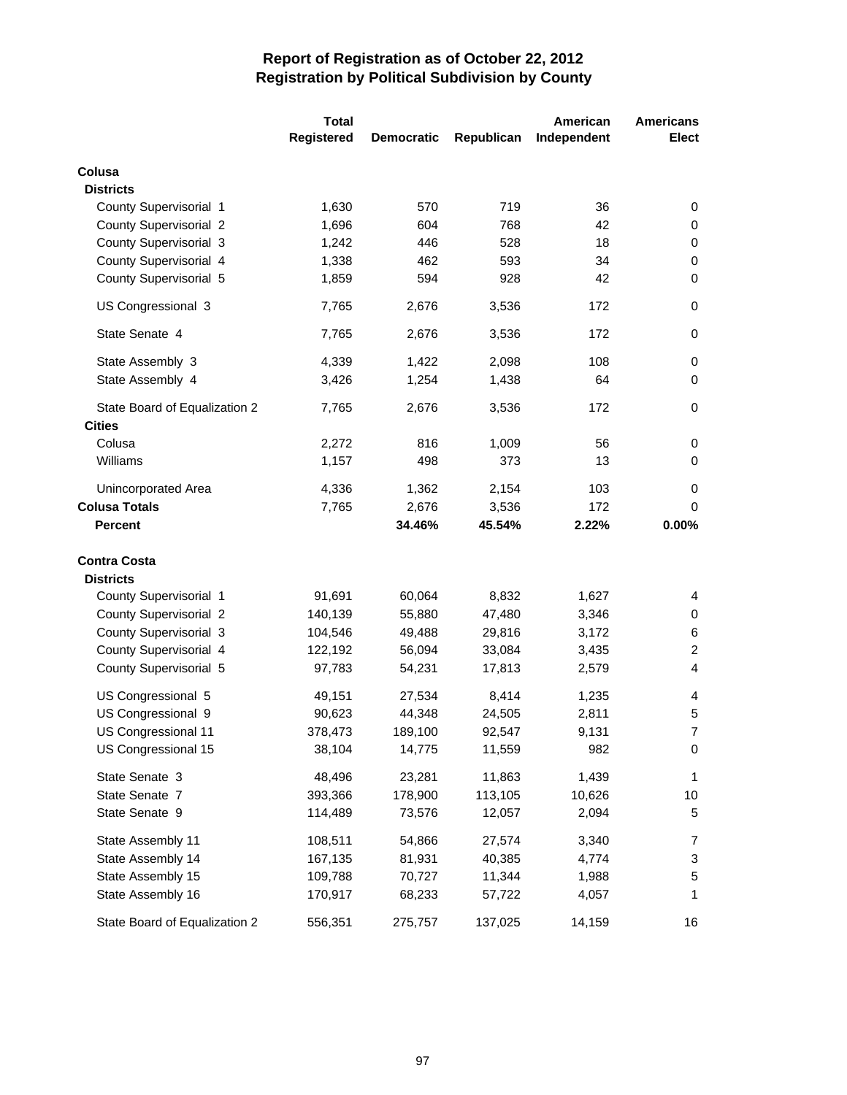|                               | <b>Total</b> |                   |            | American    | <b>Americans</b> |
|-------------------------------|--------------|-------------------|------------|-------------|------------------|
|                               | Registered   | <b>Democratic</b> | Republican | Independent | <b>Elect</b>     |
| Colusa                        |              |                   |            |             |                  |
| <b>Districts</b>              |              |                   |            |             |                  |
| County Supervisorial 1        | 1,630        | 570               | 719        | 36          | 0                |
| <b>County Supervisorial 2</b> | 1,696        | 604               | 768        | 42          | 0                |
| County Supervisorial 3        | 1,242        | 446               | 528        | 18          | 0                |
| County Supervisorial 4        | 1,338        | 462               | 593        | 34          | 0                |
| County Supervisorial 5        | 1,859        | 594               | 928        | 42          | $\pmb{0}$        |
| US Congressional 3            | 7,765        | 2,676             | 3,536      | 172         | 0                |
| State Senate 4                | 7,765        | 2,676             | 3,536      | 172         | $\mathbf 0$      |
| State Assembly 3              | 4,339        | 1,422             | 2,098      | 108         | $\pmb{0}$        |
| State Assembly 4              | 3,426        | 1,254             | 1,438      | 64          | $\mathbf 0$      |
| State Board of Equalization 2 | 7,765        | 2,676             | 3,536      | 172         | 0                |
| <b>Cities</b>                 |              |                   |            |             |                  |
| Colusa                        | 2,272        | 816               | 1,009      | 56          | 0                |
| Williams                      | 1,157        | 498               | 373        | 13          | $\pmb{0}$        |
| Unincorporated Area           | 4,336        | 1,362             | 2,154      | 103         | 0                |
| <b>Colusa Totals</b>          | 7,765        | 2,676             | 3,536      | 172         | 0                |
| <b>Percent</b>                |              | 34.46%            | 45.54%     | 2.22%       | 0.00%            |
| <b>Contra Costa</b>           |              |                   |            |             |                  |
| <b>Districts</b>              |              |                   |            |             |                  |
| County Supervisorial 1        | 91,691       | 60,064            | 8,832      | 1,627       | 4                |
| <b>County Supervisorial 2</b> | 140,139      | 55,880            | 47,480     | 3,346       | 0                |
| County Supervisorial 3        | 104,546      | 49,488            | 29,816     | 3,172       | 6                |
| County Supervisorial 4        | 122,192      | 56,094            | 33,084     | 3,435       | $\overline{c}$   |
| County Supervisorial 5        | 97,783       | 54,231            | 17,813     | 2,579       | $\overline{4}$   |
| US Congressional 5            | 49,151       | 27,534            | 8,414      | 1,235       | 4                |
| US Congressional 9            | 90,623       | 44,348            | 24,505     | 2,811       | 5                |
| US Congressional 11           | 378,473      | 189,100           | 92,547     | 9,131       | $\overline{7}$   |
| US Congressional 15           | 38,104       | 14,775            | 11,559     | 982         | 0                |
| State Senate 3                | 48,496       | 23,281            | 11,863     | 1,439       | $\mathbf{1}$     |
| State Senate 7                | 393,366      | 178,900           | 113,105    | 10,626      | 10               |
| State Senate 9                | 114,489      | 73,576            | 12,057     | 2,094       | 5                |
| State Assembly 11             | 108,511      | 54,866            | 27,574     | 3,340       | 7                |
| State Assembly 14             | 167,135      | 81,931            | 40,385     | 4,774       | 3                |
| State Assembly 15             | 109,788      | 70,727            | 11,344     | 1,988       | 5                |
| State Assembly 16             | 170,917      | 68,233            | 57,722     | 4,057       | 1                |
| State Board of Equalization 2 | 556,351      | 275,757           | 137,025    | 14,159      | 16               |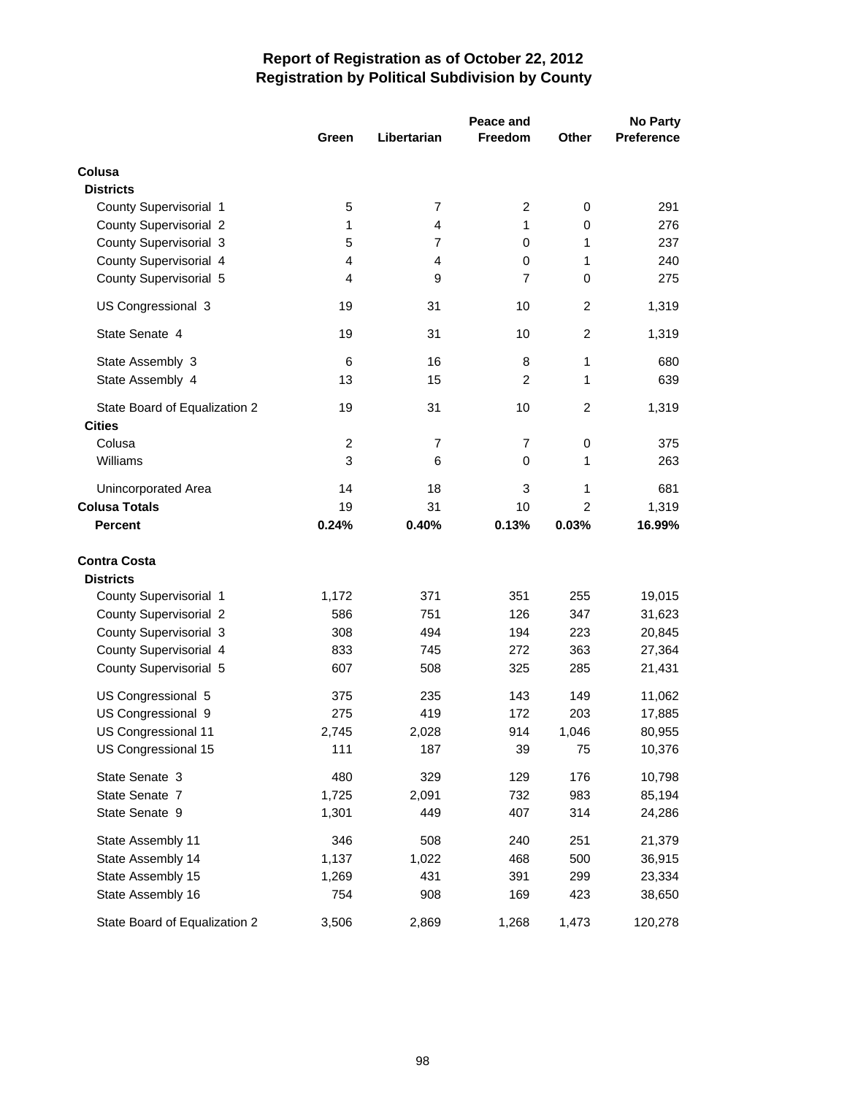|                               |                |                |                | <b>No Party</b> |                   |
|-------------------------------|----------------|----------------|----------------|-----------------|-------------------|
|                               | Green          | Libertarian    | Freedom        | Other           | <b>Preference</b> |
| Colusa                        |                |                |                |                 |                   |
| <b>Districts</b>              |                |                |                |                 |                   |
| County Supervisorial 1        | 5              | $\overline{7}$ | 2              | 0               | 291               |
| <b>County Supervisorial 2</b> | 1              | $\overline{4}$ | 1              | 0               | 276               |
| County Supervisorial 3        | 5              | $\overline{7}$ | 0              | 1               | 237               |
| County Supervisorial 4        | 4              | $\overline{4}$ | 0              | 1               | 240               |
| County Supervisorial 5        | 4              | 9              | 7              | 0               | 275               |
| US Congressional 3            | 19             | 31             | 10             | $\overline{c}$  | 1,319             |
| State Senate 4                | 19             | 31             | 10             | $\overline{c}$  | 1,319             |
| State Assembly 3              | 6              | 16             | 8              | 1               | 680               |
| State Assembly 4              | 13             | 15             | $\overline{2}$ | 1               | 639               |
| State Board of Equalization 2 | 19             | 31             | 10             | $\overline{2}$  | 1,319             |
| <b>Cities</b>                 |                |                |                |                 |                   |
| Colusa                        | $\overline{c}$ | 7              | 7              | 0               | 375               |
| Williams                      | 3              | 6              | 0              | 1               | 263               |
| Unincorporated Area           | 14             | 18             | 3              | 1               | 681               |
| <b>Colusa Totals</b>          | 19             | 31             | 10             | 2               | 1,319             |
| <b>Percent</b>                | 0.24%          | 0.40%          | 0.13%          | 0.03%           | 16.99%            |
| <b>Contra Costa</b>           |                |                |                |                 |                   |
| <b>Districts</b>              |                |                |                |                 |                   |
| County Supervisorial 1        | 1,172          | 371            | 351            | 255             | 19,015            |
| County Supervisorial 2        | 586            | 751            | 126            | 347             | 31,623            |
| County Supervisorial 3        | 308            | 494            | 194            | 223             | 20,845            |
| County Supervisorial 4        | 833            | 745            | 272            | 363             | 27,364            |
| County Supervisorial 5        | 607            | 508            | 325            | 285             | 21,431            |
| US Congressional 5            | 375            | 235            | 143            | 149             | 11,062            |
| US Congressional 9            | 275            | 419            | 172            | 203             | 17,885            |
| US Congressional 11           | 2,745          | 2,028          | 914            | 1,046           | 80,955            |
| US Congressional 15           | 111            | 187            | 39             | 75              | 10,376            |
| State Senate 3                | 480            | 329            | 129            | 176             | 10,798            |
| State Senate 7                | 1,725          | 2,091          | 732            | 983             | 85,194            |
| State Senate 9                | 1,301          | 449            | 407            | 314             | 24,286            |
| State Assembly 11             | 346            | 508            | 240            | 251             | 21,379            |
| State Assembly 14             | 1,137          | 1,022          | 468            | 500             | 36,915            |
| State Assembly 15             | 1,269          | 431            | 391            | 299             | 23,334            |
| State Assembly 16             | 754            | 908            | 169            | 423             | 38,650            |
| State Board of Equalization 2 | 3,506          | 2,869          | 1,268          | 1,473           | 120,278           |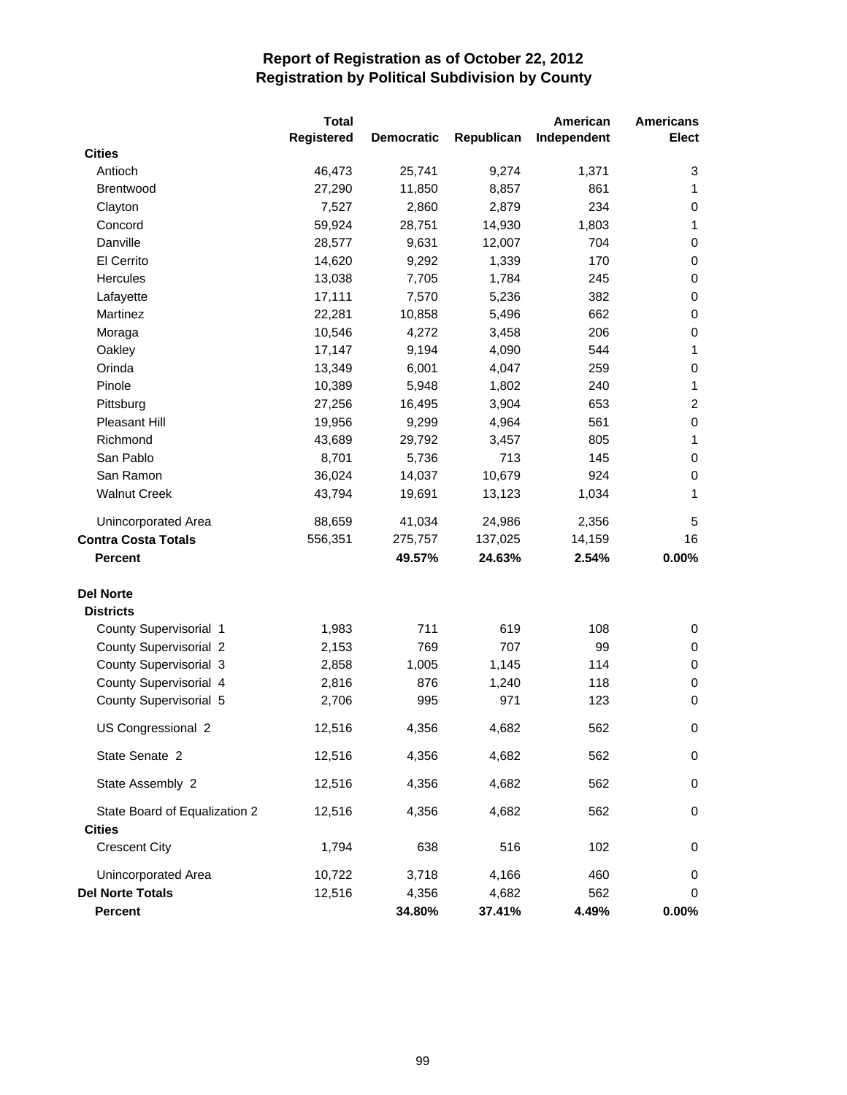|                               | <b>Total</b>      |                   |            | American    | <b>Americans</b> |
|-------------------------------|-------------------|-------------------|------------|-------------|------------------|
|                               | <b>Registered</b> | <b>Democratic</b> | Republican | Independent | <b>Elect</b>     |
| <b>Cities</b>                 |                   |                   |            |             |                  |
| Antioch                       | 46,473            | 25,741            | 9,274      | 1,371       | 3                |
| Brentwood                     | 27,290            | 11,850            | 8,857      | 861         | 1                |
| Clayton                       | 7,527             | 2,860             | 2,879      | 234         | 0                |
| Concord                       | 59,924            | 28,751            | 14,930     | 1,803       | 1                |
| Danville                      | 28,577            | 9,631             | 12,007     | 704         | $\,0\,$          |
| El Cerrito                    | 14,620            | 9,292             | 1,339      | 170         | $\,0\,$          |
| <b>Hercules</b>               | 13,038            | 7,705             | 1,784      | 245         | $\,0\,$          |
| Lafayette                     | 17,111            | 7,570             | 5,236      | 382         | $\,0\,$          |
| Martinez                      | 22,281            | 10,858            | 5,496      | 662         | $\,0\,$          |
| Moraga                        | 10,546            | 4,272             | 3,458      | 206         | $\,0\,$          |
| Oakley                        | 17,147            | 9,194             | 4,090      | 544         | 1                |
| Orinda                        | 13,349            | 6,001             | 4,047      | 259         | $\,0\,$          |
| Pinole                        | 10,389            | 5,948             | 1,802      | 240         | 1                |
| Pittsburg                     | 27,256            | 16,495            | 3,904      | 653         | $\overline{c}$   |
| Pleasant Hill                 | 19,956            | 9,299             | 4,964      | 561         | $\mathbf 0$      |
| Richmond                      | 43,689            | 29,792            | 3,457      | 805         | $\mathbf{1}$     |
| San Pablo                     | 8,701             | 5,736             | 713        | 145         | $\,0\,$          |
| San Ramon                     | 36,024            | 14,037            | 10,679     | 924         | $\,0\,$          |
| <b>Walnut Creek</b>           | 43,794            | 19,691            | 13,123     | 1,034       | 1                |
| Unincorporated Area           | 88,659            | 41,034            | 24,986     | 2,356       | 5                |
| <b>Contra Costa Totals</b>    | 556,351           | 275,757           | 137,025    | 14,159      | 16               |
| <b>Percent</b>                |                   | 49.57%            | 24.63%     | 2.54%       | 0.00%            |
| <b>Del Norte</b>              |                   |                   |            |             |                  |
| <b>Districts</b>              |                   |                   |            |             |                  |
| County Supervisorial 1        | 1,983             | 711               | 619        | 108         | 0                |
| <b>County Supervisorial 2</b> | 2,153             | 769               | 707        | 99          | 0                |
| County Supervisorial 3        | 2,858             | 1,005             | 1,145      | 114         | $\pmb{0}$        |
| County Supervisorial 4        | 2,816             | 876               | 1,240      | 118         | $\pmb{0}$        |
| County Supervisorial 5        | 2,706             | 995               | 971        | 123         | $\pmb{0}$        |
| US Congressional 2            | 12,516            | 4,356             | 4,682      | 562         | 0                |
| State Senate 2                | 12,516            | 4,356             | 4,682      | 562         | 0                |
| State Assembly 2              | 12,516            | 4,356             | 4,682      | 562         | $\pmb{0}$        |
| State Board of Equalization 2 | 12,516            | 4,356             | 4,682      | 562         | 0                |
| <b>Cities</b>                 |                   |                   |            |             |                  |
| <b>Crescent City</b>          | 1,794             | 638               | 516        | 102         | 0                |
| Unincorporated Area           | 10,722            | 3,718             | 4,166      | 460         | 0                |
| <b>Del Norte Totals</b>       | 12,516            | 4,356             | 4,682      | 562         | 0                |
| Percent                       |                   | 34.80%            | 37.41%     | 4.49%       | 0.00%            |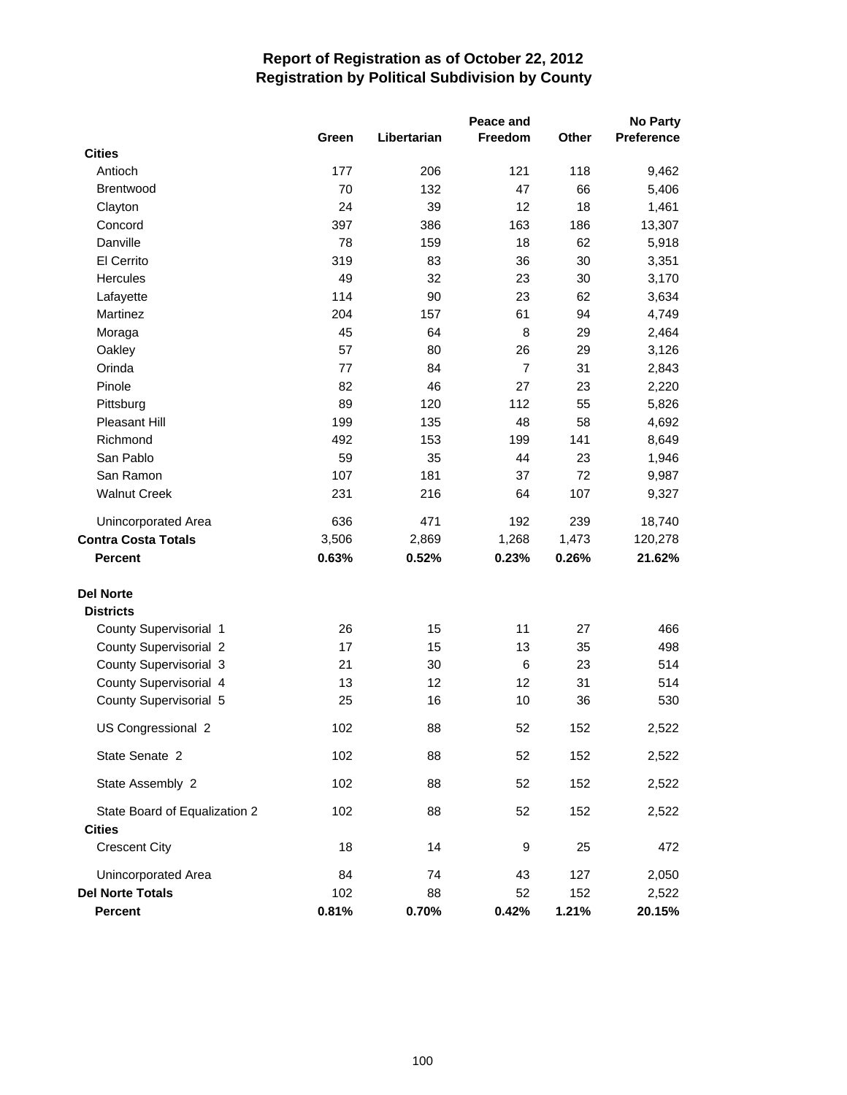|                               |       |             | Peace and |       | <b>No Party</b> |
|-------------------------------|-------|-------------|-----------|-------|-----------------|
|                               | Green | Libertarian | Freedom   | Other | Preference      |
| <b>Cities</b>                 |       |             |           |       |                 |
| Antioch                       | 177   | 206         | 121       | 118   | 9,462           |
| <b>Brentwood</b>              | 70    | 132         | 47        | 66    | 5,406           |
| Clayton                       | 24    | 39          | 12        | 18    | 1,461           |
| Concord                       | 397   | 386         | 163       | 186   | 13,307          |
| Danville                      | 78    | 159         | 18        | 62    | 5,918           |
| El Cerrito                    | 319   | 83          | 36        | 30    | 3,351           |
| Hercules                      | 49    | 32          | 23        | 30    | 3,170           |
| Lafayette                     | 114   | 90          | 23        | 62    | 3,634           |
| Martinez                      | 204   | 157         | 61        | 94    | 4,749           |
| Moraga                        | 45    | 64          | 8         | 29    | 2,464           |
| Oakley                        | 57    | 80          | 26        | 29    | 3,126           |
| Orinda                        | 77    | 84          | 7         | 31    | 2,843           |
| Pinole                        | 82    | 46          | 27        | 23    | 2,220           |
| Pittsburg                     | 89    | 120         | 112       | 55    | 5,826           |
| Pleasant Hill                 | 199   | 135         | 48        | 58    | 4,692           |
| Richmond                      | 492   | 153         | 199       | 141   | 8,649           |
| San Pablo                     | 59    | 35          | 44        | 23    | 1,946           |
| San Ramon                     | 107   | 181         | 37        | 72    | 9,987           |
| <b>Walnut Creek</b>           | 231   | 216         | 64        | 107   | 9,327           |
| Unincorporated Area           | 636   | 471         | 192       | 239   | 18,740          |
| <b>Contra Costa Totals</b>    | 3,506 | 2,869       | 1,268     | 1,473 | 120,278         |
| <b>Percent</b>                | 0.63% | 0.52%       | 0.23%     | 0.26% | 21.62%          |
| <b>Del Norte</b>              |       |             |           |       |                 |
| <b>Districts</b>              |       |             |           |       |                 |
| County Supervisorial 1        | 26    | 15          | 11        | 27    | 466             |
| <b>County Supervisorial 2</b> | 17    | 15          | 13        | 35    | 498             |
| County Supervisorial 3        | 21    | 30          | 6         | 23    | 514             |
| County Supervisorial 4        | 13    | 12          | 12        | 31    | 514             |
| County Supervisorial 5        | 25    | 16          | 10        | 36    | 530             |
| US Congressional 2            | 102   | 88          | 52        | 152   | 2,522           |
| State Senate 2                | 102   | 88          | 52        | 152   | 2,522           |
| State Assembly 2              | 102   | 88          | 52        | 152   | 2,522           |
| State Board of Equalization 2 | 102   | 88          | 52        | 152   | 2,522           |
| <b>Cities</b>                 |       |             |           |       |                 |
| <b>Crescent City</b>          | 18    | 14          | 9         | 25    | 472             |
| Unincorporated Area           | 84    | 74          | 43        | 127   | 2,050           |
| <b>Del Norte Totals</b>       | 102   | 88          | 52        | 152   | 2,522           |
| Percent                       | 0.81% | 0.70%       | 0.42%     | 1.21% | 20.15%          |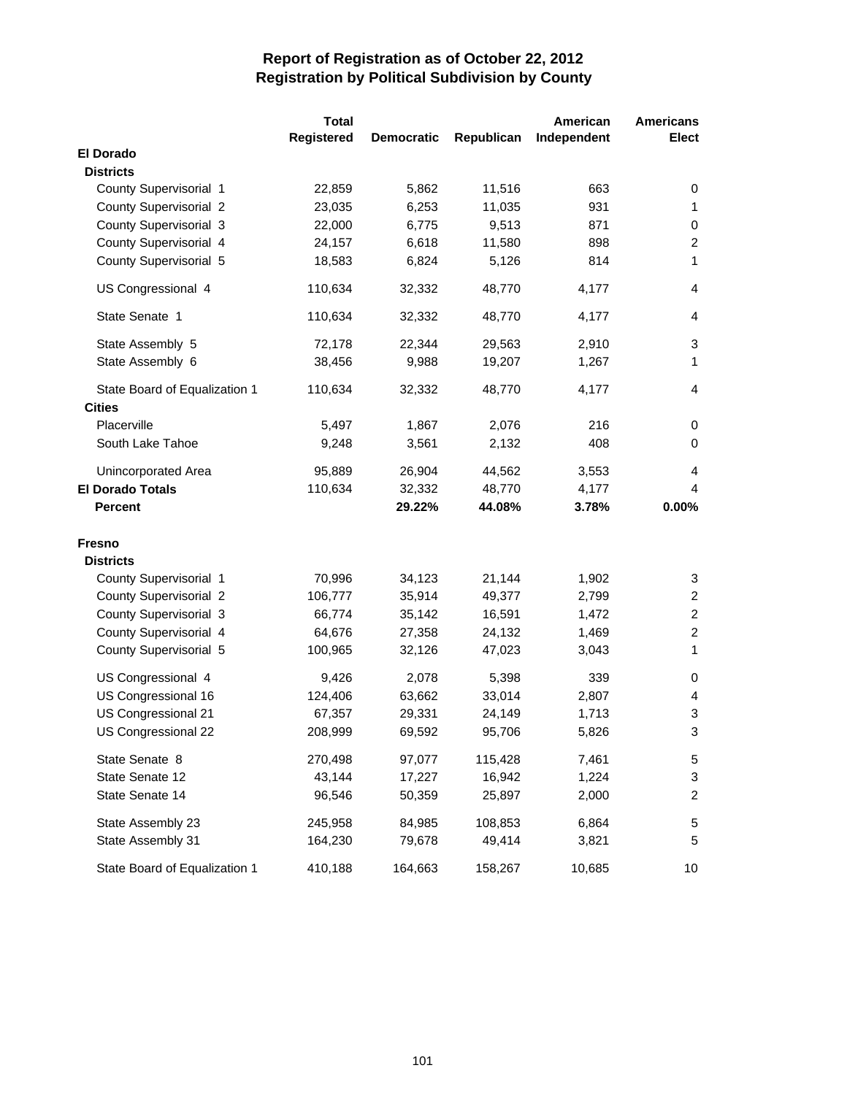|                                   | <b>Total</b> |                   |            | American       | <b>Americans</b> |
|-----------------------------------|--------------|-------------------|------------|----------------|------------------|
|                                   | Registered   | <b>Democratic</b> | Republican | Independent    | <b>Elect</b>     |
| <b>El Dorado</b>                  |              |                   |            |                |                  |
| <b>Districts</b>                  |              |                   |            |                |                  |
| County Supervisorial 1            | 22,859       | 5,862             | 11,516     | 663            | 0                |
| <b>County Supervisorial 2</b>     | 23,035       | 6,253             | 11,035     | 931            | $\mathbf{1}$     |
| County Supervisorial 3            | 22,000       | 6,775             | 9,513      | 871            | 0                |
| County Supervisorial 4            | 24,157       | 6,618             | 11,580     | 898            | $\overline{c}$   |
| County Supervisorial 5            | 18,583       | 6,824             | 5,126      | 814            | $\mathbf{1}$     |
| US Congressional 4                | 110,634      | 32,332            | 48,770     | 4,177          | $\overline{4}$   |
| State Senate 1                    | 110,634      | 32,332            | 48,770     | 4,177          | 4                |
| State Assembly 5                  | 72,178       | 22,344            | 29,563     | 2,910          | 3                |
| State Assembly 6                  | 38,456       | 9,988             | 19,207     | 1,267          | $\mathbf{1}$     |
| State Board of Equalization 1     | 110,634      | 32,332            | 48,770     | 4,177          | $\overline{4}$   |
| <b>Cities</b>                     |              |                   |            |                |                  |
| Placerville                       | 5,497        | 1,867             | 2,076      | 216            | 0                |
| South Lake Tahoe                  | 9,248        | 3,561             | 2,132      | 408            | $\pmb{0}$        |
| Unincorporated Area               | 95,889       | 26,904            | 44,562     | 3,553          | 4                |
| <b>El Dorado Totals</b>           | 110,634      | 32,332            | 48,770     | 4,177          | 4                |
| <b>Percent</b>                    |              | 29.22%            | 44.08%     | 3.78%          | 0.00%            |
|                                   |              |                   |            |                |                  |
| <b>Fresno</b><br><b>Districts</b> |              |                   |            |                |                  |
| County Supervisorial 1            | 70,996       | 34,123            | 21,144     | 1,902          | 3                |
| <b>County Supervisorial 2</b>     | 106,777      | 35,914            | 49,377     |                | $\overline{2}$   |
| County Supervisorial 3            | 66,774       | 35,142            | 16,591     | 2,799<br>1,472 | $\overline{c}$   |
| County Supervisorial 4            | 64,676       | 27,358            | 24,132     | 1,469          | $\overline{c}$   |
|                                   |              |                   | 47,023     |                | 1                |
| County Supervisorial 5            | 100,965      | 32,126            |            | 3,043          |                  |
| US Congressional 4                | 9,426        | 2,078             | 5,398      | 339            | 0                |
| US Congressional 16               | 124,406      | 63,662            | 33,014     | 2,807          | 4                |
| US Congressional 21               | 67,357       | 29,331            | 24,149     | 1,713          | 3                |
| US Congressional 22               | 208,999      | 69,592            | 95,706     | 5,826          | 3                |
| State Senate 8                    | 270,498      | 97,077            | 115,428    | 7,461          | 5                |
| State Senate 12                   | 43,144       | 17,227            | 16,942     | 1,224          | 3                |
| State Senate 14                   | 96,546       | 50,359            | 25,897     | 2,000          | $\overline{c}$   |
| State Assembly 23                 | 245,958      | 84,985            | 108,853    | 6,864          | 5                |
| State Assembly 31                 | 164,230      | 79,678            | 49,414     | 3,821          | 5                |
| State Board of Equalization 1     | 410,188      | 164,663           | 158,267    | 10,685         | 10               |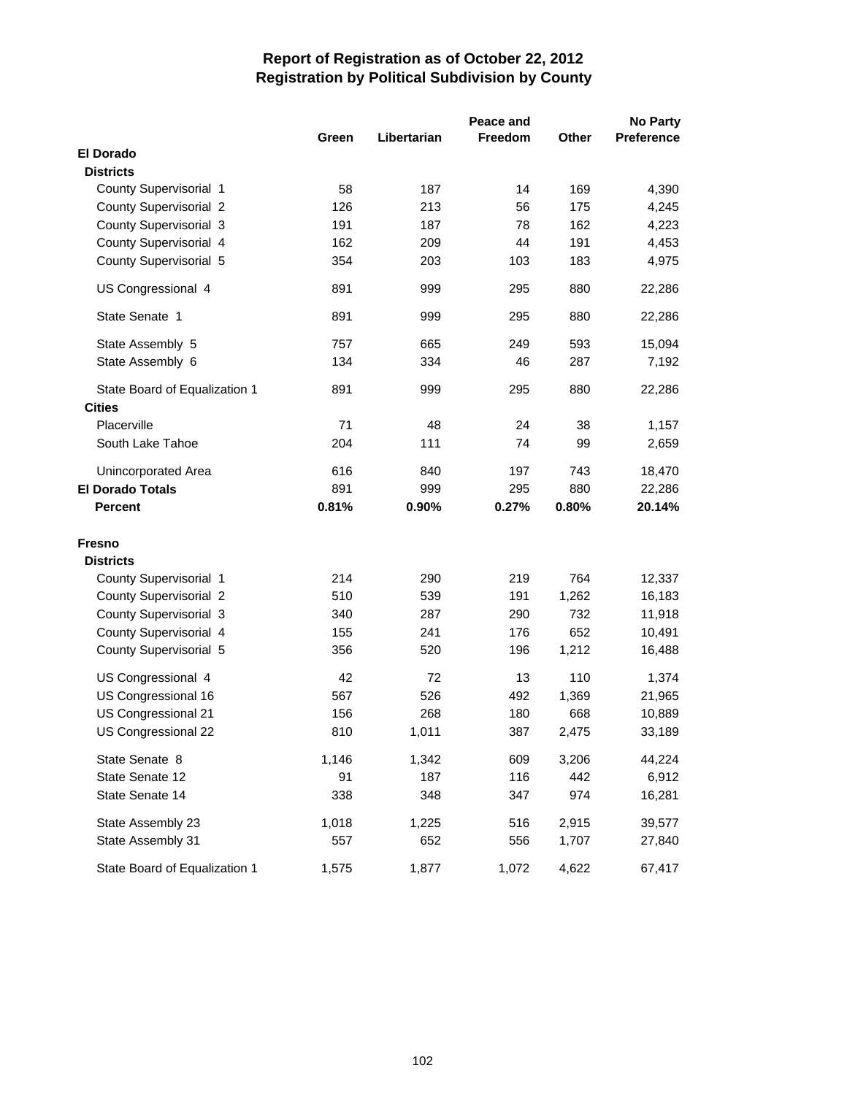|                                                | Peace and |             |         |       |                   |
|------------------------------------------------|-----------|-------------|---------|-------|-------------------|
|                                                | Green     | Libertarian | Freedom | Other | <b>Preference</b> |
| <b>El Dorado</b>                               |           |             |         |       |                   |
| <b>Districts</b>                               |           |             |         |       |                   |
| County Supervisorial 1                         | 58        | 187         | 14      | 169   | 4,390             |
| <b>County Supervisorial 2</b>                  | 126       | 213         | 56      | 175   | 4,245             |
| County Supervisorial 3                         | 191       | 187         | 78      | 162   | 4,223             |
| County Supervisorial 4                         | 162       | 209         | 44      | 191   | 4,453             |
| County Supervisorial 5                         | 354       | 203         | 103     | 183   | 4,975             |
| US Congressional 4                             | 891       | 999         | 295     | 880   | 22,286            |
| State Senate 1                                 | 891       | 999         | 295     | 880   | 22,286            |
| State Assembly 5                               | 757       | 665         | 249     | 593   | 15,094            |
| State Assembly 6                               | 134       | 334         | 46      | 287   | 7,192             |
| State Board of Equalization 1<br><b>Cities</b> | 891       | 999         | 295     | 880   | 22,286            |
| Placerville                                    | 71        | 48          | 24      | 38    | 1,157             |
| South Lake Tahoe                               | 204       | 111         | 74      | 99    | 2,659             |
| Unincorporated Area                            | 616       | 840         | 197     | 743   | 18,470            |
| <b>El Dorado Totals</b>                        | 891       | 999         | 295     | 880   | 22,286            |
| <b>Percent</b>                                 | 0.81%     | 0.90%       | 0.27%   | 0.80% | 20.14%            |
| <b>Fresno</b>                                  |           |             |         |       |                   |
| <b>Districts</b>                               |           |             |         |       |                   |
| County Supervisorial 1                         | 214       | 290         | 219     | 764   | 12,337            |
| <b>County Supervisorial 2</b>                  | 510       | 539         | 191     | 1,262 | 16,183            |
| County Supervisorial 3                         | 340       | 287         | 290     | 732   | 11,918            |
| County Supervisorial 4                         | 155       | 241         | 176     | 652   | 10,491            |
| County Supervisorial 5                         | 356       | 520         | 196     | 1,212 | 16,488            |
| US Congressional 4                             | 42        | 72          | 13      | 110   | 1,374             |
| US Congressional 16                            | 567       | 526         | 492     | 1,369 | 21,965            |
| US Congressional 21                            | 156       | 268         | 180     | 668   | 10,889            |
| US Congressional 22                            | 810       | 1,011       | 387     | 2,475 | 33,189            |
| State Senate 8                                 | 1,146     | 1,342       | 609     | 3,206 | 44,224            |
| State Senate 12                                | 91        | 187         | 116     | 442   | 6,912             |
| State Senate 14                                | 338       | 348         | 347     | 974   | 16,281            |
| State Assembly 23                              | 1,018     | 1,225       | 516     | 2,915 | 39,577            |
| State Assembly 31                              | 557       | 652         | 556     | 1,707 | 27,840            |
| State Board of Equalization 1                  | 1,575     | 1,877       | 1,072   | 4,622 | 67,417            |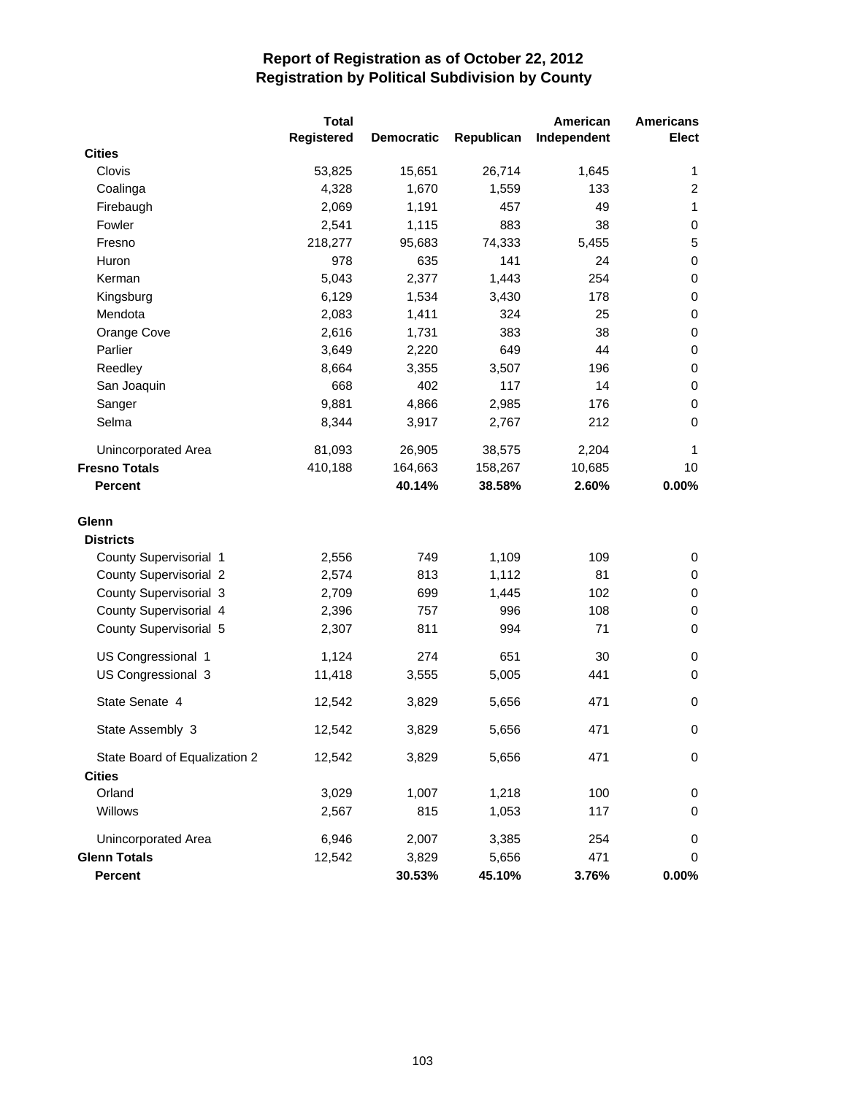|                               | <b>Total</b> |                   |            | American    | <b>Americans</b> |
|-------------------------------|--------------|-------------------|------------|-------------|------------------|
|                               | Registered   | <b>Democratic</b> | Republican | Independent | <b>Elect</b>     |
| <b>Cities</b>                 |              |                   |            |             |                  |
| Clovis                        | 53,825       | 15,651            | 26,714     | 1,645       | 1                |
| Coalinga                      | 4,328        | 1,670             | 1,559      | 133         | $\overline{c}$   |
| Firebaugh                     | 2,069        | 1,191             | 457        | 49          | $\mathbf{1}$     |
| Fowler                        | 2,541        | 1,115             | 883        | 38          | 0                |
| Fresno                        | 218,277      | 95,683            | 74,333     | 5,455       | $\mathbf 5$      |
| Huron                         | 978          | 635               | 141        | 24          | $\pmb{0}$        |
| Kerman                        | 5,043        | 2,377             | 1,443      | 254         | $\pmb{0}$        |
| Kingsburg                     | 6,129        | 1,534             | 3,430      | 178         | $\,0\,$          |
| Mendota                       | 2,083        | 1,411             | 324        | 25          | 0                |
| Orange Cove                   | 2,616        | 1,731             | 383        | 38          | $\,0\,$          |
| Parlier                       | 3,649        | 2,220             | 649        | 44          | $\,0\,$          |
| Reedley                       | 8,664        | 3,355             | 3,507      | 196         | $\pmb{0}$        |
| San Joaquin                   | 668          | 402               | 117        | 14          | $\pmb{0}$        |
| Sanger                        | 9,881        | 4,866             | 2,985      | 176         | $\pmb{0}$        |
| Selma                         | 8,344        | 3,917             | 2,767      | 212         | 0                |
| Unincorporated Area           | 81,093       | 26,905            | 38,575     | 2,204       | 1                |
| <b>Fresno Totals</b>          | 410,188      | 164,663           | 158,267    | 10,685      | 10               |
| <b>Percent</b>                |              | 40.14%            | 38.58%     | 2.60%       | 0.00%            |
| Glenn                         |              |                   |            |             |                  |
| <b>Districts</b>              |              |                   |            |             |                  |
| County Supervisorial 1        | 2,556        | 749               | 1,109      | 109         | 0                |
| County Supervisorial 2        | 2,574        | 813               | 1,112      | 81          | 0                |
| County Supervisorial 3        | 2,709        | 699               | 1,445      | 102         | 0                |
| County Supervisorial 4        | 2,396        | 757               | 996        | 108         | 0                |
| County Supervisorial 5        | 2,307        | 811               | 994        | 71          | $\pmb{0}$        |
| US Congressional 1            | 1,124        | 274               | 651        | 30          | 0                |
| US Congressional 3            | 11,418       | 3,555             | 5,005      | 441         | $\pmb{0}$        |
| State Senate 4                | 12,542       | 3,829             | 5,656      | 471         | 0                |
| State Assembly 3              | 12,542       | 3,829             | 5,656      | 471         | 0                |
| State Board of Equalization 2 | 12,542       | 3,829             | 5,656      | 471         | 0                |
| <b>Cities</b>                 |              |                   |            |             |                  |
| Orland                        | 3,029        | 1,007             | 1,218      | 100         | 0                |
| Willows                       | 2,567        | 815               | 1,053      | 117         | 0                |
| Unincorporated Area           | 6,946        | 2,007             | 3,385      | 254         | 0                |
| <b>Glenn Totals</b>           | 12,542       | 3,829             | 5,656      | 471         | 0                |
| Percent                       |              | 30.53%            | 45.10%     | 3.76%       | $0.00\%$         |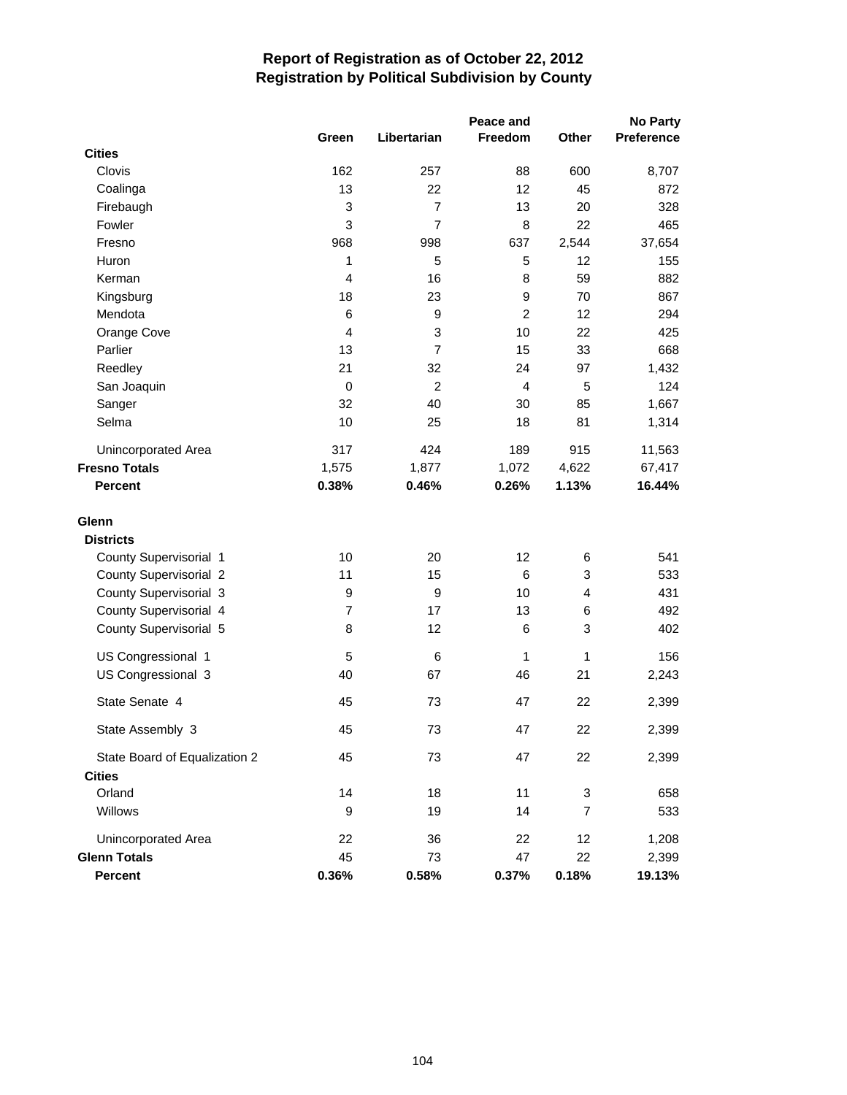|                               | Peace and<br><b>No Party</b> |                |                  |                |            |
|-------------------------------|------------------------------|----------------|------------------|----------------|------------|
|                               | Green                        | Libertarian    | Freedom          | Other          | Preference |
| <b>Cities</b>                 |                              |                |                  |                |            |
| Clovis                        | 162                          | 257            | 88               | 600            | 8,707      |
| Coalinga                      | 13                           | 22             | 12               | 45             | 872        |
| Firebaugh                     | 3                            | $\overline{7}$ | 13               | 20             | 328        |
| Fowler                        | 3                            | $\overline{7}$ | 8                | 22             | 465        |
| Fresno                        | 968                          | 998            | 637              | 2,544          | 37,654     |
| Huron                         | 1                            | 5              | 5                | 12             | 155        |
| Kerman                        | 4                            | 16             | 8                | 59             | 882        |
| Kingsburg                     | 18                           | 23             | $\boldsymbol{9}$ | 70             | 867        |
| Mendota                       | 6                            | 9              | $\overline{c}$   | 12             | 294        |
| Orange Cove                   | 4                            | 3              | 10               | 22             | 425        |
| Parlier                       | 13                           | $\overline{7}$ | 15               | 33             | 668        |
| Reedley                       | 21                           | 32             | 24               | 97             | 1,432      |
| San Joaquin                   | $\mathbf 0$                  | $\overline{c}$ | $\overline{4}$   | 5              | 124        |
| Sanger                        | 32                           | 40             | 30               | 85             | 1,667      |
| Selma                         | 10                           | 25             | 18               | 81             | 1,314      |
| Unincorporated Area           | 317                          | 424            | 189              | 915            | 11,563     |
| <b>Fresno Totals</b>          | 1,575                        | 1,877          | 1,072            | 4,622          | 67,417     |
| <b>Percent</b>                | 0.38%                        | 0.46%          | 0.26%            | 1.13%          | 16.44%     |
| Glenn                         |                              |                |                  |                |            |
| <b>Districts</b>              |                              |                |                  |                |            |
| County Supervisorial 1        | 10                           | 20             | 12               | 6              | 541        |
| <b>County Supervisorial 2</b> | 11                           | 15             | 6                | 3              | 533        |
| County Supervisorial 3        | 9                            | 9              | 10               | $\overline{4}$ | 431        |
| County Supervisorial 4        | $\overline{7}$               | 17             | 13               | 6              | 492        |
| County Supervisorial 5        | 8                            | 12             | 6                | $\sqrt{3}$     | 402        |
| US Congressional 1            | 5                            | 6              | $\mathbf{1}$     | 1              | 156        |
| US Congressional 3            | 40                           | 67             | 46               | 21             | 2,243      |
| State Senate 4                | 45                           | 73             | 47               | 22             | 2,399      |
| State Assembly 3              | 45                           | 73             | 47               | 22             | 2,399      |
| State Board of Equalization 2 | 45                           | 73             | 47               | 22             | 2,399      |
| <b>Cities</b>                 |                              |                |                  |                |            |
| Orland                        | 14                           | 18             | 11               | 3              | 658        |
| Willows                       | 9                            | 19             | 14               | $\overline{7}$ | 533        |
| Unincorporated Area           | 22                           | 36             | 22               | 12             | 1,208      |
| <b>Glenn Totals</b>           | 45                           | 73             | 47               | 22             | 2,399      |
| <b>Percent</b>                | 0.36%                        | 0.58%          | 0.37%            | 0.18%          | 19.13%     |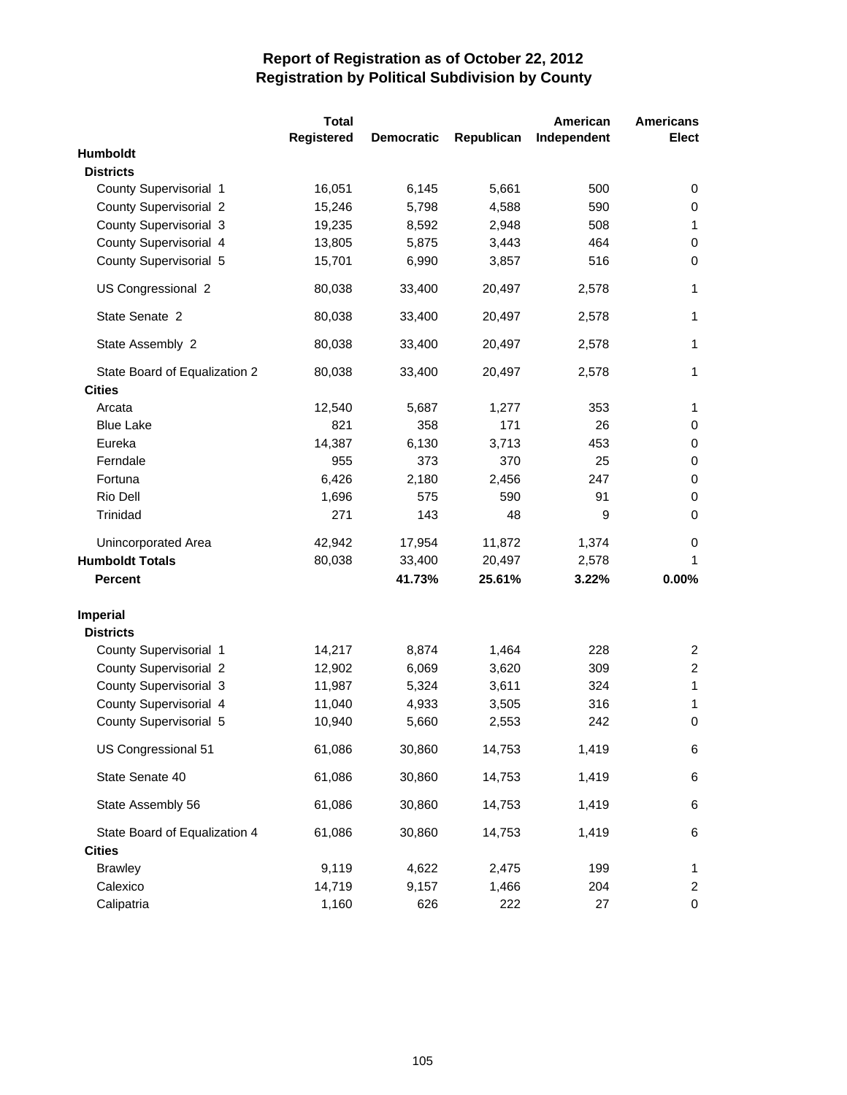|                               | <b>Total</b>      |                   |            | American    | <b>Americans</b> |
|-------------------------------|-------------------|-------------------|------------|-------------|------------------|
|                               | <b>Registered</b> | <b>Democratic</b> | Republican | Independent | <b>Elect</b>     |
| Humboldt                      |                   |                   |            |             |                  |
| <b>Districts</b>              |                   |                   |            |             |                  |
| County Supervisorial 1        | 16,051            | 6,145             | 5,661      | 500         | 0                |
| <b>County Supervisorial 2</b> | 15,246            | 5,798             | 4,588      | 590         | 0                |
| County Supervisorial 3        | 19,235            | 8,592             | 2,948      | 508         | 1                |
| County Supervisorial 4        | 13,805            | 5,875             | 3,443      | 464         | $\mathbf 0$      |
| County Supervisorial 5        | 15,701            | 6,990             | 3,857      | 516         | $\mathbf 0$      |
| US Congressional 2            | 80,038            | 33,400            | 20,497     | 2,578       | 1                |
| State Senate 2                | 80,038            | 33,400            | 20,497     | 2,578       | 1                |
| State Assembly 2              | 80,038            | 33,400            | 20,497     | 2,578       | $\mathbf{1}$     |
| State Board of Equalization 2 | 80,038            | 33,400            | 20,497     | 2,578       | 1                |
| <b>Cities</b>                 |                   |                   |            |             |                  |
| Arcata                        | 12,540            | 5,687             | 1,277      | 353         | 1                |
| <b>Blue Lake</b>              | 821               | 358               | 171        | 26          | 0                |
| Eureka                        | 14,387            | 6,130             | 3,713      | 453         | 0                |
| Ferndale                      | 955               | 373               | 370        | 25          | $\mathbf 0$      |
| Fortuna                       | 6,426             | 2,180             | 2,456      | 247         | $\mathbf 0$      |
| Rio Dell                      | 1,696             | 575               | 590        | 91          | 0                |
| Trinidad                      | 271               | 143               | 48         | 9           | 0                |
| Unincorporated Area           | 42,942            | 17,954            | 11,872     | 1,374       | 0                |
| <b>Humboldt Totals</b>        | 80,038            | 33,400            | 20,497     | 2,578       | 1                |
| <b>Percent</b>                |                   | 41.73%            | 25.61%     | 3.22%       | 0.00%            |
| <b>Imperial</b>               |                   |                   |            |             |                  |
| <b>Districts</b>              |                   |                   |            |             |                  |
| County Supervisorial 1        | 14,217            | 8,874             | 1,464      | 228         | $\overline{c}$   |
| County Supervisorial 2        | 12,902            | 6,069             | 3,620      | 309         | $\overline{c}$   |
| County Supervisorial 3        | 11,987            | 5,324             | 3,611      | 324         | 1                |
| County Supervisorial 4        | 11,040            | 4,933             | 3,505      | 316         | 1                |
| County Supervisorial 5        | 10,940            | 5,660             | 2,553      | 242         | $\pmb{0}$        |
| US Congressional 51           | 61,086            | 30,860            | 14,753     | 1,419       | 6                |
| State Senate 40               | 61,086            | 30,860            | 14,753     | 1,419       | 6                |
| State Assembly 56             | 61,086            | 30,860            | 14,753     | 1,419       | 6                |
| State Board of Equalization 4 | 61,086            | 30,860            | 14,753     | 1,419       | 6                |
| <b>Cities</b>                 |                   |                   |            |             |                  |
| <b>Brawley</b>                | 9,119             | 4,622             | 2,475      | 199         | 1                |
| Calexico                      | 14,719            | 9,157             | 1,466      | 204         | $\overline{c}$   |
| Calipatria                    | 1,160             | 626               | 222        | 27          | $\mathbf 0$      |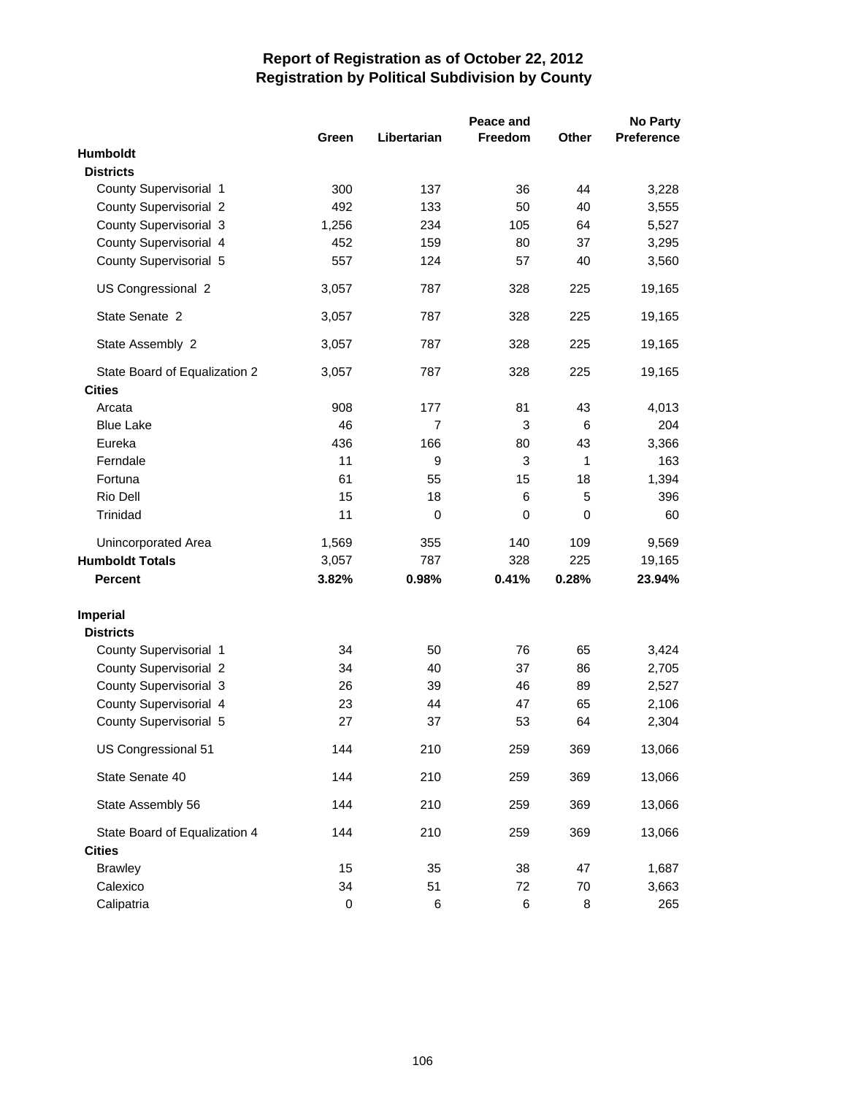|                               |       |                | Peace and |              | <b>No Party</b>   |
|-------------------------------|-------|----------------|-----------|--------------|-------------------|
|                               | Green | Libertarian    | Freedom   | <b>Other</b> | <b>Preference</b> |
| <b>Humboldt</b>               |       |                |           |              |                   |
| <b>Districts</b>              |       |                |           |              |                   |
| County Supervisorial 1        | 300   | 137            | 36        | 44           | 3,228             |
| <b>County Supervisorial 2</b> | 492   | 133            | 50        | 40           | 3,555             |
| County Supervisorial 3        | 1,256 | 234            | 105       | 64           | 5,527             |
| County Supervisorial 4        | 452   | 159            | 80        | 37           | 3,295             |
| County Supervisorial 5        | 557   | 124            | 57        | 40           | 3,560             |
| US Congressional 2            | 3,057 | 787            | 328       | 225          | 19,165            |
| State Senate 2                | 3,057 | 787            | 328       | 225          | 19,165            |
| State Assembly 2              | 3,057 | 787            | 328       | 225          | 19,165            |
| State Board of Equalization 2 | 3,057 | 787            | 328       | 225          | 19,165            |
| <b>Cities</b>                 |       |                |           |              |                   |
| Arcata                        | 908   | 177            | 81        | 43           | 4,013             |
| <b>Blue Lake</b>              | 46    | $\overline{7}$ | 3         | 6            | 204               |
| Eureka                        | 436   | 166            | 80        | 43           | 3,366             |
| Ferndale                      | 11    | 9              | 3         | 1            | 163               |
| Fortuna                       | 61    | 55             | 15        | 18           | 1,394             |
| Rio Dell                      | 15    | 18             | 6         | 5            | 396               |
| Trinidad                      | 11    | $\mathbf 0$    | 0         | 0            | 60                |
| Unincorporated Area           | 1,569 | 355            | 140       | 109          | 9,569             |
| <b>Humboldt Totals</b>        | 3,057 | 787            | 328       | 225          | 19,165            |
| <b>Percent</b>                | 3.82% | 0.98%          | 0.41%     | 0.28%        | 23.94%            |
| Imperial                      |       |                |           |              |                   |
| <b>Districts</b>              |       |                |           |              |                   |
| County Supervisorial 1        | 34    | 50             | 76        | 65           | 3,424             |
| County Supervisorial 2        | 34    | 40             | 37        | 86           | 2,705             |
| County Supervisorial 3        | 26    | 39             | 46        | 89           | 2,527             |
| County Supervisorial 4        | 23    | 44             | 47        | 65           | 2,106             |
| County Supervisorial 5        | 27    | 37             | 53        | 64           | 2,304             |
| US Congressional 51           | 144   | 210            | 259       | 369          | 13,066            |
| State Senate 40               | 144   | 210            | 259       | 369          | 13,066            |
| State Assembly 56             | 144   | 210            | 259       | 369          | 13,066            |
| State Board of Equalization 4 | 144   | 210            | 259       | 369          | 13,066            |
| <b>Cities</b>                 |       |                |           |              |                   |
| <b>Brawley</b>                | 15    | 35             | 38        | 47           | 1,687             |
| Calexico                      | 34    | 51             | 72        | 70           | 3,663             |
| Calipatria                    | 0     | 6              | 6         | 8            | 265               |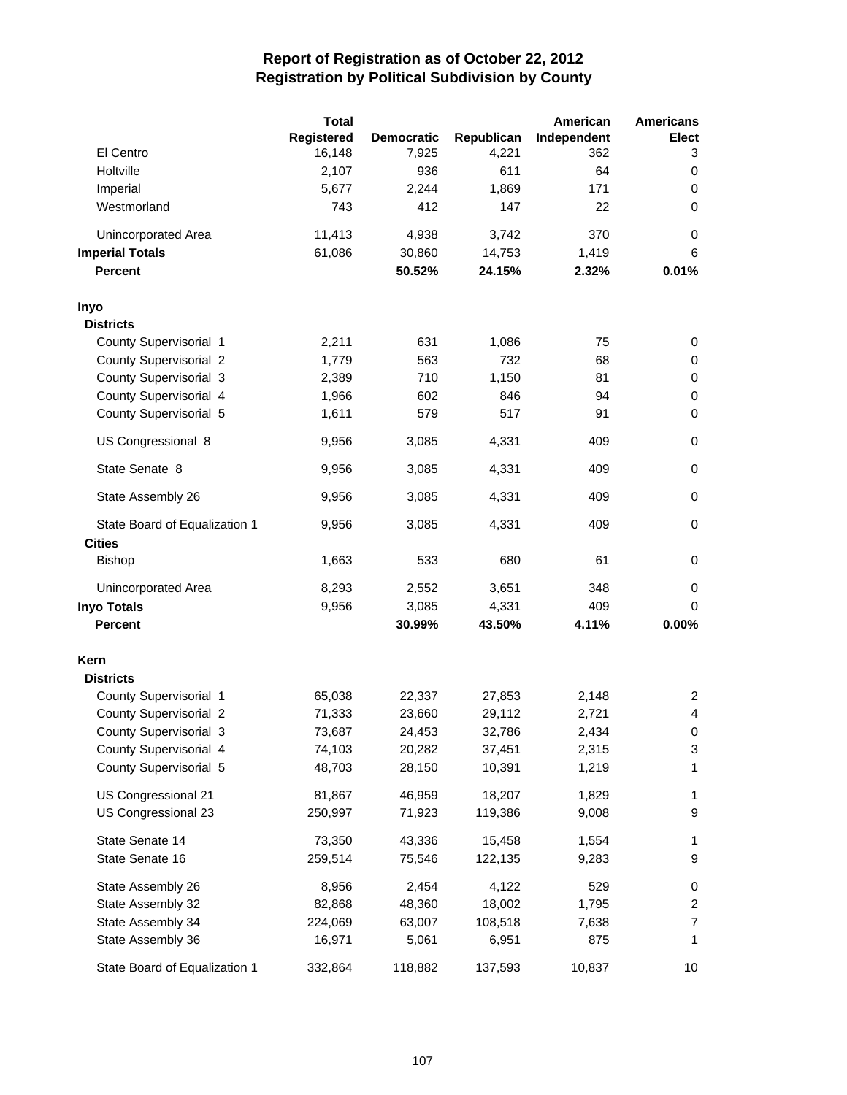|                               | <b>Total</b> |                   |            | American    | <b>Americans</b>        |
|-------------------------------|--------------|-------------------|------------|-------------|-------------------------|
|                               | Registered   | <b>Democratic</b> | Republican | Independent | Elect                   |
| El Centro                     | 16,148       | 7,925             | 4,221      | 362         | 3                       |
| Holtville                     | 2,107        | 936               | 611        | 64          | 0                       |
| Imperial                      | 5,677        | 2,244             | 1,869      | 171         | 0                       |
| Westmorland                   | 743          | 412               | 147        | 22          | 0                       |
| Unincorporated Area           | 11,413       | 4,938             | 3,742      | 370         | 0                       |
| <b>Imperial Totals</b>        | 61,086       | 30,860            | 14,753     | 1,419       | 6                       |
| <b>Percent</b>                |              | 50.52%            | 24.15%     | 2.32%       | 0.01%                   |
| Inyo                          |              |                   |            |             |                         |
| <b>Districts</b>              |              |                   |            |             |                         |
| County Supervisorial 1        | 2,211        | 631               | 1,086      | 75          | 0                       |
| <b>County Supervisorial 2</b> | 1,779        | 563               | 732        | 68          | 0                       |
| County Supervisorial 3        | 2,389        | 710               | 1,150      | 81          | 0                       |
| County Supervisorial 4        | 1,966        | 602               | 846        | 94          | $\pmb{0}$               |
| County Supervisorial 5        | 1,611        | 579               | 517        | 91          | 0                       |
| US Congressional 8            | 9,956        | 3,085             | 4,331      | 409         | $\pmb{0}$               |
| State Senate 8                | 9,956        | 3,085             | 4,331      | 409         | 0                       |
| State Assembly 26             | 9,956        | 3,085             | 4,331      | 409         | 0                       |
| State Board of Equalization 1 | 9,956        | 3,085             | 4,331      | 409         | $\pmb{0}$               |
| <b>Cities</b>                 |              |                   |            |             |                         |
| <b>Bishop</b>                 | 1,663        | 533               | 680        | 61          | 0                       |
| Unincorporated Area           | 8,293        | 2,552             | 3,651      | 348         | 0                       |
| <b>Inyo Totals</b>            | 9,956        | 3,085             | 4,331      | 409         | 0                       |
| <b>Percent</b>                |              | 30.99%            | 43.50%     | 4.11%       | 0.00%                   |
| Kern                          |              |                   |            |             |                         |
| <b>Districts</b>              |              |                   |            |             |                         |
| County Supervisorial 1        | 65,038       | 22,337            | 27,853     | 2,148       | 2                       |
| <b>County Supervisorial 2</b> | 71,333       | 23,660            | 29,112     | 2,721       | 4                       |
| County Supervisorial 3        | 73,687       | 24,453            | 32,786     | 2,434       | 0                       |
| County Supervisorial 4        | 74,103       | 20,282            | 37,451     | 2,315       | 3                       |
| County Supervisorial 5        | 48,703       | 28,150            | 10,391     | 1,219       | 1                       |
| US Congressional 21           | 81,867       | 46,959            | 18,207     | 1,829       | 1                       |
| US Congressional 23           | 250,997      | 71,923            | 119,386    | 9,008       | 9                       |
| State Senate 14               | 73,350       | 43,336            | 15,458     | 1,554       | 1                       |
| State Senate 16               | 259,514      | 75,546            | 122,135    | 9,283       | 9                       |
| State Assembly 26             | 8,956        | 2,454             | 4,122      | 529         | 0                       |
| State Assembly 32             | 82,868       | 48,360            | 18,002     | 1,795       | $\overline{\mathbf{c}}$ |
| State Assembly 34             | 224,069      | 63,007            | 108,518    | 7,638       | 7                       |
| State Assembly 36             | 16,971       | 5,061             | 6,951      | 875         | 1                       |
| State Board of Equalization 1 | 332,864      | 118,882           | 137,593    | 10,837      | 10                      |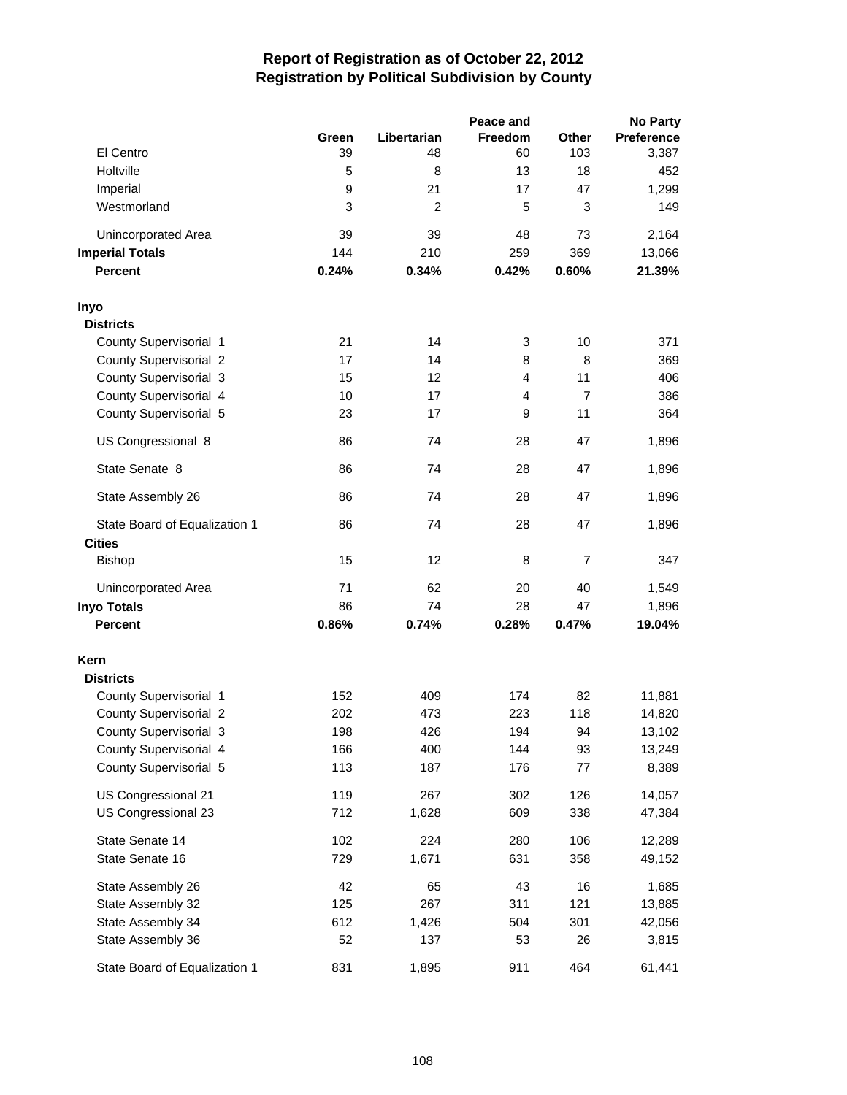|                               |       |                | Peace and      |                | <b>No Party</b>   |
|-------------------------------|-------|----------------|----------------|----------------|-------------------|
|                               | Green | Libertarian    | <b>Freedom</b> | Other          | <b>Preference</b> |
| El Centro                     | 39    | 48             | 60             | 103            | 3,387             |
| Holtville                     | 5     | 8              | 13             | 18             | 452               |
| Imperial                      | 9     | 21             | 17             | 47             | 1,299             |
| Westmorland                   | 3     | $\overline{2}$ | 5              | 3              | 149               |
| Unincorporated Area           | 39    | 39             | 48             | 73             | 2,164             |
| <b>Imperial Totals</b>        | 144   | 210            | 259            | 369            | 13,066            |
| <b>Percent</b>                | 0.24% | 0.34%          | 0.42%          | 0.60%          | 21.39%            |
| Inyo                          |       |                |                |                |                   |
| <b>Districts</b>              |       |                |                |                |                   |
| County Supervisorial 1        | 21    | 14             | 3              | 10             | 371               |
| <b>County Supervisorial 2</b> | 17    | 14             | 8              | 8              | 369               |
| County Supervisorial 3        | 15    | 12             | 4              | 11             | 406               |
| County Supervisorial 4        | 10    | 17             | 4              | $\overline{7}$ | 386               |
| County Supervisorial 5        | 23    | 17             | 9              | 11             | 364               |
| US Congressional 8            | 86    | 74             | 28             | 47             | 1,896             |
| State Senate 8                | 86    | 74             | 28             | 47             | 1,896             |
| State Assembly 26             | 86    | 74             | 28             | 47             | 1,896             |
| State Board of Equalization 1 | 86    | 74             | 28             | 47             | 1,896             |
| <b>Cities</b>                 |       |                |                |                |                   |
| <b>Bishop</b>                 | 15    | 12             | 8              | $\overline{7}$ | 347               |
| Unincorporated Area           | 71    | 62             | 20             | 40             | 1,549             |
| <b>Inyo Totals</b>            | 86    | 74             | 28             | 47             | 1,896             |
| <b>Percent</b>                | 0.86% | 0.74%          | 0.28%          | 0.47%          | 19.04%            |
| Kern                          |       |                |                |                |                   |
| <b>Districts</b>              |       |                |                |                |                   |
| County Supervisorial 1        | 152   | 409            | 174            | 82             | 11,881            |
| <b>County Supervisorial 2</b> | 202   | 473            | 223            | 118            | 14,820            |
| County Supervisorial 3        | 198   | 426            | 194            | 94             | 13,102            |
| County Supervisorial 4        | 166   | 400            | 144            | 93             | 13,249            |
| County Supervisorial 5        | 113   | 187            | 176            | 77             | 8,389             |
| US Congressional 21           | 119   | 267            | 302            | 126            | 14,057            |
| US Congressional 23           | 712   | 1,628          | 609            | 338            | 47,384            |
| State Senate 14               | 102   | 224            | 280            | 106            | 12,289            |
| State Senate 16               | 729   | 1,671          | 631            | 358            | 49,152            |
| State Assembly 26             | 42    | 65             | 43             | 16             | 1,685             |
| State Assembly 32             | 125   | 267            | 311            | 121            | 13,885            |
| State Assembly 34             | 612   | 1,426          | 504            | 301            | 42,056            |
| State Assembly 36             | 52    | 137            | 53             | 26             | 3,815             |
| State Board of Equalization 1 | 831   | 1,895          | 911            | 464            | 61,441            |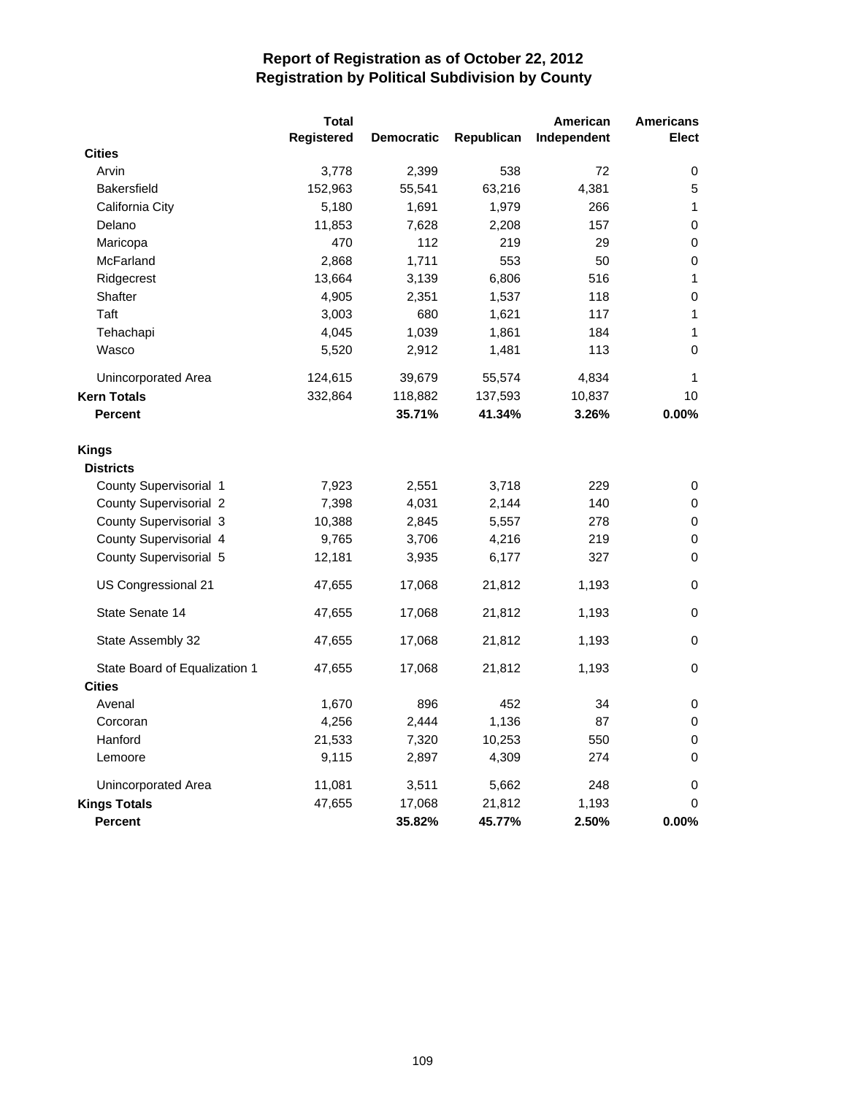|                                  | <b>Total</b>      |                   |            | American    | <b>Americans</b> |
|----------------------------------|-------------------|-------------------|------------|-------------|------------------|
|                                  | <b>Registered</b> | <b>Democratic</b> | Republican | Independent | <b>Elect</b>     |
| <b>Cities</b>                    |                   |                   |            |             |                  |
| Arvin                            | 3,778             | 2,399             | 538        | 72          | 0                |
| <b>Bakersfield</b>               | 152,963           | 55,541            | 63,216     | 4,381       | 5                |
| California City                  | 5,180             | 1,691             | 1,979      | 266         | 1                |
| Delano                           | 11,853            | 7,628             | 2,208      | 157         | $\pmb{0}$        |
| Maricopa                         | 470               | 112               | 219        | 29          | 0                |
| McFarland                        | 2,868             | 1,711             | 553        | 50          | $\mathbf 0$      |
| Ridgecrest                       | 13,664            | 3,139             | 6,806      | 516         | 1                |
| Shafter                          | 4,905             | 2,351             | 1,537      | 118         | 0                |
| Taft                             | 3,003             | 680               | 1,621      | 117         | 1                |
| Tehachapi                        | 4,045             | 1,039             | 1,861      | 184         | 1                |
| Wasco                            | 5,520             | 2,912             | 1,481      | 113         | 0                |
| Unincorporated Area              | 124,615           | 39,679            | 55,574     | 4,834       | 1                |
| <b>Kern Totals</b>               | 332,864           | 118,882           | 137,593    | 10,837      | 10               |
| <b>Percent</b>                   |                   | 35.71%            | 41.34%     | 3.26%       | 0.00%            |
| <b>Kings</b><br><b>Districts</b> |                   |                   |            |             |                  |
| County Supervisorial 1           | 7,923             | 2,551             | 3,718      | 229         | 0                |
| <b>County Supervisorial 2</b>    | 7,398             | 4,031             | 2,144      | 140         | 0                |
| County Supervisorial 3           | 10,388            | 2,845             | 5,557      | 278         | 0                |
| County Supervisorial 4           | 9,765             | 3,706             | 4,216      | 219         | $\pmb{0}$        |
| County Supervisorial 5           | 12,181            | 3,935             | 6,177      | 327         | $\mathbf 0$      |
| US Congressional 21              | 47,655            | 17,068            | 21,812     | 1,193       | $\pmb{0}$        |
| State Senate 14                  | 47,655            | 17,068            | 21,812     | 1,193       | 0                |
| State Assembly 32                | 47,655            | 17,068            | 21,812     | 1,193       | 0                |
| State Board of Equalization 1    | 47,655            | 17,068            | 21,812     | 1,193       | $\mathbf 0$      |
| <b>Cities</b>                    |                   |                   |            |             |                  |
| Avenal                           | 1,670             | 896               | 452        | 34          | $\pmb{0}$        |
| Corcoran                         | 4,256             | 2,444             | 1,136      | 87          | 0                |
| Hanford                          | 21,533            | 7,320             | 10,253     | 550         | 0                |
| Lemoore                          | 9,115             | 2,897             | 4,309      | 274         | 0                |
| Unincorporated Area              | 11,081            | 3,511             | 5,662      | 248         | 0                |
| <b>Kings Totals</b>              | 47,655            | 17,068            | 21,812     | 1,193       | 0                |
| <b>Percent</b>                   |                   | 35.82%            | 45.77%     | 2.50%       | 0.00%            |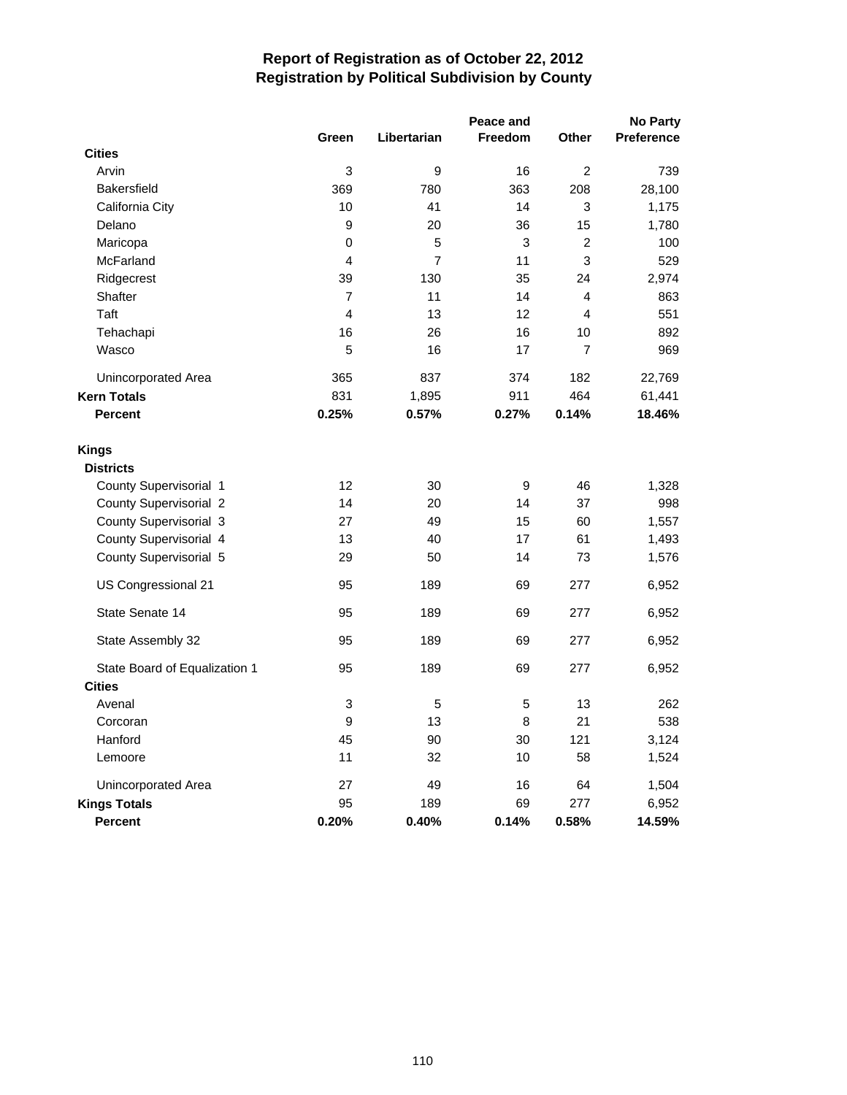|                                  | Peace and               |                |                  |                         |            |
|----------------------------------|-------------------------|----------------|------------------|-------------------------|------------|
|                                  | Green                   | Libertarian    | <b>Freedom</b>   | Other                   | Preference |
| <b>Cities</b>                    |                         |                |                  |                         |            |
| Arvin                            | 3                       | 9              | 16               | 2                       | 739        |
| <b>Bakersfield</b>               | 369                     | 780            | 363              | 208                     | 28,100     |
| California City                  | 10                      | 41             | 14               | 3                       | 1,175      |
| Delano                           | 9                       | 20             | 36               | 15                      | 1,780      |
| Maricopa                         | 0                       | 5              | 3                | $\overline{c}$          | 100        |
| McFarland                        | $\overline{4}$          | $\overline{7}$ | 11               | 3                       | 529        |
| Ridgecrest                       | 39                      | 130            | 35               | 24                      | 2,974      |
| Shafter                          | $\overline{7}$          | 11             | 14               | 4                       | 863        |
| Taft                             | $\overline{\mathbf{4}}$ | 13             | 12               | $\overline{\mathbf{4}}$ | 551        |
| Tehachapi                        | 16                      | 26             | 16               | 10                      | 892        |
| Wasco                            | 5                       | 16             | 17               | $\overline{7}$          | 969        |
| Unincorporated Area              | 365                     | 837            | 374              | 182                     | 22,769     |
| <b>Kern Totals</b>               | 831                     | 1,895          | 911              | 464                     | 61,441     |
| <b>Percent</b>                   | 0.25%                   | 0.57%          | 0.27%            | 0.14%                   | 18.46%     |
| <b>Kings</b><br><b>Districts</b> |                         |                |                  |                         |            |
| <b>County Supervisorial 1</b>    | 12                      | 30             | $\boldsymbol{9}$ | 46                      | 1,328      |
| <b>County Supervisorial 2</b>    | 14                      | 20             | 14               | 37                      | 998        |
| County Supervisorial 3           | 27                      | 49             | 15               | 60                      | 1,557      |
| County Supervisorial 4           | 13                      | 40             | 17               | 61                      | 1,493      |
| County Supervisorial 5           | 29                      | 50             | 14               | 73                      | 1,576      |
| US Congressional 21              | 95                      | 189            | 69               | 277                     | 6,952      |
| State Senate 14                  | 95                      | 189            | 69               | 277                     | 6,952      |
| State Assembly 32                | 95                      | 189            | 69               | 277                     | 6,952      |
| State Board of Equalization 1    | 95                      | 189            | 69               | 277                     | 6,952      |
| <b>Cities</b>                    |                         |                |                  |                         |            |
| Avenal                           | 3                       | 5              | 5                | 13                      | 262        |
| Corcoran                         | 9                       | 13             | 8                | 21                      | 538        |
| Hanford                          | 45                      | 90             | 30               | 121                     | 3,124      |
| Lemoore                          | 11                      | 32             | 10               | 58                      | 1,524      |
| Unincorporated Area              | 27                      | 49             | 16               | 64                      | 1,504      |
| <b>Kings Totals</b>              | 95                      | 189            | 69               | 277                     | 6,952      |
| <b>Percent</b>                   | 0.20%                   | 0.40%          | 0.14%            | 0.58%                   | 14.59%     |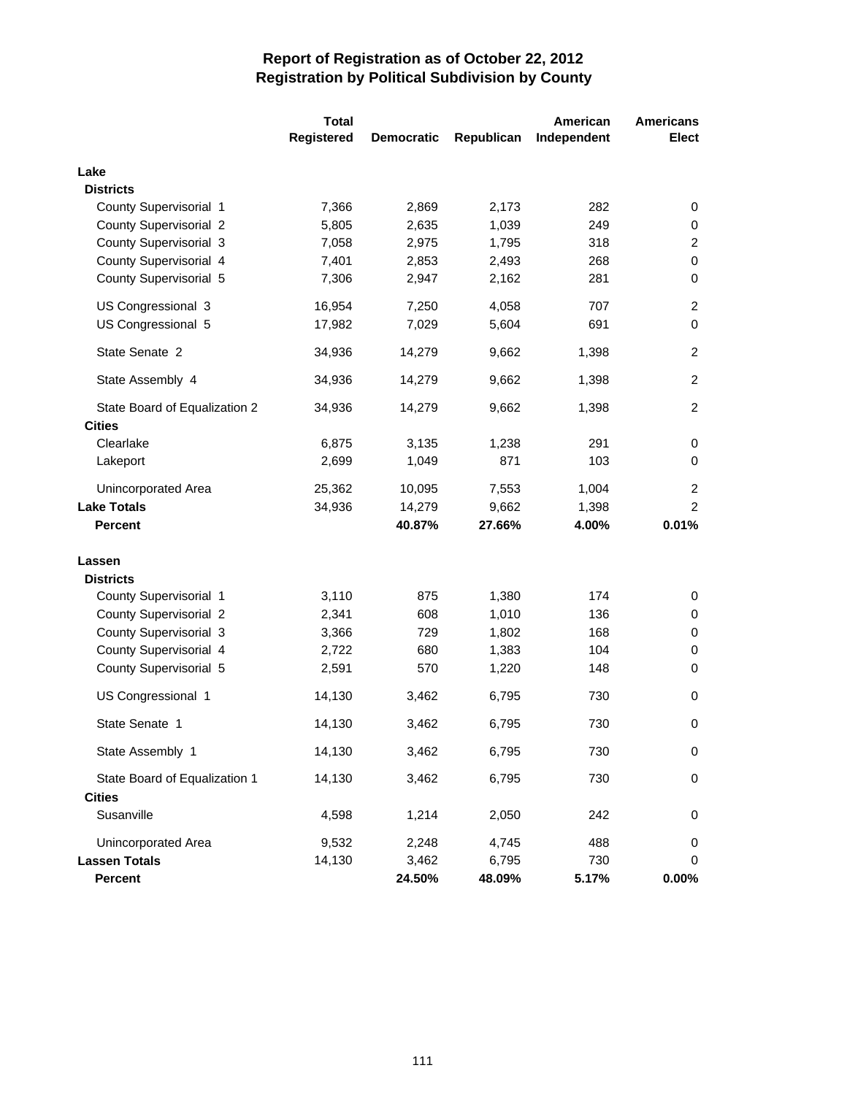|                               | <b>Total</b> |                   |            | American    | <b>Americans</b> |
|-------------------------------|--------------|-------------------|------------|-------------|------------------|
|                               | Registered   | <b>Democratic</b> | Republican | Independent | <b>Elect</b>     |
| Lake                          |              |                   |            |             |                  |
| <b>Districts</b>              |              |                   |            |             |                  |
| County Supervisorial 1        | 7,366        | 2,869             | 2,173      | 282         | 0                |
| <b>County Supervisorial 2</b> | 5,805        | 2,635             | 1,039      | 249         | 0                |
| County Supervisorial 3        | 7,058        | 2,975             | 1,795      | 318         | $\overline{c}$   |
| County Supervisorial 4        | 7,401        | 2,853             | 2,493      | 268         | $\pmb{0}$        |
| County Supervisorial 5        | 7,306        | 2,947             | 2,162      | 281         | $\pmb{0}$        |
| US Congressional 3            | 16,954       | 7,250             | 4,058      | 707         | $\overline{c}$   |
| US Congressional 5            | 17,982       | 7,029             | 5,604      | 691         | $\mathbf 0$      |
| State Senate 2                | 34,936       | 14,279            | 9,662      | 1,398       | $\overline{c}$   |
| State Assembly 4              | 34,936       | 14,279            | 9,662      | 1,398       | $\overline{2}$   |
| State Board of Equalization 2 | 34,936       | 14,279            | 9,662      | 1,398       | $\overline{2}$   |
| <b>Cities</b>                 |              |                   |            |             |                  |
| Clearlake                     | 6,875        | 3,135             | 1,238      | 291         | 0                |
| Lakeport                      | 2,699        | 1,049             | 871        | 103         | 0                |
| Unincorporated Area           | 25,362       | 10,095            | 7,553      | 1,004       | 2                |
| <b>Lake Totals</b>            | 34,936       | 14,279            | 9,662      | 1,398       | $\overline{c}$   |
| <b>Percent</b>                |              | 40.87%            | 27.66%     | 4.00%       | 0.01%            |
| Lassen                        |              |                   |            |             |                  |
| <b>Districts</b>              |              |                   |            |             |                  |
| County Supervisorial 1        | 3,110        | 875               | 1,380      | 174         | 0                |
| <b>County Supervisorial 2</b> | 2,341        | 608               | 1,010      | 136         | 0                |
| County Supervisorial 3        | 3,366        | 729               | 1,802      | 168         | 0                |
| County Supervisorial 4        | 2,722        | 680               | 1,383      | 104         | 0                |
| County Supervisorial 5        | 2,591        | 570               | 1,220      | 148         | $\mathbf 0$      |
| US Congressional 1            | 14,130       | 3,462             | 6,795      | 730         | 0                |
| State Senate 1                | 14,130       | 3,462             | 6,795      | 730         | 0                |
| State Assembly 1              | 14,130       | 3,462             | 6,795      | 730         | $\mathbf 0$      |
| State Board of Equalization 1 | 14,130       | 3,462             | 6,795      | 730         | 0                |
| <b>Cities</b>                 |              |                   |            |             |                  |
| Susanville                    | 4,598        | 1,214             | 2,050      | 242         | 0                |
| Unincorporated Area           | 9,532        | 2,248             | 4,745      | 488         | 0                |
| <b>Lassen Totals</b>          | 14,130       | 3,462             | 6,795      | 730         | 0                |
| <b>Percent</b>                |              | 24.50%            | 48.09%     | 5.17%       | 0.00%            |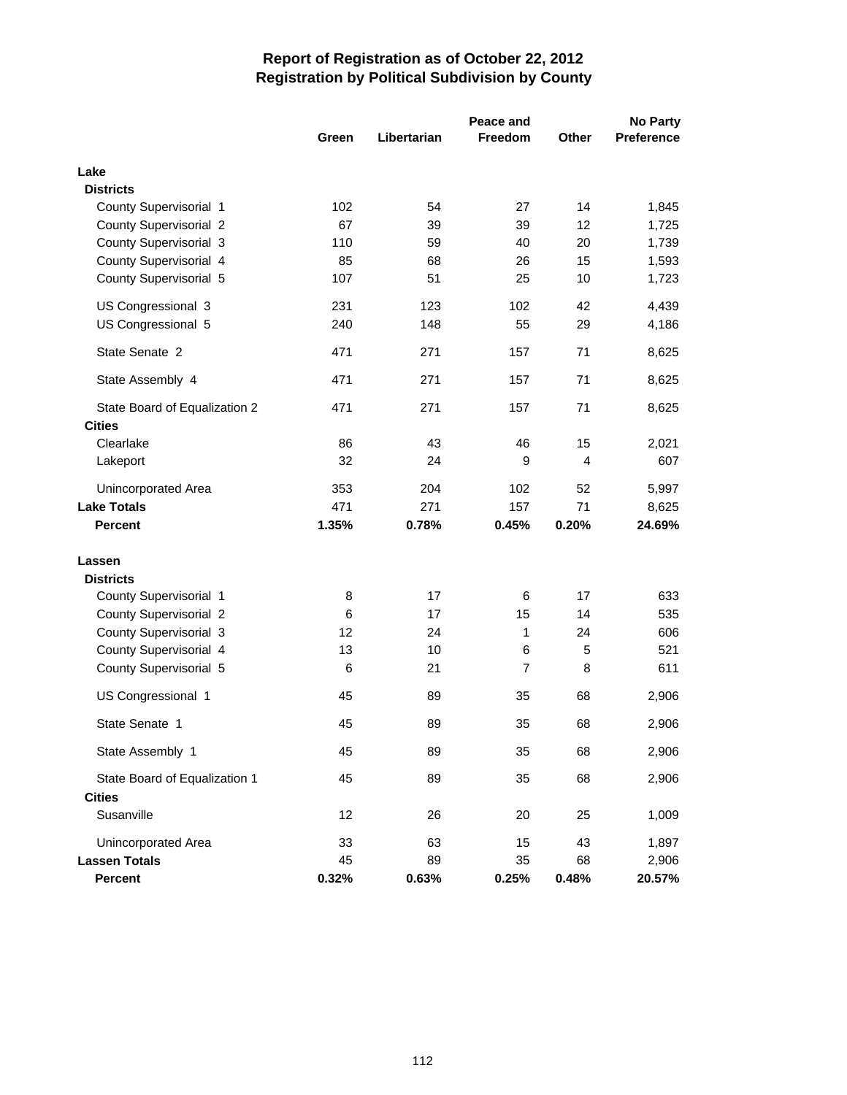|                                                | Peace and<br>No Party |             |                |              |                   |
|------------------------------------------------|-----------------------|-------------|----------------|--------------|-------------------|
|                                                | Green                 | Libertarian | <b>Freedom</b> | <b>Other</b> | <b>Preference</b> |
| Lake                                           |                       |             |                |              |                   |
| <b>Districts</b>                               |                       |             |                |              |                   |
| County Supervisorial 1                         | 102                   | 54          | 27             | 14           | 1,845             |
| County Supervisorial 2                         | 67                    | 39          | 39             | 12           | 1,725             |
| County Supervisorial 3                         | 110                   | 59          | 40             | 20           | 1,739             |
| County Supervisorial 4                         | 85                    | 68          | 26             | 15           | 1,593             |
| County Supervisorial 5                         | 107                   | 51          | 25             | 10           | 1,723             |
| US Congressional 3                             | 231                   | 123         | 102            | 42           | 4,439             |
| US Congressional 5                             | 240                   | 148         | 55             | 29           | 4,186             |
| State Senate 2                                 | 471                   | 271         | 157            | 71           | 8,625             |
| State Assembly 4                               | 471                   | 271         | 157            | 71           | 8,625             |
| State Board of Equalization 2                  | 471                   | 271         | 157            | 71           | 8,625             |
| <b>Cities</b>                                  |                       |             |                |              |                   |
| Clearlake                                      | 86                    | 43          | 46<br>9        | 15<br>4      | 2,021             |
| Lakeport                                       | 32                    | 24          |                |              | 607               |
| Unincorporated Area                            | 353                   | 204         | 102            | 52           | 5,997             |
| <b>Lake Totals</b>                             | 471                   | 271         | 157            | 71           | 8,625             |
| <b>Percent</b>                                 | 1.35%                 | 0.78%       | 0.45%          | 0.20%        | 24.69%            |
| Lassen                                         |                       |             |                |              |                   |
| <b>Districts</b>                               |                       |             |                |              |                   |
| County Supervisorial 1                         | 8                     | 17          | 6              | 17           | 633               |
| <b>County Supervisorial 2</b>                  | 6                     | 17          | 15             | 14           | 535               |
| County Supervisorial 3                         | 12                    | 24          | 1              | 24           | 606               |
| County Supervisorial 4                         | 13                    | 10          | 6              | 5            | 521               |
| County Supervisorial 5                         | 6                     | 21          | 7              | 8            | 611               |
| US Congressional 1                             | 45                    | 89          | 35             | 68           | 2,906             |
| State Senate 1                                 | 45                    | 89          | 35             | 68           | 2,906             |
| State Assembly 1                               | 45                    | 89          | 35             | 68           | 2,906             |
| State Board of Equalization 1<br><b>Cities</b> | 45                    | 89          | 35             | 68           | 2,906             |
| Susanville                                     | 12                    | 26          | 20             | 25           | 1,009             |
| Unincorporated Area                            | 33                    | 63          | 15             | 43           | 1,897             |
| <b>Lassen Totals</b>                           | 45                    | 89          | 35             | 68           | 2,906             |
| Percent                                        | 0.32%                 | 0.63%       | 0.25%          | 0.48%        | 20.57%            |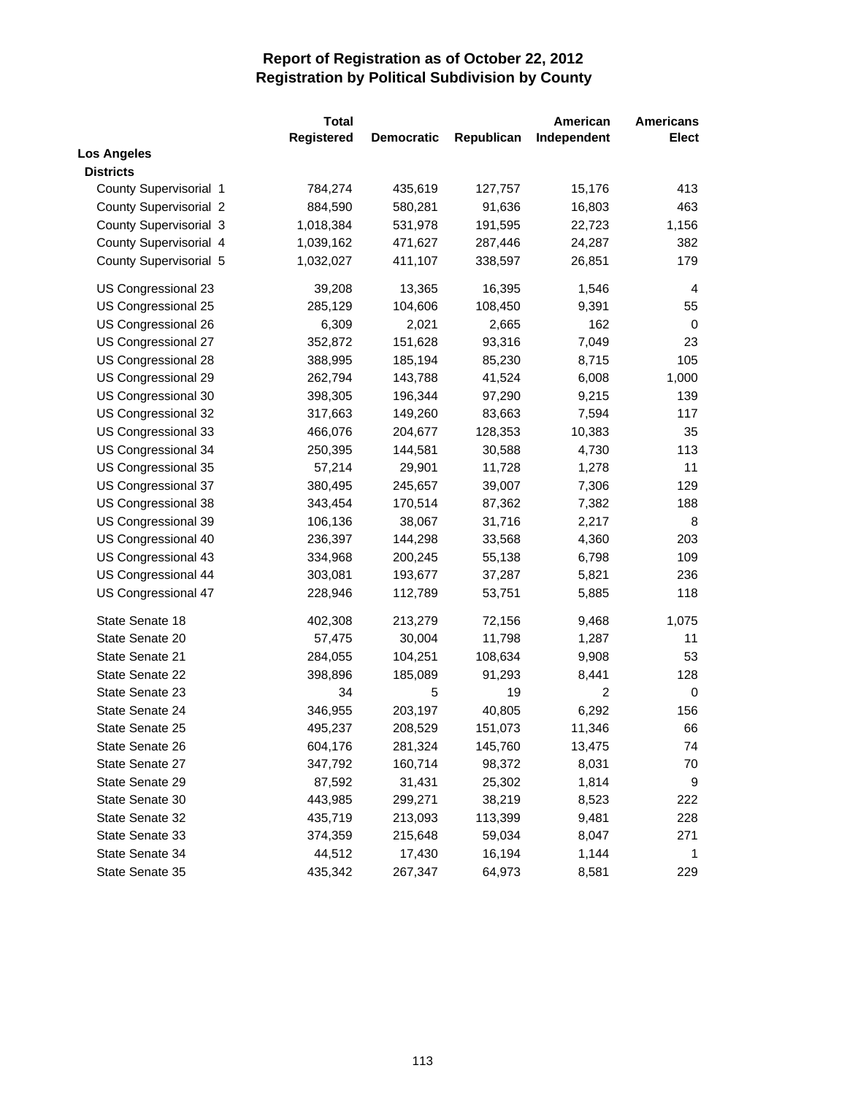|                               | <b>Total</b> |                   |            | American       | <b>Americans</b> |
|-------------------------------|--------------|-------------------|------------|----------------|------------------|
|                               | Registered   | <b>Democratic</b> | Republican | Independent    | <b>Elect</b>     |
| <b>Los Angeles</b>            |              |                   |            |                |                  |
| <b>Districts</b>              |              |                   |            |                |                  |
| County Supervisorial 1        | 784,274      | 435,619           | 127,757    | 15,176         | 413              |
| <b>County Supervisorial 2</b> | 884,590      | 580,281           | 91,636     | 16,803         | 463              |
| County Supervisorial 3        | 1,018,384    | 531,978           | 191,595    | 22,723         | 1,156            |
| County Supervisorial 4        | 1,039,162    | 471,627           | 287,446    | 24,287         | 382              |
| County Supervisorial 5        | 1,032,027    | 411,107           | 338,597    | 26,851         | 179              |
| US Congressional 23           | 39,208       | 13,365            | 16,395     | 1,546          | 4                |
| US Congressional 25           | 285,129      | 104,606           | 108,450    | 9,391          | 55               |
| US Congressional 26           | 6,309        | 2,021             | 2,665      | 162            | $\mathbf 0$      |
| US Congressional 27           | 352,872      | 151,628           | 93,316     | 7,049          | 23               |
| US Congressional 28           | 388,995      | 185,194           | 85,230     | 8,715          | 105              |
| US Congressional 29           | 262,794      | 143,788           | 41,524     | 6,008          | 1,000            |
| US Congressional 30           | 398,305      | 196,344           | 97,290     | 9,215          | 139              |
| US Congressional 32           | 317,663      | 149,260           | 83,663     | 7,594          | 117              |
| US Congressional 33           | 466,076      | 204,677           | 128,353    | 10,383         | 35               |
| US Congressional 34           | 250,395      | 144,581           | 30,588     | 4,730          | 113              |
| US Congressional 35           | 57,214       | 29,901            | 11,728     | 1,278          | 11               |
| US Congressional 37           | 380,495      | 245,657           | 39,007     | 7,306          | 129              |
| US Congressional 38           | 343,454      | 170,514           | 87,362     | 7,382          | 188              |
| US Congressional 39           | 106,136      | 38,067            | 31,716     | 2,217          | 8                |
| US Congressional 40           | 236,397      | 144,298           | 33,568     | 4,360          | 203              |
| US Congressional 43           | 334,968      | 200,245           | 55,138     | 6,798          | 109              |
| US Congressional 44           | 303,081      | 193,677           | 37,287     | 5,821          | 236              |
| US Congressional 47           | 228,946      | 112,789           | 53,751     | 5,885          | 118              |
| State Senate 18               | 402,308      | 213,279           | 72,156     | 9,468          | 1,075            |
| State Senate 20               | 57,475       | 30,004            | 11,798     | 1,287          | 11               |
| State Senate 21               | 284,055      | 104,251           | 108,634    | 9,908          | 53               |
| State Senate 22               | 398,896      | 185,089           | 91,293     | 8,441          | 128              |
| State Senate 23               | 34           | 5                 | 19         | $\overline{c}$ | 0                |
| State Senate 24               | 346,955      | 203,197           | 40,805     | 6,292          | 156              |
| State Senate 25               | 495,237      | 208,529           | 151,073    | 11,346         | 66               |
| State Senate 26               | 604,176      | 281,324           | 145,760    | 13,475         | 74               |
| State Senate 27               | 347,792      | 160,714           | 98,372     | 8,031          | 70               |
| State Senate 29               | 87,592       | 31,431            | 25,302     | 1,814          | 9                |
| State Senate 30               | 443,985      | 299,271           | 38,219     | 8,523          | 222              |
| State Senate 32               | 435,719      | 213,093           | 113,399    | 9,481          | 228              |
| State Senate 33               | 374,359      | 215,648           | 59,034     | 8,047          | 271              |
| State Senate 34               | 44,512       | 17,430            | 16,194     | 1,144          | 1                |
| State Senate 35               | 435,342      | 267,347           | 64,973     | 8,581          | 229              |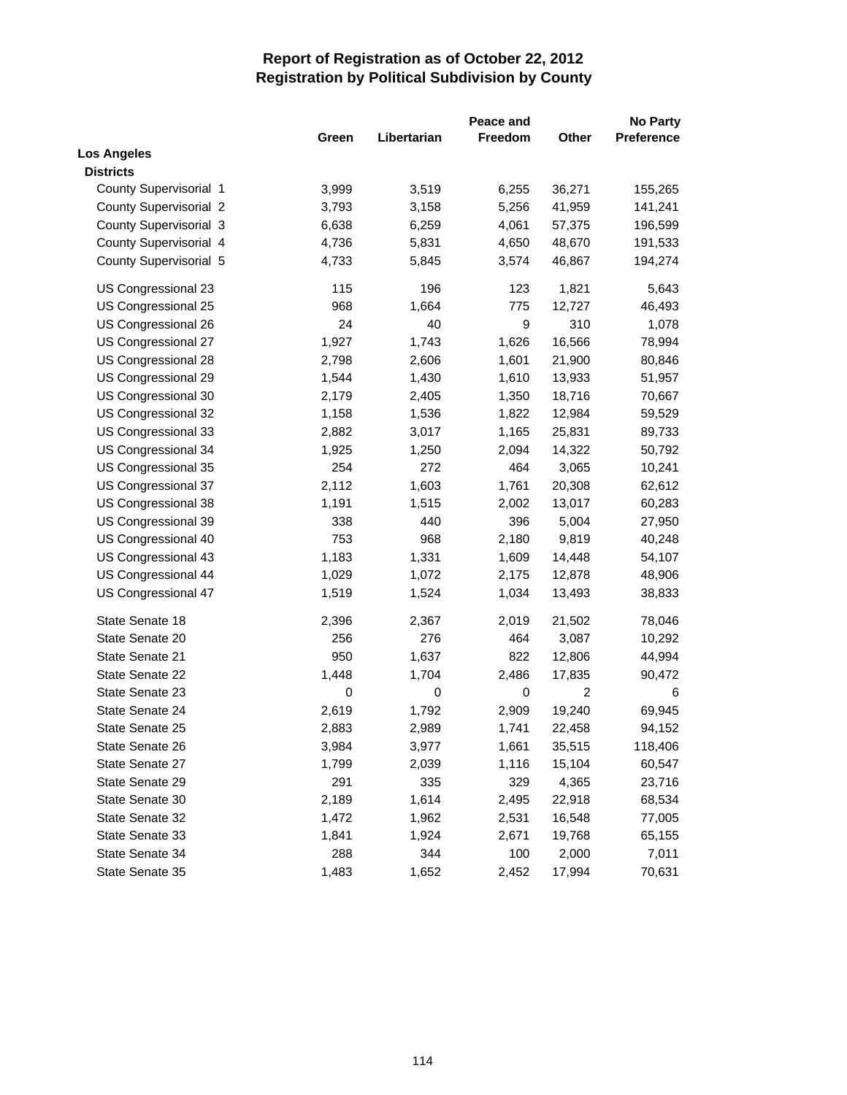|                               | Peace and |             |         |                |            |
|-------------------------------|-----------|-------------|---------|----------------|------------|
|                               | Green     | Libertarian | Freedom | Other          | Preference |
| <b>Los Angeles</b>            |           |             |         |                |            |
| <b>Districts</b>              |           |             |         |                |            |
| County Supervisorial 1        | 3,999     | 3,519       | 6,255   | 36,271         | 155,265    |
| <b>County Supervisorial 2</b> | 3,793     | 3,158       | 5,256   | 41,959         | 141,241    |
| County Supervisorial 3        | 6,638     | 6,259       | 4,061   | 57,375         | 196,599    |
| County Supervisorial 4        | 4,736     | 5,831       | 4,650   | 48,670         | 191,533    |
| County Supervisorial 5        | 4,733     | 5,845       | 3,574   | 46,867         | 194,274    |
| US Congressional 23           | 115       | 196         | 123     | 1,821          | 5,643      |
| US Congressional 25           | 968       | 1,664       | 775     | 12,727         | 46,493     |
| US Congressional 26           | 24        | 40          | 9       | 310            | 1,078      |
| US Congressional 27           | 1,927     | 1,743       | 1,626   | 16,566         | 78,994     |
| US Congressional 28           | 2,798     | 2,606       | 1,601   | 21,900         | 80,846     |
| US Congressional 29           | 1,544     | 1,430       | 1,610   | 13,933         | 51,957     |
| US Congressional 30           | 2,179     | 2,405       | 1,350   | 18,716         | 70,667     |
| US Congressional 32           | 1,158     | 1,536       | 1,822   | 12,984         | 59,529     |
| US Congressional 33           | 2,882     | 3,017       | 1,165   | 25,831         | 89,733     |
| US Congressional 34           | 1,925     | 1,250       | 2,094   | 14,322         | 50,792     |
| US Congressional 35           | 254       | 272         | 464     | 3,065          | 10,241     |
| US Congressional 37           | 2,112     | 1,603       | 1,761   | 20,308         | 62,612     |
| US Congressional 38           | 1,191     | 1,515       | 2,002   | 13,017         | 60,283     |
| US Congressional 39           | 338       | 440         | 396     | 5,004          | 27,950     |
| US Congressional 40           | 753       | 968         | 2,180   | 9,819          | 40,248     |
| US Congressional 43           | 1,183     | 1,331       | 1,609   | 14,448         | 54,107     |
| US Congressional 44           | 1,029     | 1,072       | 2,175   | 12,878         | 48,906     |
| US Congressional 47           | 1,519     | 1,524       | 1,034   | 13,493         | 38,833     |
| State Senate 18               | 2,396     | 2,367       | 2,019   | 21,502         | 78,046     |
| State Senate 20               | 256       | 276         | 464     | 3,087          | 10,292     |
| State Senate 21               | 950       | 1,637       | 822     | 12,806         | 44,994     |
| State Senate 22               | 1,448     | 1,704       | 2,486   | 17,835         | 90,472     |
| State Senate 23               | 0         | 0           | 0       | $\overline{c}$ | 6          |
| State Senate 24               | 2,619     | 1,792       | 2,909   | 19,240         | 69,945     |
| State Senate 25               | 2,883     | 2,989       | 1,741   | 22,458         | 94,152     |
| State Senate 26               | 3,984     | 3,977       | 1,661   | 35,515         | 118,406    |
| State Senate 27               | 1,799     | 2,039       | 1,116   | 15,104         | 60,547     |
| State Senate 29               | 291       | 335         | 329     | 4,365          | 23,716     |
| State Senate 30               | 2,189     | 1,614       | 2,495   | 22,918         | 68,534     |
| State Senate 32               | 1,472     | 1,962       | 2,531   | 16,548         | 77,005     |
| State Senate 33               | 1,841     | 1,924       | 2,671   | 19,768         | 65,155     |
| State Senate 34               | 288       | 344         | 100     | 2,000          | 7,011      |
| State Senate 35               | 1,483     | 1,652       | 2,452   | 17,994         | 70,631     |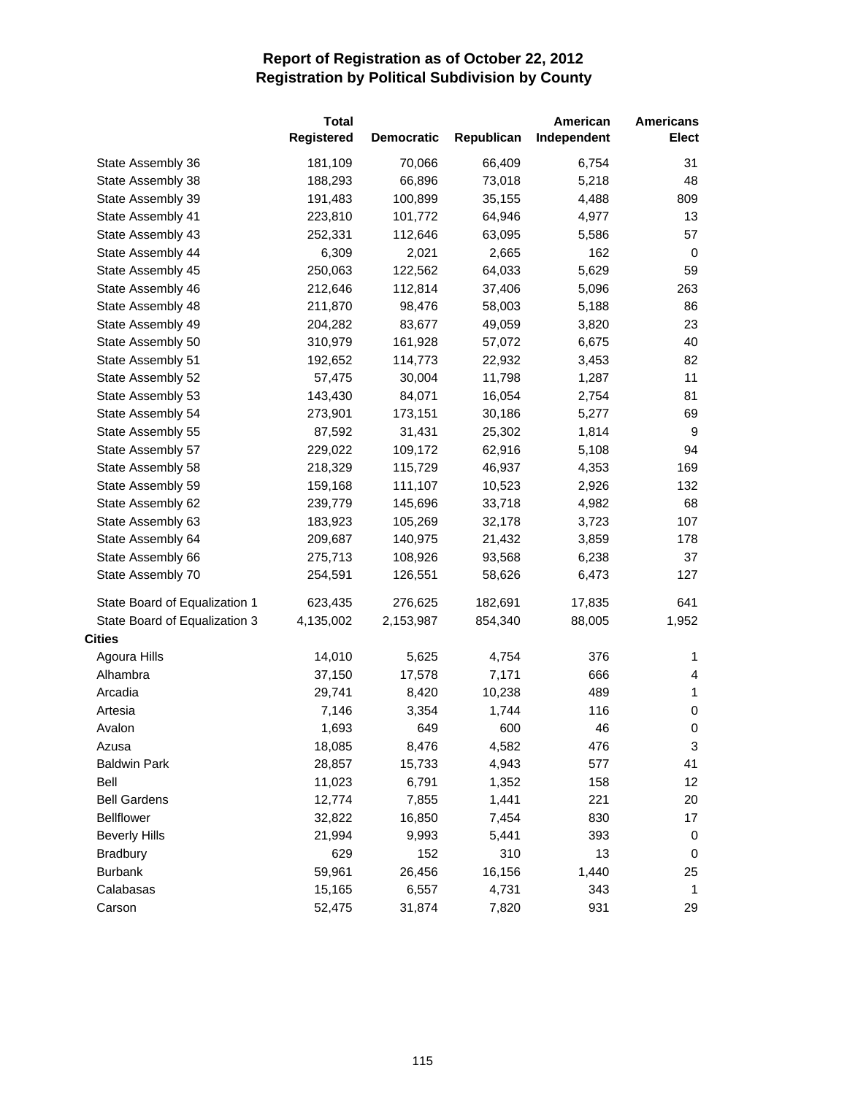|                               | <b>Total</b><br>Registered | <b>Democratic</b> | Republican | American<br>Independent | <b>Americans</b><br>Elect |
|-------------------------------|----------------------------|-------------------|------------|-------------------------|---------------------------|
| State Assembly 36             | 181,109                    | 70,066            | 66,409     | 6,754                   | 31                        |
| State Assembly 38             | 188,293                    | 66,896            | 73,018     | 5,218                   | 48                        |
| State Assembly 39             | 191,483                    | 100,899           | 35,155     | 4,488                   | 809                       |
| State Assembly 41             | 223,810                    | 101,772           | 64,946     | 4,977                   | 13                        |
| State Assembly 43             | 252,331                    | 112,646           | 63,095     | 5,586                   | 57                        |
| State Assembly 44             | 6,309                      | 2,021             | 2,665      | 162                     | 0                         |
| State Assembly 45             | 250,063                    | 122,562           | 64,033     | 5,629                   | 59                        |
| State Assembly 46             | 212,646                    | 112,814           | 37,406     | 5,096                   | 263                       |
| State Assembly 48             | 211,870                    | 98,476            | 58,003     | 5,188                   | 86                        |
| State Assembly 49             | 204,282                    | 83,677            | 49,059     | 3,820                   | 23                        |
| State Assembly 50             | 310,979                    | 161,928           | 57,072     | 6,675                   | 40                        |
| State Assembly 51             | 192,652                    | 114,773           | 22,932     | 3,453                   | 82                        |
| State Assembly 52             | 57,475                     | 30,004            | 11,798     | 1,287                   | 11                        |
| State Assembly 53             | 143,430                    | 84,071            | 16,054     | 2,754                   | 81                        |
| State Assembly 54             | 273,901                    | 173,151           | 30,186     | 5,277                   | 69                        |
| State Assembly 55             | 87,592                     | 31,431            | 25,302     | 1,814                   | 9                         |
| State Assembly 57             | 229,022                    | 109,172           | 62,916     | 5,108                   | 94                        |
| State Assembly 58             | 218,329                    | 115,729           | 46,937     | 4,353                   | 169                       |
| State Assembly 59             | 159,168                    | 111,107           | 10,523     | 2,926                   | 132                       |
| State Assembly 62             | 239,779                    | 145,696           | 33,718     | 4,982                   | 68                        |
| State Assembly 63             | 183,923                    | 105,269           | 32,178     | 3,723                   | 107                       |
| State Assembly 64             | 209,687                    | 140,975           | 21,432     | 3,859                   | 178                       |
| State Assembly 66             | 275,713                    | 108,926           | 93,568     | 6,238                   | 37                        |
| State Assembly 70             | 254,591                    | 126,551           | 58,626     | 6,473                   | 127                       |
| State Board of Equalization 1 | 623,435                    | 276,625           | 182,691    | 17,835                  | 641                       |
| State Board of Equalization 3 | 4,135,002                  | 2,153,987         | 854,340    | 88,005                  | 1,952                     |
| <b>Cities</b>                 |                            |                   |            |                         |                           |
| Agoura Hills                  | 14,010                     | 5,625             | 4,754      | 376                     | 1                         |
| Alhambra                      | 37,150                     | 17,578            | 7,171      | 666                     | 4                         |
| Arcadia                       | 29,741                     | 8,420             | 10,238     | 489                     | $\mathbf{1}$              |
| Artesia                       | 7,146                      | 3,354             | 1,744      | 116                     | $\,0\,$                   |
| Avalon                        | 1,693                      | 649               | 600        | 46                      | 0                         |
| Azusa                         | 18,085                     | 8,476             | 4,582      | 476                     | 3                         |
| <b>Baldwin Park</b>           | 28,857                     | 15,733            | 4,943      | 577                     | 41                        |
| Bell                          | 11,023                     | 6,791             | 1,352      | 158                     | 12                        |
| <b>Bell Gardens</b>           | 12,774                     | 7,855             | 1,441      | 221                     | 20                        |
| <b>Bellflower</b>             | 32,822                     | 16,850            | 7,454      | 830                     | 17                        |
| <b>Beverly Hills</b>          | 21,994                     | 9,993             | 5,441      | 393                     | 0                         |
| <b>Bradbury</b>               | 629                        | 152               | 310        | 13                      | 0                         |
| <b>Burbank</b>                | 59,961                     | 26,456            | 16,156     | 1,440                   | 25                        |
| Calabasas                     | 15,165                     | 6,557             | 4,731      | 343                     | $\mathbf{1}$              |
| Carson                        | 52,475                     | 31,874            | 7,820      | 931                     | 29                        |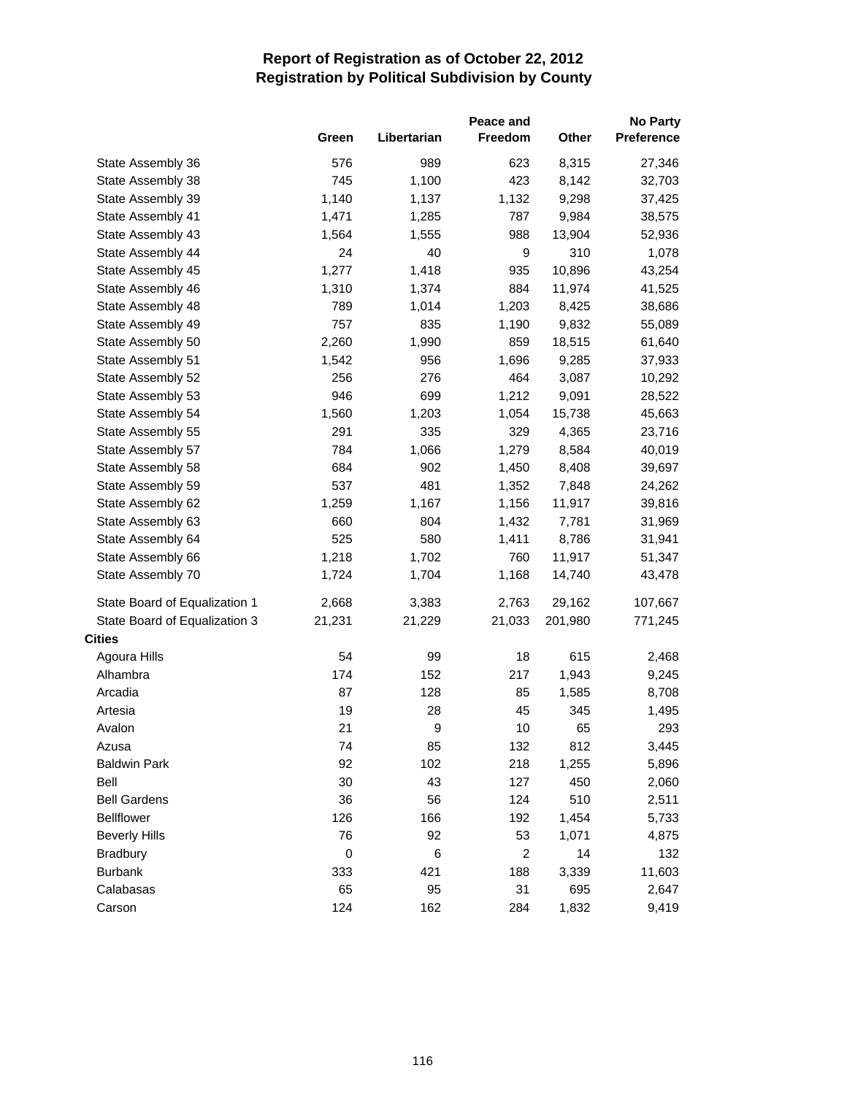|                               |           |             | <b>No Party</b> |         |            |
|-------------------------------|-----------|-------------|-----------------|---------|------------|
|                               | Green     | Libertarian | Freedom         | Other   | Preference |
| State Assembly 36             | 576       | 989         | 623             | 8,315   | 27,346     |
| State Assembly 38             | 745       | 1,100       | 423             | 8,142   | 32,703     |
| State Assembly 39             | 1,140     | 1,137       | 1,132           | 9,298   | 37,425     |
| State Assembly 41             | 1,471     | 1,285       | 787             | 9,984   | 38,575     |
| State Assembly 43             | 1,564     | 1,555       | 988             | 13,904  | 52,936     |
| State Assembly 44             | 24        | 40          | 9               | 310     | 1,078      |
| State Assembly 45             | 1,277     | 1,418       | 935             | 10,896  | 43,254     |
| State Assembly 46             | 1,310     | 1,374       | 884             | 11,974  | 41,525     |
| State Assembly 48             | 789       | 1,014       | 1,203           | 8,425   | 38,686     |
| State Assembly 49             | 757       | 835         | 1,190           | 9,832   | 55,089     |
| State Assembly 50             | 2,260     | 1,990       | 859             | 18,515  | 61,640     |
| State Assembly 51             | 1,542     | 956         | 1,696           | 9,285   | 37,933     |
| State Assembly 52             | 256       | 276         | 464             | 3,087   | 10,292     |
| State Assembly 53             | 946       | 699         | 1,212           | 9,091   | 28,522     |
| State Assembly 54             | 1,560     | 1,203       | 1,054           | 15,738  | 45,663     |
| State Assembly 55             | 291       | 335         | 329             | 4,365   | 23,716     |
| State Assembly 57             | 784       | 1,066       | 1,279           | 8,584   | 40,019     |
| State Assembly 58             | 684       | 902         | 1,450           | 8,408   | 39,697     |
| State Assembly 59             | 537       | 481         | 1,352           | 7,848   | 24,262     |
| State Assembly 62             | 1,259     | 1,167       | 1,156           | 11,917  | 39,816     |
| State Assembly 63             | 660       | 804         | 1,432           | 7,781   | 31,969     |
| State Assembly 64             | 525       | 580         | 1,411           | 8,786   | 31,941     |
| State Assembly 66             | 1,218     | 1,702       | 760             | 11,917  | 51,347     |
| State Assembly 70             | 1,724     | 1,704       | 1,168           | 14,740  | 43,478     |
| State Board of Equalization 1 | 2,668     | 3,383       | 2,763           | 29,162  | 107,667    |
| State Board of Equalization 3 | 21,231    | 21,229      | 21,033          | 201,980 | 771,245    |
| <b>Cities</b>                 |           |             |                 |         |            |
| Agoura Hills                  | 54        | 99          | 18              | 615     | 2,468      |
| Alhambra                      | 174       | 152         | 217             | 1,943   | 9,245      |
| Arcadia                       | 87        | 128         | 85              | 1,585   | 8,708      |
| Artesia                       | 19        | 28          | 45              | 345     | 1,495      |
| Avalon                        | 21        | 9           | 10              | 65      | 293        |
| Azusa                         | 74        | 85          | 132             | 812     | 3,445      |
| <b>Baldwin Park</b>           | 92        | 102         | 218             | 1,255   | 5,896      |
| Bell                          | 30        | 43          | 127             | 450     | 2,060      |
| <b>Bell Gardens</b>           | 36        | 56          | 124             | 510     | 2,511      |
| <b>Bellflower</b>             | 126       | 166         | 192             | 1,454   | 5,733      |
| <b>Beverly Hills</b>          | 76        | 92          | 53              | 1,071   | 4,875      |
| <b>Bradbury</b>               | $\pmb{0}$ | 6           | $\overline{c}$  | 14      | 132        |
| <b>Burbank</b>                | 333       | 421         | 188             | 3,339   | 11,603     |
| Calabasas                     | 65        | 95          | 31              | 695     | 2,647      |
| Carson                        | 124       | 162         | 284             | 1,832   | 9,419      |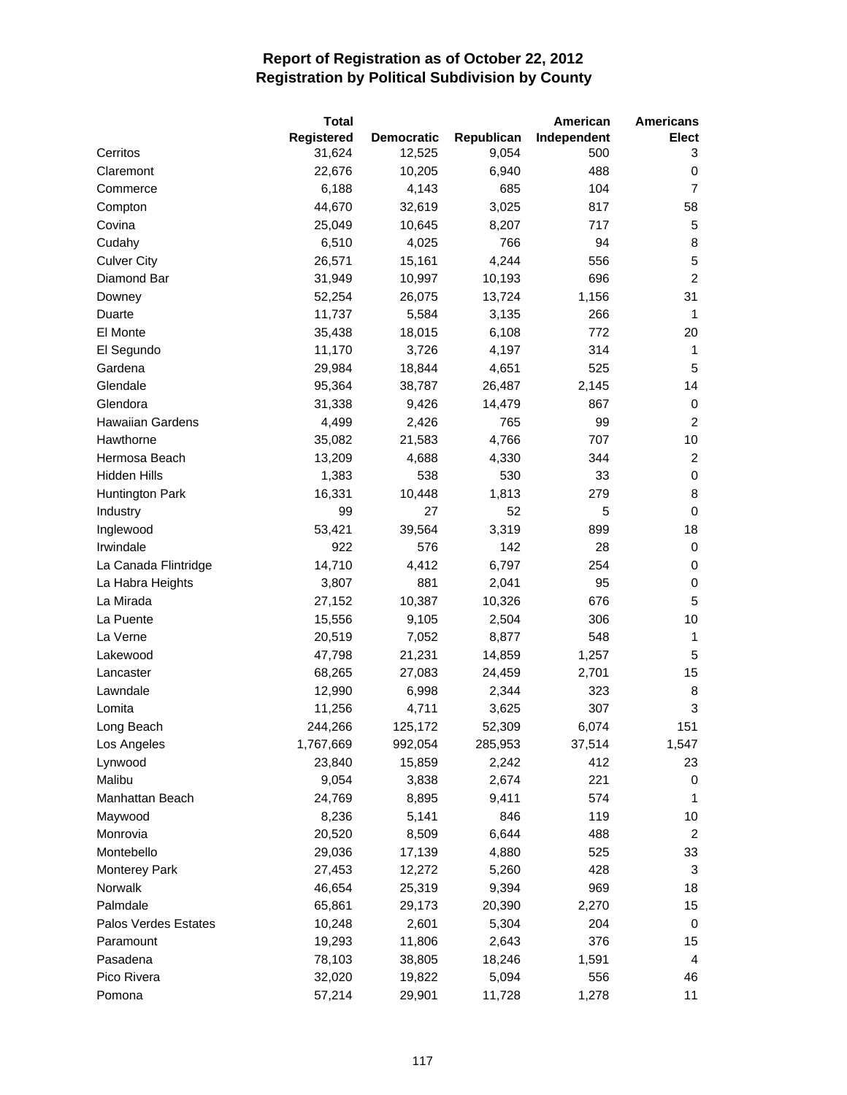|                         | <b>Total</b> |                   |            | American    | <b>Americans</b> |
|-------------------------|--------------|-------------------|------------|-------------|------------------|
|                         | Registered   | <b>Democratic</b> | Republican | Independent | Elect            |
| Cerritos                | 31,624       | 12,525            | 9,054      | 500         | 3                |
| Claremont               | 22,676       | 10,205            | 6,940      | 488         | 0                |
| Commerce                | 6,188        | 4,143             | 685        | 104         | $\overline{7}$   |
| Compton                 | 44,670       | 32,619            | 3,025      | 817         | 58               |
| Covina                  | 25,049       | 10,645            | 8,207      | 717         | 5                |
| Cudahy                  | 6,510        | 4,025             | 766        | 94          | 8                |
| <b>Culver City</b>      | 26,571       | 15,161            | 4,244      | 556         | 5                |
| Diamond Bar             | 31,949       | 10,997            | 10,193     | 696         | $\overline{c}$   |
| Downey                  | 52,254       | 26,075            | 13,724     | 1,156       | 31               |
| Duarte                  | 11,737       | 5,584             | 3,135      | 266         | 1                |
| El Monte                | 35,438       | 18,015            | 6,108      | 772         | 20               |
| El Segundo              | 11,170       | 3,726             | 4,197      | 314         | 1                |
| Gardena                 | 29,984       | 18,844            | 4,651      | 525         | 5                |
| Glendale                | 95,364       | 38,787            | 26,487     | 2,145       | 14               |
| Glendora                | 31,338       | 9,426             | 14,479     | 867         | 0                |
| <b>Hawaiian Gardens</b> | 4,499        | 2,426             | 765        | 99          | $\overline{2}$   |
| Hawthorne               | 35,082       | 21,583            | 4,766      | 707         | 10               |
| Hermosa Beach           | 13,209       | 4,688             | 4,330      | 344         | $\overline{2}$   |
| Hidden Hills            | 1,383        | 538               | 530        | 33          | $\pmb{0}$        |
| Huntington Park         | 16,331       | 10,448            | 1,813      | 279         | 8                |
| Industry                | 99           | 27                | 52         | 5           | $\mathbf 0$      |
| Inglewood               | 53,421       | 39,564            | 3,319      | 899         | 18               |
| Irwindale               | 922          | 576               | 142        | 28          | 0                |
| La Canada Flintridge    | 14,710       | 4,412             | 6,797      | 254         | 0                |
| La Habra Heights        | 3,807        | 881               | 2,041      | 95          | $\pmb{0}$        |
| La Mirada               | 27,152       | 10,387            | 10,326     | 676         | 5                |
| La Puente               | 15,556       | 9,105             | 2,504      | 306         | 10               |
| La Verne                | 20,519       | 7,052             | 8,877      | 548         | 1                |
| Lakewood                | 47,798       | 21,231            | 14,859     | 1,257       | 5                |
| Lancaster               | 68,265       | 27,083            | 24,459     | 2,701       | 15               |
| Lawndale                | 12,990       | 6,998             | 2,344      | 323         | 8                |
| Lomita                  | 11,256       | 4,711             | 3,625      | 307         | 3                |
| Long Beach              | 244,266      | 125,172           | 52,309     | 6,074       | 151              |
| Los Angeles             | 1,767,669    | 992,054           | 285,953    | 37,514      | 1,547            |
| Lynwood                 | 23,840       | 15,859            | 2,242      | 412         | 23               |
| Malibu                  | 9,054        | 3,838             | 2,674      | 221         | 0                |
| Manhattan Beach         | 24,769       | 8,895             | 9,411      | 574         | 1                |
| Maywood                 | 8,236        | 5,141             | 846        | 119         | 10               |
| Monrovia                | 20,520       | 8,509             | 6,644      | 488         | $\overline{2}$   |
| Montebello              | 29,036       | 17,139            | 4,880      | 525         | 33               |
| <b>Monterey Park</b>    | 27,453       | 12,272            | 5,260      | 428         | 3                |
| Norwalk                 | 46,654       | 25,319            | 9,394      | 969         | 18               |
| Palmdale                | 65,861       | 29,173            | 20,390     | 2,270       | 15               |
| Palos Verdes Estates    | 10,248       | 2,601             | 5,304      | 204         | 0                |
| Paramount               | 19,293       | 11,806            | 2,643      | 376         | 15               |
| Pasadena                | 78,103       | 38,805            | 18,246     | 1,591       | 4                |
| Pico Rivera             | 32,020       | 19,822            | 5,094      | 556         | 46               |
| Pomona                  | 57,214       | 29,901            | 11,728     | 1,278       | 11               |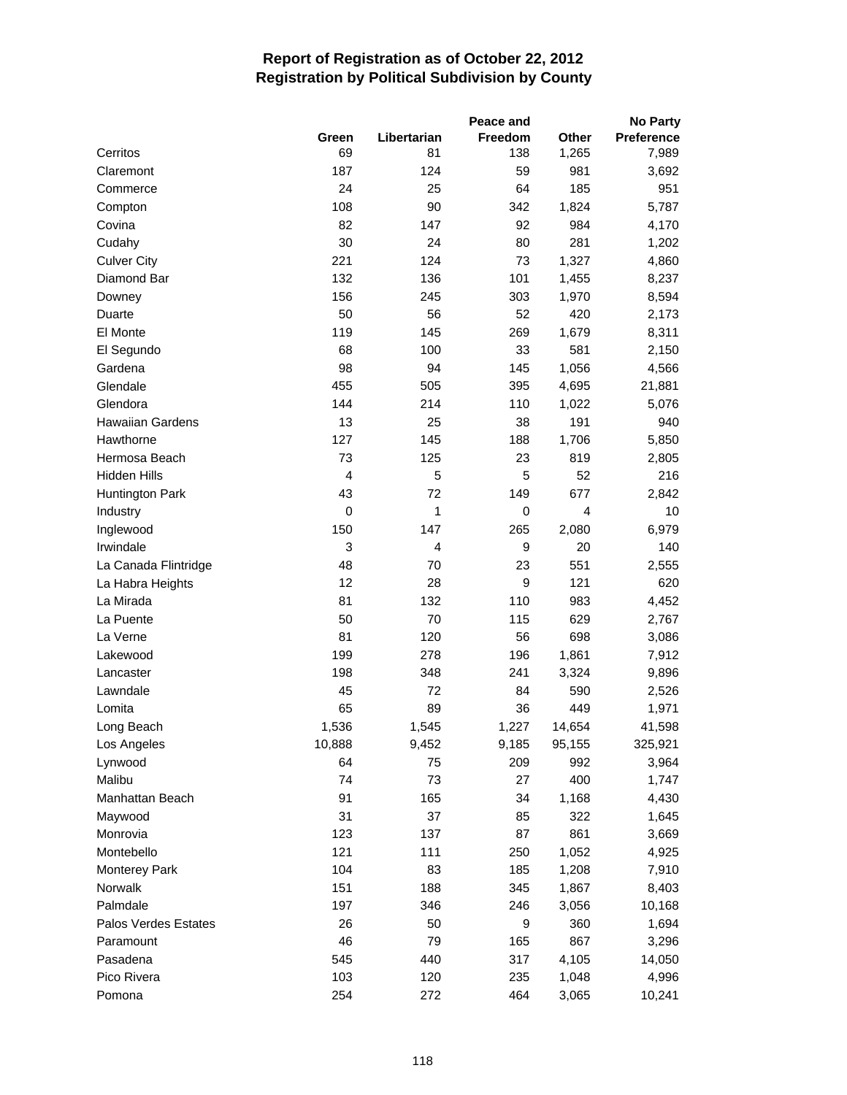|                         |                |                   | Peace and      |                       | <b>No Party</b>            |
|-------------------------|----------------|-------------------|----------------|-----------------------|----------------------------|
| Cerritos                | Green<br>69    | Libertarian<br>81 | Freedom<br>138 | <b>Other</b><br>1,265 | <b>Preference</b><br>7,989 |
| Claremont               | 187            | 124               | 59             | 981                   | 3,692                      |
| Commerce                | 24             | 25                | 64             | 185                   | 951                        |
| Compton                 | 108            | 90                | 342            | 1,824                 | 5,787                      |
| Covina                  | 82             | 147               | 92             | 984                   | 4,170                      |
| Cudahy                  | 30             | 24                | 80             | 281                   | 1,202                      |
| <b>Culver City</b>      | 221            | 124               | 73             | 1,327                 | 4,860                      |
| Diamond Bar             | 132            | 136               | 101            | 1,455                 | 8,237                      |
| Downey                  | 156            | 245               | 303            | 1,970                 | 8,594                      |
| Duarte                  | 50             | 56                | 52             | 420                   | 2,173                      |
| El Monte                | 119            | 145               | 269            | 1,679                 | 8,311                      |
| El Segundo              | 68             | 100               | 33             | 581                   | 2,150                      |
| Gardena                 | 98             | 94                | 145            | 1,056                 | 4,566                      |
| Glendale                | 455            | 505               | 395            | 4,695                 | 21,881                     |
| Glendora                | 144            | 214               | 110            | 1,022                 | 5,076                      |
| <b>Hawaiian Gardens</b> | 13             | 25                | 38             | 191                   | 940                        |
| Hawthorne               | 127            | 145               | 188            | 1,706                 | 5,850                      |
| Hermosa Beach           | 73             | 125               | 23             | 819                   | 2,805                      |
| Hidden Hills            | $\overline{4}$ | 5                 | 5              | 52                    | 216                        |
| Huntington Park         | 43             | 72                | 149            | 677                   | 2,842                      |
| Industry                | 0              | 1                 | 0              | $\overline{4}$        | 10                         |
| Inglewood               | 150            | 147               | 265            | 2,080                 | 6,979                      |
| Irwindale               | 3              | $\overline{4}$    | 9              | 20                    | 140                        |
| La Canada Flintridge    | 48             | 70                | 23             | 551                   | 2,555                      |
| La Habra Heights        | 12             | 28                | 9              | 121                   | 620                        |
| La Mirada               | 81             | 132               | 110            | 983                   | 4,452                      |
| La Puente               | 50             | 70                | 115            | 629                   | 2,767                      |
| La Verne                | 81             | 120               | 56             | 698                   | 3,086                      |
| Lakewood                | 199            | 278               | 196            | 1,861                 | 7,912                      |
| Lancaster               | 198            | 348               | 241            | 3,324                 | 9,896                      |
| Lawndale                | 45             | 72                | 84             | 590                   | 2,526                      |
| Lomita                  | 65             | 89                | 36             | 449                   | 1,971                      |
| Long Beach              | 1,536          | 1,545             | 1,227          | 14,654                | 41,598                     |
| Los Angeles             | 10,888         | 9,452             | 9,185          | 95,155                | 325,921                    |
| Lynwood                 | 64             | 75                | 209            | 992                   | 3,964                      |
| Malibu                  | 74             | 73                | 27             | 400                   | 1,747                      |
| Manhattan Beach         | 91             | 165               | 34             | 1,168                 | 4,430                      |
| Maywood                 | 31             | 37                | 85             | 322                   | 1,645                      |
| Monrovia                | 123            | 137               | 87             | 861                   | 3,669                      |
| Montebello              | 121            | 111               | 250            | 1,052                 | 4,925                      |
| <b>Monterey Park</b>    | 104            | 83                | 185            | 1,208                 | 7,910                      |
| Norwalk                 | 151            | 188               | 345            | 1,867                 | 8,403                      |
| Palmdale                | 197            | 346               | 246            | 3,056                 | 10,168                     |
| Palos Verdes Estates    | 26             | 50                | 9              | 360                   | 1,694                      |
| Paramount               | 46             | 79                | 165            | 867                   | 3,296                      |
| Pasadena                | 545            | 440               | 317            | 4,105                 | 14,050                     |
| Pico Rivera             | 103            | 120               | 235            | 1,048                 | 4,996                      |
| Pomona                  | 254            | 272               | 464            | 3,065                 | 10,241                     |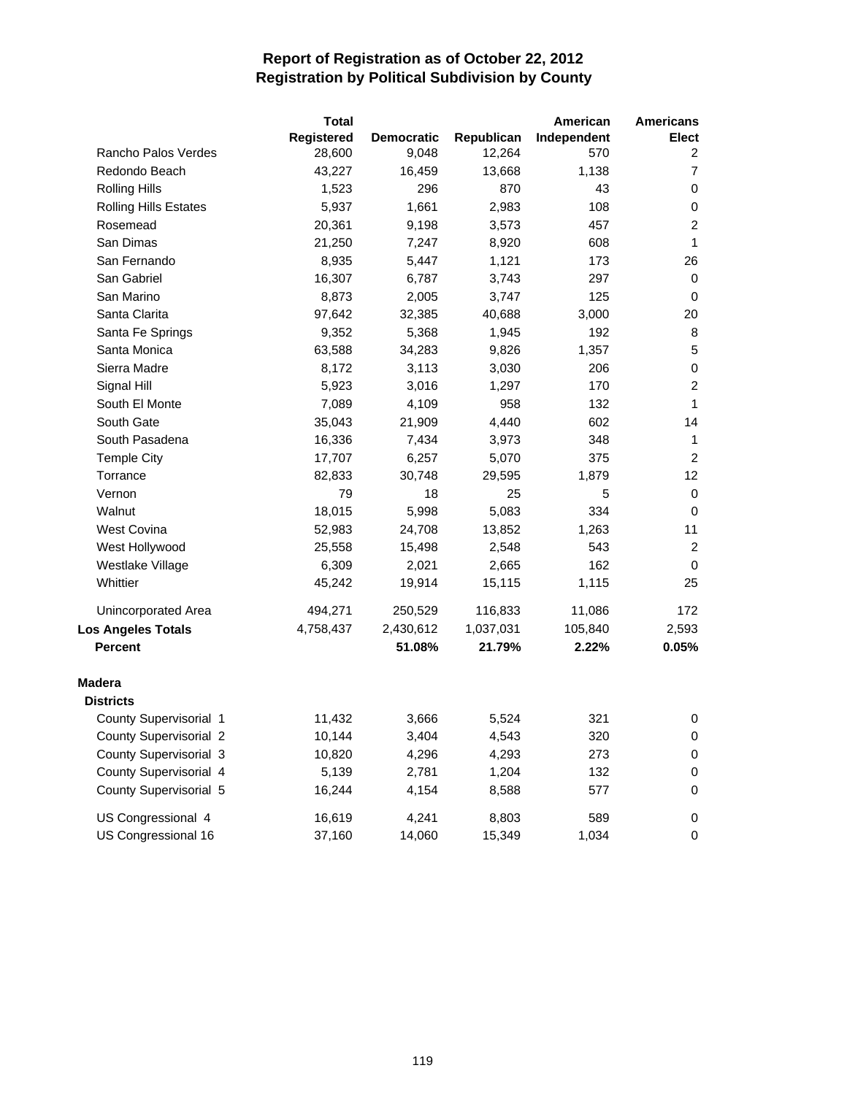|                              | <b>Total</b>      |                   |            | American    | <b>Americans</b> |
|------------------------------|-------------------|-------------------|------------|-------------|------------------|
|                              | <b>Registered</b> | <b>Democratic</b> | Republican | Independent | <b>Elect</b>     |
| Rancho Palos Verdes          | 28,600            | 9,048             | 12,264     | 570         | 2                |
| Redondo Beach                | 43,227            | 16,459            | 13,668     | 1,138       | $\overline{7}$   |
| <b>Rolling Hills</b>         | 1,523             | 296               | 870        | 43          | 0                |
| <b>Rolling Hills Estates</b> | 5,937             | 1,661             | 2,983      | 108         | $\,0\,$          |
| Rosemead                     | 20,361            | 9,198             | 3,573      | 457         | $\overline{c}$   |
| San Dimas                    | 21,250            | 7,247             | 8,920      | 608         | $\mathbf{1}$     |
| San Fernando                 | 8,935             | 5,447             | 1,121      | 173         | 26               |
| San Gabriel                  | 16,307            | 6,787             | 3,743      | 297         | 0                |
| San Marino                   | 8,873             | 2,005             | 3,747      | 125         | 0                |
| Santa Clarita                | 97,642            | 32,385            | 40,688     | 3,000       | 20               |
| Santa Fe Springs             | 9,352             | 5,368             | 1,945      | 192         | 8                |
| Santa Monica                 | 63,588            | 34,283            | 9,826      | 1,357       | $\sqrt{5}$       |
| Sierra Madre                 | 8,172             | 3,113             | 3,030      | 206         | $\pmb{0}$        |
| Signal Hill                  | 5,923             | 3,016             | 1,297      | 170         | $\boldsymbol{2}$ |
| South El Monte               | 7,089             | 4,109             | 958        | 132         | $\mathbf{1}$     |
| South Gate                   | 35,043            | 21,909            | 4,440      | 602         | 14               |
| South Pasadena               | 16,336            | 7,434             | 3,973      | 348         | $\mathbf{1}$     |
| <b>Temple City</b>           | 17,707            | 6,257             | 5,070      | 375         | $\overline{2}$   |
| Torrance                     | 82,833            | 30,748            | 29,595     | 1,879       | 12               |
| Vernon                       | 79                | 18                | 25         | 5           | $\pmb{0}$        |
| Walnut                       | 18,015            | 5,998             | 5,083      | 334         | $\pmb{0}$        |
| West Covina                  | 52,983            | 24,708            | 13,852     | 1,263       | 11               |
| West Hollywood               | 25,558            | 15,498            | 2,548      | 543         | $\overline{c}$   |
| Westlake Village             | 6,309             | 2,021             | 2,665      | 162         | $\mathbf 0$      |
| Whittier                     | 45,242            | 19,914            | 15,115     | 1,115       | 25               |
| Unincorporated Area          | 494,271           | 250,529           | 116,833    | 11,086      | 172              |
| Los Angeles Totals           | 4,758,437         | 2,430,612         | 1,037,031  | 105,840     | 2,593            |
| <b>Percent</b>               |                   | 51.08%            | 21.79%     | 2.22%       | 0.05%            |
| Madera                       |                   |                   |            |             |                  |
| <b>Districts</b>             |                   |                   |            |             |                  |
| County Supervisorial 1       | 11,432            | 3,666             | 5,524      | 321         | 0                |
| County Supervisorial 2       | 10,144            | 3,404             | 4,543      | 320         | 0                |
| County Supervisorial 3       | 10,820            | 4,296             | 4,293      | 273         | $\pmb{0}$        |
| County Supervisorial 4       | 5,139             | 2,781             | 1,204      | 132         | $\,0\,$          |
| County Supervisorial 5       | 16,244            | 4,154             | 8,588      | 577         | $\mathbf 0$      |
| US Congressional 4           | 16,619            | 4,241             | 8,803      | 589         | $\pmb{0}$        |
| US Congressional 16          | 37,160            | 14,060            | 15,349     | 1,034       | $\pmb{0}$        |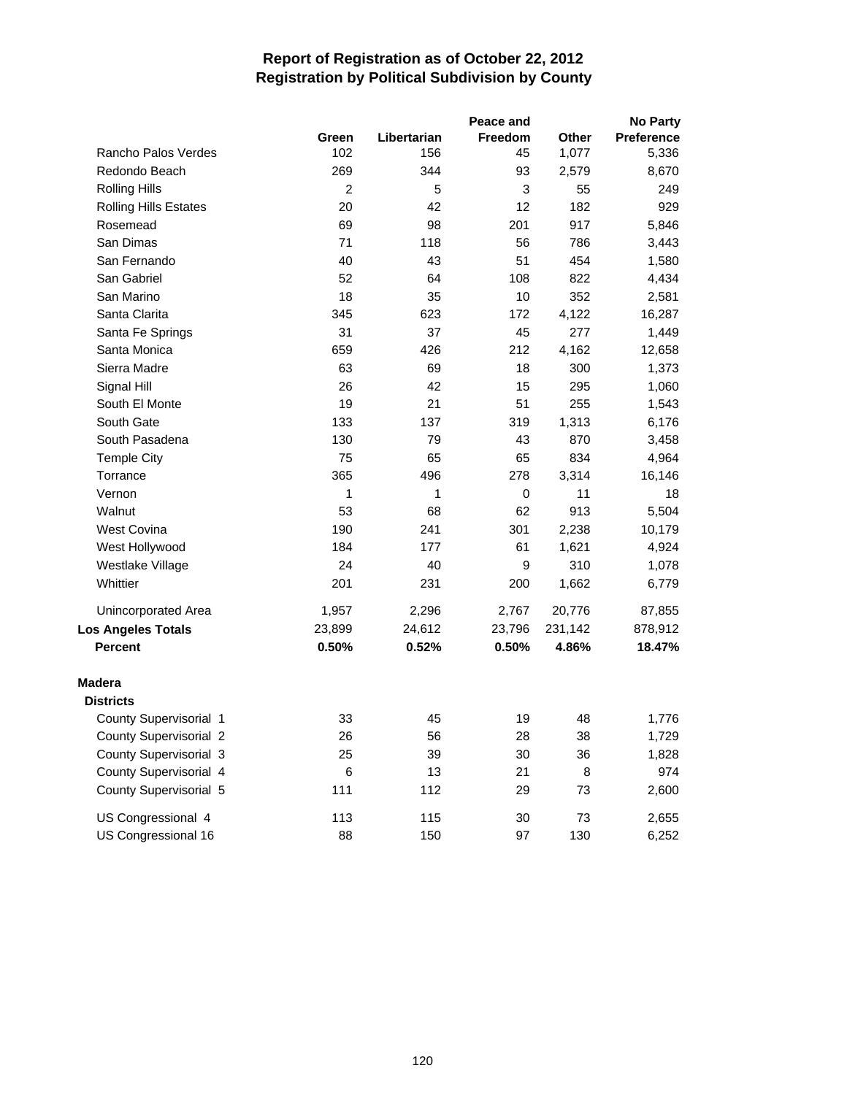|                              |                |             | Peace and |         | No Party   |
|------------------------------|----------------|-------------|-----------|---------|------------|
|                              | Green          | Libertarian | Freedom   | Other   | Preference |
| Rancho Palos Verdes          | 102            | 156         | 45        | 1,077   | 5,336      |
| Redondo Beach                | 269            | 344         | 93        | 2,579   | 8,670      |
| <b>Rolling Hills</b>         | $\overline{c}$ | 5           | 3         | 55      | 249        |
| <b>Rolling Hills Estates</b> | 20             | 42          | 12        | 182     | 929        |
| Rosemead                     | 69             | 98          | 201       | 917     | 5,846      |
| San Dimas                    | 71             | 118         | 56        | 786     | 3,443      |
| San Fernando                 | 40             | 43          | 51        | 454     | 1,580      |
| San Gabriel                  | 52             | 64          | 108       | 822     | 4,434      |
| San Marino                   | 18             | 35          | 10        | 352     | 2,581      |
| Santa Clarita                | 345            | 623         | 172       | 4,122   | 16,287     |
| Santa Fe Springs             | 31             | 37          | 45        | 277     | 1,449      |
| Santa Monica                 | 659            | 426         | 212       | 4,162   | 12,658     |
| Sierra Madre                 | 63             | 69          | 18        | 300     | 1,373      |
| Signal Hill                  | 26             | 42          | 15        | 295     | 1,060      |
| South El Monte               | 19             | 21          | 51        | 255     | 1,543      |
| South Gate                   | 133            | 137         | 319       | 1,313   | 6,176      |
| South Pasadena               | 130            | 79          | 43        | 870     | 3,458      |
| <b>Temple City</b>           | 75             | 65          | 65        | 834     | 4,964      |
| Torrance                     | 365            | 496         | 278       | 3,314   | 16,146     |
| Vernon                       | 1              | 1           | 0         | 11      | 18         |
| Walnut                       | 53             | 68          | 62        | 913     | 5,504      |
| <b>West Covina</b>           | 190            | 241         | 301       | 2,238   | 10,179     |
| West Hollywood               | 184            | 177         | 61        | 1,621   | 4,924      |
| Westlake Village             | 24             | 40          | 9         | 310     | 1,078      |
| Whittier                     | 201            | 231         | 200       | 1,662   | 6,779      |
| Unincorporated Area          | 1,957          | 2,296       | 2,767     | 20,776  | 87,855     |
| <b>Los Angeles Totals</b>    | 23,899         | 24,612      | 23,796    | 231,142 | 878,912    |
| <b>Percent</b>               | 0.50%          | 0.52%       | 0.50%     | 4.86%   | 18.47%     |
| <b>Madera</b>                |                |             |           |         |            |
| <b>Districts</b>             |                |             |           |         |            |
| County Supervisorial 1       | 33             | 45          | 19        | 48      | 1,776      |
| County Supervisorial 2       | 26             | 56          | 28        | 38      | 1,729      |
| County Supervisorial 3       | 25             | 39          | 30        | 36      | 1,828      |
| County Supervisorial 4       | 6              | 13          | 21        | 8       | 974        |
| County Supervisorial 5       | 111            | 112         | 29        | 73      | 2,600      |
| US Congressional 4           | 113            | 115         | 30        | 73      | 2,655      |
| US Congressional 16          | 88             | 150         | 97        | 130     | 6,252      |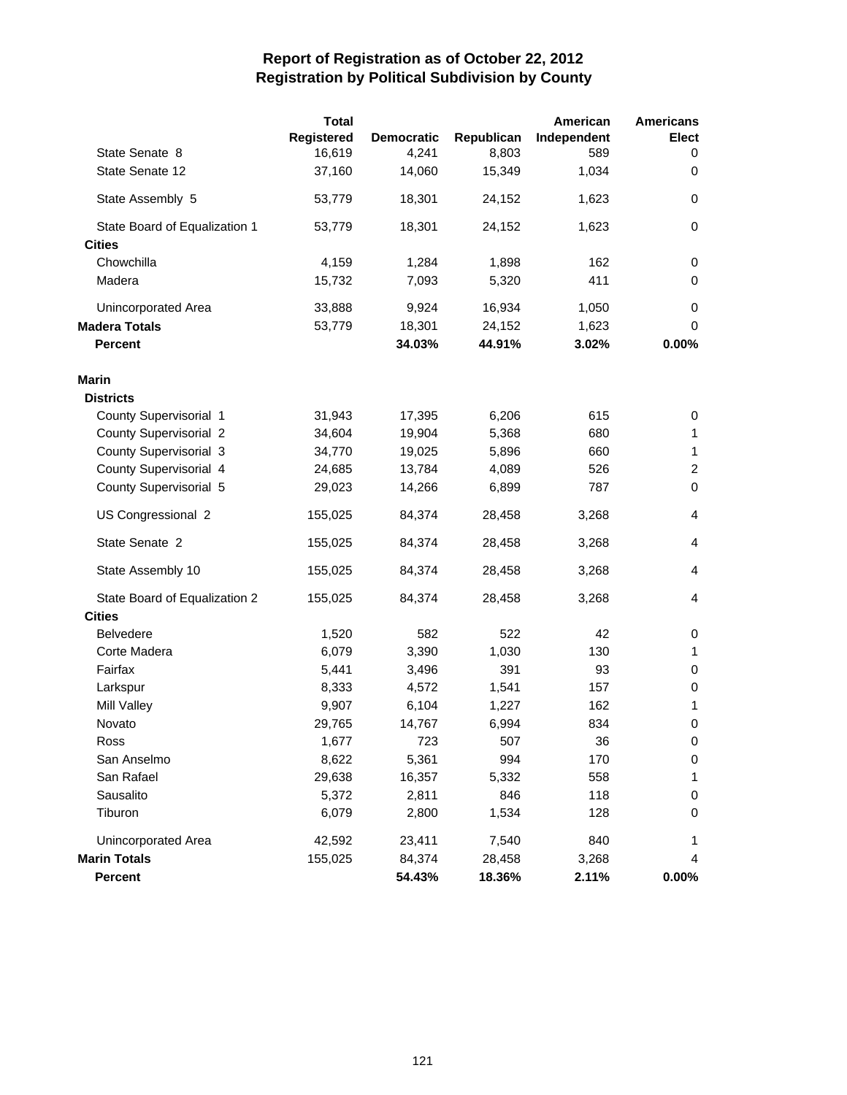|                               | <b>Total</b><br>Registered | <b>Democratic</b> | Republican | American<br>Independent | <b>Americans</b><br><b>Elect</b> |
|-------------------------------|----------------------------|-------------------|------------|-------------------------|----------------------------------|
| State Senate 8                | 16,619                     | 4,241             | 8,803      | 589                     | 0                                |
| State Senate 12               | 37,160                     | 14,060            | 15,349     | 1,034                   | 0                                |
| State Assembly 5              | 53,779                     | 18,301            | 24,152     | 1,623                   | 0                                |
| State Board of Equalization 1 | 53,779                     | 18,301            | 24,152     | 1,623                   | $\mathbf 0$                      |
| <b>Cities</b>                 |                            |                   |            |                         |                                  |
| Chowchilla                    | 4,159                      | 1,284             | 1,898      | 162                     | 0                                |
| Madera                        | 15,732                     | 7,093             | 5,320      | 411                     | 0                                |
| Unincorporated Area           | 33,888                     | 9,924             | 16,934     | 1,050                   | 0                                |
| <b>Madera Totals</b>          | 53,779                     | 18,301            | 24,152     | 1,623                   | 0                                |
| <b>Percent</b>                |                            | 34.03%            | 44.91%     | 3.02%                   | 0.00%                            |
| Marin                         |                            |                   |            |                         |                                  |
| <b>Districts</b>              |                            |                   |            |                         |                                  |
| County Supervisorial 1        | 31,943                     | 17,395            | 6,206      | 615                     | 0                                |
| <b>County Supervisorial 2</b> | 34,604                     | 19,904            | 5,368      | 680                     | 1                                |
| County Supervisorial 3        | 34,770                     | 19,025            | 5,896      | 660                     | 1                                |
| County Supervisorial 4        | 24,685                     | 13,784            | 4,089      | 526                     | $\overline{c}$                   |
| County Supervisorial 5        | 29,023                     | 14,266            | 6,899      | 787                     | $\mathbf 0$                      |
| US Congressional 2            | 155,025                    | 84,374            | 28,458     | 3,268                   | 4                                |
| State Senate 2                | 155,025                    | 84,374            | 28,458     | 3,268                   | 4                                |
| State Assembly 10             | 155,025                    | 84,374            | 28,458     | 3,268                   | 4                                |
| State Board of Equalization 2 | 155,025                    | 84,374            | 28,458     | 3,268                   | 4                                |
| <b>Cities</b>                 |                            |                   |            |                         |                                  |
| <b>Belvedere</b>              | 1,520                      | 582               | 522        | 42                      | 0                                |
| Corte Madera                  | 6,079                      | 3,390             | 1,030      | 130                     | 1                                |
| Fairfax                       | 5,441                      | 3,496             | 391        | 93                      | 0                                |
| Larkspur                      | 8,333                      | 4,572             | 1,541      | 157                     | 0                                |
| Mill Valley                   | 9,907                      | 6,104             | 1,227      | 162                     | 1                                |
| Novato                        | 29,765                     | 14,767            | 6,994      | 834                     | 0                                |
| Ross                          | 1,677                      | 723               | 507        | 36                      | $\pmb{0}$                        |
| San Anselmo                   | 8,622                      | 5,361             | 994        | 170                     | 0                                |
| San Rafael                    | 29,638                     | 16,357            | 5,332      | 558                     | 1                                |
| Sausalito                     | 5,372                      | 2,811             | 846        | 118                     | 0                                |
| Tiburon                       | 6,079                      | 2,800             | 1,534      | 128                     | 0                                |
| Unincorporated Area           | 42,592                     | 23,411            | 7,540      | 840                     | 1                                |
| <b>Marin Totals</b>           | 155,025                    | 84,374            | 28,458     | 3,268                   | 4                                |
| Percent                       |                            | 54.43%            | 18.36%     | 2.11%                   | $0.00\%$                         |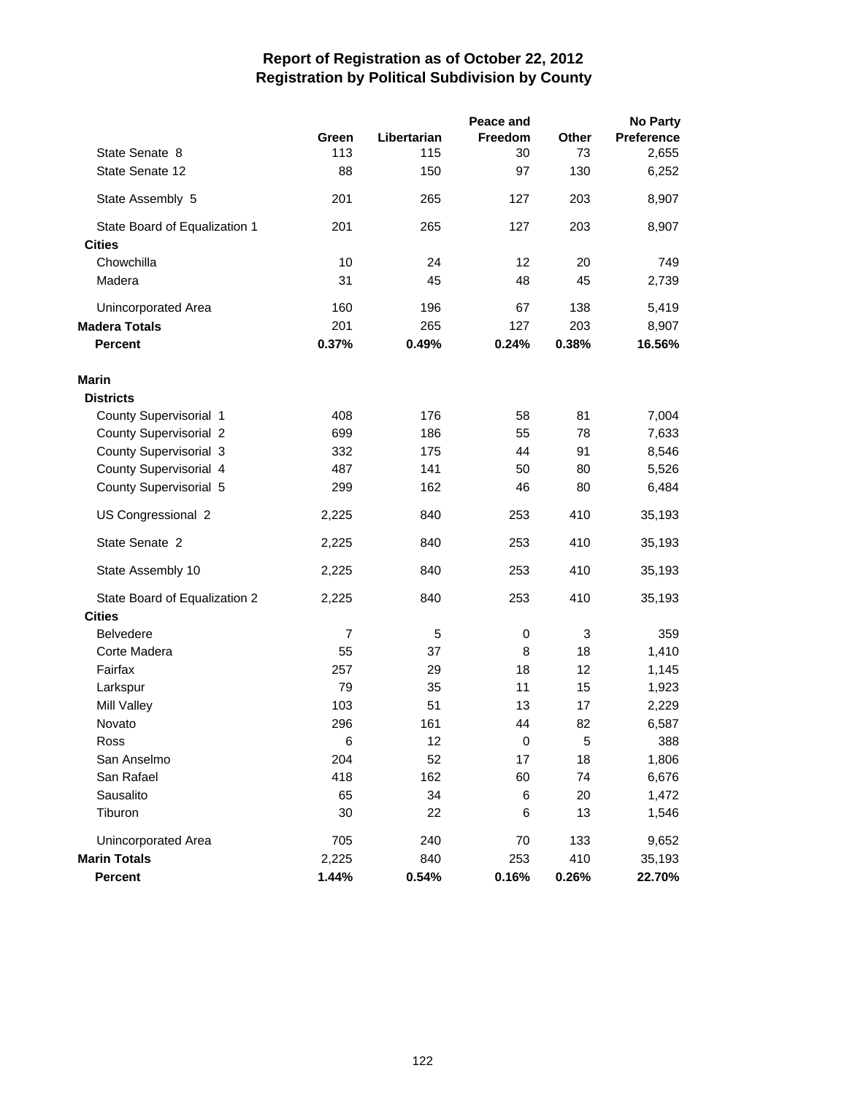|                               |                |             | Peace and |       | <b>No Party</b>   |
|-------------------------------|----------------|-------------|-----------|-------|-------------------|
|                               | Green          | Libertarian | Freedom   | Other | <b>Preference</b> |
| State Senate 8                | 113            | 115         | 30        | 73    | 2,655             |
| State Senate 12               | 88             | 150         | 97        | 130   | 6,252             |
| State Assembly 5              | 201            | 265         | 127       | 203   | 8,907             |
| State Board of Equalization 1 | 201            | 265         | 127       | 203   | 8,907             |
| <b>Cities</b>                 |                |             |           |       |                   |
| Chowchilla                    | 10             | 24          | 12        | 20    | 749               |
| Madera                        | 31             | 45          | 48        | 45    | 2,739             |
| Unincorporated Area           | 160            | 196         | 67        | 138   | 5,419             |
| <b>Madera Totals</b>          | 201            | 265         | 127       | 203   | 8,907             |
| <b>Percent</b>                | 0.37%          | 0.49%       | 0.24%     | 0.38% | 16.56%            |
| Marin                         |                |             |           |       |                   |
| <b>Districts</b>              |                |             |           |       |                   |
| County Supervisorial 1        | 408            | 176         | 58        | 81    | 7,004             |
| <b>County Supervisorial 2</b> | 699            | 186         | 55        | 78    | 7,633             |
| County Supervisorial 3        | 332            | 175         | 44        | 91    | 8,546             |
| County Supervisorial 4        | 487            | 141         | 50        | 80    | 5,526             |
| County Supervisorial 5        | 299            | 162         | 46        | 80    | 6,484             |
| US Congressional 2            | 2,225          | 840         | 253       | 410   | 35,193            |
| State Senate 2                | 2,225          | 840         | 253       | 410   | 35,193            |
| State Assembly 10             | 2,225          | 840         | 253       | 410   | 35,193            |
| State Board of Equalization 2 | 2,225          | 840         | 253       | 410   | 35,193            |
| <b>Cities</b>                 |                |             |           |       |                   |
| <b>Belvedere</b>              | $\overline{7}$ | 5           | 0         | 3     | 359               |
| Corte Madera                  | 55             | 37          | 8         | 18    | 1,410             |
| Fairfax                       | 257            | 29          | 18        | 12    | 1,145             |
| Larkspur                      | 79             | 35          | 11        | 15    | 1,923             |
| Mill Valley                   | 103            | 51          | 13        | 17    | 2,229             |
| Novato                        | 296            | 161         | 44        | 82    | 6,587             |
| Ross                          | 6              | 12          | 0         | 5     | 388               |
| San Anselmo                   | 204            | 52          | 17        | 18    | 1,806             |
| San Rafael                    | 418            | 162         | 60        | 74    | 6,676             |
| Sausalito                     | 65             | 34          | 6         | 20    | 1,472             |
| Tiburon                       | 30             | 22          | 6         | 13    | 1,546             |
| Unincorporated Area           | 705            | 240         | 70        | 133   | 9,652             |
| <b>Marin Totals</b>           | 2,225          | 840         | 253       | 410   | 35,193            |
| <b>Percent</b>                | 1.44%          | 0.54%       | 0.16%     | 0.26% | 22.70%            |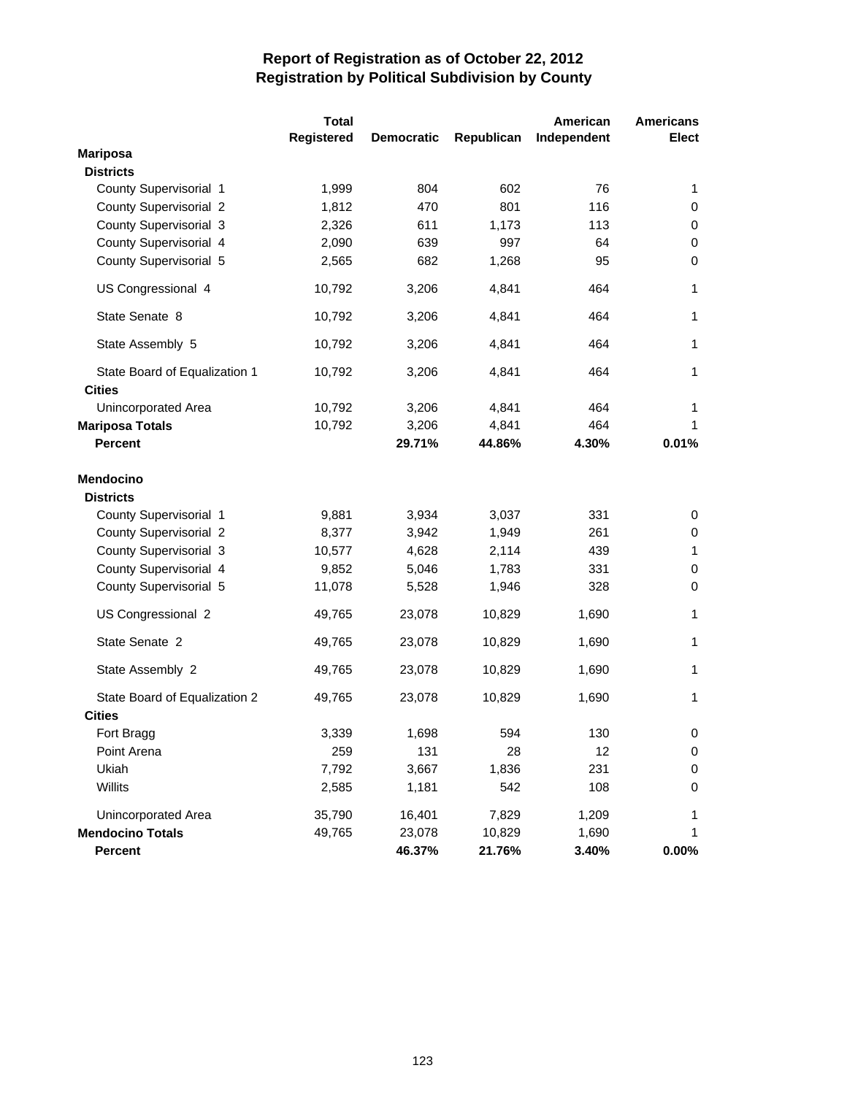|                                                | <b>Total</b>      |                   |            | American    | <b>Americans</b> |
|------------------------------------------------|-------------------|-------------------|------------|-------------|------------------|
|                                                | <b>Registered</b> | <b>Democratic</b> | Republican | Independent | <b>Elect</b>     |
| <b>Mariposa</b>                                |                   |                   |            |             |                  |
| <b>Districts</b>                               |                   |                   |            |             |                  |
| County Supervisorial 1                         | 1,999             | 804               | 602        | 76          | $\mathbf{1}$     |
| County Supervisorial 2                         | 1,812             | 470               | 801        | 116         | 0                |
| County Supervisorial 3                         | 2,326             | 611               | 1,173      | 113         | 0                |
| County Supervisorial 4                         | 2,090             | 639               | 997        | 64          | 0                |
| County Supervisorial 5                         | 2,565             | 682               | 1,268      | 95          | 0                |
| US Congressional 4                             | 10,792            | 3,206             | 4,841      | 464         | 1                |
| State Senate 8                                 | 10,792            | 3,206             | 4,841      | 464         | $\mathbf{1}$     |
| State Assembly 5                               | 10,792            | 3,206             | 4,841      | 464         | $\mathbf{1}$     |
| State Board of Equalization 1<br><b>Cities</b> | 10,792            | 3,206             | 4,841      | 464         | 1                |
| Unincorporated Area                            | 10,792            | 3,206             | 4,841      | 464         | 1                |
| <b>Mariposa Totals</b>                         | 10,792            | 3,206             | 4,841      | 464         | 1                |
| <b>Percent</b>                                 |                   | 29.71%            | 44.86%     | 4.30%       | 0.01%            |
| <b>Mendocino</b>                               |                   |                   |            |             |                  |
| <b>Districts</b>                               |                   |                   |            |             |                  |
| County Supervisorial 1                         | 9,881             | 3,934             | 3,037      | 331         | 0                |
| <b>County Supervisorial 2</b>                  | 8,377             | 3,942             | 1,949      | 261         | 0                |
| County Supervisorial 3                         | 10,577            | 4,628             | 2,114      | 439         | $\mathbf{1}$     |
| County Supervisorial 4                         | 9,852             | 5,046             | 1,783      | 331         | 0                |
| County Supervisorial 5                         | 11,078            | 5,528             | 1,946      | 328         | 0                |
| US Congressional 2                             | 49,765            | 23,078            | 10,829     | 1,690       | 1                |
| State Senate 2                                 | 49,765            | 23,078            | 10,829     | 1,690       | $\mathbf{1}$     |
| State Assembly 2                               | 49,765            | 23,078            | 10,829     | 1,690       | $\mathbf{1}$     |
| State Board of Equalization 2                  | 49,765            | 23,078            | 10,829     | 1,690       | $\mathbf{1}$     |
| <b>Cities</b>                                  |                   |                   |            |             |                  |
| Fort Bragg                                     | 3,339             | 1,698             | 594        | 130         | 0                |
| Point Arena                                    | 259               | 131               | 28         | 12          | 0                |
| Ukiah                                          | 7,792             | 3,667             | 1,836      | 231         | 0                |
| Willits                                        | 2,585             | 1,181             | 542        | 108         | 0                |
| Unincorporated Area                            | 35,790            | 16,401            | 7,829      | 1,209       | 1                |
| <b>Mendocino Totals</b>                        | 49,765            | 23,078            | 10,829     | 1,690       | 1                |
| Percent                                        |                   | 46.37%            | 21.76%     | 3.40%       | 0.00%            |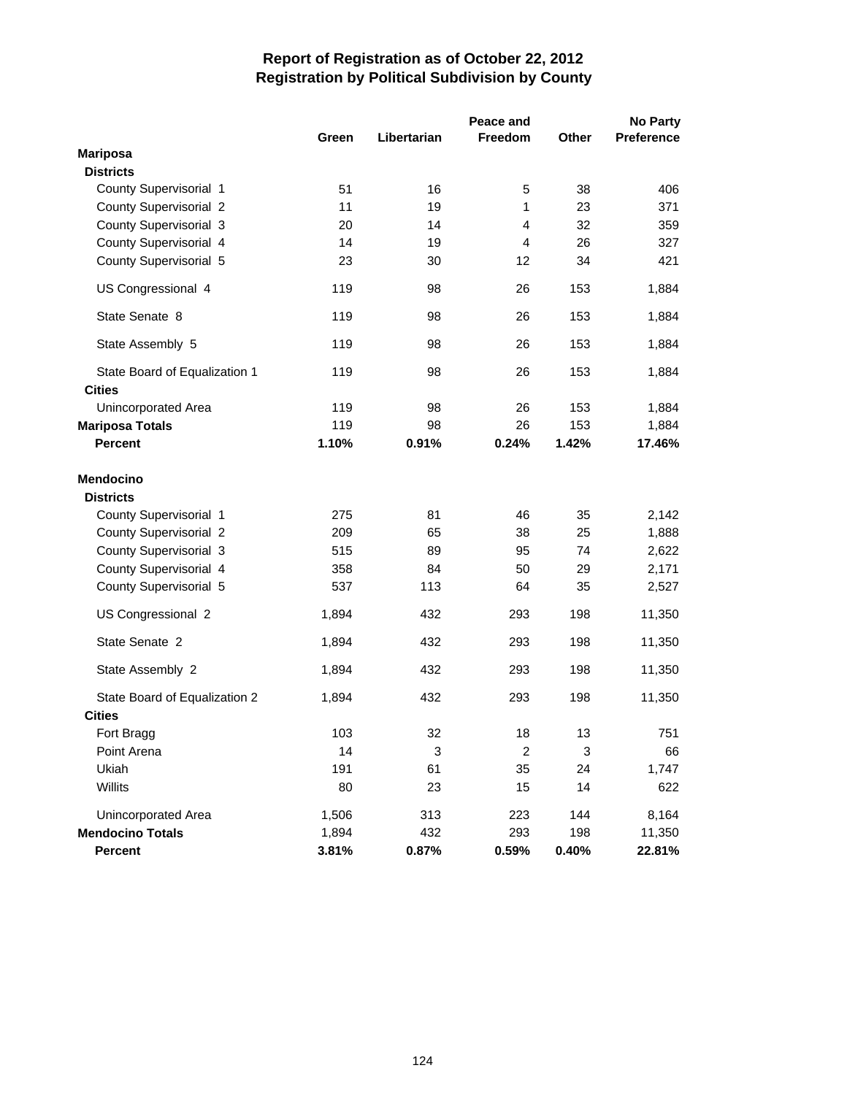|                               | Peace and |             |                |       | No Party   |
|-------------------------------|-----------|-------------|----------------|-------|------------|
|                               | Green     | Libertarian | Freedom        | Other | Preference |
| <b>Mariposa</b>               |           |             |                |       |            |
| <b>Districts</b>              |           |             |                |       |            |
| County Supervisorial 1        | 51        | 16          | 5              | 38    | 406        |
| County Supervisorial 2        | 11        | 19          | 1              | 23    | 371        |
| County Supervisorial 3        | 20        | 14          | $\overline{4}$ | 32    | 359        |
| County Supervisorial 4        | 14        | 19          | $\overline{4}$ | 26    | 327        |
| County Supervisorial 5        | 23        | 30          | 12             | 34    | 421        |
| US Congressional 4            | 119       | 98          | 26             | 153   | 1,884      |
| State Senate 8                | 119       | 98          | 26             | 153   | 1,884      |
| State Assembly 5              | 119       | 98          | 26             | 153   | 1,884      |
| State Board of Equalization 1 | 119       | 98          | 26             | 153   | 1,884      |
| <b>Cities</b>                 |           |             |                |       |            |
| Unincorporated Area           | 119       | 98          | 26             | 153   | 1,884      |
| <b>Mariposa Totals</b>        | 119       | 98          | 26             | 153   | 1,884      |
| <b>Percent</b>                | 1.10%     | 0.91%       | 0.24%          | 1.42% | 17.46%     |
| <b>Mendocino</b>              |           |             |                |       |            |
| <b>Districts</b>              |           |             |                |       |            |
| County Supervisorial 1        | 275       | 81          | 46             | 35    | 2,142      |
| County Supervisorial 2        | 209       | 65          | 38             | 25    | 1,888      |
| County Supervisorial 3        | 515       | 89          | 95             | 74    | 2,622      |
| County Supervisorial 4        | 358       | 84          | 50             | 29    | 2,171      |
| County Supervisorial 5        | 537       | 113         | 64             | 35    | 2,527      |
| US Congressional 2            | 1,894     | 432         | 293            | 198   | 11,350     |
| State Senate 2                | 1,894     | 432         | 293            | 198   | 11,350     |
| State Assembly 2              | 1,894     | 432         | 293            | 198   | 11,350     |
| State Board of Equalization 2 | 1,894     | 432         | 293            | 198   | 11,350     |
| <b>Cities</b>                 |           |             |                |       |            |
| Fort Bragg                    | 103       | 32          | 18             | 13    | 751        |
| Point Arena                   | 14        | 3           | 2              | 3     | 66         |
| Ukiah                         | 191       | 61          | 35             | 24    | 1,747      |
| Willits                       | 80        | 23          | 15             | 14    | 622        |
| Unincorporated Area           | 1,506     | 313         | 223            | 144   | 8,164      |
| <b>Mendocino Totals</b>       | 1,894     | 432         | 293            | 198   | 11,350     |
| Percent                       | 3.81%     | 0.87%       | 0.59%          | 0.40% | 22.81%     |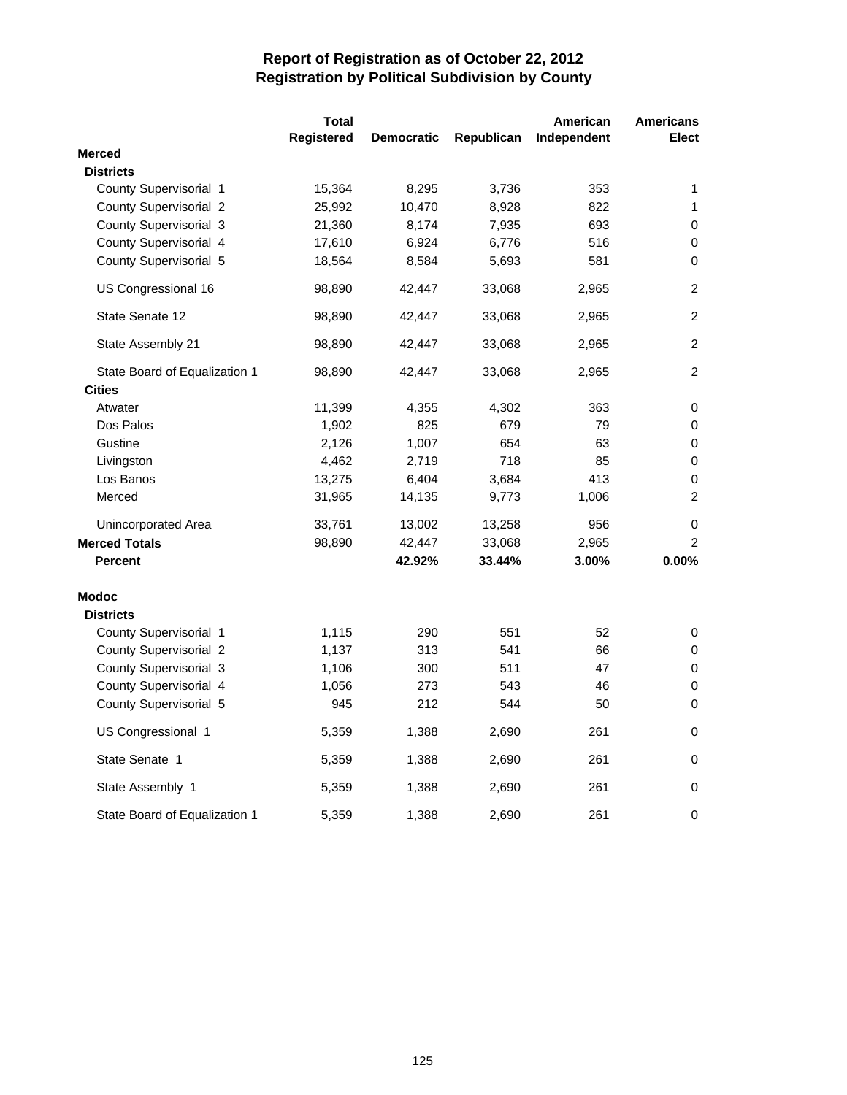|                               | <b>Total</b> |                   |            | American    | <b>Americans</b> |
|-------------------------------|--------------|-------------------|------------|-------------|------------------|
|                               | Registered   | <b>Democratic</b> | Republican | Independent | <b>Elect</b>     |
| <b>Merced</b>                 |              |                   |            |             |                  |
| <b>Districts</b>              |              |                   |            |             |                  |
| County Supervisorial 1        | 15,364       | 8,295             | 3,736      | 353         | 1                |
| <b>County Supervisorial 2</b> | 25,992       | 10,470            | 8,928      | 822         | 1                |
| County Supervisorial 3        | 21,360       | 8,174             | 7,935      | 693         | 0                |
| County Supervisorial 4        | 17,610       | 6,924             | 6,776      | 516         | 0                |
| County Supervisorial 5        | 18,564       | 8,584             | 5,693      | 581         | $\mathbf 0$      |
| US Congressional 16           | 98,890       | 42,447            | 33,068     | 2,965       | $\overline{c}$   |
| State Senate 12               | 98,890       | 42,447            | 33,068     | 2,965       | 2                |
| State Assembly 21             | 98,890       | 42,447            | 33,068     | 2,965       | $\overline{c}$   |
| State Board of Equalization 1 | 98,890       | 42,447            | 33,068     | 2,965       | 2                |
| <b>Cities</b>                 |              |                   |            |             |                  |
| Atwater                       | 11,399       | 4,355             | 4,302      | 363         | 0                |
| Dos Palos                     | 1,902        | 825               | 679        | 79          | 0                |
| Gustine                       | 2,126        | 1,007             | 654        | 63          | 0                |
| Livingston                    | 4,462        | 2,719             | 718        | 85          | 0                |
| Los Banos                     | 13,275       | 6,404             | 3,684      | 413         | 0                |
| Merced                        | 31,965       | 14,135            | 9,773      | 1,006       | $\overline{2}$   |
| Unincorporated Area           | 33,761       | 13,002            | 13,258     | 956         | 0                |
| <b>Merced Totals</b>          | 98,890       | 42,447            | 33,068     | 2,965       | $\overline{2}$   |
| <b>Percent</b>                |              | 42.92%            | 33.44%     | 3.00%       | 0.00%            |
| <b>Modoc</b>                  |              |                   |            |             |                  |
| <b>Districts</b>              |              |                   |            |             |                  |
| County Supervisorial 1        | 1,115        | 290               | 551        | 52          | 0                |
| <b>County Supervisorial 2</b> | 1,137        | 313               | 541        | 66          | $\mathbf 0$      |
| County Supervisorial 3        | 1,106        | 300               | 511        | 47          | 0                |
| County Supervisorial 4        | 1,056        | 273               | 543        | 46          | $\pmb{0}$        |
| County Supervisorial 5        | 945          | 212               | 544        | 50          | 0                |
| US Congressional 1            | 5,359        | 1,388             | 2,690      | 261         | 0                |
| State Senate 1                | 5,359        | 1,388             | 2,690      | 261         | 0                |
| State Assembly 1              | 5,359        | 1,388             | 2,690      | 261         | 0                |
| State Board of Equalization 1 | 5,359        | 1,388             | 2,690      | 261         | 0                |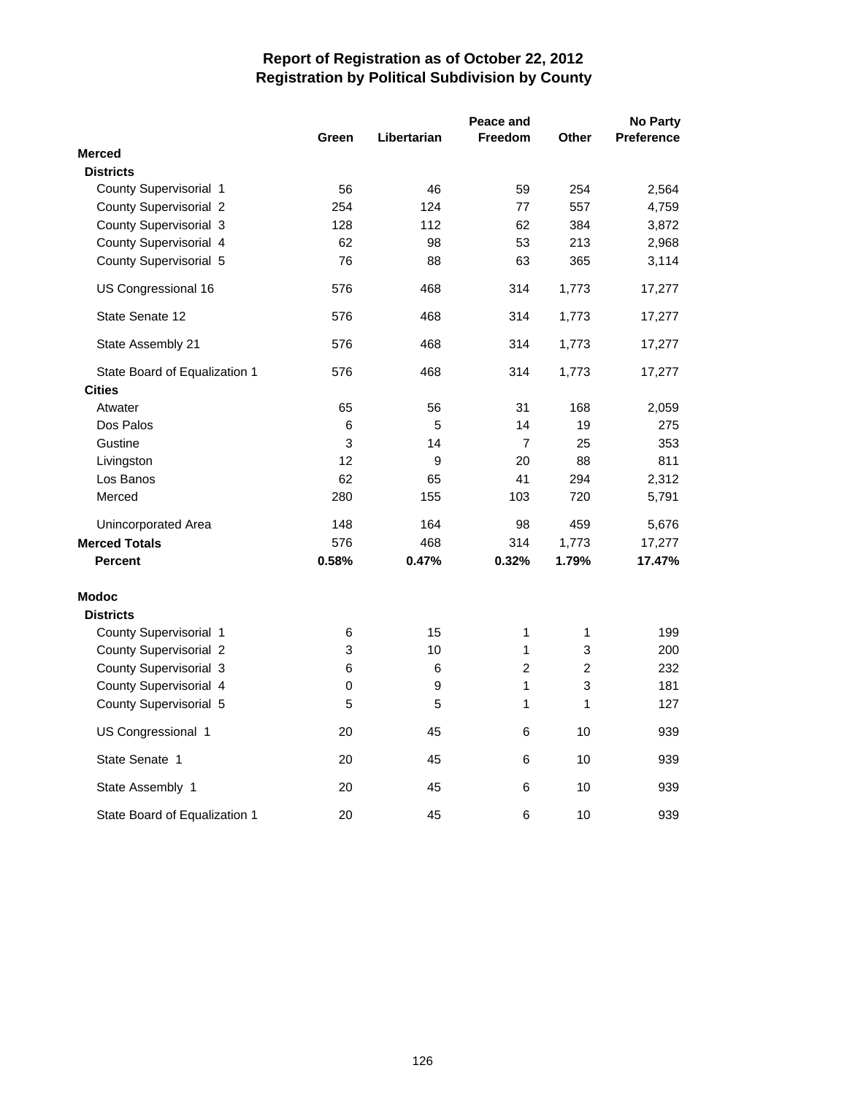|                                  | Peace and |             |                |                |                   |
|----------------------------------|-----------|-------------|----------------|----------------|-------------------|
|                                  | Green     | Libertarian | <b>Freedom</b> | Other          | <b>Preference</b> |
| <b>Merced</b>                    |           |             |                |                |                   |
| <b>Districts</b>                 |           |             |                |                |                   |
| County Supervisorial 1           | 56        | 46          | 59             | 254            | 2,564             |
| <b>County Supervisorial 2</b>    | 254       | 124         | 77             | 557            | 4,759             |
| County Supervisorial 3           | 128       | 112         | 62             | 384            | 3,872             |
| County Supervisorial 4           | 62        | 98          | 53             | 213            | 2,968             |
| County Supervisorial 5           | 76        | 88          | 63             | 365            | 3,114             |
| US Congressional 16              | 576       | 468         | 314            | 1,773          | 17,277            |
| State Senate 12                  | 576       | 468         | 314            | 1,773          | 17,277            |
| State Assembly 21                | 576       | 468         | 314            | 1,773          | 17,277            |
| State Board of Equalization 1    | 576       | 468         | 314            | 1,773          | 17,277            |
| <b>Cities</b>                    |           |             |                |                |                   |
| Atwater                          | 65        | 56          | 31             | 168            | 2,059             |
| Dos Palos                        | 6         | 5           | 14             | 19             | 275               |
| Gustine                          | 3         | 14          | $\overline{7}$ | 25             | 353               |
| Livingston                       | 12        | 9           | 20             | 88             | 811               |
| Los Banos                        | 62        | 65          | 41             | 294            | 2,312             |
| Merced                           | 280       | 155         | 103            | 720            | 5,791             |
| Unincorporated Area              | 148       | 164         | 98             | 459            | 5,676             |
| <b>Merced Totals</b>             | 576       | 468         | 314            | 1,773          | 17,277            |
| <b>Percent</b>                   | 0.58%     | 0.47%       | 0.32%          | 1.79%          | 17.47%            |
| <b>Modoc</b><br><b>Districts</b> |           |             |                |                |                   |
| County Supervisorial 1           | 6         | 15          | 1              | 1              | 199               |
| County Supervisorial 2           | 3         | 10          | 1              | 3              | 200               |
| County Supervisorial 3           | 6         | 6           | 2              | $\overline{c}$ | 232               |
| County Supervisorial 4           | 0         | 9           | $\mathbf{1}$   | 3              | 181               |
| County Supervisorial 5           | 5         | 5           | 1              | 1              | 127               |
| US Congressional 1               | 20        | 45          | 6              | 10             | 939               |
| State Senate 1                   | 20        | 45          | 6              | 10             | 939               |
| State Assembly 1                 | 20        | 45          | 6              | 10             | 939               |
| State Board of Equalization 1    | 20        | 45          | 6              | 10             | 939               |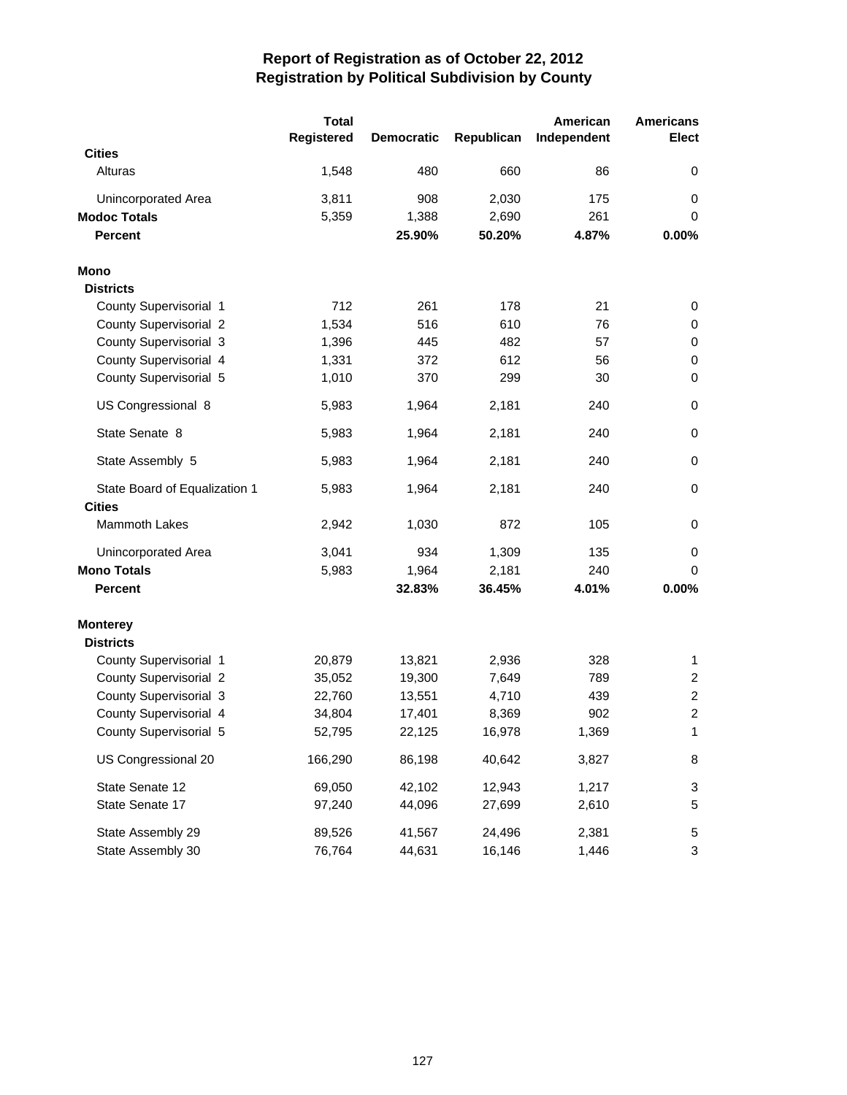|                               | <b>Total</b> |                   |            | American    | <b>Americans</b> |
|-------------------------------|--------------|-------------------|------------|-------------|------------------|
|                               | Registered   | <b>Democratic</b> | Republican | Independent | <b>Elect</b>     |
| <b>Cities</b>                 |              |                   |            |             |                  |
| Alturas                       | 1,548        | 480               | 660        | 86          | 0                |
| Unincorporated Area           | 3,811        | 908               | 2,030      | 175         | 0                |
| <b>Modoc Totals</b>           | 5,359        | 1,388             | 2,690      | 261         | $\mathbf 0$      |
| <b>Percent</b>                |              | 25.90%            | 50.20%     | 4.87%       | 0.00%            |
| <b>Mono</b>                   |              |                   |            |             |                  |
| <b>Districts</b>              |              |                   |            |             |                  |
| County Supervisorial 1        | 712          | 261               | 178        | 21          | 0                |
| <b>County Supervisorial 2</b> | 1,534        | 516               | 610        | 76          | 0                |
| County Supervisorial 3        | 1,396        | 445               | 482        | 57          | 0                |
| County Supervisorial 4        | 1,331        | 372               | 612        | 56          | 0                |
| County Supervisorial 5        | 1,010        | 370               | 299        | 30          | $\mathbf 0$      |
| US Congressional 8            | 5,983        | 1,964             | 2,181      | 240         | 0                |
| State Senate 8                | 5,983        | 1,964             | 2,181      | 240         | $\mathbf 0$      |
| State Assembly 5              | 5,983        | 1,964             | 2,181      | 240         | $\mathbf 0$      |
| State Board of Equalization 1 | 5,983        | 1,964             | 2,181      | 240         | 0                |
| <b>Cities</b>                 |              |                   |            |             |                  |
| Mammoth Lakes                 | 2,942        | 1,030             | 872        | 105         | 0                |
| Unincorporated Area           | 3,041        | 934               | 1,309      | 135         | 0                |
| <b>Mono Totals</b>            | 5,983        | 1,964             | 2,181      | 240         | 0                |
| <b>Percent</b>                |              | 32.83%            | 36.45%     | 4.01%       | 0.00%            |
| <b>Monterey</b>               |              |                   |            |             |                  |
| <b>Districts</b>              |              |                   |            |             |                  |
| County Supervisorial 1        | 20,879       | 13,821            | 2,936      | 328         | 1                |
| <b>County Supervisorial 2</b> | 35,052       | 19,300            | 7,649      | 789         | $\overline{c}$   |
| County Supervisorial 3        | 22,760       | 13,551            | 4,710      | 439         | $\overline{c}$   |
| County Supervisorial 4        | 34,804       | 17,401            | 8,369      | 902         | $\overline{c}$   |
| County Supervisorial 5        | 52,795       | 22,125            | 16,978     | 1,369       | 1                |
| US Congressional 20           | 166,290      | 86,198            | 40,642     | 3,827       | 8                |
| State Senate 12               | 69,050       | 42,102            | 12,943     | 1,217       | 3                |
| State Senate 17               | 97,240       | 44,096            | 27,699     | 2,610       | 5                |
| State Assembly 29             | 89,526       | 41,567            | 24,496     | 2,381       | 5                |
| State Assembly 30             | 76,764       | 44,631            | 16,146     | 1,446       | 3                |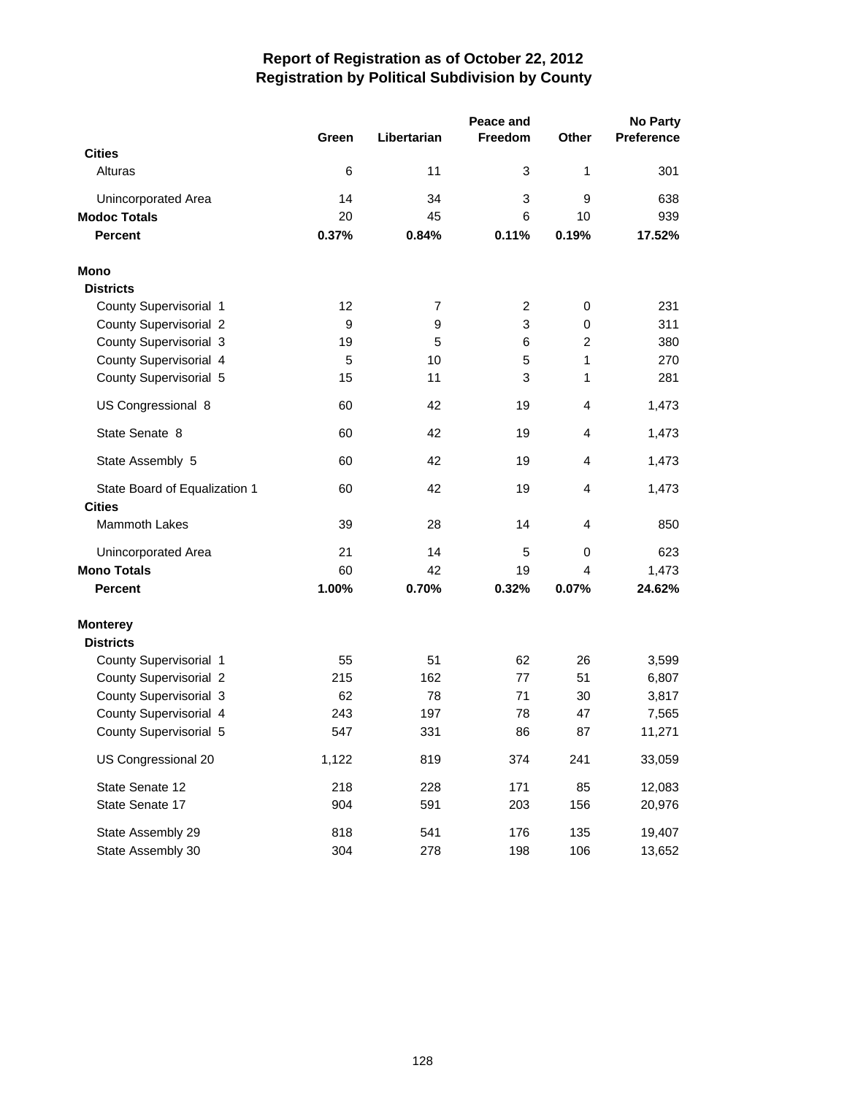| Peace and                     |       |                |         |                | <b>No Party</b>   |  |  |
|-------------------------------|-------|----------------|---------|----------------|-------------------|--|--|
|                               | Green | Libertarian    | Freedom | Other          | <b>Preference</b> |  |  |
| <b>Cities</b>                 |       |                |         |                |                   |  |  |
| Alturas                       | 6     | 11             | 3       | 1              | 301               |  |  |
| Unincorporated Area           | 14    | 34             | 3       | 9              | 638               |  |  |
| <b>Modoc Totals</b>           | 20    | 45             | 6       | 10             | 939               |  |  |
| <b>Percent</b>                | 0.37% | 0.84%          | 0.11%   | 0.19%          | 17.52%            |  |  |
| <b>Mono</b>                   |       |                |         |                |                   |  |  |
| <b>Districts</b>              |       |                |         |                |                   |  |  |
| County Supervisorial 1        | 12    | $\overline{7}$ | 2       | 0              | 231               |  |  |
| <b>County Supervisorial 2</b> | 9     | 9              | 3       | $\mathbf 0$    | 311               |  |  |
| County Supervisorial 3        | 19    | 5              | 6       | $\overline{2}$ | 380               |  |  |
| County Supervisorial 4        | 5     | 10             | 5       | 1              | 270               |  |  |
| County Supervisorial 5        | 15    | 11             | 3       | 1              | 281               |  |  |
| US Congressional 8            | 60    | 42             | 19      | $\overline{4}$ | 1,473             |  |  |
| State Senate 8                | 60    | 42             | 19      | 4              | 1,473             |  |  |
| State Assembly 5              | 60    | 42             | 19      | $\overline{4}$ | 1,473             |  |  |
| State Board of Equalization 1 | 60    | 42             | 19      | $\overline{4}$ | 1,473             |  |  |
| <b>Cities</b>                 |       |                |         |                |                   |  |  |
| Mammoth Lakes                 | 39    | 28             | 14      | 4              | 850               |  |  |
| Unincorporated Area           | 21    | 14             | 5       | 0              | 623               |  |  |
| <b>Mono Totals</b>            | 60    | 42             | 19      | 4              | 1,473             |  |  |
| <b>Percent</b>                | 1.00% | 0.70%          | 0.32%   | 0.07%          | 24.62%            |  |  |
| <b>Monterey</b>               |       |                |         |                |                   |  |  |
| <b>Districts</b>              |       |                |         |                |                   |  |  |
| County Supervisorial 1        | 55    | 51             | 62      | 26             | 3,599             |  |  |
| <b>County Supervisorial 2</b> | 215   | 162            | 77      | 51             | 6,807             |  |  |
| County Supervisorial 3        | 62    | 78             | 71      | 30             | 3,817             |  |  |
| County Supervisorial 4        | 243   | 197            | 78      | 47             | 7,565             |  |  |
| County Supervisorial 5        | 547   | 331            | 86      | 87             | 11,271            |  |  |
| US Congressional 20           | 1,122 | 819            | 374     | 241            | 33,059            |  |  |
| State Senate 12               | 218   | 228            | 171     | 85             | 12,083            |  |  |
| State Senate 17               | 904   | 591            | 203     | 156            | 20,976            |  |  |
| State Assembly 29             | 818   | 541            | 176     | 135            | 19,407            |  |  |
| State Assembly 30             | 304   | 278            | 198     | 106            | 13,652            |  |  |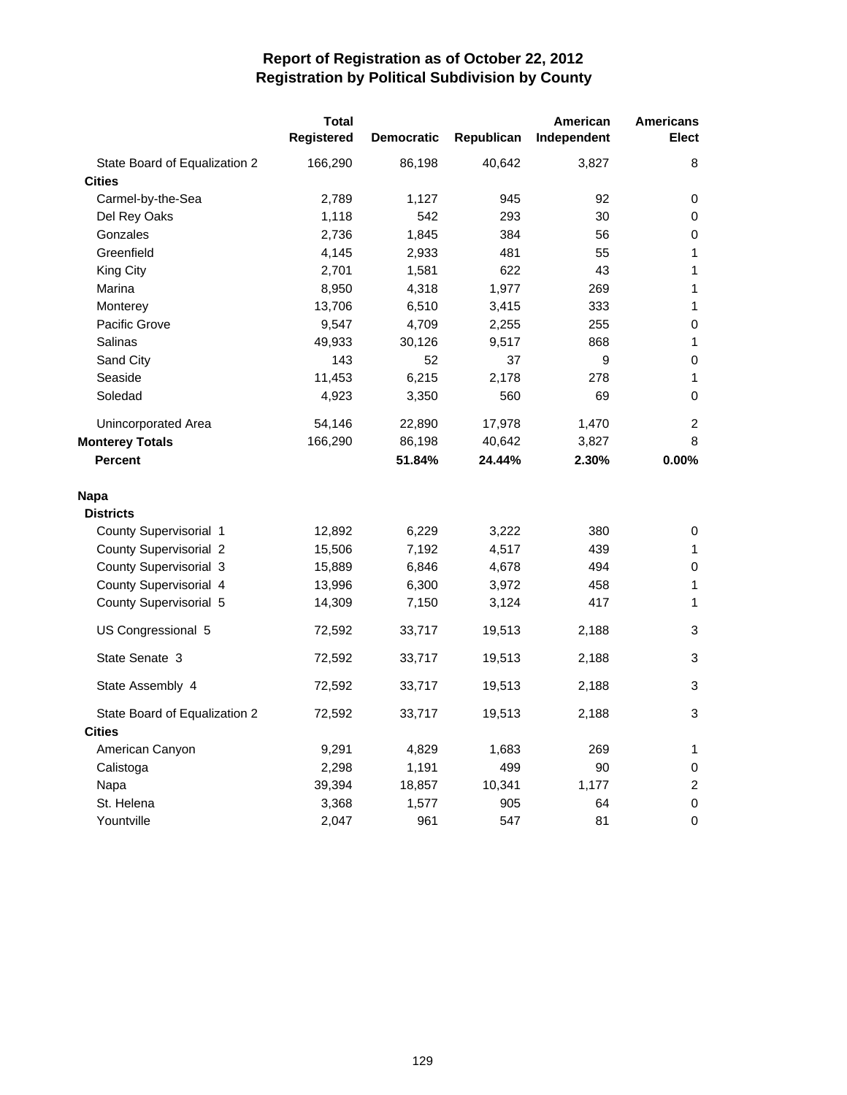|                               | <b>Total</b><br>Registered | <b>Democratic</b> | Republican | American<br>Independent | <b>Americans</b><br><b>Elect</b> |
|-------------------------------|----------------------------|-------------------|------------|-------------------------|----------------------------------|
| State Board of Equalization 2 | 166,290                    | 86,198            | 40,642     | 3,827                   | 8                                |
| <b>Cities</b>                 |                            |                   |            |                         |                                  |
| Carmel-by-the-Sea             | 2,789                      | 1,127             | 945        | 92                      | 0                                |
| Del Rey Oaks                  | 1,118                      | 542               | 293        | 30                      | 0                                |
| Gonzales                      | 2,736                      | 1,845             | 384        | 56                      | 0                                |
| Greenfield                    | 4,145                      | 2,933             | 481        | 55                      | 1                                |
| King City                     | 2,701                      | 1,581             | 622        | 43                      | 1                                |
| Marina                        | 8,950                      | 4,318             | 1,977      | 269                     | 1                                |
| Monterey                      | 13,706                     | 6,510             | 3,415      | 333                     | 1                                |
| Pacific Grove                 | 9,547                      | 4,709             | 2,255      | 255                     | 0                                |
| Salinas                       | 49,933                     | 30,126            | 9,517      | 868                     | 1                                |
| Sand City                     | 143                        | 52                | 37         | 9                       | 0                                |
| Seaside                       | 11,453                     | 6,215             | 2,178      | 278                     | $\mathbf{1}$                     |
| Soledad                       | 4,923                      | 3,350             | 560        | 69                      | $\mathbf 0$                      |
| Unincorporated Area           | 54,146                     | 22,890            | 17,978     | 1,470                   | 2                                |
| <b>Monterey Totals</b>        | 166,290                    | 86,198            | 40,642     | 3,827                   | 8                                |
| <b>Percent</b>                |                            | 51.84%            | 24.44%     | 2.30%                   | 0.00%                            |
| Napa                          |                            |                   |            |                         |                                  |
| <b>Districts</b>              |                            |                   |            |                         |                                  |
| County Supervisorial 1        | 12,892                     | 6,229             | 3,222      | 380                     | 0                                |
| <b>County Supervisorial 2</b> | 15,506                     | 7,192             | 4,517      | 439                     | 1                                |
| County Supervisorial 3        | 15,889                     | 6,846             | 4,678      | 494                     | 0                                |
| County Supervisorial 4        | 13,996                     | 6,300             | 3,972      | 458                     | 1                                |
| County Supervisorial 5        | 14,309                     | 7,150             | 3,124      | 417                     | 1                                |
| US Congressional 5            | 72,592                     | 33,717            | 19,513     | 2,188                   | 3                                |
| State Senate 3                | 72,592                     | 33,717            | 19,513     | 2,188                   | 3                                |
| State Assembly 4              | 72,592                     | 33,717            | 19,513     | 2,188                   | 3                                |
| State Board of Equalization 2 | 72,592                     | 33,717            | 19,513     | 2,188                   | 3                                |
| <b>Cities</b>                 |                            |                   |            |                         |                                  |
| American Canyon               | 9,291                      | 4,829             | 1,683      | 269                     | 1                                |
| Calistoga                     | 2,298                      | 1,191             | 499        | 90                      | 0                                |
| Napa                          | 39,394                     | 18,857            | 10,341     | 1,177                   | $\overline{c}$                   |
| St. Helena                    | 3,368                      | 1,577             | 905        | 64                      | 0                                |
| Yountville                    | 2,047                      | 961               | 547        | 81                      | 0                                |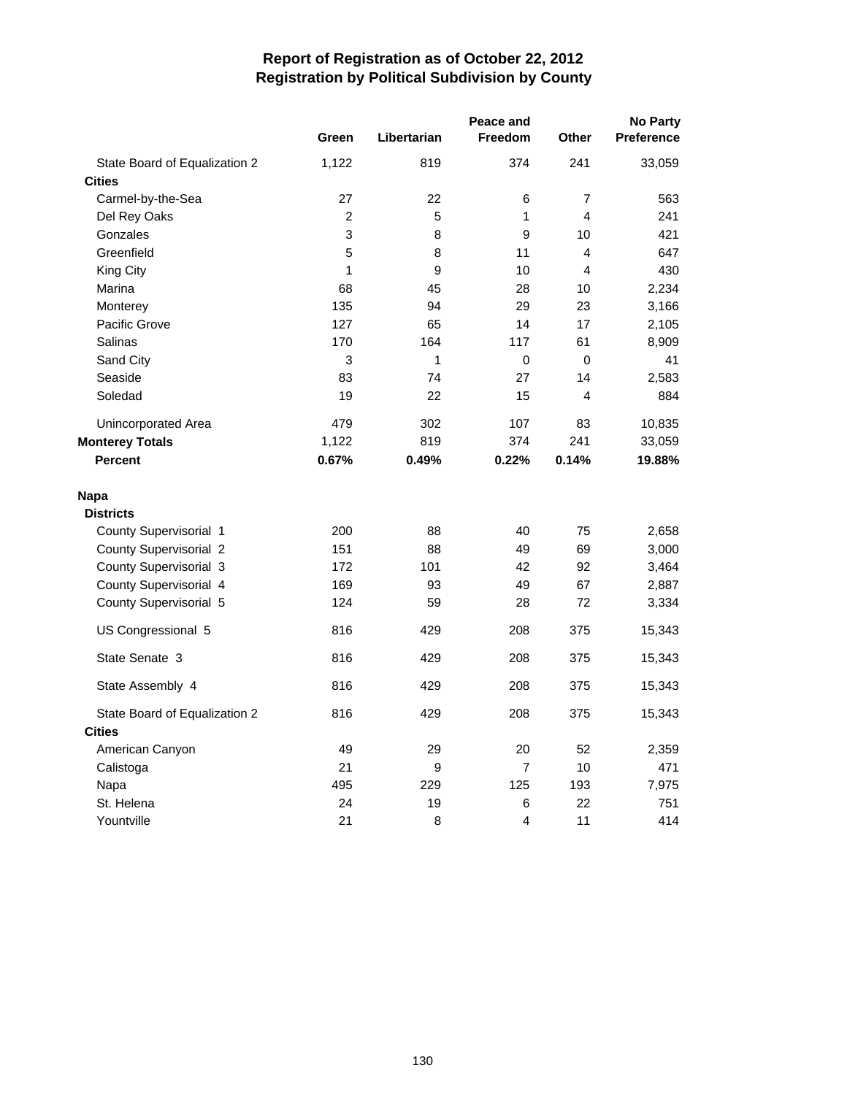|                               |                |             | <b>No Party</b> |                |                   |
|-------------------------------|----------------|-------------|-----------------|----------------|-------------------|
|                               | Green          | Libertarian | <b>Freedom</b>  | <b>Other</b>   | <b>Preference</b> |
| State Board of Equalization 2 | 1,122          | 819         | 374             | 241            | 33,059            |
| <b>Cities</b>                 |                |             |                 |                |                   |
| Carmel-by-the-Sea             | 27             | 22          | 6               | $\overline{7}$ | 563               |
| Del Rey Oaks                  | $\overline{c}$ | 5           | 1               | 4              | 241               |
| Gonzales                      | 3              | 8           | 9               | 10             | 421               |
| Greenfield                    | 5              | 8           | 11              | $\overline{4}$ | 647               |
| King City                     | 1              | 9           | 10              | $\overline{4}$ | 430               |
| Marina                        | 68             | 45          | 28              | 10             | 2,234             |
| Monterey                      | 135            | 94          | 29              | 23             | 3,166             |
| Pacific Grove                 | 127            | 65          | 14              | 17             | 2,105             |
| Salinas                       | 170            | 164         | 117             | 61             | 8,909             |
| Sand City                     | 3              | 1           | 0               | 0              | 41                |
| Seaside                       | 83             | 74          | 27              | 14             | 2,583             |
| Soledad                       | 19             | 22          | 15              | $\overline{4}$ | 884               |
| Unincorporated Area           | 479            | 302         | 107             | 83             | 10,835            |
| <b>Monterey Totals</b>        | 1,122          | 819         | 374             | 241            | 33,059            |
| <b>Percent</b>                | 0.67%          | 0.49%       | 0.22%           | 0.14%          | 19.88%            |
| <b>Napa</b>                   |                |             |                 |                |                   |
| <b>Districts</b>              |                |             |                 |                |                   |
| County Supervisorial 1        | 200            | 88          | 40              | 75             | 2,658             |
| County Supervisorial 2        | 151            | 88          | 49              | 69             | 3,000             |
| County Supervisorial 3        | 172            | 101         | 42              | 92             | 3,464             |
| County Supervisorial 4        | 169            | 93          | 49              | 67             | 2,887             |
| County Supervisorial 5        | 124            | 59          | 28              | 72             | 3,334             |
| US Congressional 5            | 816            | 429         | 208             | 375            | 15,343            |
| State Senate 3                | 816            | 429         | 208             | 375            | 15,343            |
| State Assembly 4              | 816            | 429         | 208             | 375            | 15,343            |
| State Board of Equalization 2 | 816            | 429         | 208             | 375            | 15,343            |
| <b>Cities</b>                 |                |             |                 |                |                   |
| American Canyon               | 49             | 29          | 20              | 52             | 2,359             |
| Calistoga                     | 21             | 9           | 7               | 10             | 471               |
| Napa                          | 495            | 229         | 125             | 193            | 7,975             |
| St. Helena                    | 24             | 19          | 6               | 22             | 751               |
| Yountville                    | 21             | 8           | 4               | 11             | 414               |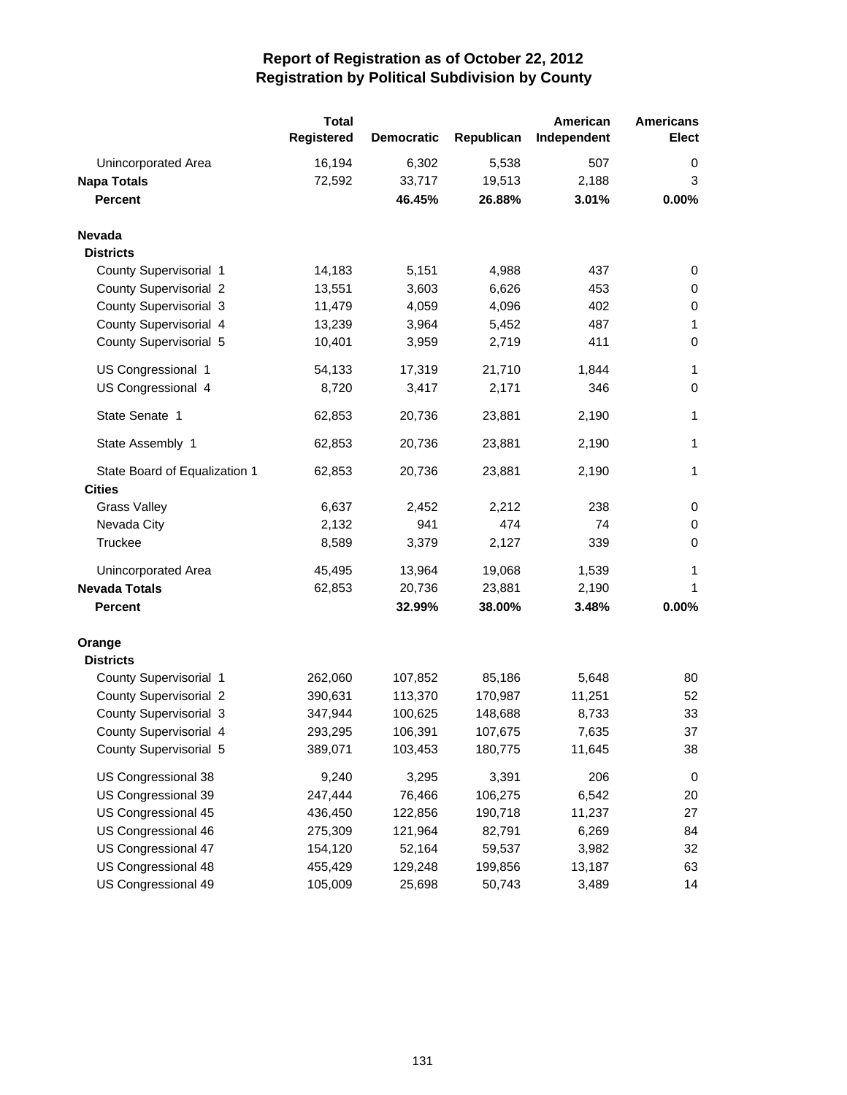|                               | <b>Total</b><br>Registered | <b>Democratic</b> | Republican | American<br>Independent | <b>Americans</b><br>Elect |
|-------------------------------|----------------------------|-------------------|------------|-------------------------|---------------------------|
| Unincorporated Area           | 16,194                     | 6,302             | 5,538      | 507                     | 0                         |
| <b>Napa Totals</b>            | 72,592                     | 33,717            | 19,513     | 2,188                   | 3                         |
| <b>Percent</b>                |                            | 46.45%            | 26.88%     | 3.01%                   | 0.00%                     |
| <b>Nevada</b>                 |                            |                   |            |                         |                           |
| <b>Districts</b>              |                            |                   |            |                         |                           |
| County Supervisorial 1        | 14,183                     | 5,151             | 4,988      | 437                     | 0                         |
| <b>County Supervisorial 2</b> | 13,551                     | 3,603             | 6,626      | 453                     | 0                         |
| County Supervisorial 3        | 11,479                     | 4,059             | 4,096      | 402                     | 0                         |
| County Supervisorial 4        | 13,239                     | 3,964             | 5,452      | 487                     | 1                         |
| County Supervisorial 5        | 10,401                     | 3,959             | 2,719      | 411                     | $\pmb{0}$                 |
| US Congressional 1            | 54,133                     | 17,319            | 21,710     | 1,844                   | 1                         |
| US Congressional 4            | 8,720                      | 3,417             | 2,171      | 346                     | 0                         |
| State Senate 1                | 62,853                     | 20,736            | 23,881     | 2,190                   | 1                         |
| State Assembly 1              | 62,853                     | 20,736            | 23,881     | 2,190                   | 1                         |
| State Board of Equalization 1 | 62,853                     | 20,736            | 23,881     | 2,190                   | 1                         |
| <b>Cities</b>                 |                            |                   |            |                         |                           |
| <b>Grass Valley</b>           | 6,637                      | 2,452             | 2,212      | 238                     | 0                         |
| Nevada City                   | 2,132                      | 941               | 474        | 74                      | 0                         |
| Truckee                       | 8,589                      | 3,379             | 2,127      | 339                     | 0                         |
| Unincorporated Area           | 45,495                     | 13,964            | 19,068     | 1,539                   | 1                         |
| <b>Nevada Totals</b>          | 62,853                     | 20,736            | 23,881     | 2,190                   | 1                         |
| <b>Percent</b>                |                            | 32.99%            | 38.00%     | 3.48%                   | 0.00%                     |
| Orange<br><b>Districts</b>    |                            |                   |            |                         |                           |
| County Supervisorial 1        | 262,060                    | 107,852           | 85,186     | 5,648                   | 80                        |
| County Supervisorial 2        | 390,631                    | 113,370           | 170,987    | 11,251                  | 52                        |
| County Supervisorial 3        | 347,944                    | 100,625           | 148,688    | 8,733                   | 33                        |
| County Supervisorial 4        | 293,295                    | 106,391           | 107,675    | 7,635                   | 37                        |
| County Supervisorial 5        | 389,071                    | 103,453           | 180,775    | 11,645                  | 38                        |
| US Congressional 38           | 9,240                      | 3,295             | 3,391      | 206                     | $\mathbf 0$               |
| US Congressional 39           | 247,444                    | 76,466            | 106,275    | 6,542                   | 20                        |
| US Congressional 45           | 436,450                    | 122,856           | 190,718    | 11,237                  | 27                        |
| US Congressional 46           | 275,309                    | 121,964           | 82,791     | 6,269                   | 84                        |
| US Congressional 47           | 154,120                    | 52,164            | 59,537     | 3,982                   | 32                        |
| US Congressional 48           | 455,429                    | 129,248           | 199,856    | 13,187                  | 63                        |
| US Congressional 49           | 105,009                    | 25,698            | 50,743     | 3,489                   | 14                        |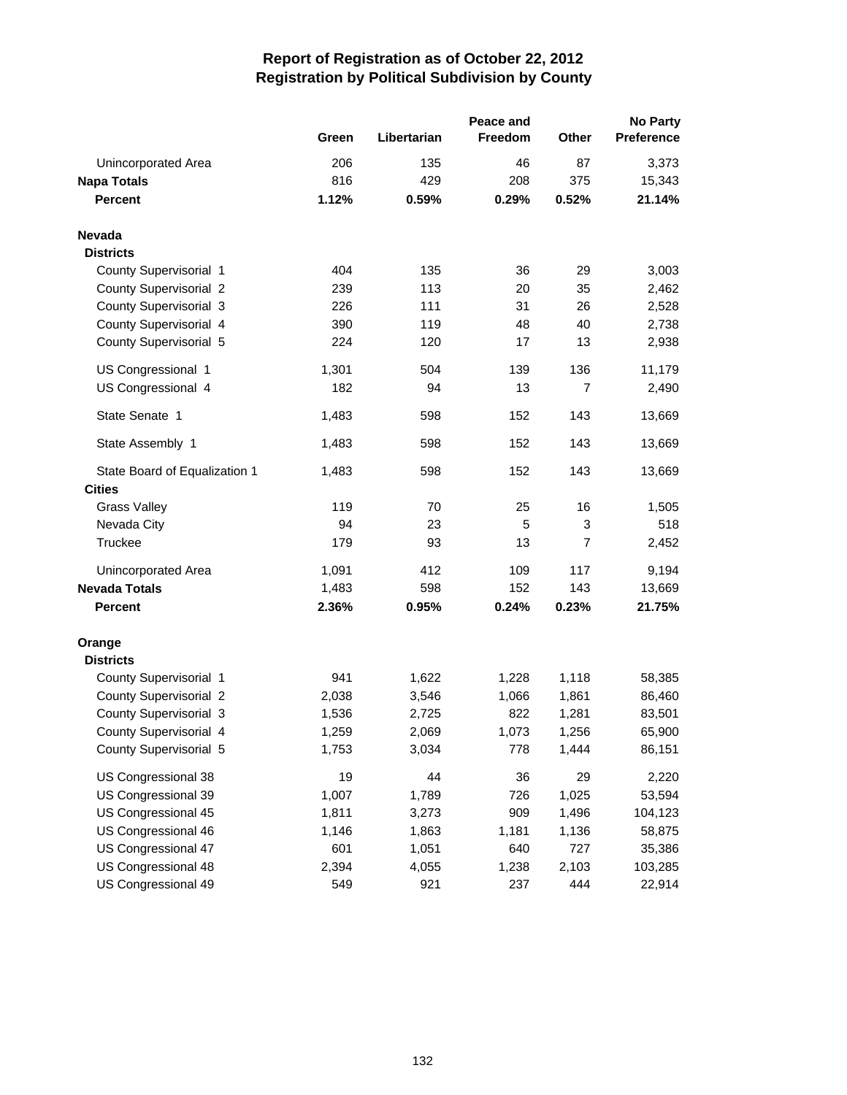|                               |       |             | <b>No Party</b> |                |                   |
|-------------------------------|-------|-------------|-----------------|----------------|-------------------|
|                               | Green | Libertarian | Freedom         | <b>Other</b>   | <b>Preference</b> |
| Unincorporated Area           | 206   | 135         | 46              | 87             | 3,373             |
| <b>Napa Totals</b>            | 816   | 429         | 208             | 375            | 15,343            |
| <b>Percent</b>                | 1.12% | 0.59%       | 0.29%           | 0.52%          | 21.14%            |
| <b>Nevada</b>                 |       |             |                 |                |                   |
| <b>Districts</b>              |       |             |                 |                |                   |
| County Supervisorial 1        | 404   | 135         | 36              | 29             | 3,003             |
| <b>County Supervisorial 2</b> | 239   | 113         | 20              | 35             | 2,462             |
| County Supervisorial 3        | 226   | 111         | 31              | 26             | 2,528             |
| County Supervisorial 4        | 390   | 119         | 48              | 40             | 2,738             |
| County Supervisorial 5        | 224   | 120         | 17              | 13             | 2,938             |
| US Congressional 1            | 1,301 | 504         | 139             | 136            | 11,179            |
| US Congressional 4            | 182   | 94          | 13              | $\overline{7}$ | 2,490             |
| State Senate 1                | 1,483 | 598         | 152             | 143            | 13,669            |
| State Assembly 1              | 1,483 | 598         | 152             | 143            | 13,669            |
| State Board of Equalization 1 | 1,483 | 598         | 152             | 143            | 13,669            |
| <b>Cities</b>                 |       |             |                 |                |                   |
| <b>Grass Valley</b>           | 119   | 70          | 25              | 16             | 1,505             |
| Nevada City                   | 94    | 23          | 5               | 3              | 518               |
| Truckee                       | 179   | 93          | 13              | $\overline{7}$ | 2,452             |
| Unincorporated Area           | 1,091 | 412         | 109             | 117            | 9,194             |
| <b>Nevada Totals</b>          | 1,483 | 598         | 152             | 143            | 13,669            |
| <b>Percent</b>                | 2.36% | 0.95%       | 0.24%           | 0.23%          | 21.75%            |
| Orange<br><b>Districts</b>    |       |             |                 |                |                   |
| County Supervisorial 1        | 941   | 1,622       | 1,228           | 1,118          | 58,385            |
| County Supervisorial 2        | 2,038 | 3,546       | 1,066           | 1,861          | 86,460            |
| County Supervisorial 3        | 1,536 | 2,725       | 822             | 1,281          | 83,501            |
| County Supervisorial 4        | 1,259 |             | 1,073           | 1,256          |                   |
| County Supervisorial 5        |       | 2,069       | 778             |                | 65,900            |
|                               | 1,753 | 3,034       |                 | 1,444          | 86,151            |
| US Congressional 38           | 19    | 44          | 36              | 29             | 2,220             |
| US Congressional 39           | 1,007 | 1,789       | 726             | 1,025          | 53,594            |
| US Congressional 45           | 1,811 | 3,273       | 909             | 1,496          | 104,123           |
| US Congressional 46           | 1,146 | 1,863       | 1,181           | 1,136          | 58,875            |
| US Congressional 47           | 601   | 1,051       | 640             | 727            | 35,386            |
| US Congressional 48           | 2,394 | 4,055       | 1,238           | 2,103          | 103,285           |
| US Congressional 49           | 549   | 921         | 237             | 444            | 22,914            |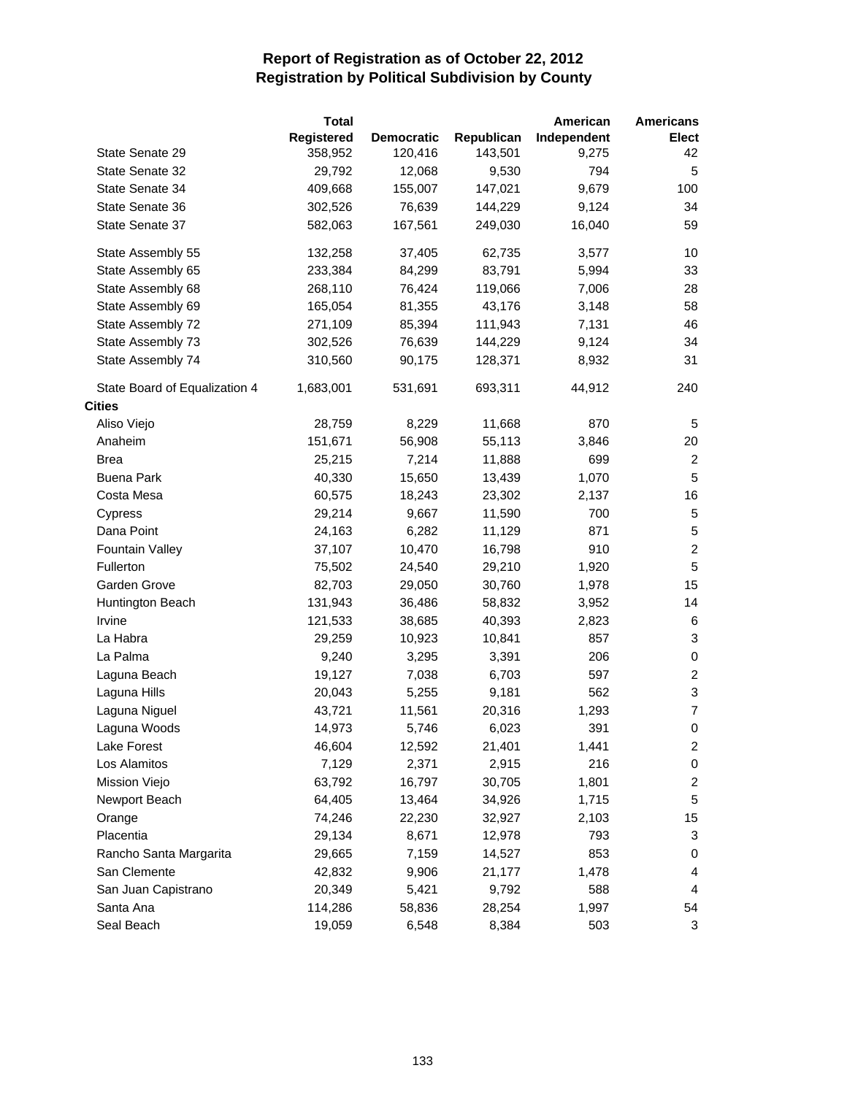|                               | <b>Total</b> |                   |            | American    | <b>Americans</b>          |
|-------------------------------|--------------|-------------------|------------|-------------|---------------------------|
|                               | Registered   | <b>Democratic</b> | Republican | Independent | <b>Elect</b>              |
| State Senate 29               | 358,952      | 120,416           | 143,501    | 9,275       | 42                        |
| State Senate 32               | 29,792       | 12,068            | 9,530      | 794         | 5                         |
| State Senate 34               | 409,668      | 155,007           | 147,021    | 9,679       | 100                       |
| State Senate 36               | 302,526      | 76,639            | 144,229    | 9,124       | 34                        |
| State Senate 37               | 582,063      | 167,561           | 249,030    | 16,040      | 59                        |
| State Assembly 55             | 132,258      | 37,405            | 62,735     | 3,577       | 10                        |
| State Assembly 65             | 233,384      | 84,299            | 83,791     | 5,994       | 33                        |
| State Assembly 68             | 268,110      | 76,424            | 119,066    | 7,006       | 28                        |
| State Assembly 69             | 165,054      | 81,355            | 43,176     | 3,148       | 58                        |
| State Assembly 72             | 271,109      | 85,394            | 111,943    | 7,131       | 46                        |
| State Assembly 73             | 302,526      | 76,639            | 144,229    | 9,124       | 34                        |
| State Assembly 74             | 310,560      | 90,175            | 128,371    | 8,932       | 31                        |
| State Board of Equalization 4 | 1,683,001    | 531,691           | 693,311    | 44,912      | 240                       |
| <b>Cities</b>                 |              |                   |            |             |                           |
| Aliso Viejo                   | 28,759       | 8,229             | 11,668     | 870         | 5                         |
| Anaheim                       | 151,671      | 56,908            | 55,113     | 3,846       | 20                        |
| <b>Brea</b>                   | 25,215       | 7,214             | 11,888     | 699         | $\overline{c}$            |
| <b>Buena Park</b>             | 40,330       | 15,650            | 13,439     | 1,070       | $\overline{5}$            |
| Costa Mesa                    | 60,575       | 18,243            | 23,302     | 2,137       | 16                        |
| Cypress                       | 29,214       | 9,667             | 11,590     | 700         | 5                         |
| Dana Point                    | 24,163       | 6,282             | 11,129     | 871         | $\sqrt{5}$                |
| Fountain Valley               | 37,107       | 10,470            | 16,798     | 910         | $\boldsymbol{2}$          |
| Fullerton                     | 75,502       | 24,540            | 29,210     | 1,920       | $\overline{5}$            |
| Garden Grove                  | 82,703       | 29,050            | 30,760     | 1,978       | 15                        |
| Huntington Beach              | 131,943      | 36,486            | 58,832     | 3,952       | 14                        |
| Irvine                        | 121,533      | 38,685            | 40,393     | 2,823       | 6                         |
| La Habra                      | 29,259       | 10,923            | 10,841     | 857         | 3                         |
| La Palma                      | 9,240        | 3,295             | 3,391      | 206         | $\pmb{0}$                 |
| Laguna Beach                  | 19,127       | 7,038             | 6,703      | 597         | $\boldsymbol{2}$          |
| Laguna Hills                  | 20,043       | 5,255             | 9,181      | 562         | $\ensuremath{\mathsf{3}}$ |
| Laguna Niguel                 | 43,721       | 11,561            | 20,316     | 1,293       | $\overline{7}$            |
| Laguna Woods                  | 14,973       | 5,746             | 6,023      | 391         | $\mathbf 0$               |
| Lake Forest                   | 46,604       | 12,592            | 21,401     | 1,441       | $\overline{c}$            |
| Los Alamitos                  | 7,129        | 2,371             | 2,915      | 216         | $\pmb{0}$                 |
| Mission Viejo                 | 63,792       | 16,797            | 30,705     | 1,801       | $\boldsymbol{2}$          |
| Newport Beach                 | 64,405       | 13,464            | 34,926     | 1,715       | 5                         |
| Orange                        | 74,246       | 22,230            | 32,927     | 2,103       | 15                        |
| Placentia                     | 29,134       | 8,671             | 12,978     | 793         | 3                         |
| Rancho Santa Margarita        | 29,665       | 7,159             | 14,527     | 853         | 0                         |
| San Clemente                  | 42,832       | 9,906             | 21,177     | 1,478       | 4                         |
| San Juan Capistrano           | 20,349       | 5,421             | 9,792      | 588         | 4                         |
| Santa Ana                     | 114,286      | 58,836            | 28,254     | 1,997       | 54                        |
| Seal Beach                    | 19,059       | 6,548             | 8,384      | 503         | 3                         |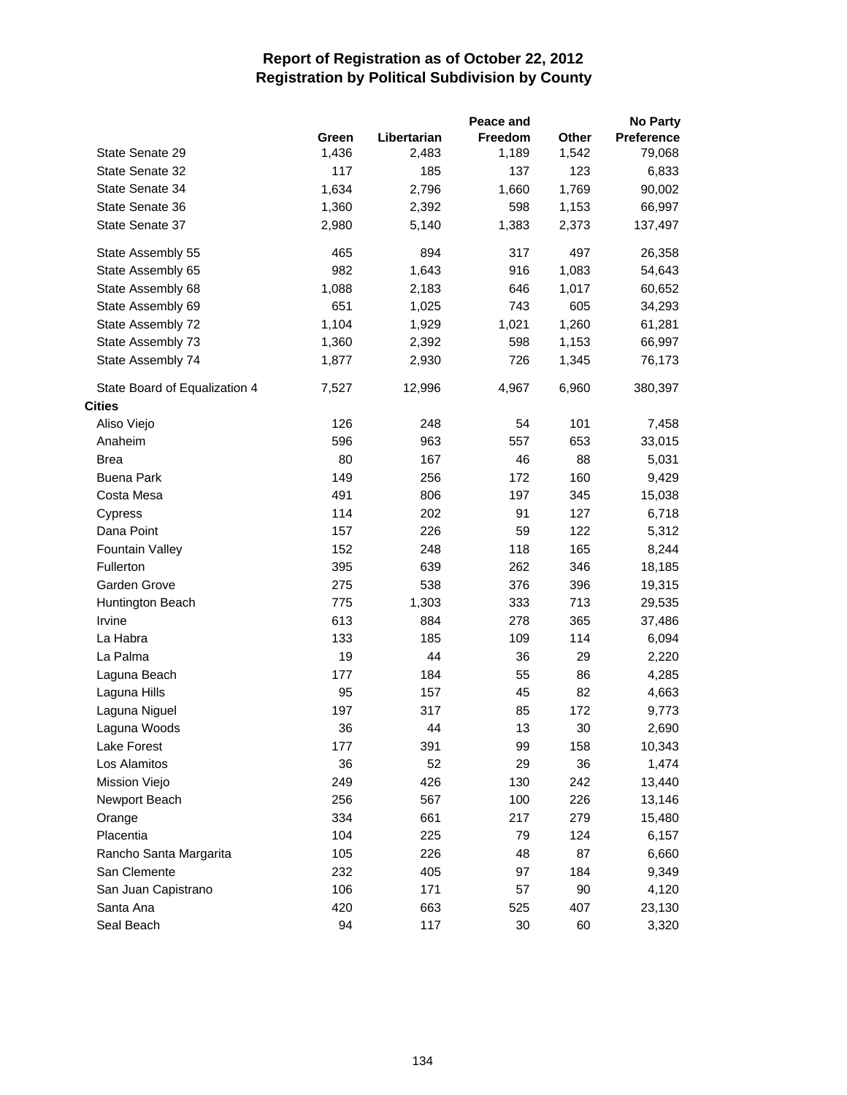|                               |       |             | Peace and |              | <b>No Party</b>   |
|-------------------------------|-------|-------------|-----------|--------------|-------------------|
|                               | Green | Libertarian | Freedom   | <b>Other</b> | <b>Preference</b> |
| State Senate 29               | 1,436 | 2,483       | 1,189     | 1,542        | 79,068            |
| State Senate 32               | 117   | 185         | 137       | 123          | 6,833             |
| State Senate 34               | 1,634 | 2,796       | 1,660     | 1,769        | 90,002            |
| State Senate 36               | 1,360 | 2,392       | 598       | 1,153        | 66,997            |
| State Senate 37               | 2,980 | 5,140       | 1,383     | 2,373        | 137,497           |
| State Assembly 55             | 465   | 894         | 317       | 497          | 26,358            |
| State Assembly 65             | 982   | 1,643       | 916       | 1,083        | 54,643            |
| State Assembly 68             | 1,088 | 2,183       | 646       | 1,017        | 60,652            |
| State Assembly 69             | 651   | 1,025       | 743       | 605          | 34,293            |
| State Assembly 72             | 1,104 | 1,929       | 1,021     | 1,260        | 61,281            |
| State Assembly 73             | 1,360 | 2,392       | 598       | 1,153        | 66,997            |
| State Assembly 74             | 1,877 | 2,930       | 726       | 1,345        | 76,173            |
| State Board of Equalization 4 | 7,527 | 12,996      | 4,967     | 6,960        | 380,397           |
| <b>Cities</b>                 |       |             |           |              |                   |
| Aliso Viejo                   | 126   | 248         | 54        | 101          | 7,458             |
| Anaheim                       | 596   | 963         | 557       | 653          | 33,015            |
| <b>Brea</b>                   | 80    | 167         | 46        | 88           | 5,031             |
| <b>Buena Park</b>             | 149   | 256         | 172       | 160          | 9,429             |
| Costa Mesa                    | 491   | 806         | 197       | 345          | 15,038            |
| Cypress                       | 114   | 202         | 91        | 127          | 6,718             |
| Dana Point                    | 157   | 226         | 59        | 122          | 5,312             |
| Fountain Valley               | 152   | 248         | 118       | 165          | 8,244             |
| Fullerton                     | 395   | 639         | 262       | 346          | 18,185            |
| Garden Grove                  | 275   | 538         | 376       | 396          | 19,315            |
| Huntington Beach              | 775   | 1,303       | 333       | 713          | 29,535            |
| Irvine                        | 613   | 884         | 278       | 365          | 37,486            |
| La Habra                      | 133   | 185         | 109       | 114          | 6,094             |
| La Palma                      | 19    | 44          | 36        | 29           | 2,220             |
| Laguna Beach                  | 177   | 184         | 55        | 86           | 4,285             |
| Laguna Hills                  | 95    | 157         | 45        | 82           | 4,663             |
| Laguna Niguel                 | 197   | 317         | 85        | 172          | 9,773             |
| Laguna Woods                  | 36    | 44          | 13        | 30           | 2,690             |
| Lake Forest                   | 177   | 391         | 99        | 158          | 10,343            |
| Los Alamitos                  | 36    | 52          | 29        | 36           | 1,474             |
| Mission Viejo                 | 249   | 426         | 130       | 242          | 13,440            |
| Newport Beach                 | 256   | 567         | 100       | 226          | 13,146            |
| Orange                        | 334   | 661         | 217       | 279          | 15,480            |
| Placentia                     | 104   | 225         | 79        | 124          | 6,157             |
| Rancho Santa Margarita        | 105   | 226         | 48        | 87           | 6,660             |
| San Clemente                  | 232   | 405         | 97        | 184          | 9,349             |
| San Juan Capistrano           | 106   | 171         | 57        | 90           | 4,120             |
| Santa Ana                     | 420   | 663         | 525       | 407          | 23,130            |
| Seal Beach                    | 94    | 117         | 30        | 60           | 3,320             |
|                               |       |             |           |              |                   |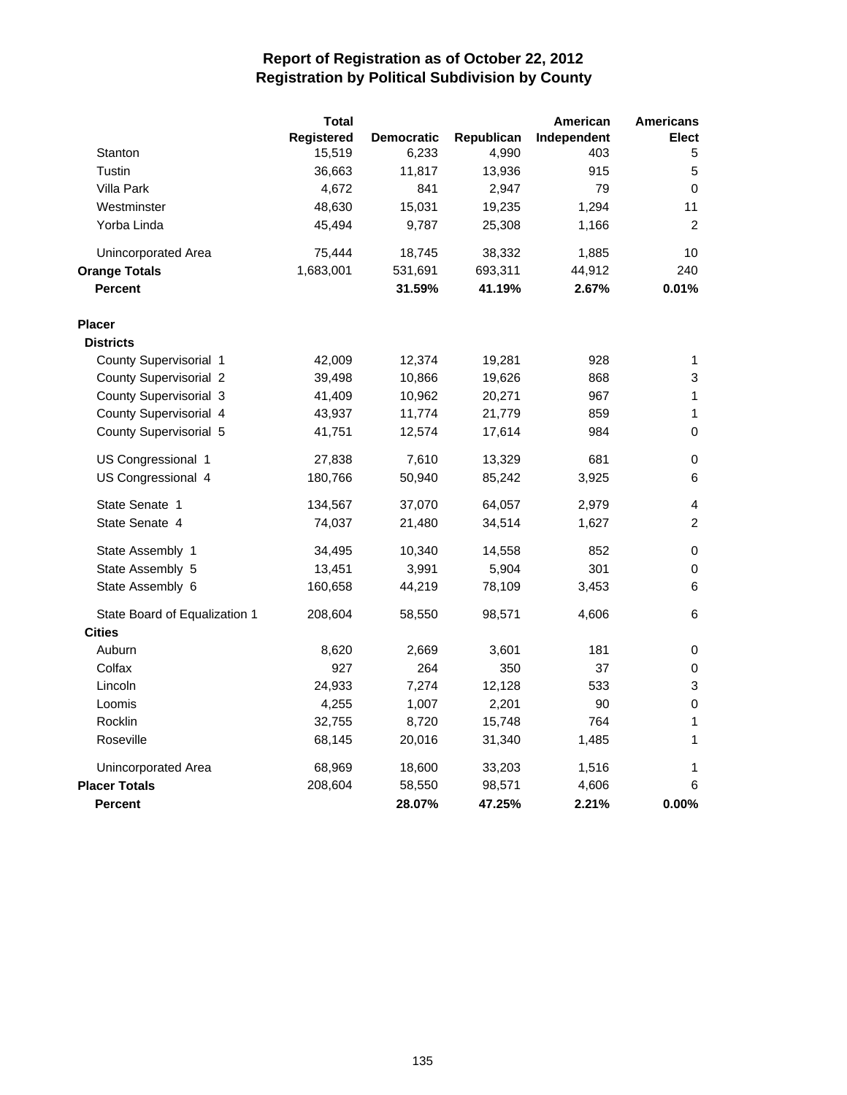|                               | <b>Total</b> |                   |            | American    | <b>Americans</b> |
|-------------------------------|--------------|-------------------|------------|-------------|------------------|
|                               | Registered   | <b>Democratic</b> | Republican | Independent | <b>Elect</b>     |
| Stanton                       | 15,519       | 6,233             | 4,990      | 403         | 5                |
| Tustin                        | 36,663       | 11,817            | 13,936     | 915         | 5                |
| Villa Park                    | 4,672        | 841               | 2,947      | 79          | 0                |
| Westminster                   | 48,630       | 15,031            | 19,235     | 1,294       | 11               |
| Yorba Linda                   | 45,494       | 9,787             | 25,308     | 1,166       | 2                |
| Unincorporated Area           | 75,444       | 18,745            | 38,332     | 1,885       | 10               |
| <b>Orange Totals</b>          | 1,683,001    | 531,691           | 693,311    | 44,912      | 240              |
| <b>Percent</b>                |              | 31.59%            | 41.19%     | 2.67%       | 0.01%            |
| <b>Placer</b>                 |              |                   |            |             |                  |
| <b>Districts</b>              |              |                   |            |             |                  |
| County Supervisorial 1        | 42,009       | 12,374            | 19,281     | 928         | 1                |
| County Supervisorial 2        | 39,498       | 10,866            | 19,626     | 868         | 3                |
| County Supervisorial 3        | 41,409       | 10,962            | 20,271     | 967         | 1                |
| County Supervisorial 4        | 43,937       | 11,774            | 21,779     | 859         | 1                |
| County Supervisorial 5        | 41,751       | 12,574            | 17,614     | 984         | 0                |
| US Congressional 1            | 27,838       | 7,610             | 13,329     | 681         | 0                |
| US Congressional 4            | 180,766      | 50,940            | 85,242     | 3,925       | 6                |
| State Senate 1                | 134,567      | 37,070            | 64,057     | 2,979       | 4                |
| State Senate 4                | 74,037       | 21,480            | 34,514     | 1,627       | $\overline{c}$   |
| State Assembly 1              | 34,495       | 10,340            | 14,558     | 852         | 0                |
| State Assembly 5              | 13,451       | 3,991             | 5,904      | 301         | $\mathbf 0$      |
| State Assembly 6              | 160,658      | 44,219            | 78,109     | 3,453       | 6                |
| State Board of Equalization 1 | 208,604      | 58,550            | 98,571     | 4,606       | 6                |
| <b>Cities</b>                 |              |                   |            |             |                  |
| Auburn                        | 8,620        | 2,669             | 3,601      | 181         | 0                |
| Colfax                        | 927          | 264               | 350        | 37          | 0                |
| Lincoln                       | 24,933       | 7,274             | 12,128     | 533         | 3                |
| Loomis                        | 4,255        | 1,007             | 2,201      | 90          | 0                |
| Rocklin                       | 32,755       | 8,720             | 15,748     | 764         | 1                |
| Roseville                     | 68,145       | 20,016            | 31,340     | 1,485       | 1                |
| <b>Unincorporated Area</b>    | 68,969       | 18,600            | 33,203     | 1,516       | 1                |
| <b>Placer Totals</b>          | 208,604      | 58,550            | 98,571     | 4,606       | 6                |
| Percent                       |              | 28.07%            | 47.25%     | 2.21%       | 0.00%            |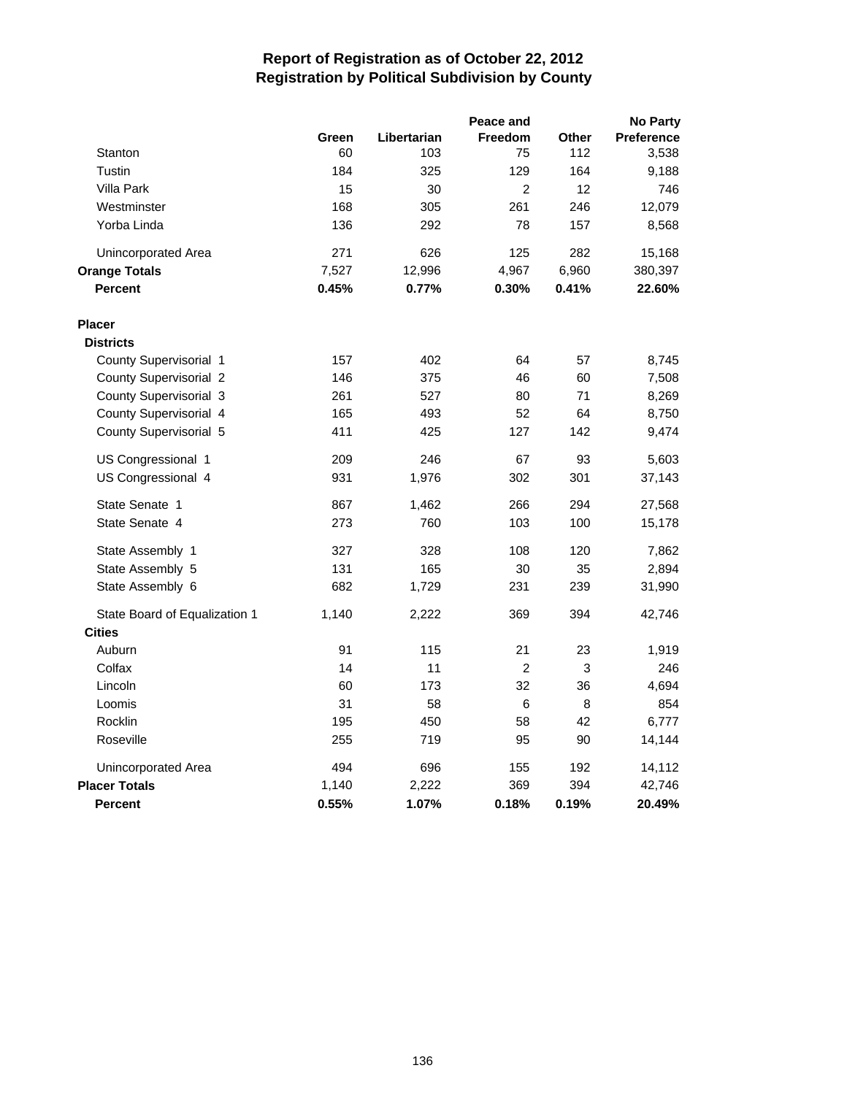|                               |       |             | Peace and      |              | <b>No Party</b> |
|-------------------------------|-------|-------------|----------------|--------------|-----------------|
|                               | Green | Libertarian | <b>Freedom</b> | <b>Other</b> | Preference      |
| Stanton                       | 60    | 103         | 75             | 112          | 3,538           |
| Tustin                        | 184   | 325         | 129            | 164          | 9,188           |
| <b>Villa Park</b>             | 15    | 30          | $\overline{c}$ | 12           | 746             |
| Westminster                   | 168   | 305         | 261            | 246          | 12,079          |
| Yorba Linda                   | 136   | 292         | 78             | 157          | 8,568           |
| Unincorporated Area           | 271   | 626         | 125            | 282          | 15,168          |
| <b>Orange Totals</b>          | 7,527 | 12,996      | 4,967          | 6,960        | 380,397         |
| <b>Percent</b>                | 0.45% | 0.77%       | 0.30%          | 0.41%        | 22.60%          |
| <b>Placer</b>                 |       |             |                |              |                 |
| <b>Districts</b>              |       |             |                |              |                 |
| County Supervisorial 1        | 157   | 402         | 64             | 57           | 8,745           |
| County Supervisorial 2        | 146   | 375         | 46             | 60           | 7,508           |
| County Supervisorial 3        | 261   | 527         | 80             | 71           | 8,269           |
| County Supervisorial 4        | 165   | 493         | 52             | 64           | 8,750           |
| County Supervisorial 5        | 411   | 425         | 127            | 142          | 9,474           |
| US Congressional 1            | 209   | 246         | 67             | 93           | 5,603           |
| US Congressional 4            | 931   | 1,976       | 302            | 301          | 37,143          |
| State Senate 1                | 867   | 1,462       | 266            | 294          | 27,568          |
| State Senate 4                | 273   | 760         | 103            | 100          | 15,178          |
| State Assembly 1              | 327   | 328         | 108            | 120          | 7,862           |
| State Assembly 5              | 131   | 165         | 30             | 35           | 2,894           |
| State Assembly 6              | 682   | 1,729       | 231            | 239          | 31,990          |
| State Board of Equalization 1 | 1,140 | 2,222       | 369            | 394          | 42,746          |
| <b>Cities</b>                 |       |             |                |              |                 |
| Auburn                        | 91    | 115         | 21             | 23           | 1,919           |
| Colfax                        | 14    | 11          | $\overline{2}$ | 3            | 246             |
| Lincoln                       | 60    | 173         | 32             | 36           | 4,694           |
| Loomis                        | 31    | 58          | 6              | 8            | 854             |
| Rocklin                       | 195   | 450         | 58             | 42           | 6,777           |
| Roseville                     | 255   | 719         | 95             | 90           | 14,144          |
| Unincorporated Area           | 494   | 696         | 155            | 192          | 14,112          |
| <b>Placer Totals</b>          | 1,140 | 2,222       | 369            | 394          | 42,746          |
| <b>Percent</b>                | 0.55% | 1.07%       | 0.18%          | 0.19%        | 20.49%          |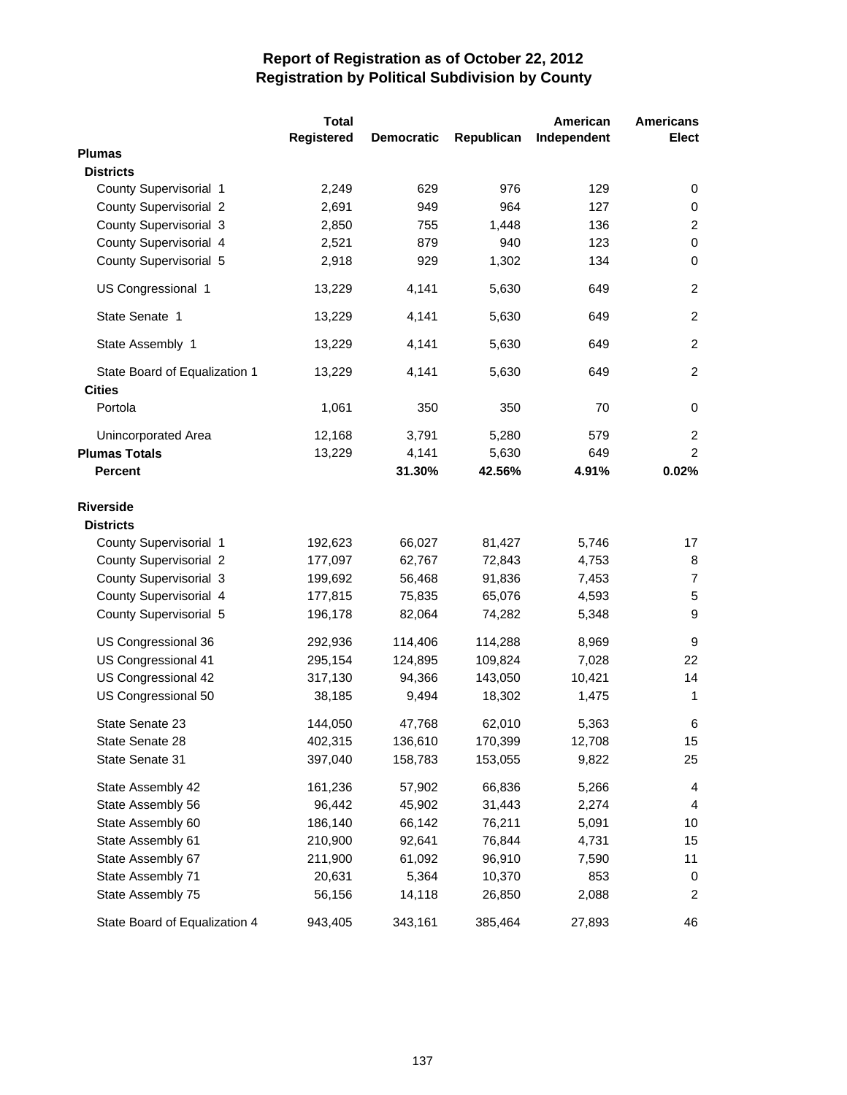|                               | <b>Total</b>      |                   |            | American    | <b>Americans</b> |
|-------------------------------|-------------------|-------------------|------------|-------------|------------------|
|                               | <b>Registered</b> | <b>Democratic</b> | Republican | Independent | <b>Elect</b>     |
| <b>Plumas</b>                 |                   |                   |            |             |                  |
| <b>Districts</b>              |                   |                   |            |             |                  |
| County Supervisorial 1        | 2,249             | 629               | 976        | 129         | 0                |
| County Supervisorial 2        | 2,691             | 949               | 964        | 127         | 0                |
| County Supervisorial 3        | 2,850             | 755               | 1,448      | 136         | $\overline{c}$   |
| County Supervisorial 4        | 2,521             | 879               | 940        | 123         | $\pmb{0}$        |
| County Supervisorial 5        | 2,918             | 929               | 1,302      | 134         | $\pmb{0}$        |
| US Congressional 1            | 13,229            | 4,141             | 5,630      | 649         | $\overline{c}$   |
| State Senate 1                | 13,229            | 4,141             | 5,630      | 649         | $\overline{2}$   |
| State Assembly 1              | 13,229            | 4,141             | 5,630      | 649         | $\overline{c}$   |
| State Board of Equalization 1 | 13,229            | 4,141             | 5,630      | 649         | $\overline{2}$   |
| <b>Cities</b>                 |                   |                   |            |             |                  |
| Portola                       | 1,061             | 350               | 350        | 70          | 0                |
| Unincorporated Area           | 12,168            | 3,791             | 5,280      | 579         | $\overline{c}$   |
| <b>Plumas Totals</b>          | 13,229            | 4,141             | 5,630      | 649         | $\overline{2}$   |
| <b>Percent</b>                |                   | 31.30%            | 42.56%     | 4.91%       | 0.02%            |
| <b>Riverside</b>              |                   |                   |            |             |                  |
| <b>Districts</b>              |                   |                   |            |             |                  |
| County Supervisorial 1        | 192,623           | 66,027            | 81,427     | 5,746       | 17               |
| County Supervisorial 2        | 177,097           | 62,767            | 72,843     | 4,753       | 8                |
| County Supervisorial 3        | 199,692           | 56,468            | 91,836     | 7,453       | $\overline{7}$   |
| County Supervisorial 4        | 177,815           | 75,835            | 65,076     | 4,593       | 5                |
| County Supervisorial 5        | 196,178           | 82,064            | 74,282     | 5,348       | 9                |
| US Congressional 36           | 292,936           | 114,406           | 114,288    | 8,969       | 9                |
| US Congressional 41           | 295,154           | 124,895           | 109,824    | 7,028       | 22               |
| US Congressional 42           | 317,130           | 94,366            | 143,050    | 10,421      | 14               |
| US Congressional 50           |                   |                   |            | 1,475       | 1                |
|                               | 38,185            | 9,494             | 18,302     |             |                  |
| State Senate 23               | 144,050           | 47,768            | 62,010     | 5,363       | 6                |
| State Senate 28               | 402,315           | 136,610           | 170,399    | 12,708      | 15               |
| State Senate 31               | 397,040           | 158,783           | 153,055    | 9,822       | 25               |
| State Assembly 42             | 161,236           | 57,902            | 66,836     | 5,266       | 4                |
| State Assembly 56             | 96,442            | 45,902            | 31,443     | 2,274       | 4                |
| State Assembly 60             | 186,140           | 66,142            | 76,211     | 5,091       | 10               |
| State Assembly 61             | 210,900           | 92,641            | 76,844     | 4,731       | 15               |
| State Assembly 67             | 211,900           | 61,092            | 96,910     | 7,590       | 11               |
| State Assembly 71             | 20,631            | 5,364             | 10,370     | 853         | 0                |
| State Assembly 75             | 56,156            | 14,118            | 26,850     | 2,088       | 2                |
| State Board of Equalization 4 | 943,405           | 343,161           | 385,464    | 27,893      | 46               |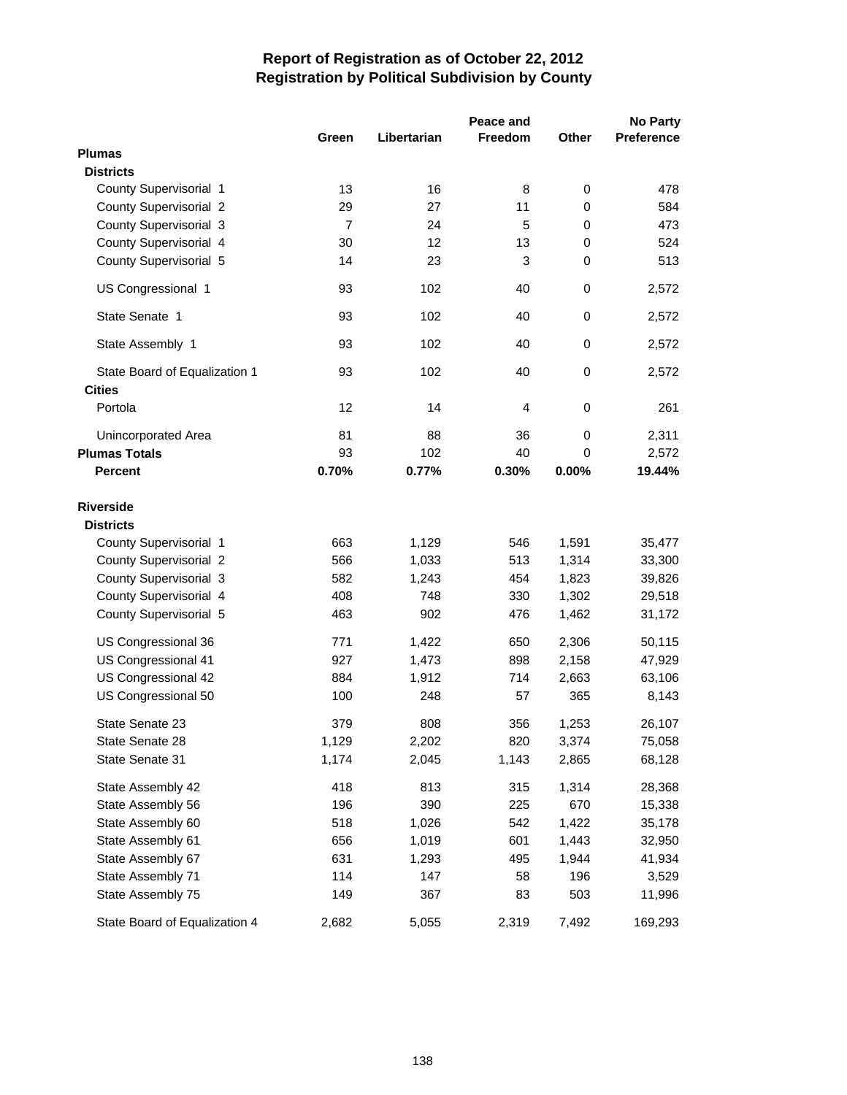|                                      |                |             | Peace and      |             | <b>No Party</b>   |
|--------------------------------------|----------------|-------------|----------------|-------------|-------------------|
|                                      | Green          | Libertarian | <b>Freedom</b> | Other       | <b>Preference</b> |
| <b>Plumas</b>                        |                |             |                |             |                   |
| <b>Districts</b>                     |                |             |                |             |                   |
| County Supervisorial 1               | 13             | 16          | 8              | 0           | 478               |
| <b>County Supervisorial 2</b>        | 29             | 27          | 11             | $\pmb{0}$   | 584               |
| County Supervisorial 3               | $\overline{7}$ | 24          | 5              | $\mathbf 0$ | 473               |
| County Supervisorial 4               | 30             | 12          | 13             | 0           | 524               |
| County Supervisorial 5               | 14             | 23          | 3              | 0           | 513               |
| US Congressional 1                   | 93             | 102         | 40             | $\pmb{0}$   | 2,572             |
| State Senate 1                       | 93             | 102         | 40             | 0           | 2,572             |
| State Assembly 1                     | 93             | 102         | 40             | 0           | 2,572             |
| State Board of Equalization 1        | 93             | 102         | 40             | $\mathbf 0$ | 2,572             |
| <b>Cities</b>                        |                |             |                |             |                   |
| Portola                              | 12             | 14          | $\overline{4}$ | $\mathbf 0$ | 261               |
| Unincorporated Area                  | 81             | 88          | 36             | 0           | 2,311             |
| <b>Plumas Totals</b>                 | 93             | 102         | 40             | $\Omega$    | 2,572             |
| <b>Percent</b>                       | 0.70%          | 0.77%       | 0.30%          | 0.00%       | 19.44%            |
| <b>Riverside</b><br><b>Districts</b> |                |             |                |             |                   |
| County Supervisorial 1               | 663            | 1,129       | 546            | 1,591       | 35,477            |
| <b>County Supervisorial 2</b>        | 566            | 1,033       | 513            | 1,314       | 33,300            |
| County Supervisorial 3               | 582            | 1,243       | 454            | 1,823       | 39,826            |
| County Supervisorial 4               | 408            | 748         | 330            | 1,302       | 29,518            |
| County Supervisorial 5               | 463            | 902         | 476            | 1,462       | 31,172            |
|                                      |                |             |                |             |                   |
| US Congressional 36                  | 771            | 1,422       | 650            | 2,306       | 50,115            |
| US Congressional 41                  | 927            | 1,473       | 898            | 2,158       | 47,929            |
| US Congressional 42                  | 884            | 1,912       | 714            | 2,663       | 63,106            |
| US Congressional 50                  | 100            | 248         | 57             | 365         | 8,143             |
| State Senate 23                      | 379            | 808         | 356            | 1,253       | 26,107            |
| State Senate 28                      | 1,129          | 2,202       | 820            | 3,374       | 75,058            |
| State Senate 31                      | 1,174          | 2,045       | 1,143          | 2,865       | 68,128            |
| State Assembly 42                    | 418            | 813         | 315            | 1,314       | 28,368            |
| State Assembly 56                    | 196            | 390         | 225            | 670         | 15,338            |
| State Assembly 60                    | 518            | 1,026       | 542            | 1,422       | 35,178            |
| State Assembly 61                    | 656            | 1,019       | 601            | 1,443       | 32,950            |
| State Assembly 67                    | 631            | 1,293       | 495            | 1,944       | 41,934            |
| State Assembly 71                    | 114            | 147         | 58             | 196         | 3,529             |
| State Assembly 75                    | 149            | 367         | 83             | 503         | 11,996            |
| State Board of Equalization 4        | 2,682          | 5,055       | 2,319          | 7,492       | 169,293           |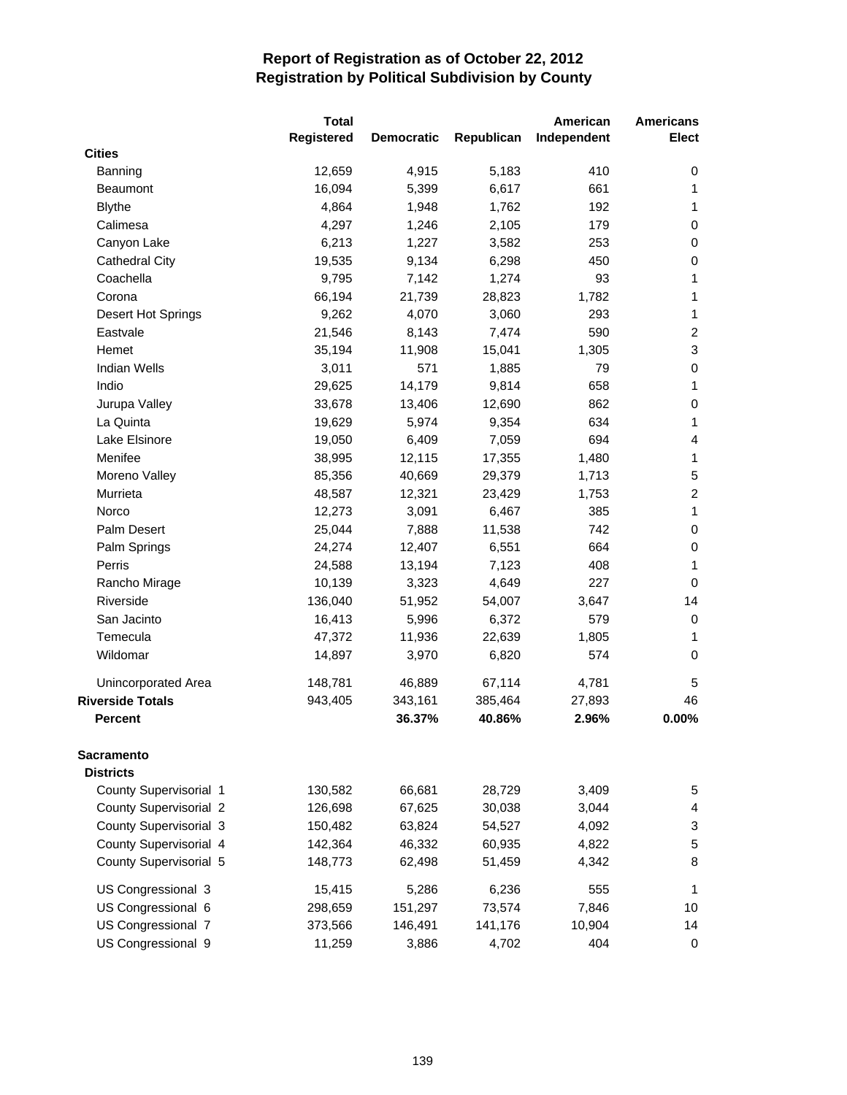|                         | <b>Total</b> |                   |            | American    | <b>Americans</b>          |
|-------------------------|--------------|-------------------|------------|-------------|---------------------------|
|                         | Registered   | <b>Democratic</b> | Republican | Independent | Elect                     |
| <b>Cities</b>           |              |                   |            |             |                           |
| Banning                 | 12,659       | 4,915             | 5,183      | 410         | 0                         |
| <b>Beaumont</b>         | 16,094       | 5,399             | 6,617      | 661         | 1                         |
| <b>Blythe</b>           | 4,864        | 1,948             | 1,762      | 192         | 1                         |
| Calimesa                | 4,297        | 1,246             | 2,105      | 179         | $\mathbf 0$               |
| Canyon Lake             | 6,213        | 1,227             | 3,582      | 253         | $\pmb{0}$                 |
| <b>Cathedral City</b>   | 19,535       | 9,134             | 6,298      | 450         | $\pmb{0}$                 |
| Coachella               | 9,795        | 7,142             | 1,274      | 93          | 1                         |
| Corona                  | 66,194       | 21,739            | 28,823     | 1,782       | $\mathbf{1}$              |
| Desert Hot Springs      | 9,262        | 4,070             | 3,060      | 293         | $\mathbf{1}$              |
| Eastvale                | 21,546       | 8,143             | 7,474      | 590         | $\boldsymbol{2}$          |
| Hemet                   | 35,194       | 11,908            | 15,041     | 1,305       | $\ensuremath{\mathsf{3}}$ |
| <b>Indian Wells</b>     | 3,011        | 571               | 1,885      | 79          | $\pmb{0}$                 |
| Indio                   | 29,625       | 14,179            | 9,814      | 658         | $\mathbf{1}$              |
| Jurupa Valley           | 33,678       | 13,406            | 12,690     | 862         | $\,0\,$                   |
| La Quinta               | 19,629       | 5,974             | 9,354      | 634         | 1                         |
| Lake Elsinore           | 19,050       | 6,409             | 7,059      | 694         | 4                         |
| Menifee                 | 38,995       | 12,115            | 17,355     | 1,480       | 1                         |
| Moreno Valley           | 85,356       | 40,669            | 29,379     | 1,713       | 5                         |
| Murrieta                | 48,587       | 12,321            | 23,429     | 1,753       | $\overline{c}$            |
| Norco                   | 12,273       | 3,091             | 6,467      | 385         | $\mathbf{1}$              |
| Palm Desert             | 25,044       | 7,888             | 11,538     | 742         | $\,0\,$                   |
| Palm Springs            | 24,274       | 12,407            | 6,551      | 664         | $\pmb{0}$                 |
| Perris                  | 24,588       | 13,194            | 7,123      | 408         | 1                         |
| Rancho Mirage           | 10,139       | 3,323             | 4,649      | 227         | $\mathbf 0$               |
| Riverside               | 136,040      | 51,952            | 54,007     | 3,647       | 14                        |
| San Jacinto             | 16,413       | 5,996             | 6,372      | 579         | 0                         |
| Temecula                | 47,372       | 11,936            | 22,639     | 1,805       | 1                         |
| Wildomar                | 14,897       | 3,970             | 6,820      | 574         | $\mathbf 0$               |
| Unincorporated Area     | 148,781      | 46,889            | 67,114     | 4,781       | 5                         |
| <b>Riverside Totals</b> | 943,405      | 343,161           | 385,464    | 27,893      | 46                        |
| <b>Percent</b>          |              | 36.37%            | 40.86%     | 2.96%       | 0.00%                     |
| Sacramento              |              |                   |            |             |                           |
| <b>Districts</b>        |              |                   |            |             |                           |
| County Supervisorial 1  | 130,582      | 66,681            | 28,729     | 3,409       | 5                         |
| County Supervisorial 2  | 126,698      | 67,625            | 30,038     | 3,044       | 4                         |
| County Supervisorial 3  | 150,482      | 63,824            | 54,527     | 4,092       | 3                         |
| County Supervisorial 4  | 142,364      | 46,332            | 60,935     | 4,822       | 5                         |
| County Supervisorial 5  | 148,773      | 62,498            | 51,459     | 4,342       | 8                         |
| US Congressional 3      | 15,415       | 5,286             | 6,236      | 555         | 1                         |
| US Congressional 6      | 298,659      | 151,297           | 73,574     | 7,846       | 10                        |
| US Congressional 7      | 373,566      | 146,491           | 141,176    | 10,904      | 14                        |
| US Congressional 9      | 11,259       | 3,886             | 4,702      | 404         | 0                         |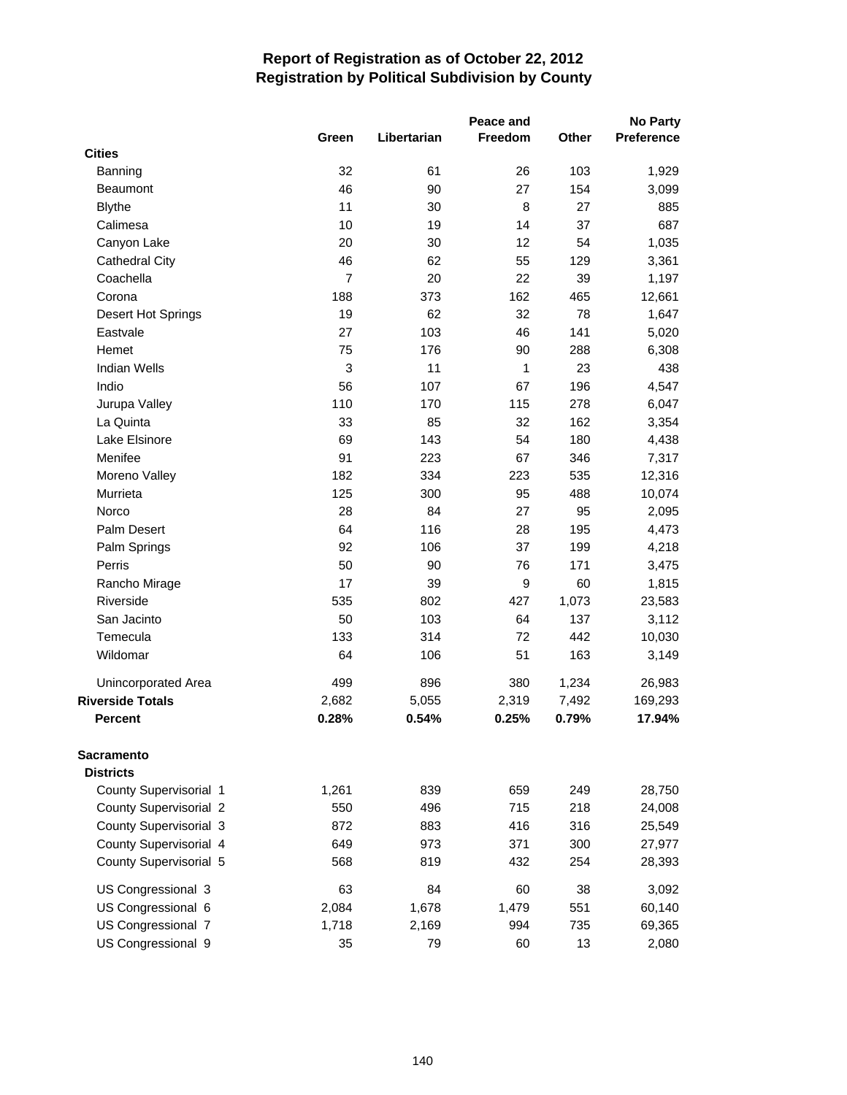|                         |                |             | Peace and      |       | <b>No Party</b>   |
|-------------------------|----------------|-------------|----------------|-------|-------------------|
|                         | Green          | Libertarian | <b>Freedom</b> | Other | <b>Preference</b> |
| <b>Cities</b>           |                |             |                |       |                   |
| Banning                 | 32             | 61          | 26             | 103   | 1,929             |
| <b>Beaumont</b>         | 46             | 90          | 27             | 154   | 3,099             |
| <b>Blythe</b>           | 11             | 30          | 8              | 27    | 885               |
| Calimesa                | 10             | 19          | 14             | 37    | 687               |
| Canyon Lake             | 20             | 30          | 12             | 54    | 1,035             |
| <b>Cathedral City</b>   | 46             | 62          | 55             | 129   | 3,361             |
| Coachella               | $\overline{7}$ | 20          | 22             | 39    | 1,197             |
| Corona                  | 188            | 373         | 162            | 465   | 12,661            |
| Desert Hot Springs      | 19             | 62          | 32             | 78    | 1,647             |
| Eastvale                | 27             | 103         | 46             | 141   | 5,020             |
| Hemet                   | 75             | 176         | 90             | 288   | 6,308             |
| <b>Indian Wells</b>     | 3              | 11          | 1              | 23    | 438               |
| Indio                   | 56             | 107         | 67             | 196   | 4,547             |
| Jurupa Valley           | 110            | 170         | 115            | 278   | 6,047             |
| La Quinta               | 33             | 85          | 32             | 162   | 3,354             |
| Lake Elsinore           | 69             | 143         | 54             | 180   | 4,438             |
| Menifee                 | 91             | 223         | 67             | 346   | 7,317             |
| Moreno Valley           | 182            | 334         | 223            | 535   | 12,316            |
| Murrieta                | 125            | 300         | 95             | 488   | 10,074            |
| Norco                   | 28             | 84          | 27             | 95    | 2,095             |
| Palm Desert             | 64             | 116         | 28             | 195   | 4,473             |
| Palm Springs            | 92             | 106         | 37             | 199   | 4,218             |
| Perris                  | 50             | 90          | 76             | 171   | 3,475             |
| Rancho Mirage           | 17             | 39          | 9              | 60    | 1,815             |
| Riverside               | 535            | 802         | 427            | 1,073 | 23,583            |
| San Jacinto             | 50             | 103         | 64             | 137   | 3,112             |
| Temecula                | 133            | 314         | 72             | 442   | 10,030            |
| Wildomar                | 64             | 106         | 51             | 163   | 3,149             |
| Unincorporated Area     | 499            | 896         | 380            | 1,234 | 26,983            |
| <b>Riverside Totals</b> | 2,682          | 5,055       | 2,319          | 7,492 | 169,293           |
| <b>Percent</b>          | 0.28%          | 0.54%       | 0.25%          | 0.79% | 17.94%            |
| <b>Sacramento</b>       |                |             |                |       |                   |
| <b>Districts</b>        |                |             |                |       |                   |
| County Supervisorial 1  | 1,261          | 839         | 659            | 249   | 28,750            |
| County Supervisorial 2  | 550            | 496         | 715            | 218   | 24,008            |
| County Supervisorial 3  | 872            | 883         | 416            | 316   | 25,549            |
| County Supervisorial 4  | 649            | 973         | 371            | 300   | 27,977            |
| County Supervisorial 5  | 568            | 819         | 432            | 254   | 28,393            |
| US Congressional 3      | 63             | 84          | 60             | 38    | 3,092             |
| US Congressional 6      | 2,084          | 1,678       | 1,479          | 551   | 60,140            |
| US Congressional 7      | 1,718          | 2,169       | 994            | 735   | 69,365            |
| US Congressional 9      | 35             | 79          | 60             | 13    | 2,080             |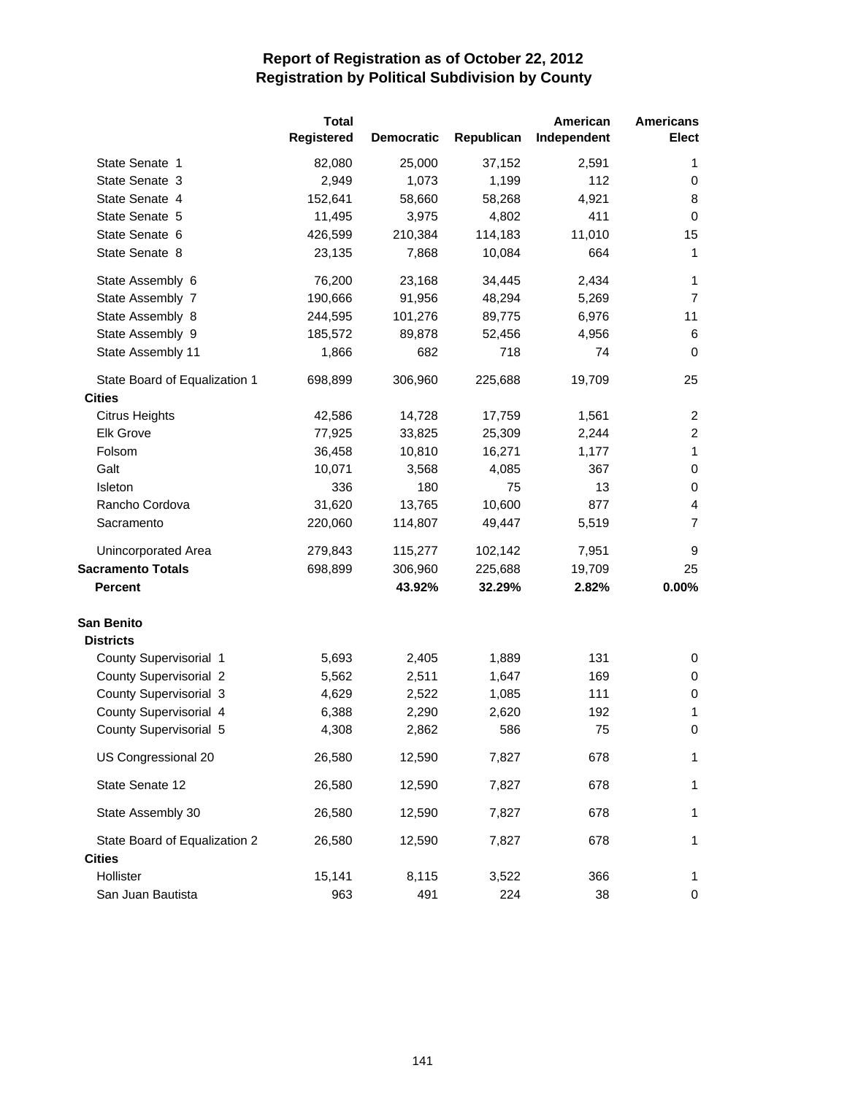|                               | <b>Total</b><br>Registered | <b>Democratic</b> | Republican | American<br>Independent | <b>Americans</b><br><b>Elect</b> |
|-------------------------------|----------------------------|-------------------|------------|-------------------------|----------------------------------|
| State Senate 1                | 82,080                     | 25,000            | 37,152     | 2,591                   | 1                                |
| State Senate 3                | 2,949                      | 1,073             | 1,199      | 112                     | 0                                |
| State Senate 4                | 152,641                    | 58,660            | 58,268     | 4,921                   | 8                                |
| State Senate 5                | 11,495                     | 3,975             | 4,802      | 411                     | $\pmb{0}$                        |
| State Senate 6                | 426,599                    | 210,384           | 114,183    | 11,010                  | 15                               |
| State Senate 8                | 23,135                     | 7,868             | 10,084     | 664                     | 1                                |
| State Assembly 6              | 76,200                     | 23,168            | 34,445     | 2,434                   | 1                                |
| State Assembly 7              | 190,666                    | 91,956            | 48,294     | 5,269                   | $\overline{7}$                   |
| State Assembly 8              | 244,595                    | 101,276           | 89,775     | 6,976                   | 11                               |
| State Assembly 9              | 185,572                    | 89,878            | 52,456     | 4,956                   | 6                                |
| State Assembly 11             | 1,866                      | 682               | 718        | 74                      | $\mathbf 0$                      |
| State Board of Equalization 1 | 698,899                    | 306,960           | 225,688    | 19,709                  | 25                               |
| <b>Cities</b>                 |                            |                   |            |                         |                                  |
| <b>Citrus Heights</b>         | 42,586                     | 14,728            | 17,759     | 1,561                   | 2                                |
| <b>Elk Grove</b>              | 77,925                     | 33,825            | 25,309     | 2,244                   | $\overline{c}$                   |
| Folsom                        | 36,458                     | 10,810            | 16,271     | 1,177                   | $\mathbf{1}$                     |
| Galt                          | 10,071                     | 3,568             | 4,085      | 367                     | $\mathbf 0$                      |
| Isleton                       | 336                        | 180               | 75         | 13                      | 0                                |
| Rancho Cordova                | 31,620                     | 13,765            | 10,600     | 877                     | 4                                |
| Sacramento                    | 220,060                    | 114,807           | 49,447     | 5,519                   | $\overline{7}$                   |
| Unincorporated Area           | 279,843                    | 115,277           | 102,142    | 7,951                   | 9                                |
| <b>Sacramento Totals</b>      | 698,899                    | 306,960           | 225,688    | 19,709                  | 25                               |
| <b>Percent</b>                |                            | 43.92%            | 32.29%     | 2.82%                   | 0.00%                            |
| <b>San Benito</b>             |                            |                   |            |                         |                                  |
| <b>Districts</b>              |                            |                   |            |                         |                                  |
| County Supervisorial 1        | 5,693                      | 2,405             | 1,889      | 131                     | 0                                |
| <b>County Supervisorial 2</b> | 5,562                      | 2,511             | 1,647      | 169                     | 0                                |
| County Supervisorial 3        | 4,629                      | 2,522             | 1,085      | 111                     | 0                                |
| County Supervisorial 4        | 6,388                      | 2,290             | 2,620      | 192                     | 1                                |
| County Supervisorial 5        | 4,308                      | 2,862             | 586        | 75                      | 0                                |
| US Congressional 20           | 26,580                     | 12,590            | 7,827      | 678                     | 1                                |
| State Senate 12               | 26,580                     | 12,590            | 7,827      | 678                     | 1                                |
| State Assembly 30             | 26,580                     | 12,590            | 7,827      | 678                     | 1                                |
| State Board of Equalization 2 | 26,580                     | 12,590            | 7,827      | 678                     | 1                                |
| <b>Cities</b>                 |                            |                   |            |                         |                                  |
| Hollister                     | 15,141                     | 8,115             | 3,522      | 366                     | 1                                |
| San Juan Bautista             | 963                        | 491               | 224        | 38                      | 0                                |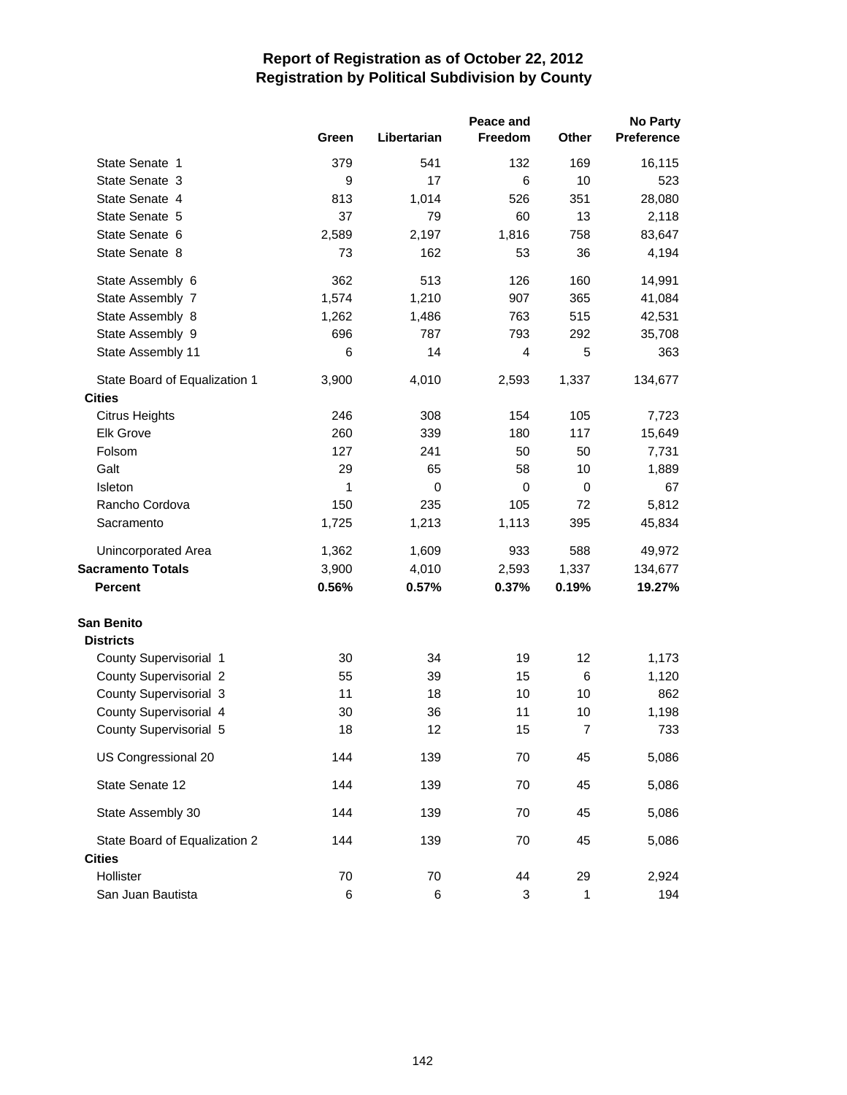|                               |       | Peace and   |         |                | <b>No Party</b>   |
|-------------------------------|-------|-------------|---------|----------------|-------------------|
|                               | Green | Libertarian | Freedom | Other          | <b>Preference</b> |
| State Senate 1                | 379   | 541         | 132     | 169            | 16,115            |
| State Senate 3                | 9     | 17          | 6       | 10             | 523               |
| State Senate 4                | 813   | 1,014       | 526     | 351            | 28,080            |
| State Senate 5                | 37    | 79          | 60      | 13             | 2,118             |
| State Senate 6                | 2,589 | 2,197       | 1,816   | 758            | 83,647            |
| State Senate 8                | 73    | 162         | 53      | 36             | 4,194             |
| State Assembly 6              | 362   | 513         | 126     | 160            | 14,991            |
| State Assembly 7              | 1,574 | 1,210       | 907     | 365            | 41,084            |
| State Assembly 8              | 1,262 | 1,486       | 763     | 515            | 42,531            |
| State Assembly 9              | 696   | 787         | 793     | 292            | 35,708            |
| State Assembly 11             | 6     | 14          | 4       | 5              | 363               |
| State Board of Equalization 1 | 3,900 | 4,010       | 2,593   | 1,337          | 134,677           |
| <b>Cities</b>                 |       |             |         |                |                   |
| <b>Citrus Heights</b>         | 246   | 308         | 154     | 105            | 7,723             |
| <b>Elk Grove</b>              | 260   | 339         | 180     | 117            | 15,649            |
| Folsom                        | 127   | 241         | 50      | 50             | 7,731             |
| Galt                          | 29    | 65          | 58      | 10             | 1,889             |
| <b>Isleton</b>                | 1     | 0           | 0       | $\mathbf 0$    | 67                |
| Rancho Cordova                | 150   | 235         | 105     | 72             | 5,812             |
| Sacramento                    | 1,725 | 1,213       | 1,113   | 395            | 45,834            |
| Unincorporated Area           | 1,362 | 1,609       | 933     | 588            | 49,972            |
| <b>Sacramento Totals</b>      | 3,900 | 4,010       | 2,593   | 1,337          | 134,677           |
| <b>Percent</b>                | 0.56% | 0.57%       | 0.37%   | 0.19%          | 19.27%            |
| <b>San Benito</b>             |       |             |         |                |                   |
| <b>Districts</b>              |       |             |         |                |                   |
| County Supervisorial 1        | 30    | 34          | 19      | 12             | 1,173             |
| <b>County Supervisorial 2</b> | 55    | 39          | 15      | 6              | 1,120             |
| County Supervisorial 3        | 11    | 18          | 10      | 10             | 862               |
| County Supervisorial 4        | 30    | 36          | 11      | 10             | 1,198             |
| County Supervisorial 5        | 18    | 12          | 15      | $\overline{7}$ | 733               |
| US Congressional 20           | 144   | 139         | 70      | 45             | 5,086             |
| State Senate 12               | 144   | 139         | 70      | 45             | 5,086             |
| State Assembly 30             | 144   | 139         | 70      | 45             | 5,086             |
| State Board of Equalization 2 | 144   | 139         | 70      | 45             | 5,086             |
| <b>Cities</b>                 |       |             |         |                |                   |
| Hollister                     | 70    | 70          | 44      | 29             | 2,924             |
| San Juan Bautista             | 6     | 6           | 3       | 1              | 194               |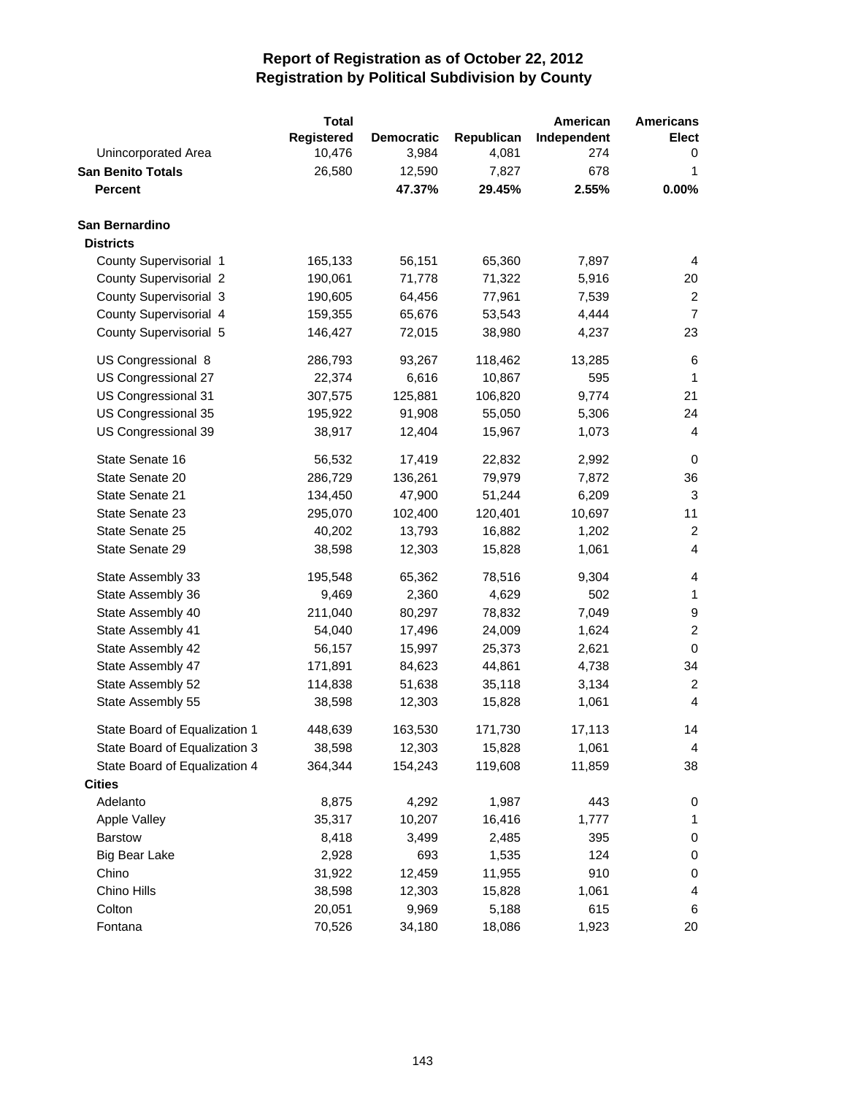|                               | <b>Total</b> |                   |            | American    | <b>Americans</b> |
|-------------------------------|--------------|-------------------|------------|-------------|------------------|
|                               | Registered   | <b>Democratic</b> | Republican | Independent | Elect            |
| Unincorporated Area           | 10,476       | 3,984             | 4,081      | 274         | 0                |
| <b>San Benito Totals</b>      | 26,580       | 12,590            | 7,827      | 678         | 1                |
| <b>Percent</b>                |              | 47.37%            | 29.45%     | 2.55%       | 0.00%            |
| San Bernardino                |              |                   |            |             |                  |
| <b>Districts</b>              |              |                   |            |             |                  |
| County Supervisorial 1        | 165,133      | 56,151            | 65,360     | 7,897       | 4                |
| <b>County Supervisorial 2</b> | 190,061      | 71,778            | 71,322     | 5,916       | 20               |
| County Supervisorial 3        | 190,605      | 64,456            | 77,961     | 7,539       | $\overline{c}$   |
| County Supervisorial 4        | 159,355      | 65,676            | 53,543     | 4,444       | $\overline{7}$   |
| County Supervisorial 5        | 146,427      | 72,015            | 38,980     | 4,237       | 23               |
| US Congressional 8            | 286,793      | 93,267            | 118,462    | 13,285      | 6                |
| US Congressional 27           | 22,374       | 6,616             | 10,867     | 595         | 1                |
| US Congressional 31           | 307,575      | 125,881           | 106,820    | 9,774       | 21               |
| US Congressional 35           | 195,922      | 91,908            | 55,050     | 5,306       | 24               |
| US Congressional 39           | 38,917       | 12,404            | 15,967     | 1,073       | 4                |
| State Senate 16               | 56,532       | 17,419            | 22,832     | 2,992       | 0                |
| State Senate 20               | 286,729      | 136,261           | 79,979     | 7,872       | 36               |
| State Senate 21               | 134,450      | 47,900            | 51,244     | 6,209       | 3                |
| State Senate 23               | 295,070      | 102,400           | 120,401    | 10,697      | 11               |
| State Senate 25               | 40,202       | 13,793            | 16,882     | 1,202       | $\overline{c}$   |
| State Senate 29               | 38,598       | 12,303            | 15,828     | 1,061       | 4                |
| State Assembly 33             | 195,548      | 65,362            | 78,516     | 9,304       | 4                |
| State Assembly 36             | 9,469        | 2,360             | 4,629      | 502         | 1                |
| State Assembly 40             | 211,040      | 80,297            | 78,832     | 7,049       | 9                |
| State Assembly 41             | 54,040       | 17,496            | 24,009     | 1,624       | $\overline{c}$   |
| State Assembly 42             | 56,157       | 15,997            | 25,373     | 2,621       | $\mathbf 0$      |
| State Assembly 47             | 171,891      | 84,623            | 44,861     | 4,738       | 34               |
| State Assembly 52             | 114,838      | 51,638            | 35,118     | 3,134       | $\overline{c}$   |
| State Assembly 55             | 38,598       | 12,303            | 15,828     | 1,061       | $\overline{4}$   |
| State Board of Equalization 1 | 448,639      | 163,530           | 171,730    | 17,113      | 14               |
| State Board of Equalization 3 | 38,598       | 12,303            | 15,828     | 1,061       | 4                |
| State Board of Equalization 4 | 364,344      | 154,243           | 119,608    | 11,859      | 38               |
| <b>Cities</b>                 |              |                   |            |             |                  |
| Adelanto                      | 8,875        | 4,292             | 1,987      | 443         | 0                |
| Apple Valley                  | 35,317       | 10,207            | 16,416     | 1,777       | 1                |
| <b>Barstow</b>                | 8,418        | 3,499             | 2,485      | 395         | 0                |
| <b>Big Bear Lake</b>          | 2,928        | 693               | 1,535      | 124         | 0                |
| Chino                         | 31,922       | 12,459            | 11,955     | 910         | 0                |
| Chino Hills                   | 38,598       | 12,303            | 15,828     | 1,061       | 4                |
| Colton                        | 20,051       | 9,969             | 5,188      | 615         | 6                |
| Fontana                       | 70,526       | 34,180            | 18,086     | 1,923       | 20               |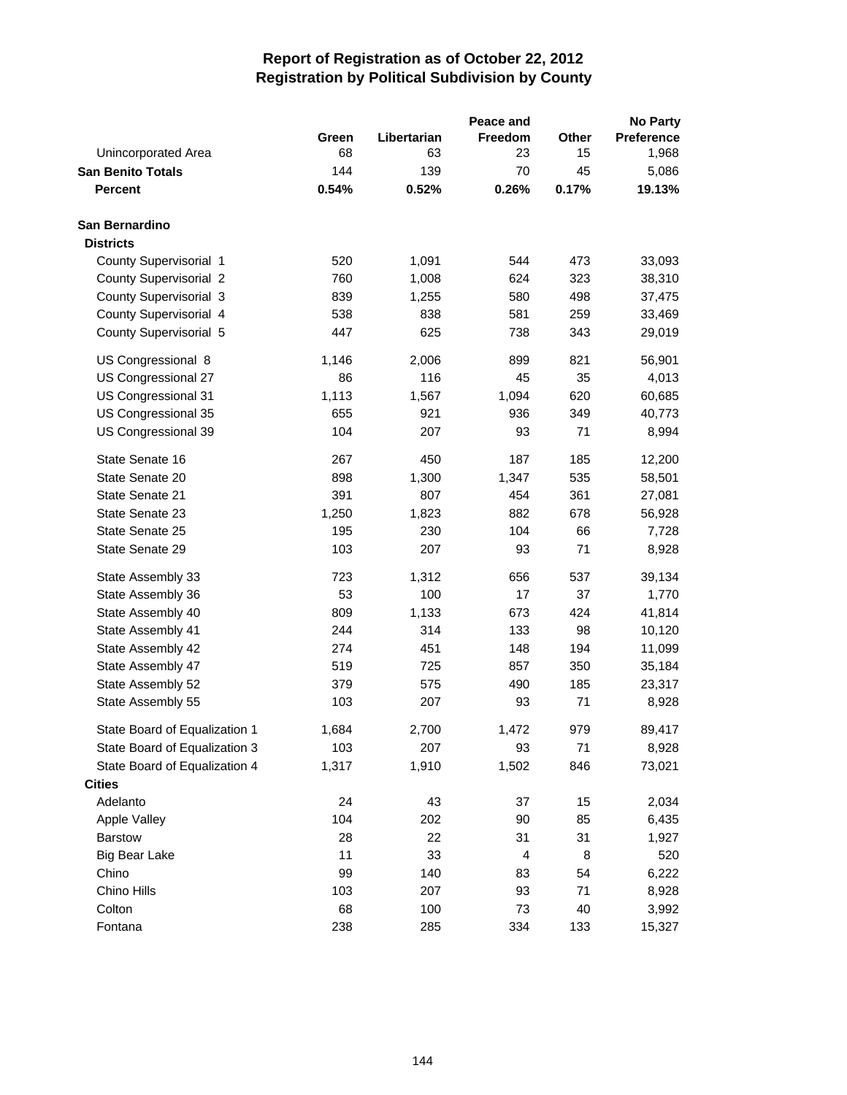|                               |       |             | Peace and |       | <b>No Party</b>   |
|-------------------------------|-------|-------------|-----------|-------|-------------------|
|                               | Green | Libertarian | Freedom   | Other | <b>Preference</b> |
| Unincorporated Area           | 68    | 63          | 23        | 15    | 1,968             |
| <b>San Benito Totals</b>      | 144   | 139         | 70        | 45    | 5,086             |
| <b>Percent</b>                | 0.54% | 0.52%       | 0.26%     | 0.17% | 19.13%            |
| San Bernardino                |       |             |           |       |                   |
| <b>Districts</b>              |       |             |           |       |                   |
| County Supervisorial 1        | 520   | 1,091       | 544       | 473   | 33,093            |
| <b>County Supervisorial 2</b> | 760   | 1,008       | 624       | 323   | 38,310            |
| County Supervisorial 3        | 839   | 1,255       | 580       | 498   | 37,475            |
| County Supervisorial 4        | 538   | 838         | 581       | 259   | 33,469            |
| County Supervisorial 5        | 447   | 625         | 738       | 343   | 29,019            |
| US Congressional 8            | 1,146 | 2,006       | 899       | 821   | 56,901            |
| US Congressional 27           | 86    | 116         | 45        | 35    | 4,013             |
| US Congressional 31           | 1,113 | 1,567       | 1,094     | 620   | 60,685            |
| US Congressional 35           | 655   | 921         | 936       | 349   | 40,773            |
| US Congressional 39           | 104   | 207         | 93        | 71    | 8,994             |
| State Senate 16               | 267   | 450         | 187       | 185   | 12,200            |
| State Senate 20               | 898   | 1,300       | 1,347     | 535   | 58,501            |
| State Senate 21               | 391   | 807         | 454       | 361   | 27,081            |
| State Senate 23               | 1,250 | 1,823       | 882       | 678   | 56,928            |
| State Senate 25               | 195   | 230         | 104       | 66    | 7,728             |
| State Senate 29               | 103   | 207         | 93        | 71    | 8,928             |
| State Assembly 33             | 723   | 1,312       | 656       | 537   | 39,134            |
| State Assembly 36             | 53    | 100         | 17        | 37    | 1,770             |
| State Assembly 40             | 809   | 1,133       | 673       | 424   | 41,814            |
| State Assembly 41             | 244   | 314         | 133       | 98    | 10,120            |
| State Assembly 42             | 274   | 451         | 148       | 194   | 11,099            |
| State Assembly 47             | 519   | 725         | 857       | 350   | 35,184            |
| State Assembly 52             | 379   | 575         | 490       | 185   | 23,317            |
| State Assembly 55             | 103   | 207         | 93        | 71    | 8,928             |
| State Board of Equalization 1 | 1,684 | 2,700       | 1,472     | 979   | 89,417            |
| State Board of Equalization 3 | 103   | 207         | 93        | 71    | 8,928             |
| State Board of Equalization 4 | 1,317 | 1,910       | 1,502     | 846   | 73,021            |
| <b>Cities</b>                 |       |             |           |       |                   |
| Adelanto                      | 24    | 43          | 37        | 15    | 2,034             |
| Apple Valley                  | 104   | 202         | 90        | 85    | 6,435             |
| <b>Barstow</b>                | 28    | 22          | 31        | 31    | 1,927             |
| <b>Big Bear Lake</b>          | 11    | 33          | 4         | 8     | 520               |
| Chino                         | 99    | 140         | 83        | 54    | 6,222             |
| Chino Hills                   | 103   | 207         | 93        | 71    | 8,928             |
| Colton                        | 68    | 100         | 73        | 40    | 3,992             |
| Fontana                       | 238   | 285         | 334       | 133   | 15,327            |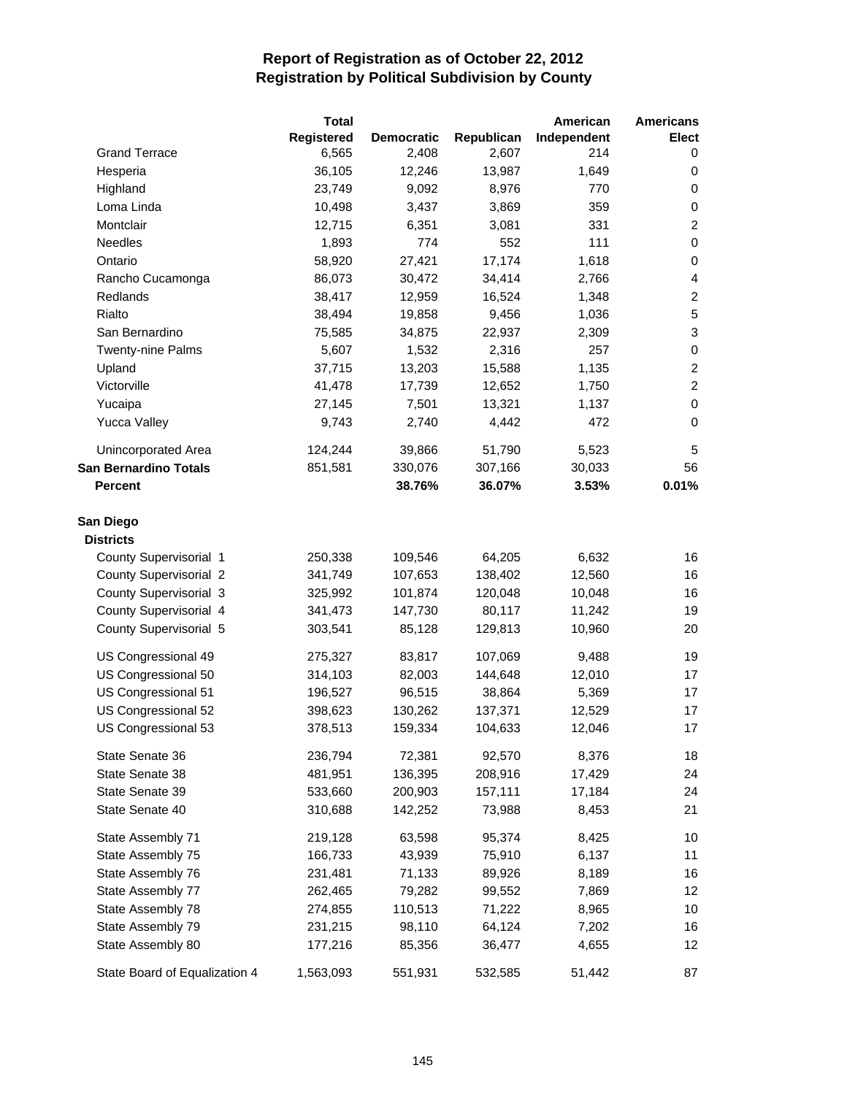|                               | <b>Total</b> |                   |            | American    | <b>Americans</b> |
|-------------------------------|--------------|-------------------|------------|-------------|------------------|
|                               | Registered   | <b>Democratic</b> | Republican | Independent | <b>Elect</b>     |
| <b>Grand Terrace</b>          | 6,565        | 2,408             | 2,607      | 214         | 0                |
| Hesperia                      | 36,105       | 12,246            | 13,987     | 1,649       | 0                |
| Highland                      | 23,749       | 9,092             | 8,976      | 770         | $\mathbf 0$      |
| Loma Linda                    | 10,498       | 3,437             | 3,869      | 359         | 0                |
| Montclair                     | 12,715       | 6,351             | 3,081      | 331         | $\overline{c}$   |
| Needles                       | 1,893        | 774               | 552        | 111         | $\mathbf 0$      |
| Ontario                       | 58,920       | 27,421            | 17,174     | 1,618       | $\mathbf 0$      |
| Rancho Cucamonga              | 86,073       | 30,472            | 34,414     | 2,766       | 4                |
| Redlands                      | 38,417       | 12,959            | 16,524     | 1,348       | $\overline{c}$   |
| Rialto                        | 38,494       | 19,858            | 9,456      | 1,036       | 5                |
| San Bernardino                | 75,585       | 34,875            | 22,937     | 2,309       | 3                |
| <b>Twenty-nine Palms</b>      | 5,607        | 1,532             | 2,316      | 257         | $\mathbf 0$      |
| Upland                        | 37,715       | 13,203            | 15,588     | 1,135       | $\overline{c}$   |
| Victorville                   | 41,478       | 17,739            | 12,652     | 1,750       | $\overline{c}$   |
| Yucaipa                       | 27,145       | 7,501             | 13,321     | 1,137       | $\mathbf 0$      |
| <b>Yucca Valley</b>           | 9,743        | 2,740             | 4,442      | 472         | $\mathbf 0$      |
| Unincorporated Area           | 124,244      | 39,866            | 51,790     | 5,523       | 5                |
| <b>San Bernardino Totals</b>  | 851,581      | 330,076           | 307,166    | 30,033      | 56               |
| <b>Percent</b>                |              | 38.76%            | 36.07%     | 3.53%       | 0.01%            |
| San Diego<br><b>Districts</b> |              |                   |            |             |                  |
| County Supervisorial 1        | 250,338      | 109,546           | 64,205     | 6,632       | 16               |
| County Supervisorial 2        | 341,749      | 107,653           | 138,402    | 12,560      | 16               |
| County Supervisorial 3        | 325,992      | 101,874           | 120,048    | 10,048      | 16               |
| County Supervisorial 4        | 341,473      | 147,730           | 80,117     | 11,242      | 19               |
| County Supervisorial 5        | 303,541      | 85,128            | 129,813    | 10,960      | 20               |
| US Congressional 49           | 275,327      | 83,817            | 107,069    | 9,488       | 19               |
| US Congressional 50           | 314,103      | 82,003            | 144,648    | 12,010      | 17               |
| US Congressional 51           | 196,527      | 96,515            | 38,864     | 5,369       | 17               |
| US Congressional 52           | 398,623      | 130,262           | 137,371    | 12,529      | 17               |
| US Congressional 53           | 378,513      | 159,334           | 104,633    | 12,046      | 17               |
| State Senate 36               | 236,794      | 72,381            | 92,570     | 8,376       | 18               |
| State Senate 38               | 481,951      | 136,395           | 208,916    | 17,429      | 24               |
| State Senate 39               | 533,660      | 200,903           | 157,111    | 17,184      | 24               |
| State Senate 40               | 310,688      | 142,252           | 73,988     | 8,453       | 21               |
| State Assembly 71             | 219,128      | 63,598            | 95,374     | 8,425       | 10               |
| State Assembly 75             | 166,733      | 43,939            | 75,910     | 6,137       | 11               |
| State Assembly 76             | 231,481      | 71,133            | 89,926     | 8,189       | 16               |
| State Assembly 77             | 262,465      | 79,282            | 99,552     | 7,869       | 12               |
| State Assembly 78             | 274,855      | 110,513           | 71,222     | 8,965       | 10               |
| State Assembly 79             | 231,215      | 98,110            | 64,124     | 7,202       | 16               |
| State Assembly 80             | 177,216      | 85,356            | 36,477     | 4,655       | 12               |
| State Board of Equalization 4 | 1,563,093    | 551,931           | 532,585    | 51,442      | 87               |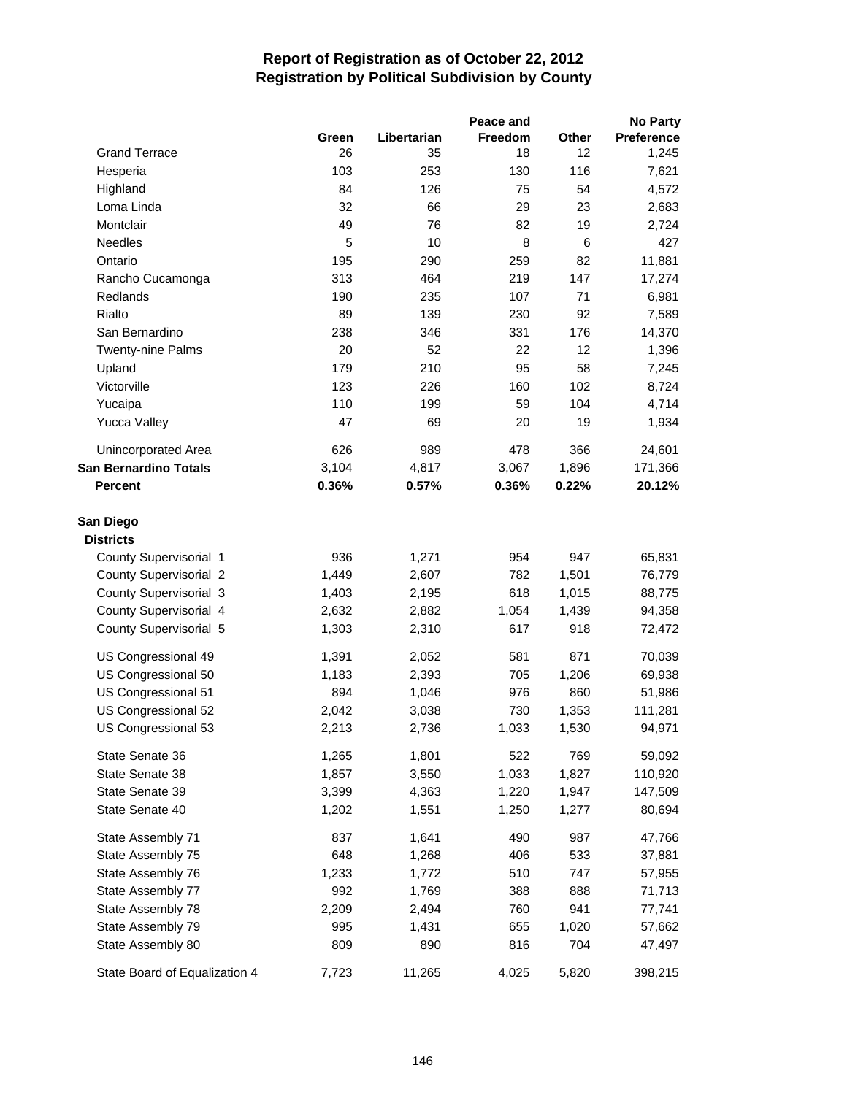|                               |       |             | Peace and      |       | <b>No Party</b> |
|-------------------------------|-------|-------------|----------------|-------|-----------------|
|                               | Green | Libertarian | <b>Freedom</b> | Other | Preference      |
| <b>Grand Terrace</b>          | 26    | 35          | 18             | 12    | 1,245           |
| Hesperia                      | 103   | 253         | 130            | 116   | 7,621           |
| Highland                      | 84    | 126         | 75             | 54    | 4,572           |
| Loma Linda                    | 32    | 66          | 29             | 23    | 2,683           |
| Montclair                     | 49    | 76          | 82             | 19    | 2,724           |
| Needles                       | 5     | 10          | 8              | 6     | 427             |
| Ontario                       | 195   | 290         | 259            | 82    | 11,881          |
| Rancho Cucamonga              | 313   | 464         | 219            | 147   | 17,274          |
| Redlands                      | 190   | 235         | 107            | 71    | 6,981           |
| Rialto                        | 89    | 139         | 230            | 92    | 7,589           |
| San Bernardino                | 238   | 346         | 331            | 176   | 14,370          |
| Twenty-nine Palms             | 20    | 52          | 22             | 12    | 1,396           |
| Upland                        | 179   | 210         | 95             | 58    | 7,245           |
| Victorville                   | 123   | 226         | 160            | 102   | 8,724           |
| Yucaipa                       | 110   | 199         | 59             | 104   | 4,714           |
| <b>Yucca Valley</b>           | 47    | 69          | 20             | 19    | 1,934           |
| Unincorporated Area           | 626   | 989         | 478            | 366   | 24,601          |
| <b>San Bernardino Totals</b>  | 3,104 | 4,817       | 3,067          | 1,896 | 171,366         |
| <b>Percent</b>                | 0.36% | 0.57%       | 0.36%          | 0.22% | 20.12%          |
| San Diego                     |       |             |                |       |                 |
| <b>Districts</b>              |       |             |                |       |                 |
| County Supervisorial 1        | 936   | 1,271       | 954            | 947   | 65,831          |
| <b>County Supervisorial 2</b> | 1,449 | 2,607       | 782            | 1,501 | 76,779          |
| County Supervisorial 3        | 1,403 | 2,195       | 618            | 1,015 | 88,775          |
| County Supervisorial 4        | 2,632 | 2,882       | 1,054          | 1,439 | 94,358          |
| County Supervisorial 5        | 1,303 | 2,310       | 617            | 918   | 72,472          |
| US Congressional 49           | 1,391 | 2,052       | 581            | 871   | 70,039          |
| US Congressional 50           | 1,183 | 2,393       | 705            | 1,206 | 69,938          |
| US Congressional 51           | 894   | 1,046       | 976            | 860   | 51,986          |
| US Congressional 52           | 2,042 | 3,038       | 730            | 1,353 | 111,281         |
| US Congressional 53           | 2,213 | 2,736       | 1,033          | 1,530 | 94,971          |
| State Senate 36               | 1,265 | 1,801       | 522            | 769   | 59,092          |
| State Senate 38               | 1,857 | 3,550       | 1,033          | 1,827 | 110,920         |
| State Senate 39               | 3,399 | 4,363       | 1,220          | 1,947 | 147,509         |
| State Senate 40               | 1,202 | 1,551       | 1,250          | 1,277 | 80,694          |
| State Assembly 71             | 837   | 1,641       | 490            | 987   | 47,766          |
| State Assembly 75             | 648   | 1,268       | 406            | 533   | 37,881          |
| State Assembly 76             | 1,233 | 1,772       | 510            | 747   | 57,955          |
| State Assembly 77             | 992   | 1,769       | 388            | 888   | 71,713          |
| State Assembly 78             | 2,209 | 2,494       | 760            | 941   | 77,741          |
| State Assembly 79             | 995   | 1,431       | 655            | 1,020 | 57,662          |
| State Assembly 80             | 809   | 890         | 816            | 704   | 47,497          |
| State Board of Equalization 4 | 7,723 | 11,265      | 4,025          | 5,820 | 398,215         |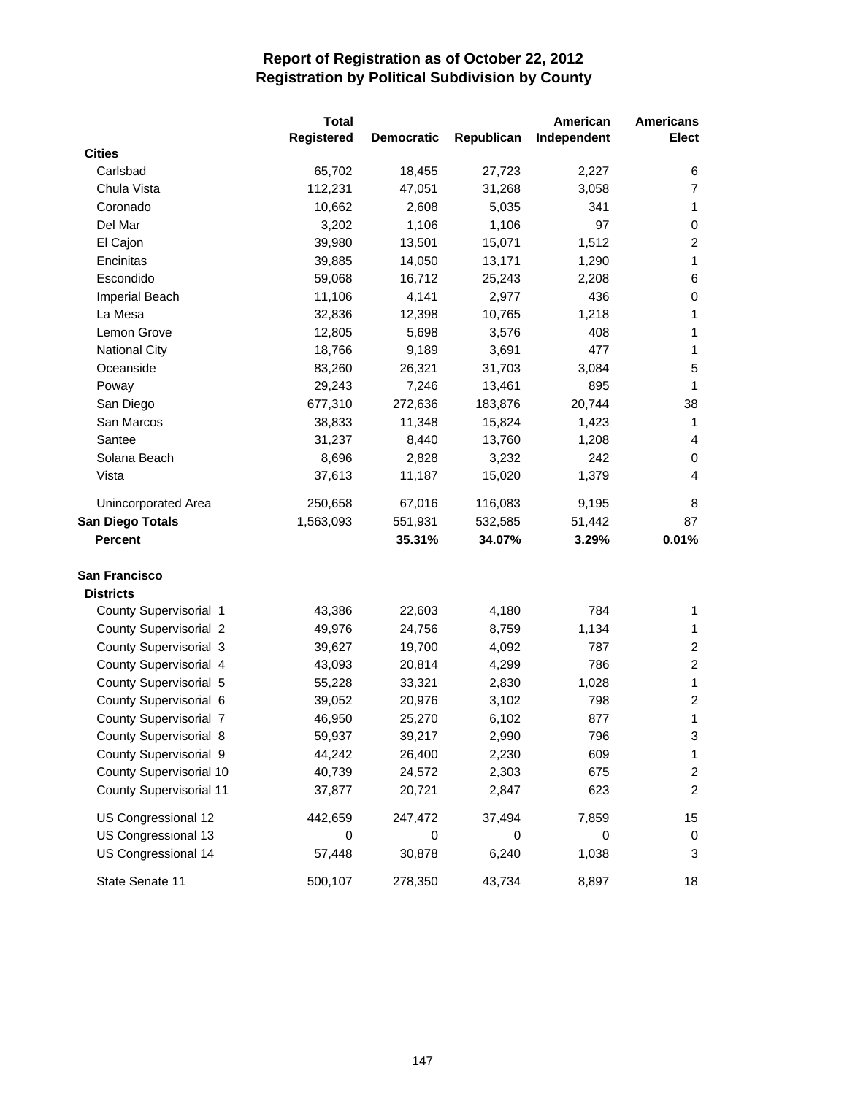|                                | <b>Total</b> |                   |            | American    | <b>Americans</b>        |
|--------------------------------|--------------|-------------------|------------|-------------|-------------------------|
|                                | Registered   | <b>Democratic</b> | Republican | Independent | <b>Elect</b>            |
| <b>Cities</b>                  |              |                   |            |             |                         |
| Carlsbad                       | 65,702       | 18,455            | 27,723     | 2,227       | 6                       |
| Chula Vista                    | 112,231      | 47,051            | 31,268     | 3,058       | 7                       |
| Coronado                       | 10,662       | 2,608             | 5,035      | 341         | $\mathbf{1}$            |
| Del Mar                        | 3,202        | 1,106             | 1,106      | 97          | 0                       |
| El Cajon                       | 39,980       | 13,501            | 15,071     | 1,512       | $\overline{c}$          |
| Encinitas                      | 39,885       | 14,050            | 13,171     | 1,290       | $\mathbf{1}$            |
| Escondido                      | 59,068       | 16,712            | 25,243     | 2,208       | 6                       |
| Imperial Beach                 | 11,106       | 4,141             | 2,977      | 436         | $\,0\,$                 |
| La Mesa                        | 32,836       | 12,398            | 10,765     | 1,218       | 1                       |
| Lemon Grove                    | 12,805       | 5,698             | 3,576      | 408         | 1                       |
| <b>National City</b>           | 18,766       | 9,189             | 3,691      | 477         | 1                       |
| Oceanside                      | 83,260       | 26,321            | 31,703     | 3,084       | 5                       |
| Poway                          | 29,243       | 7,246             | 13,461     | 895         | 1                       |
| San Diego                      | 677,310      | 272,636           | 183,876    | 20,744      | 38                      |
| San Marcos                     | 38,833       | 11,348            | 15,824     | 1,423       | 1                       |
| Santee                         | 31,237       | 8,440             | 13,760     | 1,208       | 4                       |
| Solana Beach                   | 8,696        | 2,828             | 3,232      | 242         | 0                       |
| Vista                          | 37,613       | 11,187            | 15,020     | 1,379       | $\overline{4}$          |
| Unincorporated Area            | 250,658      | 67,016            | 116,083    | 9,195       | 8                       |
| San Diego Totals               | 1,563,093    | 551,931           | 532,585    | 51,442      | 87                      |
| Percent                        |              | 35.31%            | 34.07%     | 3.29%       | 0.01%                   |
| San Francisco                  |              |                   |            |             |                         |
| <b>Districts</b>               |              |                   |            |             |                         |
| County Supervisorial 1         | 43,386       | 22,603            | 4,180      | 784         | 1                       |
| <b>County Supervisorial 2</b>  | 49,976       | 24,756            | 8,759      | 1,134       | $\mathbf{1}$            |
| County Supervisorial 3         | 39,627       | 19,700            | 4,092      | 787         | $\overline{c}$          |
| County Supervisorial 4         | 43,093       | 20,814            | 4,299      | 786         | $\overline{c}$          |
| County Supervisorial 5         | 55,228       | 33,321            | 2,830      | 1,028       | $\mathbf{1}$            |
| County Supervisorial 6         | 39,052       | 20,976            | 3,102      | 798         | $\overline{\mathbf{c}}$ |
| County Supervisorial 7         | 46,950       | 25,270            | 6,102      | 877         | 1                       |
| County Supervisorial 8         | 59,937       | 39,217            | 2,990      | 796         | 3                       |
| County Supervisorial 9         | 44,242       | 26,400            | 2,230      | 609         | 1                       |
| County Supervisorial 10        | 40,739       | 24,572            | 2,303      | 675         | $\overline{\mathbf{c}}$ |
| <b>County Supervisorial 11</b> | 37,877       | 20,721            | 2,847      | 623         | $\overline{c}$          |
| US Congressional 12            | 442,659      | 247,472           | 37,494     | 7,859       | 15                      |
| US Congressional 13            | 0            | 0                 | 0          | 0           | 0                       |
| US Congressional 14            | 57,448       | 30,878            | 6,240      | 1,038       | 3                       |
| State Senate 11                | 500,107      | 278,350           | 43,734     | 8,897       | 18                      |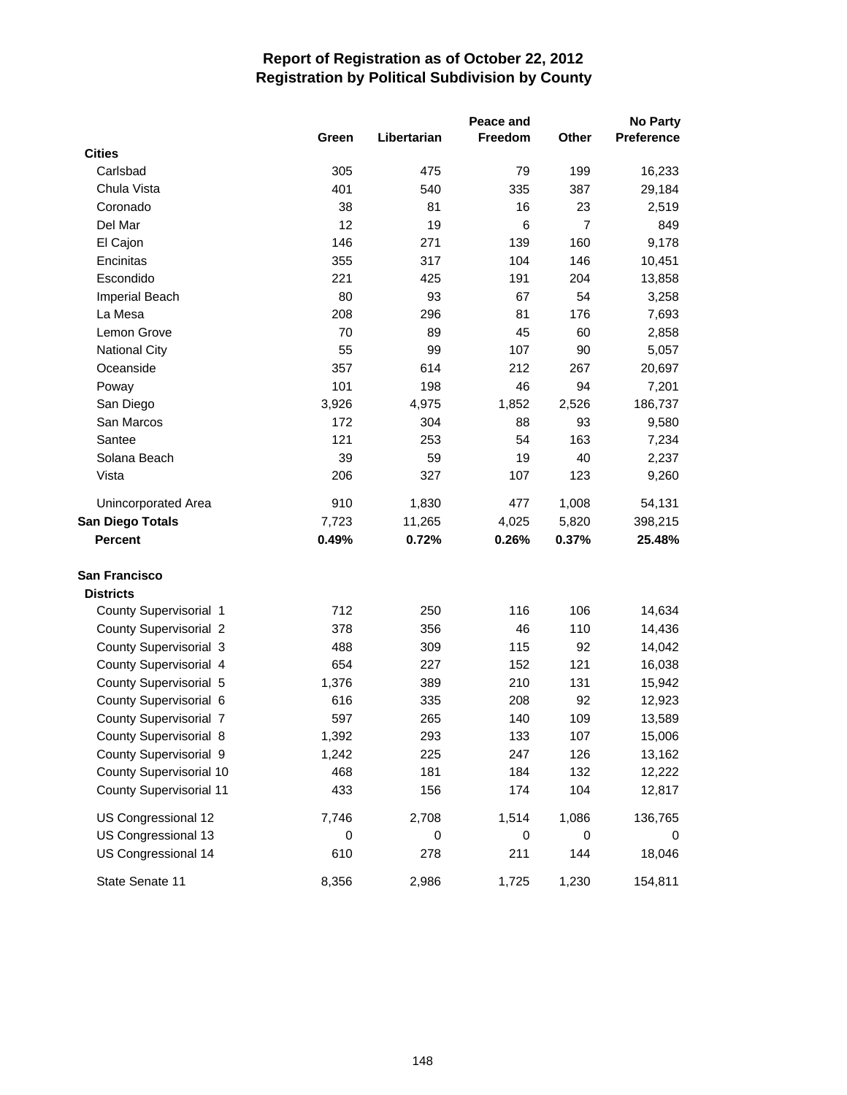|                                |       |             | Peace and |                | <b>No Party</b> |
|--------------------------------|-------|-------------|-----------|----------------|-----------------|
|                                | Green | Libertarian | Freedom   | Other          | Preference      |
| <b>Cities</b>                  |       |             |           |                |                 |
| Carlsbad                       | 305   | 475         | 79        | 199            | 16,233          |
| Chula Vista                    | 401   | 540         | 335       | 387            | 29,184          |
| Coronado                       | 38    | 81          | 16        | 23             | 2,519           |
| Del Mar                        | 12    | 19          | 6         | $\overline{7}$ | 849             |
| El Cajon                       | 146   | 271         | 139       | 160            | 9,178           |
| Encinitas                      | 355   | 317         | 104       | 146            | 10,451          |
| Escondido                      | 221   | 425         | 191       | 204            | 13,858          |
| Imperial Beach                 | 80    | 93          | 67        | 54             | 3,258           |
| La Mesa                        | 208   | 296         | 81        | 176            | 7,693           |
| Lemon Grove                    | 70    | 89          | 45        | 60             | 2,858           |
| <b>National City</b>           | 55    | 99          | 107       | 90             | 5,057           |
| Oceanside                      | 357   | 614         | 212       | 267            | 20,697          |
| Poway                          | 101   | 198         | 46        | 94             | 7,201           |
| San Diego                      | 3,926 | 4,975       | 1,852     | 2,526          | 186,737         |
| San Marcos                     | 172   | 304         | 88        | 93             | 9,580           |
| Santee                         | 121   | 253         | 54        | 163            | 7,234           |
| Solana Beach                   | 39    | 59          | 19        | 40             | 2,237           |
| Vista                          | 206   | 327         | 107       | 123            | 9,260           |
| Unincorporated Area            | 910   | 1,830       | 477       | 1,008          | 54,131          |
| San Diego Totals               | 7,723 | 11,265      | 4,025     | 5,820          | 398,215         |
| <b>Percent</b>                 | 0.49% | 0.72%       | 0.26%     | 0.37%          | 25.48%          |
| San Francisco                  |       |             |           |                |                 |
| <b>Districts</b>               |       |             |           |                |                 |
| County Supervisorial 1         | 712   | 250         | 116       | 106            | 14,634          |
| <b>County Supervisorial 2</b>  | 378   | 356         | 46        | 110            | 14,436          |
| County Supervisorial 3         | 488   | 309         | 115       | 92             | 14,042          |
| County Supervisorial 4         | 654   | 227         | 152       | 121            | 16,038          |
| County Supervisorial 5         | 1,376 | 389         | 210       | 131            | 15,942          |
| County Supervisorial 6         | 616   | 335         | 208       | 92             | 12,923          |
| <b>County Supervisorial 7</b>  | 597   | 265         | 140       | 109            | 13,589          |
| County Supervisorial 8         | 1,392 | 293         | 133       | 107            | 15,006          |
| County Supervisorial 9         | 1,242 | 225         | 247       | 126            | 13,162          |
| County Supervisorial 10        | 468   | 181         | 184       | 132            | 12,222          |
| <b>County Supervisorial 11</b> | 433   | 156         | 174       | 104            | 12,817          |
| US Congressional 12            | 7,746 | 2,708       | 1,514     | 1,086          | 136,765         |
| US Congressional 13            | 0     | 0           | 0         | 0              | 0               |
| US Congressional 14            | 610   | 278         | 211       | 144            | 18,046          |
| State Senate 11                | 8,356 | 2,986       | 1,725     | 1,230          | 154,811         |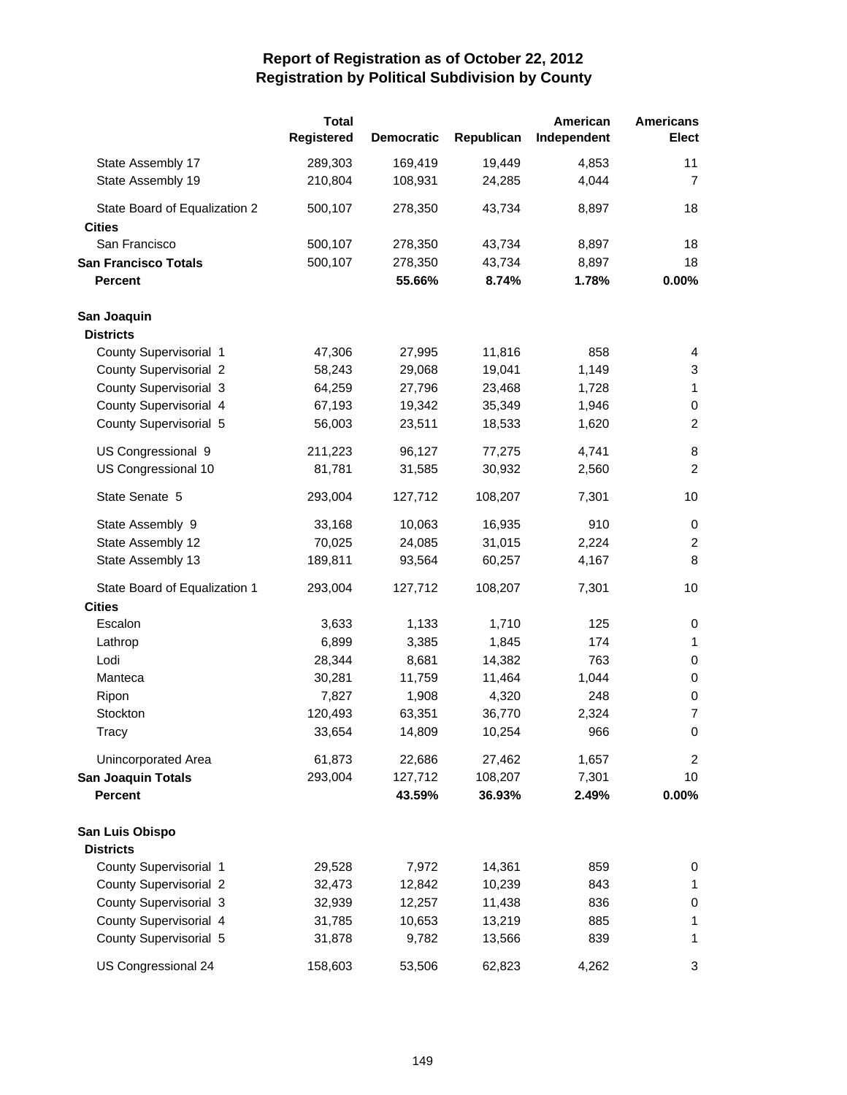|                               | <b>Total</b> |                   |            | American    | <b>Americans</b> |
|-------------------------------|--------------|-------------------|------------|-------------|------------------|
|                               | Registered   | <b>Democratic</b> | Republican | Independent | <b>Elect</b>     |
| State Assembly 17             | 289,303      | 169,419           | 19,449     | 4,853       | 11               |
| State Assembly 19             | 210,804      | 108,931           | 24,285     | 4,044       | $\overline{7}$   |
| State Board of Equalization 2 | 500,107      | 278,350           | 43,734     | 8,897       | 18               |
| <b>Cities</b>                 |              |                   |            |             |                  |
| San Francisco                 | 500,107      | 278,350           | 43,734     | 8,897       | 18               |
| <b>San Francisco Totals</b>   | 500,107      | 278,350           | 43,734     | 8,897       | 18               |
| <b>Percent</b>                |              | 55.66%            | 8.74%      | 1.78%       | 0.00%            |
| San Joaquin                   |              |                   |            |             |                  |
| <b>Districts</b>              |              |                   |            |             |                  |
| County Supervisorial 1        | 47,306       | 27,995            | 11,816     | 858         | 4                |
| <b>County Supervisorial 2</b> | 58,243       | 29,068            | 19,041     | 1,149       | 3                |
| County Supervisorial 3        | 64,259       | 27,796            | 23,468     | 1,728       | $\mathbf{1}$     |
| County Supervisorial 4        | 67,193       | 19,342            | 35,349     | 1,946       | $\,0\,$          |
| County Supervisorial 5        | 56,003       | 23,511            | 18,533     | 1,620       | $\boldsymbol{2}$ |
| US Congressional 9            | 211,223      | 96,127            | 77,275     | 4,741       | 8                |
| US Congressional 10           | 81,781       | 31,585            | 30,932     | 2,560       | $\overline{c}$   |
| State Senate 5                | 293,004      | 127,712           | 108,207    | 7,301       | 10               |
| State Assembly 9              | 33,168       | 10,063            | 16,935     | 910         | 0                |
| State Assembly 12             | 70,025       | 24,085            | 31,015     | 2,224       | $\overline{c}$   |
| State Assembly 13             | 189,811      | 93,564            | 60,257     | 4,167       | 8                |
| State Board of Equalization 1 | 293,004      | 127,712           | 108,207    | 7,301       | 10               |
| <b>Cities</b>                 |              |                   |            |             |                  |
| Escalon                       | 3,633        | 1,133             | 1,710      | 125         | 0                |
| Lathrop                       | 6,899        | 3,385             | 1,845      | 174         | $\mathbf{1}$     |
| Lodi                          | 28,344       | 8,681             | 14,382     | 763         | 0                |
| Manteca                       | 30,281       | 11,759            | 11,464     | 1,044       | 0                |
| Ripon                         | 7,827        | 1,908             | 4,320      | 248         | 0                |
| Stockton                      | 120,493      | 63,351            | 36,770     | 2,324       | $\overline{7}$   |
| Tracy                         | 33,654       | 14,809            | 10,254     | 966         | 0                |
| Unincorporated Area           | 61,873       | 22,686            | 27,462     | 1,657       | $\overline{2}$   |
| <b>San Joaquin Totals</b>     | 293,004      | 127,712           | 108,207    | 7,301       | 10               |
| <b>Percent</b>                |              | 43.59%            | 36.93%     | 2.49%       | 0.00%            |
| San Luis Obispo               |              |                   |            |             |                  |
| <b>Districts</b>              |              |                   |            |             |                  |
| County Supervisorial 1        | 29,528       | 7,972             | 14,361     | 859         | 0                |
| <b>County Supervisorial 2</b> | 32,473       | 12,842            | 10,239     | 843         | $\mathbf{1}$     |
| County Supervisorial 3        | 32,939       | 12,257            | 11,438     | 836         | 0                |
| County Supervisorial 4        | 31,785       | 10,653            | 13,219     | 885         | 1                |
| County Supervisorial 5        | 31,878       | 9,782             | 13,566     | 839         | 1                |
| US Congressional 24           | 158,603      | 53,506            | 62,823     | 4,262       | 3                |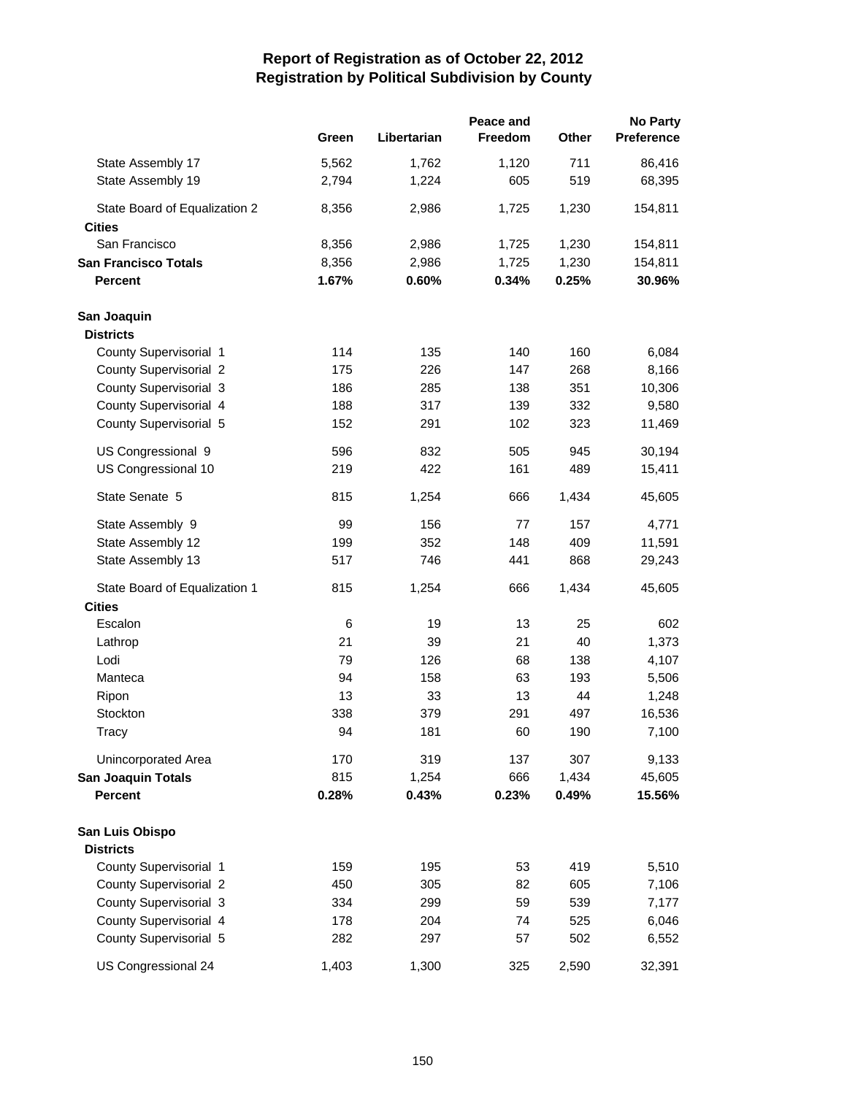|                               |       | Peace and   |         |       |            |
|-------------------------------|-------|-------------|---------|-------|------------|
|                               | Green | Libertarian | Freedom | Other | Preference |
| State Assembly 17             | 5,562 | 1,762       | 1,120   | 711   | 86,416     |
| State Assembly 19             | 2,794 | 1,224       | 605     | 519   | 68,395     |
| State Board of Equalization 2 | 8,356 | 2,986       | 1,725   | 1,230 | 154,811    |
| <b>Cities</b>                 |       |             |         |       |            |
| San Francisco                 | 8,356 | 2,986       | 1,725   | 1,230 | 154,811    |
| <b>San Francisco Totals</b>   | 8,356 | 2,986       | 1,725   | 1,230 | 154,811    |
| <b>Percent</b>                | 1.67% | 0.60%       | 0.34%   | 0.25% | 30.96%     |
| San Joaquin                   |       |             |         |       |            |
| <b>Districts</b>              |       |             |         |       |            |
| County Supervisorial 1        | 114   | 135         | 140     | 160   | 6,084      |
| <b>County Supervisorial 2</b> | 175   | 226         | 147     | 268   | 8,166      |
| County Supervisorial 3        | 186   | 285         | 138     | 351   | 10,306     |
| County Supervisorial 4        | 188   | 317         | 139     | 332   | 9,580      |
| County Supervisorial 5        | 152   | 291         | 102     | 323   | 11,469     |
| US Congressional 9            | 596   | 832         | 505     | 945   | 30,194     |
| US Congressional 10           | 219   | 422         | 161     | 489   | 15,411     |
| State Senate 5                | 815   | 1,254       | 666     | 1,434 | 45,605     |
| State Assembly 9              | 99    | 156         | 77      | 157   | 4,771      |
| State Assembly 12             | 199   | 352         | 148     | 409   | 11,591     |
| State Assembly 13             | 517   | 746         | 441     | 868   | 29,243     |
| State Board of Equalization 1 | 815   | 1,254       | 666     | 1,434 | 45,605     |
| <b>Cities</b>                 |       |             |         |       |            |
| Escalon                       | 6     | 19          | 13      | 25    | 602        |
| Lathrop                       | 21    | 39          | 21      | 40    | 1,373      |
| Lodi                          | 79    | 126         | 68      | 138   | 4,107      |
| Manteca                       | 94    | 158         | 63      | 193   | 5,506      |
| Ripon                         | 13    | 33          | 13      | 44    | 1,248      |
| Stockton                      | 338   | 379         | 291     | 497   | 16,536     |
| Tracy                         | 94    | 181         | 60      | 190   | 7,100      |
| Unincorporated Area           | 170   | 319         | 137     | 307   | 9,133      |
| <b>San Joaquin Totals</b>     | 815   | 1,254       | 666     | 1,434 | 45,605     |
| <b>Percent</b>                | 0.28% | 0.43%       | 0.23%   | 0.49% | 15.56%     |
| San Luis Obispo               |       |             |         |       |            |
| <b>Districts</b>              |       |             |         |       |            |
| County Supervisorial 1        | 159   | 195         | 53      | 419   | 5,510      |
| County Supervisorial 2        | 450   | 305         | 82      | 605   | 7,106      |
| County Supervisorial 3        | 334   | 299         | 59      | 539   | 7,177      |
| County Supervisorial 4        | 178   | 204         | 74      | 525   | 6,046      |
| County Supervisorial 5        | 282   | 297         | 57      | 502   | 6,552      |
| US Congressional 24           | 1,403 | 1,300       | 325     | 2,590 | 32,391     |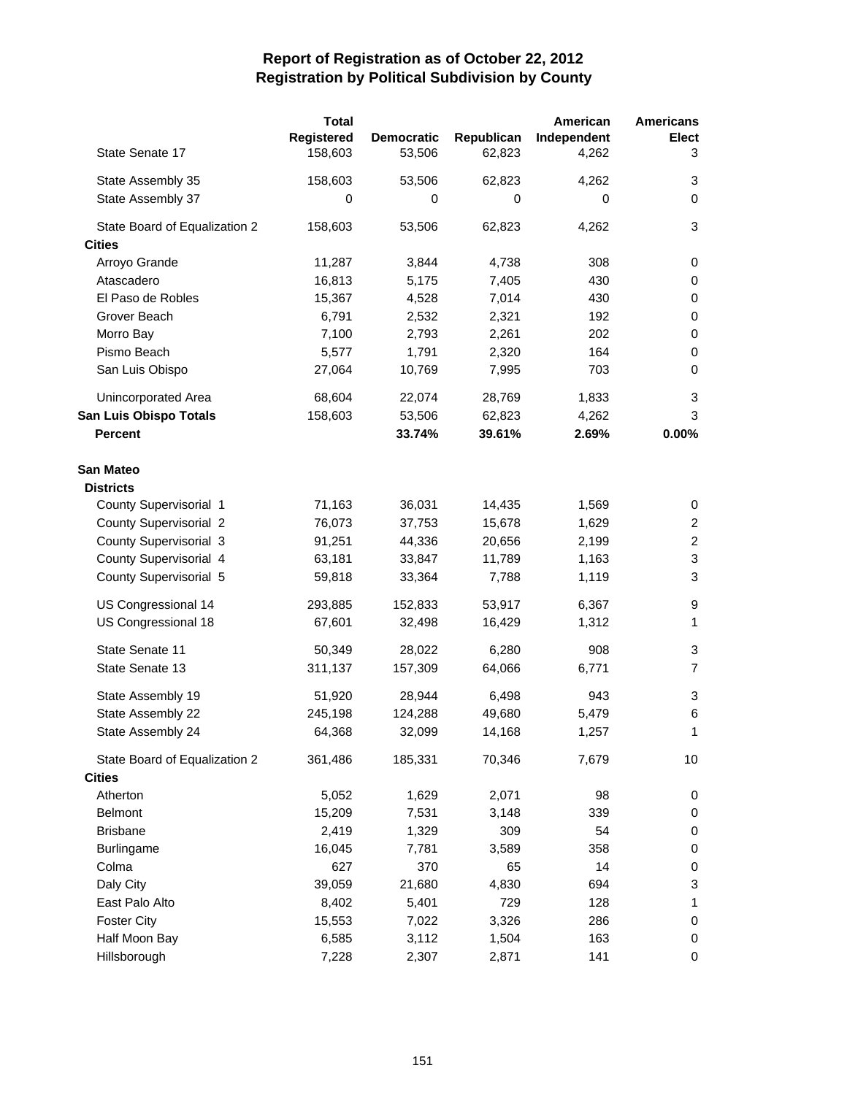|                               | <b>Total</b> |                   |            | American    | <b>Americans</b>        |
|-------------------------------|--------------|-------------------|------------|-------------|-------------------------|
|                               | Registered   | <b>Democratic</b> | Republican | Independent | <b>Elect</b>            |
| State Senate 17               | 158,603      | 53,506            | 62,823     | 4,262       | 3                       |
| State Assembly 35             | 158,603      | 53,506            | 62,823     | 4,262       | 3                       |
| State Assembly 37             | 0            | 0                 | 0          | 0           | 0                       |
| State Board of Equalization 2 | 158,603      | 53,506            | 62,823     | 4,262       | 3                       |
| <b>Cities</b>                 |              |                   |            |             |                         |
| Arroyo Grande                 | 11,287       | 3,844             | 4,738      | 308         | 0                       |
| Atascadero                    | 16,813       | 5,175             | 7,405      | 430         | 0                       |
| El Paso de Robles             | 15,367       | 4,528             | 7,014      | 430         | 0                       |
| Grover Beach                  | 6,791        | 2,532             | 2,321      | 192         | 0                       |
| Morro Bay                     | 7,100        | 2,793             | 2,261      | 202         | $\mathbf 0$             |
| Pismo Beach                   | 5,577        | 1,791             | 2,320      | 164         | $\pmb{0}$               |
| San Luis Obispo               | 27,064       | 10,769            | 7,995      | 703         | $\mathbf 0$             |
| Unincorporated Area           | 68,604       | 22,074            | 28,769     | 1,833       | 3                       |
| San Luis Obispo Totals        | 158,603      | 53,506            | 62,823     | 4,262       | 3                       |
| <b>Percent</b>                |              | 33.74%            | 39.61%     | 2.69%       | 0.00%                   |
| San Mateo                     |              |                   |            |             |                         |
| <b>Districts</b>              |              |                   |            |             |                         |
| County Supervisorial 1        | 71,163       | 36,031            | 14,435     | 1,569       | 0                       |
| <b>County Supervisorial 2</b> | 76,073       | 37,753            | 15,678     | 1,629       | $\overline{\mathbf{c}}$ |
| County Supervisorial 3        | 91,251       | 44,336            | 20,656     | 2,199       | $\overline{c}$          |
| County Supervisorial 4        | 63,181       | 33,847            | 11,789     | 1,163       | 3                       |
| County Supervisorial 5        | 59,818       | 33,364            | 7,788      | 1,119       | 3                       |
| US Congressional 14           | 293,885      | 152,833           | 53,917     | 6,367       | 9                       |
| US Congressional 18           | 67,601       | 32,498            | 16,429     | 1,312       | 1                       |
| State Senate 11               | 50,349       | 28,022            | 6,280      | 908         | 3                       |
| State Senate 13               | 311,137      | 157,309           | 64,066     | 6,771       | $\overline{7}$          |
| State Assembly 19             | 51,920       | 28,944            | 6,498      | 943         | 3                       |
| State Assembly 22             | 245,198      | 124,288           | 49,680     | 5,479       | 6                       |
| State Assembly 24             | 64,368       | 32,099            | 14,168     | 1,257       | 1                       |
| State Board of Equalization 2 | 361,486      | 185,331           | 70,346     | 7,679       | 10                      |
| <b>Cities</b>                 |              |                   |            |             |                         |
| Atherton                      | 5,052        | 1,629             | 2,071      | 98          | 0                       |
| <b>Belmont</b>                | 15,209       | 7,531             | 3,148      | 339         | 0                       |
| <b>Brisbane</b>               | 2,419        | 1,329             | 309        | 54          | $\,0\,$                 |
| <b>Burlingame</b>             | 16,045       | 7,781             | 3,589      | 358         | $\,0\,$                 |
| Colma                         | 627          | 370               | 65         | 14          | $\pmb{0}$               |
| Daly City                     | 39,059       | 21,680            | 4,830      | 694         | 3                       |
| East Palo Alto                | 8,402        | 5,401             | 729        | 128         | 1                       |
| <b>Foster City</b>            | 15,553       | 7,022             | 3,326      | 286         | 0                       |
| Half Moon Bay                 | 6,585        | 3,112             | 1,504      | 163         | 0                       |
| Hillsborough                  | 7,228        | 2,307             | 2,871      | 141         | 0                       |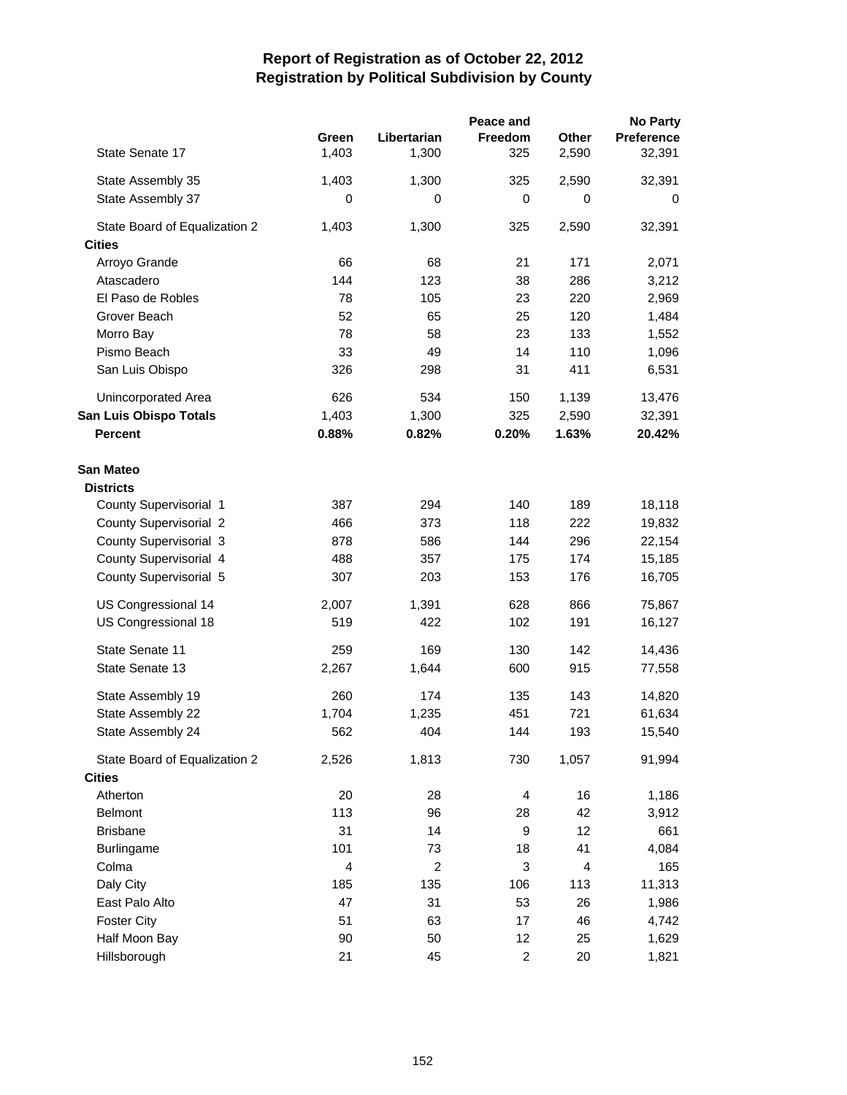|                               |                |                | Peace and               |                | <b>No Party</b>   |
|-------------------------------|----------------|----------------|-------------------------|----------------|-------------------|
|                               | Green          | Libertarian    | Freedom                 | Other          | <b>Preference</b> |
| State Senate 17               | 1,403          | 1,300          | 325                     | 2,590          | 32,391            |
| State Assembly 35             | 1,403          | 1,300          | 325                     | 2,590          | 32,391            |
| State Assembly 37             | 0              | 0              | 0                       | 0              | 0                 |
| State Board of Equalization 2 | 1,403          | 1,300          | 325                     | 2,590          | 32,391            |
| <b>Cities</b>                 |                |                |                         |                |                   |
| Arroyo Grande                 | 66             | 68             | 21                      | 171            | 2,071             |
| Atascadero                    | 144            | 123            | 38                      | 286            | 3,212             |
| El Paso de Robles             | 78             | 105            | 23                      | 220            | 2,969             |
| Grover Beach                  | 52             | 65             | 25                      | 120            | 1,484             |
| Morro Bay                     | 78             | 58             | 23                      | 133            | 1,552             |
| Pismo Beach                   | 33             | 49             | 14                      | 110            | 1,096             |
| San Luis Obispo               | 326            | 298            | 31                      | 411            | 6,531             |
| Unincorporated Area           | 626            | 534            | 150                     | 1,139          | 13,476            |
| San Luis Obispo Totals        | 1,403          | 1,300          | 325                     | 2,590          | 32,391            |
| <b>Percent</b>                | 0.88%          | 0.82%          | 0.20%                   | 1.63%          | 20.42%            |
| San Mateo                     |                |                |                         |                |                   |
| <b>Districts</b>              |                |                |                         |                |                   |
| County Supervisorial 1        | 387            | 294            | 140                     | 189            | 18,118            |
| <b>County Supervisorial 2</b> | 466            | 373            | 118                     | 222            | 19,832            |
| County Supervisorial 3        | 878            | 586            | 144                     | 296            | 22,154            |
| County Supervisorial 4        | 488            | 357            | 175                     | 174            | 15,185            |
| County Supervisorial 5        | 307            | 203            | 153                     | 176            | 16,705            |
| US Congressional 14           | 2,007          | 1,391          | 628                     | 866            | 75,867            |
| US Congressional 18           | 519            | 422            | 102                     | 191            | 16,127            |
| State Senate 11               | 259            | 169            | 130                     | 142            | 14,436            |
| State Senate 13               | 2,267          | 1,644          | 600                     | 915            | 77,558            |
| State Assembly 19             | 260            | 174            | 135                     | 143            | 14,820            |
| State Assembly 22             | 1,704          | 1,235          | 451                     | 721            | 61,634            |
| State Assembly 24             | 562            | 404            | 144                     | 193            | 15,540            |
| State Board of Equalization 2 | 2,526          | 1,813          | 730                     | 1,057          | 91,994            |
| <b>Cities</b>                 |                |                |                         |                |                   |
| Atherton                      | 20             | 28             | 4                       | 16             | 1,186             |
| <b>Belmont</b>                | 113            | 96             | 28                      | 42             | 3,912             |
| <b>Brisbane</b>               | 31             | 14             | 9                       | 12             | 661               |
| Burlingame                    | 101            | 73             | 18                      | 41             | 4,084             |
| Colma                         | $\overline{4}$ | $\overline{c}$ | 3                       | $\overline{4}$ | 165               |
| Daly City                     | 185            | 135            | 106                     | 113            | 11,313            |
| East Palo Alto                | 47             | 31             | 53                      | 26             | 1,986             |
| <b>Foster City</b>            | 51             | 63             | 17                      | 46             | 4,742             |
| Half Moon Bay                 | 90             | 50             | 12                      | 25             | 1,629             |
| Hillsborough                  | 21             | 45             | $\overline{\mathbf{c}}$ | 20             | 1,821             |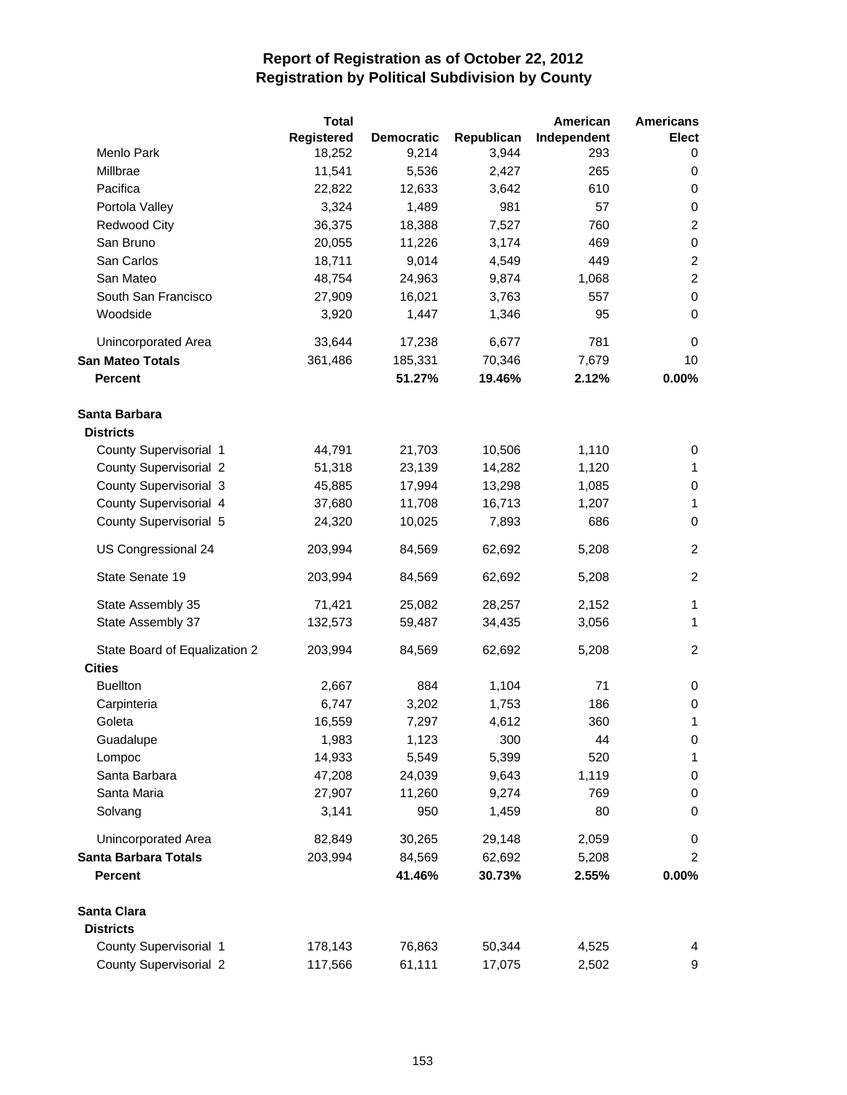|                               | <b>Total</b> |                   |            | American    | <b>Americans</b> |
|-------------------------------|--------------|-------------------|------------|-------------|------------------|
|                               | Registered   | <b>Democratic</b> | Republican | Independent | <b>Elect</b>     |
| Menlo Park                    | 18,252       | 9,214             | 3,944      | 293         | 0                |
| Millbrae                      | 11,541       | 5,536             | 2,427      | 265         | 0                |
| Pacifica                      | 22,822       | 12,633            | 3,642      | 610         | 0                |
| Portola Valley                | 3,324        | 1,489             | 981        | 57          | 0                |
| <b>Redwood City</b>           | 36,375       | 18,388            | 7,527      | 760         | $\overline{2}$   |
| San Bruno                     | 20,055       | 11,226            | 3,174      | 469         | $\mathbf 0$      |
| San Carlos                    | 18,711       | 9,014             | 4,549      | 449         | $\boldsymbol{2}$ |
| San Mateo                     | 48,754       | 24,963            | 9,874      | 1,068       | $\overline{c}$   |
| South San Francisco           | 27,909       | 16,021            | 3,763      | 557         | $\pmb{0}$        |
| Woodside                      | 3,920        | 1,447             | 1,346      | 95          | 0                |
| Unincorporated Area           | 33,644       | 17,238            | 6,677      | 781         | 0                |
| <b>San Mateo Totals</b>       | 361,486      | 185,331           | 70,346     | 7,679       | 10               |
| <b>Percent</b>                |              | 51.27%            | 19.46%     | 2.12%       | 0.00%            |
| Santa Barbara                 |              |                   |            |             |                  |
| <b>Districts</b>              |              |                   |            |             |                  |
| County Supervisorial 1        | 44,791       | 21,703            | 10,506     | 1,110       | 0                |
| <b>County Supervisorial 2</b> | 51,318       | 23,139            | 14,282     | 1,120       | 1                |
| County Supervisorial 3        | 45,885       | 17,994            | 13,298     | 1,085       | 0                |
| County Supervisorial 4        | 37,680       | 11,708            | 16,713     | 1,207       | 1                |
| County Supervisorial 5        | 24,320       | 10,025            | 7,893      | 686         | 0                |
| US Congressional 24           | 203,994      | 84,569            | 62,692     | 5,208       | $\overline{c}$   |
| State Senate 19               | 203,994      | 84,569            | 62,692     | 5,208       | $\overline{2}$   |
| State Assembly 35             | 71,421       | 25,082            | 28,257     | 2,152       | 1                |
| State Assembly 37             | 132,573      | 59,487            | 34,435     | 3,056       | 1                |
| State Board of Equalization 2 | 203,994      | 84,569            | 62,692     | 5,208       | $\overline{2}$   |
| <b>Cities</b>                 |              |                   |            |             |                  |
| <b>Buellton</b>               | 2,667        | 884               | 1,104      | 71          | 0                |
| Carpinteria                   | 6,747        | 3,202             | 1,753      | 186         | 0                |
| Goleta                        | 16,559       | 7,297             | 4,612      | 360         | 1                |
| Guadalupe                     | 1,983        | 1,123             | 300        | 44          | 0                |
| Lompoc                        | 14,933       | 5,549             | 5,399      | 520         | 1                |
| Santa Barbara                 | 47,208       | 24,039            | 9,643      | 1,119       | 0                |
| Santa Maria                   | 27,907       | 11,260            | 9,274      | 769         | 0                |
| Solvang                       | 3,141        | 950               | 1,459      | 80          | 0                |
| Unincorporated Area           | 82,849       | 30,265            | 29,148     | 2,059       | 0                |
| Santa Barbara Totals          | 203,994      | 84,569            | 62,692     | 5,208       | $\overline{c}$   |
| <b>Percent</b>                |              | 41.46%            | 30.73%     | 2.55%       | 0.00%            |
| Santa Clara                   |              |                   |            |             |                  |
| <b>Districts</b>              |              |                   |            |             |                  |
| County Supervisorial 1        | 178,143      | 76,863            | 50,344     | 4,525       | 4                |
| County Supervisorial 2        | 117,566      | 61,111            | 17,075     | 2,502       | 9                |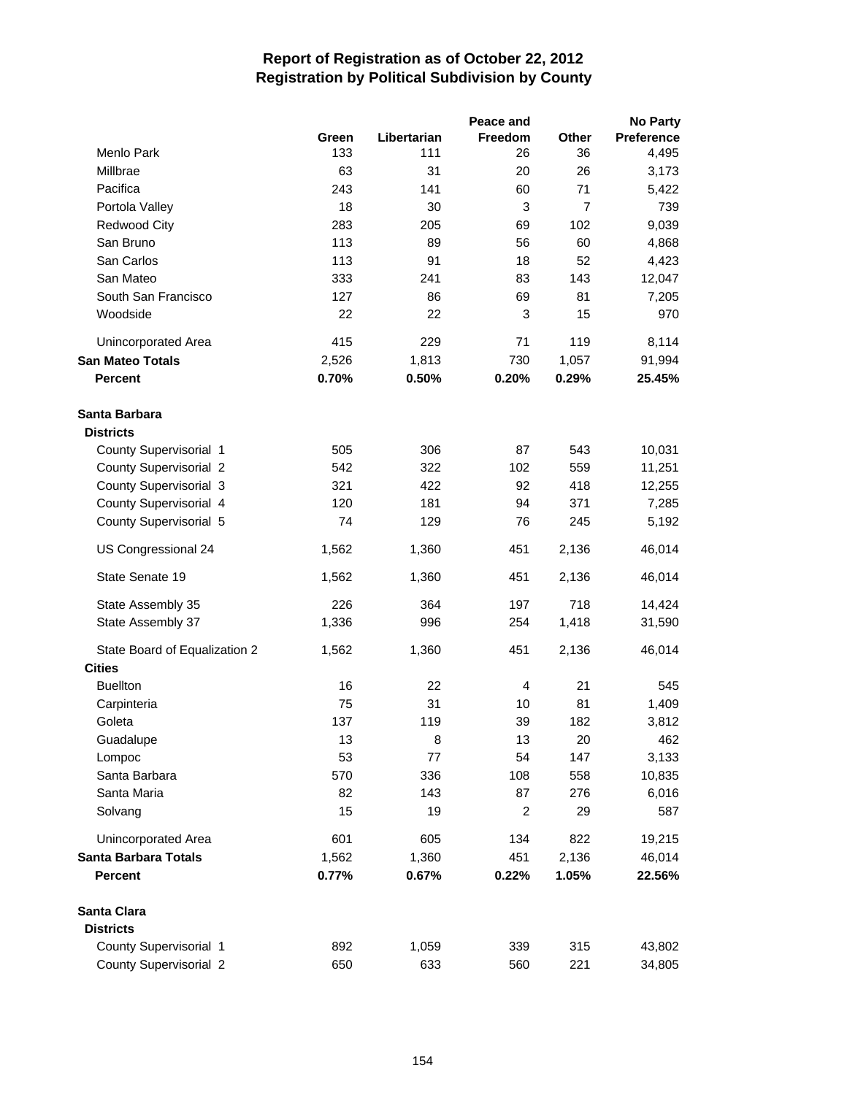|                               |       |             | Peace and      |                | <b>No Party</b>   |
|-------------------------------|-------|-------------|----------------|----------------|-------------------|
|                               | Green | Libertarian | Freedom        | Other          | <b>Preference</b> |
| Menlo Park                    | 133   | 111         | 26             | 36             | 4,495             |
| Millbrae                      | 63    | 31          | 20             | 26             | 3,173             |
| Pacifica                      | 243   | 141         | 60             | 71             | 5,422             |
| Portola Valley                | 18    | 30          | 3              | $\overline{7}$ | 739               |
| Redwood City                  | 283   | 205         | 69             | 102            | 9,039             |
| San Bruno                     | 113   | 89          | 56             | 60             | 4,868             |
| San Carlos                    | 113   | 91          | 18             | 52             | 4,423             |
| San Mateo                     | 333   | 241         | 83             | 143            | 12,047            |
| South San Francisco           | 127   | 86          | 69             | 81             | 7,205             |
| Woodside                      | 22    | 22          | 3              | 15             | 970               |
| Unincorporated Area           | 415   | 229         | 71             | 119            | 8,114             |
| <b>San Mateo Totals</b>       | 2,526 | 1,813       | 730            | 1,057          | 91,994            |
| <b>Percent</b>                | 0.70% | 0.50%       | 0.20%          | 0.29%          | 25.45%            |
| Santa Barbara                 |       |             |                |                |                   |
| <b>Districts</b>              |       |             |                |                |                   |
| County Supervisorial 1        | 505   | 306         | 87             | 543            | 10,031            |
| <b>County Supervisorial 2</b> | 542   | 322         | 102            | 559            | 11,251            |
| County Supervisorial 3        | 321   | 422         | 92             | 418            | 12,255            |
| County Supervisorial 4        | 120   | 181         | 94             | 371            | 7,285             |
| County Supervisorial 5        | 74    | 129         | 76             | 245            | 5,192             |
| US Congressional 24           | 1,562 | 1,360       | 451            | 2,136          | 46,014            |
| State Senate 19               | 1,562 | 1,360       | 451            | 2,136          | 46,014            |
| State Assembly 35             | 226   | 364         | 197            | 718            | 14,424            |
| State Assembly 37             | 1,336 | 996         | 254            | 1,418          | 31,590            |
| State Board of Equalization 2 | 1,562 | 1,360       | 451            | 2,136          | 46,014            |
| <b>Cities</b>                 |       |             |                |                |                   |
| <b>Buellton</b>               | 16    | 22          | 4              | 21             | 545               |
| Carpinteria                   | 75    | 31          | 10             | 81             | 1,409             |
| Goleta                        | 137   | 119         | 39             | 182            | 3,812             |
| Guadalupe                     | 13    | 8           | 13             | 20             | 462               |
| Lompoc                        | 53    | 77          | 54             | 147            | 3,133             |
| Santa Barbara                 | 570   | 336         | 108            | 558            | 10,835            |
| Santa Maria                   | 82    | 143         | 87             | 276            | 6,016             |
| Solvang                       | 15    | 19          | $\overline{c}$ | 29             | 587               |
| Unincorporated Area           | 601   | 605         | 134            | 822            | 19,215            |
| <b>Santa Barbara Totals</b>   | 1,562 | 1,360       | 451            | 2,136          | 46,014            |
| <b>Percent</b>                | 0.77% | 0.67%       | 0.22%          | 1.05%          | 22.56%            |
| Santa Clara                   |       |             |                |                |                   |
| <b>Districts</b>              |       |             |                |                |                   |
| County Supervisorial 1        | 892   | 1,059       | 339            | 315            | 43,802            |
| County Supervisorial 2        | 650   | 633         | 560            | 221            | 34,805            |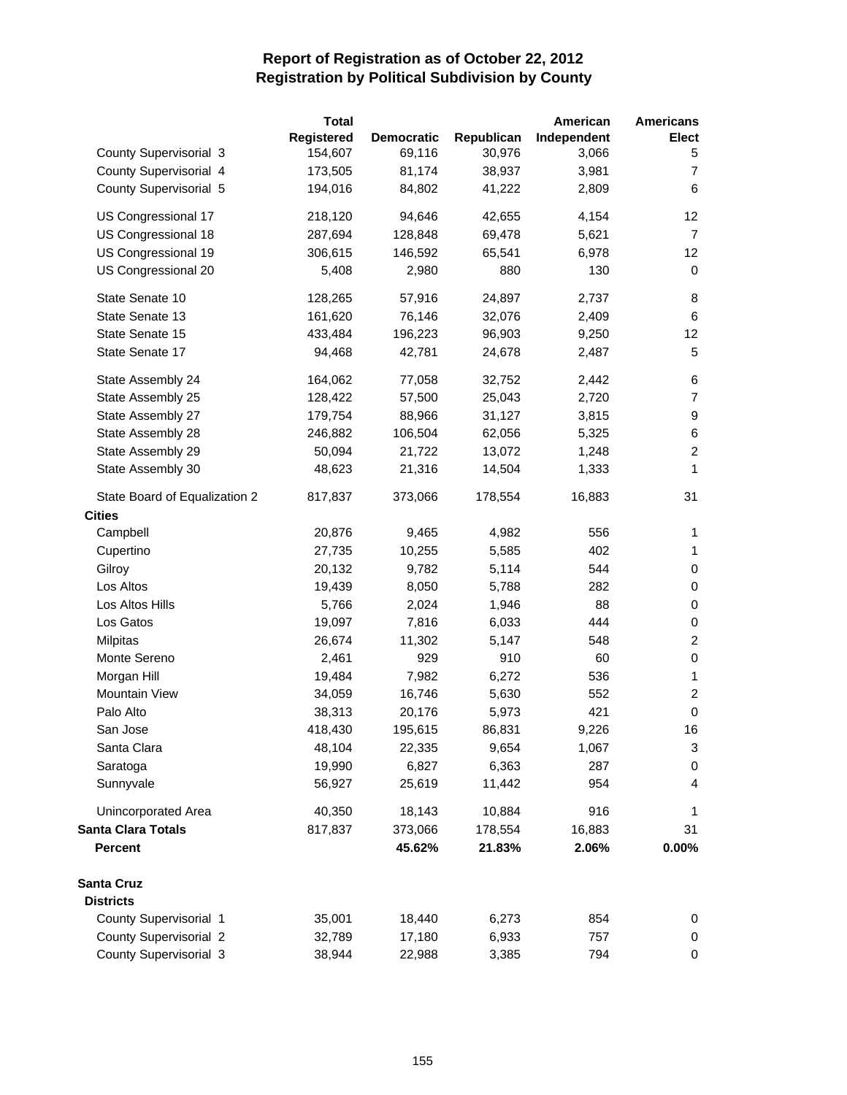|                               | <b>Total</b> |                   |            | American    | <b>Americans</b> |
|-------------------------------|--------------|-------------------|------------|-------------|------------------|
|                               | Registered   | <b>Democratic</b> | Republican | Independent | <b>Elect</b>     |
| County Supervisorial 3        | 154,607      | 69,116            | 30,976     | 3,066       | 5                |
| County Supervisorial 4        | 173,505      | 81,174            | 38,937     | 3,981       | $\overline{7}$   |
| County Supervisorial 5        | 194,016      | 84,802            | 41,222     | 2,809       | 6                |
| US Congressional 17           | 218,120      | 94,646            | 42,655     | 4,154       | 12 <sup>2</sup>  |
| US Congressional 18           | 287,694      | 128,848           | 69,478     | 5,621       | $\overline{7}$   |
| US Congressional 19           | 306,615      | 146,592           | 65,541     | 6,978       | 12               |
| US Congressional 20           | 5,408        | 2,980             | 880        | 130         | 0                |
| State Senate 10               | 128,265      | 57,916            | 24,897     | 2,737       | 8                |
| State Senate 13               | 161,620      | 76,146            | 32,076     | 2,409       | 6                |
| State Senate 15               | 433,484      | 196,223           | 96,903     | 9,250       | 12               |
| State Senate 17               | 94,468       | 42,781            | 24,678     | 2,487       | 5                |
| State Assembly 24             | 164,062      | 77,058            | 32,752     | 2,442       | 6                |
| State Assembly 25             | 128,422      | 57,500            | 25,043     | 2,720       | $\overline{7}$   |
| State Assembly 27             | 179,754      | 88,966            | 31,127     | 3,815       | 9                |
| State Assembly 28             | 246,882      | 106,504           | 62,056     | 5,325       | $\,6$            |
| State Assembly 29             | 50,094       | 21,722            | 13,072     | 1,248       | $\overline{c}$   |
| State Assembly 30             | 48,623       | 21,316            | 14,504     | 1,333       | 1                |
| State Board of Equalization 2 | 817,837      | 373,066           | 178,554    | 16,883      | 31               |
| <b>Cities</b>                 |              |                   |            |             |                  |
| Campbell                      | 20,876       | 9,465             | 4,982      | 556         | 1                |
| Cupertino                     | 27,735       | 10,255            | 5,585      | 402         | $\mathbf{1}$     |
| Gilroy                        | 20,132       | 9,782             | 5,114      | 544         | 0                |
| Los Altos                     | 19,439       | 8,050             | 5,788      | 282         | $\pmb{0}$        |
| Los Altos Hills               | 5,766        | 2,024             | 1,946      | 88          | $\mathbf 0$      |
| Los Gatos                     | 19,097       | 7,816             | 6,033      | 444         | $\pmb{0}$        |
| Milpitas                      | 26,674       | 11,302            | 5,147      | 548         | $\overline{c}$   |
| Monte Sereno                  | 2,461        | 929               | 910        | 60          | $\,0\,$          |
| Morgan Hill                   | 19,484       | 7,982             | 6,272      | 536         | $\mathbf{1}$     |
| Mountain View                 | 34,059       | 16,746            | 5,630      | 552         | $\boldsymbol{2}$ |
| Palo Alto                     | 38,313       | 20,176            | 5,973      | 421         | $\pmb{0}$        |
| San Jose                      | 418,430      | 195,615           | 86,831     | 9,226       | 16               |
| Santa Clara                   | 48,104       | 22,335            | 9,654      | 1,067       | 3                |
| Saratoga                      | 19,990       | 6,827             | 6,363      | 287         | 0                |
| Sunnyvale                     | 56,927       | 25,619            | 11,442     | 954         | 4                |
| <b>Unincorporated Area</b>    | 40,350       | 18,143            | 10,884     | 916         | 1                |
| <b>Santa Clara Totals</b>     | 817,837      | 373,066           | 178,554    | 16,883      | 31               |
| <b>Percent</b>                |              | 45.62%            | 21.83%     | 2.06%       | 0.00%            |
| <b>Santa Cruz</b>             |              |                   |            |             |                  |
| <b>Districts</b>              |              |                   |            |             |                  |
| County Supervisorial 1        | 35,001       | 18,440            | 6,273      | 854         | 0                |
| <b>County Supervisorial 2</b> | 32,789       | 17,180            | 6,933      | 757         | 0                |
| County Supervisorial 3        | 38,944       | 22,988            | 3,385      | 794         | 0                |
|                               |              |                   |            |             |                  |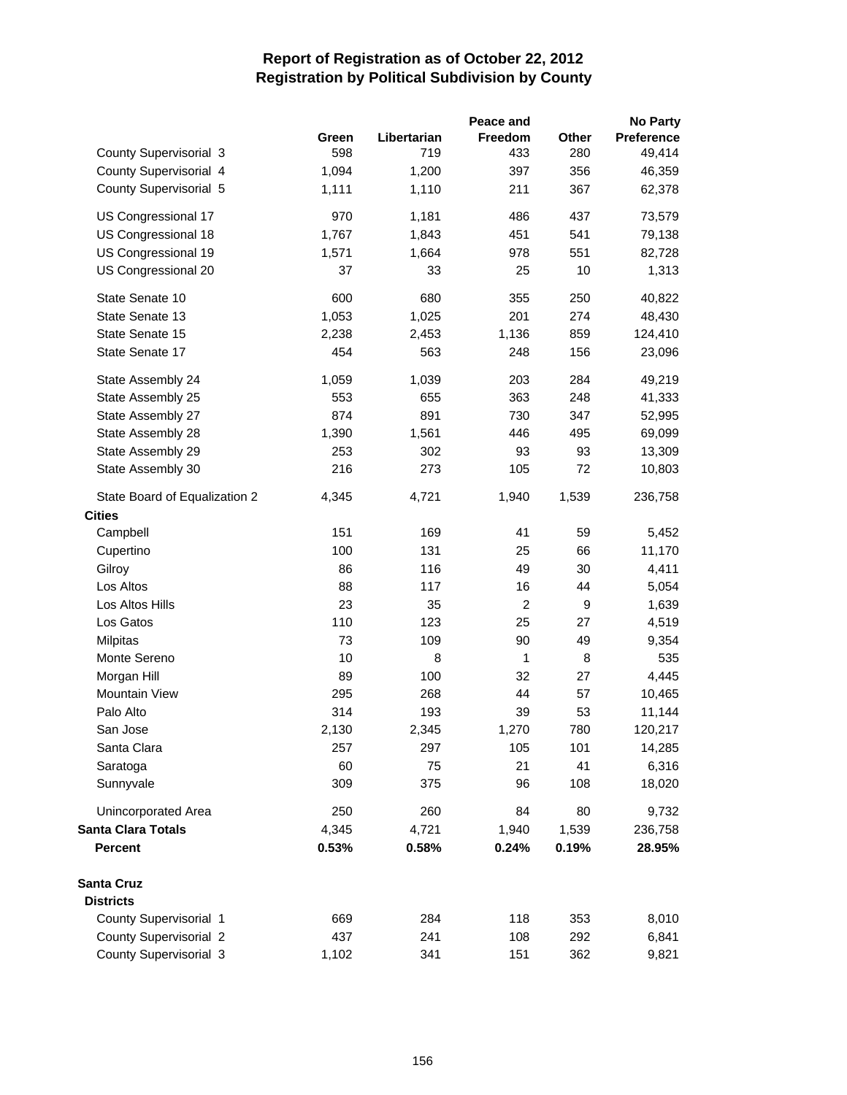|                               |       |             | Peace and      |       | <b>No Party</b> |
|-------------------------------|-------|-------------|----------------|-------|-----------------|
|                               | Green | Libertarian | Freedom        | Other | Preference      |
| County Supervisorial 3        | 598   | 719         | 433            | 280   | 49,414          |
| County Supervisorial 4        | 1,094 | 1,200       | 397            | 356   | 46,359          |
| County Supervisorial 5        | 1,111 | 1,110       | 211            | 367   | 62,378          |
| US Congressional 17           | 970   | 1,181       | 486            | 437   | 73,579          |
| US Congressional 18           | 1,767 | 1,843       | 451            | 541   | 79,138          |
| US Congressional 19           | 1,571 | 1,664       | 978            | 551   | 82,728          |
| US Congressional 20           | 37    | 33          | 25             | 10    | 1,313           |
| State Senate 10               | 600   | 680         | 355            | 250   | 40,822          |
| State Senate 13               | 1,053 | 1,025       | 201            | 274   | 48,430          |
| State Senate 15               | 2,238 | 2,453       | 1,136          | 859   | 124,410         |
| State Senate 17               | 454   | 563         | 248            | 156   | 23,096          |
| State Assembly 24             | 1,059 | 1,039       | 203            | 284   | 49,219          |
| State Assembly 25             | 553   | 655         | 363            | 248   | 41,333          |
| State Assembly 27             | 874   | 891         | 730            | 347   | 52,995          |
| State Assembly 28             | 1,390 | 1,561       | 446            | 495   | 69,099          |
| State Assembly 29             | 253   | 302         | 93             | 93    | 13,309          |
| State Assembly 30             | 216   | 273         | 105            | 72    | 10,803          |
| State Board of Equalization 2 | 4,345 | 4,721       | 1,940          | 1,539 | 236,758         |
| <b>Cities</b>                 |       |             |                |       |                 |
| Campbell                      | 151   | 169         | 41             | 59    | 5,452           |
| Cupertino                     | 100   | 131         | 25             | 66    | 11,170          |
| Gilroy                        | 86    | 116         | 49             | 30    | 4,411           |
| Los Altos                     | 88    | 117         | 16             | 44    | 5,054           |
| Los Altos Hills               | 23    | 35          | $\overline{c}$ | 9     | 1,639           |
| Los Gatos                     | 110   | 123         | 25             | 27    | 4,519           |
| Milpitas                      | 73    | 109         | 90             | 49    | 9,354           |
| Monte Sereno                  | 10    | 8           | $\mathbf{1}$   | 8     | 535             |
| Morgan Hill                   | 89    | 100         | 32             | 27    | 4,445           |
| Mountain View                 | 295   | 268         | 44             | 57    | 10,465          |
| Palo Alto                     | 314   | 193         | 39             | 53    | 11,144          |
| San Jose                      | 2,130 | 2,345       | 1,270          | 780   | 120,217         |
| Santa Clara                   | 257   | 297         | 105            | 101   | 14,285          |
| Saratoga                      | 60    | 75          | 21             | 41    | 6,316           |
| Sunnyvale                     | 309   | 375         | 96             | 108   | 18,020          |
| <b>Unincorporated Area</b>    | 250   | 260         | 84             | 80    | 9,732           |
| <b>Santa Clara Totals</b>     | 4,345 | 4,721       | 1,940          | 1,539 | 236,758         |
| <b>Percent</b>                | 0.53% | 0.58%       | 0.24%          | 0.19% | 28.95%          |
| <b>Santa Cruz</b>             |       |             |                |       |                 |
| <b>Districts</b>              |       |             |                |       |                 |
| County Supervisorial 1        | 669   | 284         | 118            | 353   | 8,010           |
| County Supervisorial 2        | 437   | 241         | 108            | 292   | 6,841           |
| County Supervisorial 3        | 1,102 | 341         | 151            | 362   | 9,821           |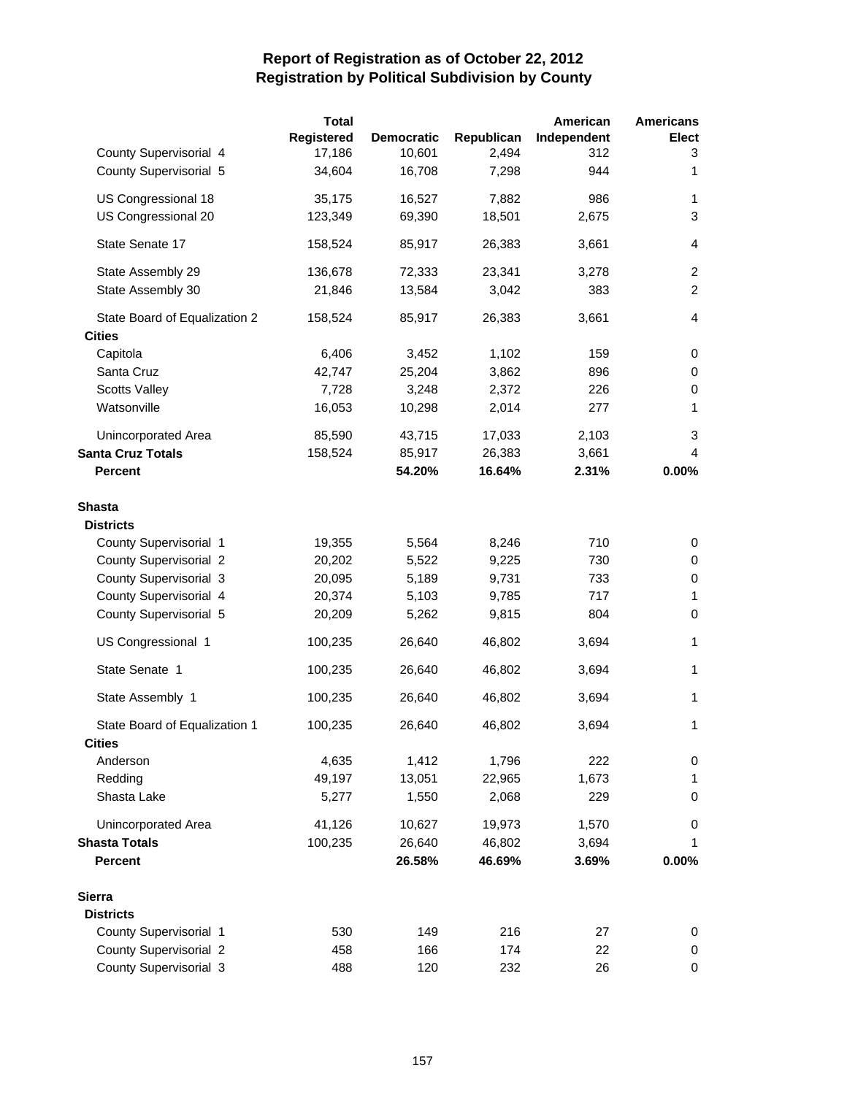|                               | <b>Total</b> |                   |            | American    | <b>Americans</b>        |
|-------------------------------|--------------|-------------------|------------|-------------|-------------------------|
|                               | Registered   | <b>Democratic</b> | Republican | Independent | <b>Elect</b>            |
| County Supervisorial 4        | 17,186       | 10,601            | 2,494      | 312         | 3                       |
| County Supervisorial 5        | 34,604       | 16,708            | 7,298      | 944         | 1                       |
| US Congressional 18           | 35,175       | 16,527            | 7,882      | 986         | 1                       |
| US Congressional 20           | 123,349      | 69,390            | 18,501     | 2,675       | 3                       |
| State Senate 17               | 158,524      | 85,917            | 26,383     | 3,661       | $\overline{\mathbf{4}}$ |
| State Assembly 29             | 136,678      | 72,333            | 23,341     | 3,278       | $\overline{2}$          |
| State Assembly 30             | 21,846       | 13,584            | 3,042      | 383         | $\overline{c}$          |
| State Board of Equalization 2 | 158,524      | 85,917            | 26,383     | 3,661       | 4                       |
| <b>Cities</b>                 |              |                   |            |             |                         |
| Capitola                      | 6,406        | 3,452             | 1,102      | 159         | 0                       |
| Santa Cruz                    | 42,747       | 25,204            | 3,862      | 896         | 0                       |
| <b>Scotts Valley</b>          | 7,728        | 3,248             | 2,372      | 226         | 0                       |
| Watsonville                   | 16,053       | 10,298            | 2,014      | 277         | 1                       |
| Unincorporated Area           | 85,590       | 43,715            | 17,033     | 2,103       | 3                       |
| <b>Santa Cruz Totals</b>      | 158,524      | 85,917            | 26,383     | 3,661       | 4                       |
| <b>Percent</b>                |              | 54.20%            | 16.64%     | 2.31%       | 0.00%                   |
| Shasta                        |              |                   |            |             |                         |
| <b>Districts</b>              |              |                   |            |             |                         |
| County Supervisorial 1        | 19,355       | 5,564             | 8,246      | 710         | 0                       |
| <b>County Supervisorial 2</b> | 20,202       | 5,522             | 9,225      | 730         | 0                       |
| County Supervisorial 3        | 20,095       | 5,189             | 9,731      | 733         | $\pmb{0}$               |
| County Supervisorial 4        | 20,374       | 5,103             | 9,785      | 717         | 1                       |
| County Supervisorial 5        | 20,209       | 5,262             | 9,815      | 804         | $\pmb{0}$               |
| US Congressional 1            | 100,235      | 26,640            | 46,802     | 3,694       | 1                       |
| State Senate 1                | 100,235      | 26,640            | 46,802     | 3,694       | 1                       |
| State Assembly 1              | 100,235      | 26,640            | 46,802     | 3,694       | 1                       |
| State Board of Equalization 1 | 100,235      | 26,640            | 46,802     | 3,694       | 1                       |
| <b>Cities</b>                 |              |                   |            |             |                         |
| Anderson                      | 4,635        | 1,412             | 1,796      | 222         | 0                       |
| Redding                       | 49,197       | 13,051            | 22,965     | 1,673       | 1                       |
| Shasta Lake                   | 5,277        | 1,550             | 2,068      | 229         | 0                       |
| Unincorporated Area           | 41,126       | 10,627            | 19,973     | 1,570       | 0                       |
| <b>Shasta Totals</b>          | 100,235      | 26,640            | 46,802     | 3,694       | 1                       |
| <b>Percent</b>                |              | 26.58%            | 46.69%     | 3.69%       | 0.00%                   |
| Sierra                        |              |                   |            |             |                         |
| <b>Districts</b>              |              |                   |            |             |                         |
| County Supervisorial 1        | 530          | 149               | 216        | 27          | 0                       |
| <b>County Supervisorial 2</b> | 458          | 166               | 174        | 22          | 0                       |
| County Supervisorial 3        | 488          | 120               | 232        | 26          | 0                       |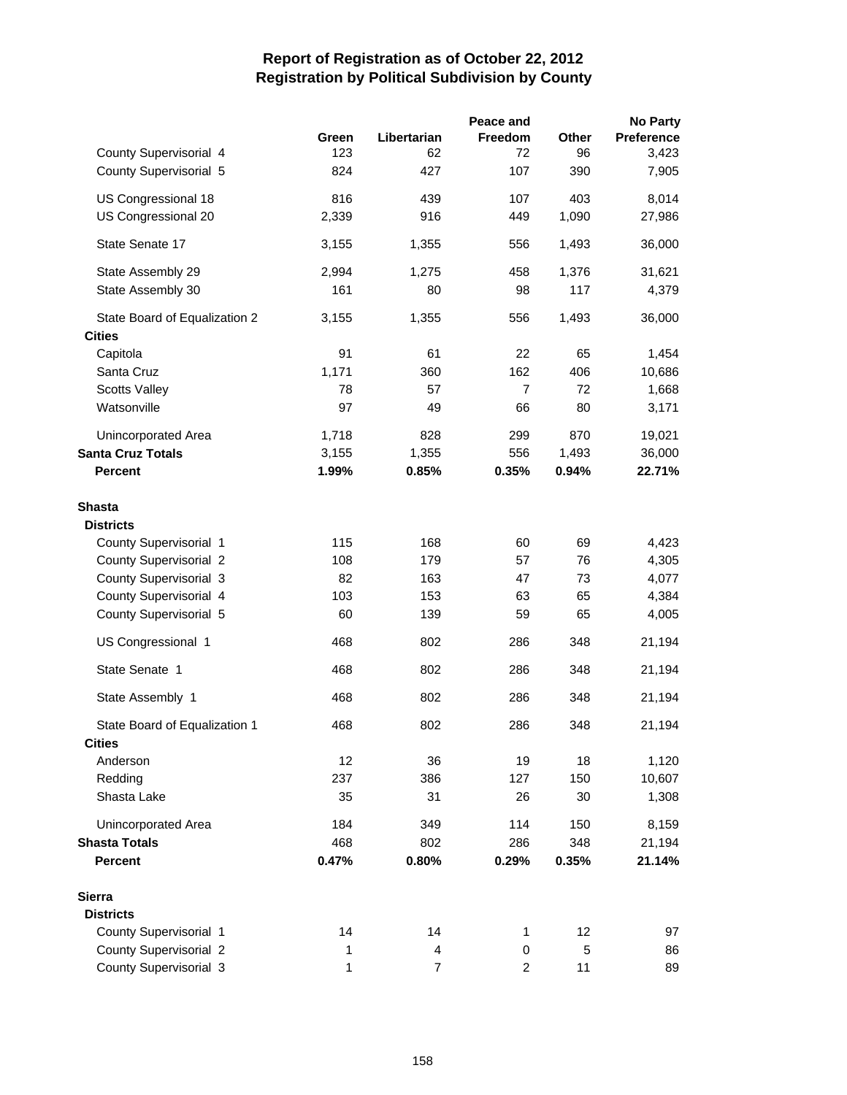|                               |       |             | Peace and      |       | <b>No Party</b> |
|-------------------------------|-------|-------------|----------------|-------|-----------------|
|                               | Green | Libertarian | Freedom        | Other | Preference      |
| County Supervisorial 4        | 123   | 62          | 72             | 96    | 3,423           |
| County Supervisorial 5        | 824   | 427         | 107            | 390   | 7,905           |
| US Congressional 18           | 816   | 439         | 107            | 403   | 8,014           |
| US Congressional 20           | 2,339 | 916         | 449            | 1,090 | 27,986          |
| State Senate 17               | 3,155 | 1,355       | 556            | 1,493 | 36,000          |
| State Assembly 29             | 2,994 | 1,275       | 458            | 1,376 | 31,621          |
| State Assembly 30             | 161   | 80          | 98             | 117   | 4,379           |
| State Board of Equalization 2 | 3,155 | 1,355       | 556            | 1,493 | 36,000          |
| <b>Cities</b>                 |       |             |                |       |                 |
| Capitola                      | 91    | 61          | 22             | 65    | 1,454           |
| Santa Cruz                    | 1,171 | 360         | 162            | 406   | 10,686          |
| <b>Scotts Valley</b>          | 78    | 57          | $\overline{7}$ | 72    | 1,668           |
| Watsonville                   | 97    | 49          | 66             | 80    | 3,171           |
| Unincorporated Area           | 1,718 | 828         | 299            | 870   | 19,021          |
| <b>Santa Cruz Totals</b>      | 3,155 | 1,355       | 556            | 1,493 | 36,000          |
| <b>Percent</b>                | 1.99% | 0.85%       | 0.35%          | 0.94% | 22.71%          |
| <b>Shasta</b>                 |       |             |                |       |                 |
| <b>Districts</b>              |       |             |                |       |                 |
| County Supervisorial 1        | 115   | 168         | 60             | 69    | 4,423           |
| <b>County Supervisorial 2</b> | 108   | 179         | 57             | 76    | 4,305           |
| County Supervisorial 3        | 82    | 163         | 47             | 73    | 4,077           |
| County Supervisorial 4        | 103   | 153         | 63             | 65    | 4,384           |
| County Supervisorial 5        | 60    | 139         | 59             | 65    | 4,005           |
| US Congressional 1            | 468   | 802         | 286            | 348   | 21,194          |
| State Senate 1                | 468   | 802         | 286            | 348   | 21,194          |
| State Assembly 1              | 468   | 802         | 286            | 348   | 21,194          |
| State Board of Equalization 1 | 468   | 802         | 286            | 348   | 21,194          |
| <b>Cities</b>                 |       |             |                |       |                 |
| Anderson                      | 12    | 36          | 19             | 18    | 1,120           |
| Redding                       | 237   | 386         | 127            | 150   | 10,607          |
| Shasta Lake                   | 35    | 31          | 26             | 30    | 1,308           |
| Unincorporated Area           | 184   | 349         | 114            | 150   | 8,159           |
| <b>Shasta Totals</b>          | 468   | 802         | 286            | 348   | 21,194          |
| <b>Percent</b>                | 0.47% | 0.80%       | 0.29%          | 0.35% | 21.14%          |
| Sierra                        |       |             |                |       |                 |
| <b>Districts</b>              |       |             |                |       |                 |
| County Supervisorial 1        | 14    | 14          | 1              | 12    | 97              |
| County Supervisorial 2        | 1     | 4           | 0              | 5     | 86              |
| County Supervisorial 3        | 1     | 7           | 2              | 11    | 89              |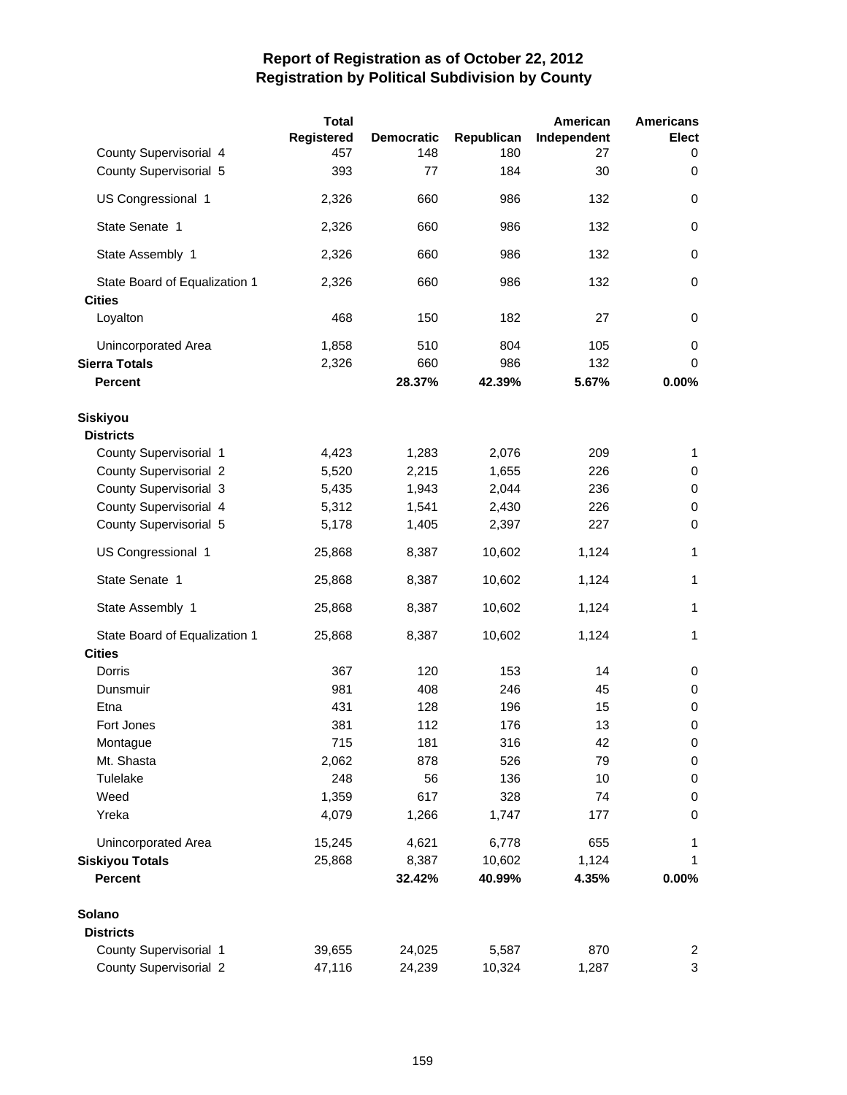|                               | <b>Total</b>      |                          |                   | American          | <b>Americans</b>  |
|-------------------------------|-------------------|--------------------------|-------------------|-------------------|-------------------|
| County Supervisorial 4        | Registered<br>457 | <b>Democratic</b><br>148 | Republican<br>180 | Independent<br>27 | <b>Elect</b><br>0 |
| County Supervisorial 5        | 393               | 77                       | 184               | 30                | 0                 |
| US Congressional 1            | 2,326             | 660                      | 986               | 132               | 0                 |
| State Senate 1                | 2,326             | 660                      | 986               | 132               | $\pmb{0}$         |
| State Assembly 1              | 2,326             | 660                      | 986               | 132               | $\pmb{0}$         |
|                               |                   |                          |                   |                   |                   |
| State Board of Equalization 1 | 2,326             | 660                      | 986               | 132               | 0                 |
| <b>Cities</b>                 |                   |                          |                   |                   |                   |
| Loyalton                      | 468               | 150                      | 182               | 27                | 0                 |
| Unincorporated Area           | 1,858             | 510                      | 804               | 105               | 0                 |
| <b>Sierra Totals</b>          | 2,326             | 660                      | 986               | 132               | $\mathbf 0$       |
| <b>Percent</b>                |                   | 28.37%                   | 42.39%            | 5.67%             | 0.00%             |
| Siskiyou                      |                   |                          |                   |                   |                   |
| <b>Districts</b>              |                   |                          |                   |                   |                   |
| County Supervisorial 1        | 4,423             | 1,283                    | 2,076             | 209               | 1                 |
| <b>County Supervisorial 2</b> | 5,520             | 2,215                    | 1,655             | 226               | 0                 |
| County Supervisorial 3        | 5,435             | 1,943                    | 2,044             | 236               | 0                 |
| County Supervisorial 4        | 5,312             | 1,541                    | 2,430             | 226               | $\pmb{0}$         |
| County Supervisorial 5        | 5,178             | 1,405                    | 2,397             | 227               | $\pmb{0}$         |
| US Congressional 1            | 25,868            | 8,387                    | 10,602            | 1,124             | 1                 |
| State Senate 1                | 25,868            | 8,387                    | 10,602            | 1,124             | 1                 |
| State Assembly 1              | 25,868            | 8,387                    | 10,602            | 1,124             | 1                 |
| State Board of Equalization 1 | 25,868            | 8,387                    | 10,602            | 1,124             | 1                 |
| <b>Cities</b>                 |                   |                          |                   |                   |                   |
| Dorris                        | 367               | 120                      | 153               | 14                | 0                 |
| Dunsmuir                      | 981               | 408                      | 246               | 45                | 0                 |
| Etna                          | 431               | 128                      | 196               | 15                | $\,0\,$           |
| Fort Jones                    | 381               | 112                      | 176               | 13                | $\mathbf 0$       |
| Montague                      | 715               | 181                      | 316               | 42                | $\pmb{0}$         |
| Mt. Shasta                    | 2,062             | 878                      | 526               | 79                | 0                 |
| Tulelake                      | 248               | 56                       | 136               | 10                | 0                 |
| Weed                          | 1,359             | 617                      | 328               | 74                | 0                 |
| Yreka                         | 4,079             | 1,266                    | 1,747             | 177               | $\pmb{0}$         |
| Unincorporated Area           | 15,245            | 4,621                    | 6,778             | 655               | 1                 |
| <b>Siskiyou Totals</b>        | 25,868            | 8,387                    | 10,602            | 1,124             | 1                 |
| Percent                       |                   | 32.42%                   | 40.99%            | 4.35%             | 0.00%             |
| Solano                        |                   |                          |                   |                   |                   |
| <b>Districts</b>              |                   |                          |                   |                   |                   |
| County Supervisorial 1        | 39,655            | 24,025                   | 5,587             | 870               | $\overline{2}$    |
| <b>County Supervisorial 2</b> | 47,116            | 24,239                   | 10,324            | 1,287             | 3                 |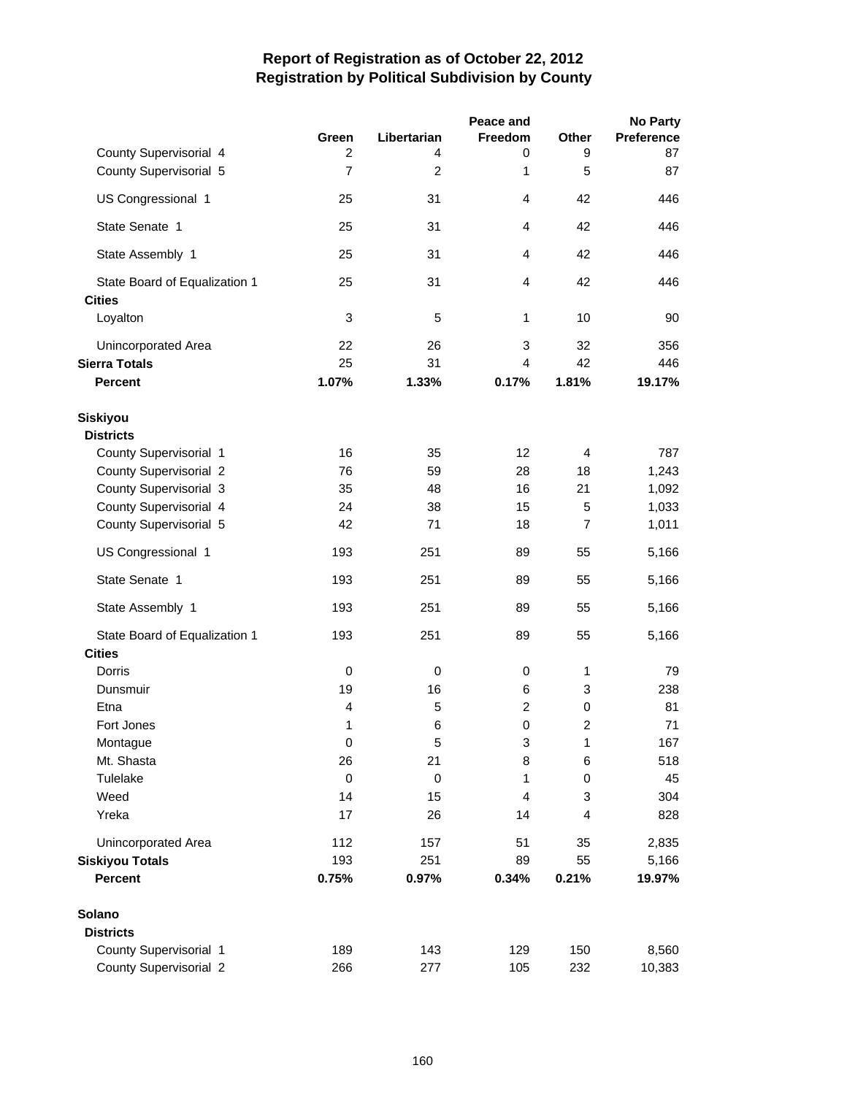|                               |                |                  | Peace and      |                | <b>No Party</b> |
|-------------------------------|----------------|------------------|----------------|----------------|-----------------|
|                               | Green          | Libertarian      | Freedom        | <b>Other</b>   | Preference      |
| County Supervisorial 4        | 2              | 4                | 0              | 9              | 87              |
| County Supervisorial 5        | $\overline{7}$ | $\overline{c}$   | 1              | 5              | 87              |
| US Congressional 1            | 25             | 31               | $\overline{4}$ | 42             | 446             |
| State Senate 1                | 25             | 31               | $\overline{4}$ | 42             | 446             |
| State Assembly 1              | 25             | 31               | 4              | 42             | 446             |
| State Board of Equalization 1 | 25             | 31               | 4              | 42             | 446             |
| <b>Cities</b>                 |                |                  |                |                |                 |
| Loyalton                      | 3              | 5                | 1              | 10             | 90              |
| Unincorporated Area           | 22             | 26               | 3              | 32             | 356             |
| <b>Sierra Totals</b>          | 25             | 31               | $\overline{4}$ | 42             | 446             |
| <b>Percent</b>                | 1.07%          | 1.33%            | 0.17%          | 1.81%          | 19.17%          |
| <b>Siskiyou</b>               |                |                  |                |                |                 |
| <b>Districts</b>              |                |                  |                |                |                 |
| County Supervisorial 1        | 16             | 35               | 12             | 4              | 787             |
| <b>County Supervisorial 2</b> | 76             | 59               | 28             | 18             | 1,243           |
| County Supervisorial 3        | 35             | 48               | 16             | 21             | 1,092           |
| County Supervisorial 4        | 24             | 38               | 15             | 5              | 1,033           |
| County Supervisorial 5        | 42             | 71               | 18             | $\overline{7}$ | 1,011           |
| US Congressional 1            | 193            | 251              | 89             | 55             | 5,166           |
| State Senate 1                | 193            | 251              | 89             | 55             | 5,166           |
| State Assembly 1              | 193            | 251              | 89             | 55             | 5,166           |
| State Board of Equalization 1 | 193            | 251              | 89             | 55             | 5,166           |
| <b>Cities</b>                 |                |                  |                |                |                 |
| Dorris                        | 0              | $\pmb{0}$        | 0              | 1              | 79              |
| Dunsmuir                      | 19             | 16               | 6              | 3              | 238             |
| Etna                          | 4              | 5                | 2              | 0              | 81              |
| Fort Jones                    | 1              | 6                | 0              | $\overline{c}$ | 71              |
| Montague                      | 0              | 5                | 3              | 1              | 167             |
| Mt. Shasta                    | 26             | 21               | 8              | 6              | 518             |
| Tulelake                      | $\pmb{0}$      | $\boldsymbol{0}$ | 1              | 0              | 45              |
| Weed                          | 14             | 15               | 4              | 3              | 304             |
| Yreka                         | 17             | 26               | 14             | $\overline{4}$ | 828             |
| Unincorporated Area           | 112            | 157              | 51             | 35             | 2,835           |
| <b>Siskiyou Totals</b>        | 193            | 251              | 89             | 55             | 5,166           |
| <b>Percent</b>                | 0.75%          | 0.97%            | 0.34%          | 0.21%          | 19.97%          |
| Solano                        |                |                  |                |                |                 |
| <b>Districts</b>              |                |                  |                |                |                 |
| County Supervisorial 1        | 189            | 143              | 129            | 150            | 8,560           |
| <b>County Supervisorial 2</b> | 266            | 277              | 105            | 232            | 10,383          |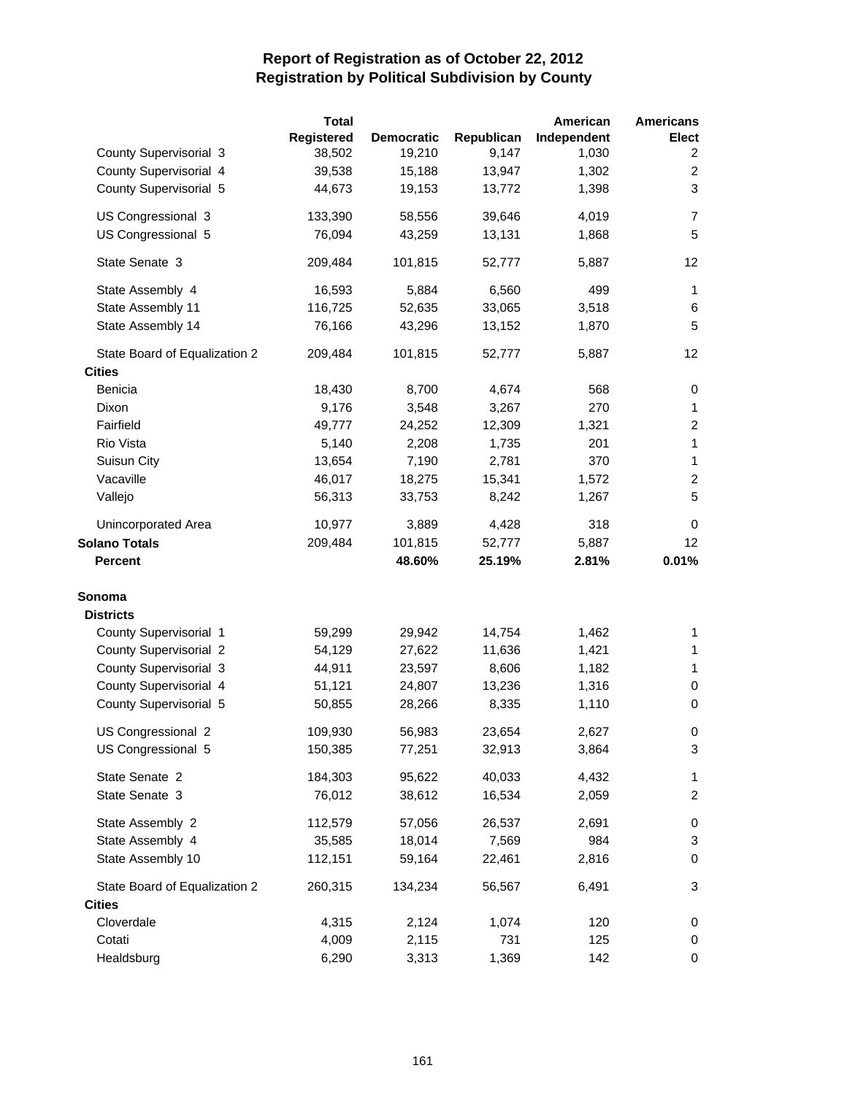|                               | <b>Total</b> |                   |            | American    | <b>Americans</b> |
|-------------------------------|--------------|-------------------|------------|-------------|------------------|
|                               | Registered   | <b>Democratic</b> | Republican | Independent | Elect            |
| County Supervisorial 3        | 38,502       | 19,210            | 9,147      | 1,030       | 2                |
| County Supervisorial 4        | 39,538       | 15,188            | 13,947     | 1,302       | $\overline{c}$   |
| County Supervisorial 5        | 44,673       | 19,153            | 13,772     | 1,398       | 3                |
| US Congressional 3            | 133,390      | 58,556            | 39,646     | 4,019       | 7                |
| US Congressional 5            | 76,094       | 43,259            | 13,131     | 1,868       | 5                |
| State Senate 3                | 209,484      | 101,815           | 52,777     | 5,887       | 12               |
| State Assembly 4              | 16,593       | 5,884             | 6,560      | 499         | $\mathbf{1}$     |
| State Assembly 11             | 116,725      | 52,635            | 33,065     | 3,518       | 6                |
| State Assembly 14             | 76,166       | 43,296            | 13,152     | 1,870       | 5                |
| State Board of Equalization 2 | 209,484      | 101,815           | 52,777     | 5,887       | 12               |
| <b>Cities</b>                 |              |                   |            |             |                  |
| Benicia                       | 18,430       | 8,700             | 4,674      | 568         | 0                |
| Dixon                         | 9,176        | 3,548             | 3,267      | 270         | $\mathbf{1}$     |
| Fairfield                     | 49,777       | 24,252            | 12,309     | 1,321       | $\overline{c}$   |
| Rio Vista                     | 5,140        | 2,208             | 1,735      | 201         | 1                |
| Suisun City                   | 13,654       | 7,190             | 2,781      | 370         | $\mathbf{1}$     |
| Vacaville                     | 46,017       | 18,275            | 15,341     | 1,572       | $\overline{c}$   |
| Vallejo                       | 56,313       | 33,753            | 8,242      | 1,267       | 5                |
| Unincorporated Area           | 10,977       | 3,889             | 4,428      | 318         | 0                |
| <b>Solano Totals</b>          | 209,484      | 101,815           | 52,777     | 5,887       | 12               |
| <b>Percent</b>                |              | 48.60%            | 25.19%     | 2.81%       | 0.01%            |
| Sonoma                        |              |                   |            |             |                  |
| <b>Districts</b>              |              |                   |            |             |                  |
| County Supervisorial 1        | 59,299       | 29,942            | 14,754     | 1,462       | 1                |
| County Supervisorial 2        | 54,129       | 27,622            | 11,636     | 1,421       | 1                |
| County Supervisorial 3        | 44,911       | 23,597            | 8,606      | 1,182       | 1                |
| County Supervisorial 4        | 51,121       | 24,807            | 13,236     | 1,316       | 0                |
| County Supervisorial 5        | 50,855       | 28,266            | 8,335      | 1,110       | 0                |
| US Congressional 2            | 109,930      | 56,983            | 23,654     | 2,627       | 0                |
| US Congressional 5            | 150,385      | 77,251            | 32,913     | 3,864       | 3                |
| State Senate 2                | 184,303      | 95,622            | 40,033     | 4,432       | 1                |
| State Senate 3                | 76,012       | 38,612            | 16,534     | 2,059       | 2                |
| State Assembly 2              | 112,579      | 57,056            | 26,537     | 2,691       | 0                |
| State Assembly 4              | 35,585       | 18,014            | 7,569      | 984         | 3                |
| State Assembly 10             | 112,151      | 59,164            | 22,461     | 2,816       | 0                |
| State Board of Equalization 2 | 260,315      | 134,234           | 56,567     | 6,491       | 3                |
| <b>Cities</b>                 |              |                   |            |             |                  |
| Cloverdale                    | 4,315        | 2,124             | 1,074      | 120         | 0                |
| Cotati                        | 4,009        | 2,115             | 731        | 125         | 0                |
| Healdsburg                    | 6,290        | 3,313             | 1,369      | 142         | 0                |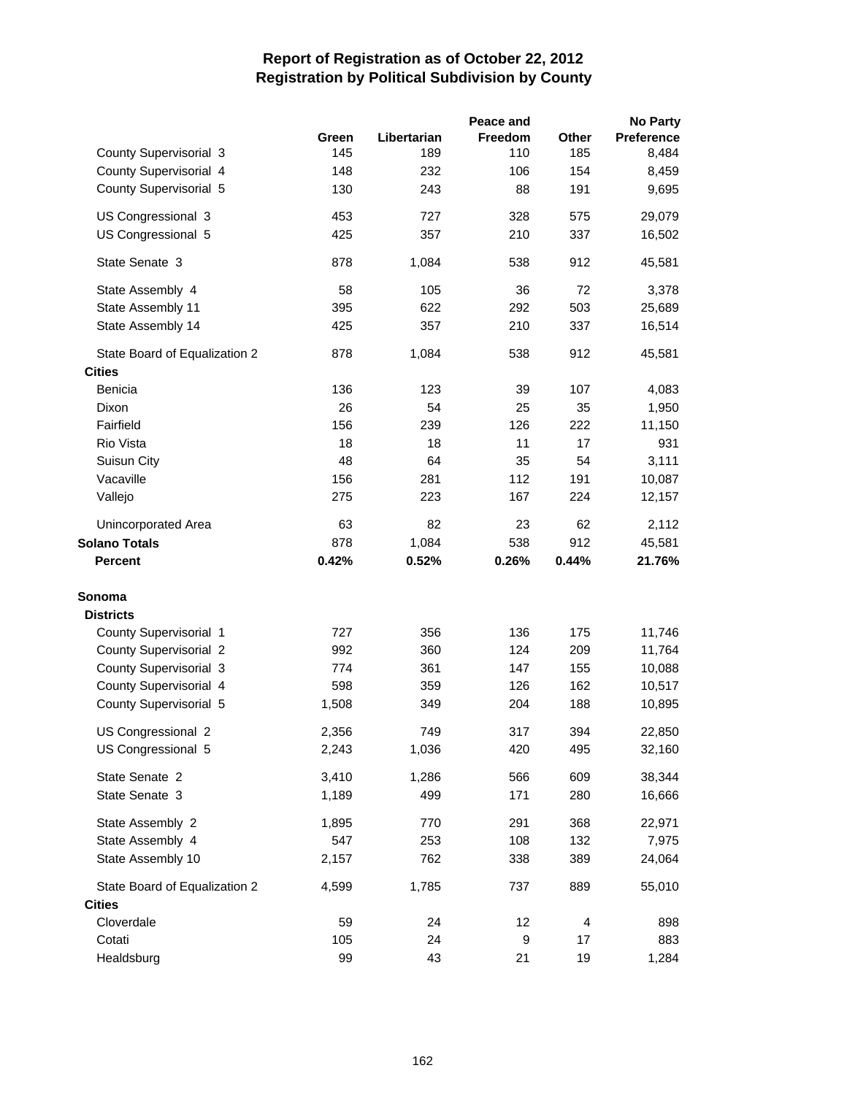|                               |       |             | Peace and |                | <b>No Party</b>   |
|-------------------------------|-------|-------------|-----------|----------------|-------------------|
|                               | Green | Libertarian | Freedom   | Other          | <b>Preference</b> |
| County Supervisorial 3        | 145   | 189         | 110       | 185            | 8,484             |
| County Supervisorial 4        | 148   | 232         | 106       | 154            | 8,459             |
| County Supervisorial 5        | 130   | 243         | 88        | 191            | 9,695             |
| US Congressional 3            | 453   | 727         | 328       | 575            | 29,079            |
| US Congressional 5            | 425   | 357         | 210       | 337            | 16,502            |
| State Senate 3                | 878   | 1,084       | 538       | 912            | 45,581            |
| State Assembly 4              | 58    | 105         | 36        | 72             | 3,378             |
| State Assembly 11             | 395   | 622         | 292       | 503            | 25,689            |
| State Assembly 14             | 425   | 357         | 210       | 337            | 16,514            |
| State Board of Equalization 2 | 878   | 1,084       | 538       | 912            | 45,581            |
| <b>Cities</b>                 |       |             |           |                |                   |
| Benicia                       | 136   | 123         | 39        | 107            | 4,083             |
| Dixon                         | 26    | 54          | 25        | 35             | 1,950             |
| Fairfield                     | 156   | 239         | 126       | 222            | 11,150            |
| Rio Vista                     | 18    | 18          | 11        | 17             | 931               |
| Suisun City                   | 48    | 64          | 35        | 54             | 3,111             |
| Vacaville                     | 156   | 281         | 112       | 191            | 10,087            |
| Vallejo                       | 275   | 223         | 167       | 224            | 12,157            |
| Unincorporated Area           | 63    | 82          | 23        | 62             | 2,112             |
| <b>Solano Totals</b>          | 878   | 1,084       | 538       | 912            | 45,581            |
| <b>Percent</b>                | 0.42% | 0.52%       | 0.26%     | 0.44%          | 21.76%            |
| Sonoma                        |       |             |           |                |                   |
| <b>Districts</b>              |       |             |           |                |                   |
| County Supervisorial 1        | 727   | 356         | 136       | 175            | 11,746            |
| <b>County Supervisorial 2</b> | 992   | 360         | 124       | 209            | 11,764            |
| County Supervisorial 3        | 774   | 361         | 147       | 155            | 10,088            |
| County Supervisorial 4        | 598   | 359         | 126       | 162            | 10,517            |
| County Supervisorial 5        | 1,508 | 349         | 204       | 188            | 10,895            |
| US Congressional 2            | 2,356 | 749         | 317       | 394            | 22,850            |
| US Congressional 5            | 2,243 | 1,036       | 420       | 495            | 32,160            |
| State Senate 2                | 3,410 | 1,286       | 566       | 609            | 38,344            |
| State Senate 3                | 1,189 | 499         | 171       | 280            | 16,666            |
| State Assembly 2              | 1,895 | 770         | 291       | 368            | 22,971            |
| State Assembly 4              | 547   | 253         | 108       | 132            | 7,975             |
| State Assembly 10             | 2,157 | 762         | 338       | 389            | 24,064            |
| State Board of Equalization 2 | 4,599 | 1,785       | 737       | 889            | 55,010            |
| <b>Cities</b>                 |       |             |           |                |                   |
| Cloverdale                    | 59    | 24          | 12        | $\overline{4}$ | 898               |
| Cotati                        | 105   | 24          | 9         | 17             | 883               |
| Healdsburg                    | 99    | 43          | 21        | 19             | 1,284             |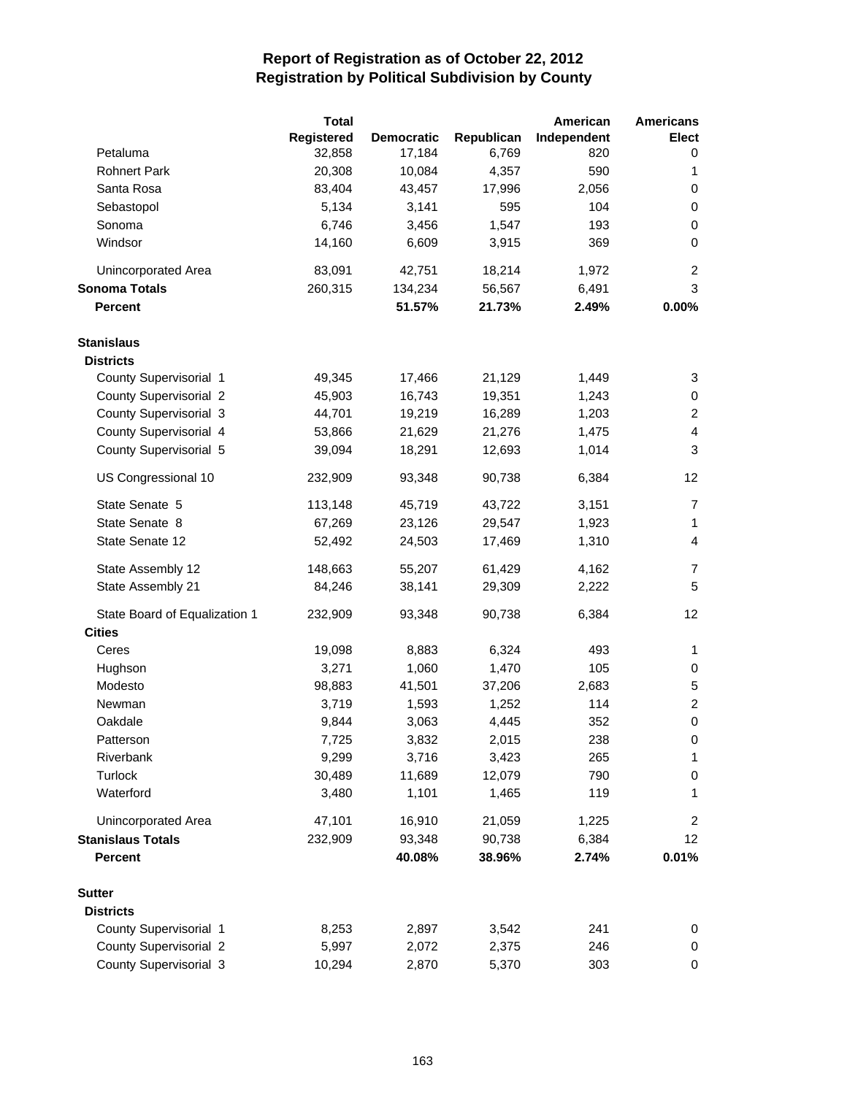|                               | <b>Total</b> |                   |            | American    | <b>Americans</b> |
|-------------------------------|--------------|-------------------|------------|-------------|------------------|
|                               | Registered   | <b>Democratic</b> | Republican | Independent | <b>Elect</b>     |
| Petaluma                      | 32,858       | 17,184            | 6,769      | 820         | 0                |
| <b>Rohnert Park</b>           | 20,308       | 10,084            | 4,357      | 590         | 1                |
| Santa Rosa                    | 83,404       | 43,457            | 17,996     | 2,056       | 0                |
| Sebastopol                    | 5,134        | 3,141             | 595        | 104         | $\pmb{0}$        |
| Sonoma                        | 6,746        | 3,456             | 1,547      | 193         | $\pmb{0}$        |
| Windsor                       | 14,160       | 6,609             | 3,915      | 369         | 0                |
| Unincorporated Area           | 83,091       | 42,751            | 18,214     | 1,972       | $\overline{c}$   |
| <b>Sonoma Totals</b>          | 260,315      | 134,234           | 56,567     | 6,491       | 3                |
| <b>Percent</b>                |              | 51.57%            | 21.73%     | 2.49%       | 0.00%            |
| <b>Stanislaus</b>             |              |                   |            |             |                  |
| <b>Districts</b>              |              |                   |            |             |                  |
| County Supervisorial 1        | 49,345       | 17,466            | 21,129     | 1,449       | 3                |
| <b>County Supervisorial 2</b> | 45,903       | 16,743            | 19,351     | 1,243       | 0                |
| County Supervisorial 3        | 44,701       | 19,219            | 16,289     | 1,203       | $\overline{c}$   |
| County Supervisorial 4        | 53,866       | 21,629            | 21,276     | 1,475       | 4                |
| County Supervisorial 5        | 39,094       | 18,291            | 12,693     | 1,014       | 3                |
| US Congressional 10           | 232,909      | 93,348            | 90,738     | 6,384       | 12               |
| State Senate 5                | 113,148      | 45,719            | 43,722     | 3,151       | $\overline{7}$   |
| State Senate 8                | 67,269       | 23,126            | 29,547     | 1,923       | 1                |
| State Senate 12               | 52,492       | 24,503            | 17,469     | 1,310       | 4                |
| State Assembly 12             | 148,663      | 55,207            | 61,429     | 4,162       | 7                |
| State Assembly 21             | 84,246       | 38,141            | 29,309     | 2,222       | 5                |
| State Board of Equalization 1 | 232,909      | 93,348            | 90,738     | 6,384       | 12               |
| <b>Cities</b>                 |              |                   |            |             |                  |
| Ceres                         | 19,098       | 8,883             | 6,324      | 493         | 1                |
| Hughson                       | 3,271        | 1,060             | 1,470      | 105         | 0                |
| Modesto                       | 98,883       | 41,501            | 37,206     | 2,683       | 5                |
| Newman                        | 3,719        | 1,593             | 1,252      | 114         | $\overline{c}$   |
| Oakdale                       | 9,844        | 3,063             | 4,445      | 352         | $\mathbf 0$      |
| Patterson                     | 7,725        | 3,832             | 2,015      | 238         | 0                |
| Riverbank                     | 9,299        | 3,716             | 3,423      | 265         | 1                |
| Turlock                       | 30,489       | 11,689            | 12,079     | 790         | 0                |
| Waterford                     | 3,480        | 1,101             | 1,465      | 119         | 1                |
| Unincorporated Area           | 47,101       | 16,910            | 21,059     | 1,225       | $\overline{c}$   |
| <b>Stanislaus Totals</b>      | 232,909      | 93,348            | 90,738     | 6,384       | 12               |
| <b>Percent</b>                |              | 40.08%            | 38.96%     | 2.74%       | 0.01%            |
| <b>Sutter</b>                 |              |                   |            |             |                  |
| <b>Districts</b>              |              |                   |            |             |                  |
| County Supervisorial 1        | 8,253        | 2,897             | 3,542      | 241         | 0                |
| County Supervisorial 2        | 5,997        | 2,072             | 2,375      | 246         | 0                |
| County Supervisorial 3        | 10,294       | 2,870             | 5,370      | 303         | 0                |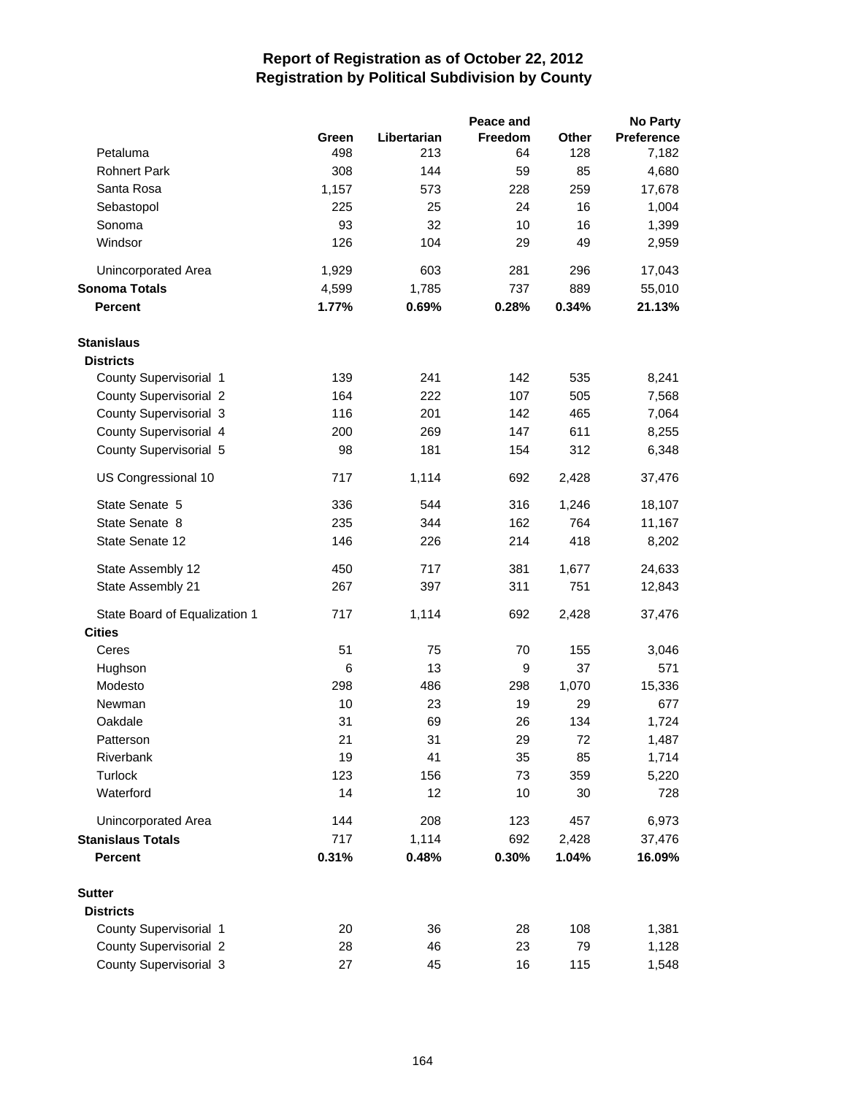|                               |       |             | Peace and |       | <b>No Party</b>   |
|-------------------------------|-------|-------------|-----------|-------|-------------------|
|                               | Green | Libertarian | Freedom   | Other | <b>Preference</b> |
| Petaluma                      | 498   | 213         | 64        | 128   | 7,182             |
| <b>Rohnert Park</b>           | 308   | 144         | 59        | 85    | 4,680             |
| Santa Rosa                    | 1,157 | 573         | 228       | 259   | 17,678            |
| Sebastopol                    | 225   | 25          | 24        | 16    | 1,004             |
| Sonoma                        | 93    | 32          | 10        | 16    | 1,399             |
| Windsor                       | 126   | 104         | 29        | 49    | 2,959             |
| Unincorporated Area           | 1,929 | 603         | 281       | 296   | 17,043            |
| <b>Sonoma Totals</b>          | 4,599 | 1,785       | 737       | 889   | 55,010            |
| <b>Percent</b>                | 1.77% | 0.69%       | 0.28%     | 0.34% | 21.13%            |
| <b>Stanislaus</b>             |       |             |           |       |                   |
| <b>Districts</b>              |       |             |           |       |                   |
| County Supervisorial 1        | 139   | 241         | 142       | 535   | 8,241             |
| <b>County Supervisorial 2</b> | 164   | 222         | 107       | 505   | 7,568             |
| County Supervisorial 3        | 116   | 201         | 142       | 465   | 7,064             |
| County Supervisorial 4        | 200   | 269         | 147       | 611   | 8,255             |
| County Supervisorial 5        | 98    | 181         | 154       | 312   | 6,348             |
| US Congressional 10           | 717   | 1,114       | 692       | 2,428 | 37,476            |
| State Senate 5                | 336   | 544         | 316       | 1,246 | 18,107            |
| State Senate 8                | 235   | 344         | 162       | 764   | 11,167            |
| State Senate 12               | 146   | 226         | 214       | 418   | 8,202             |
| State Assembly 12             | 450   | 717         | 381       | 1,677 | 24,633            |
| State Assembly 21             | 267   | 397         | 311       | 751   | 12,843            |
| State Board of Equalization 1 | 717   | 1,114       | 692       | 2,428 | 37,476            |
| <b>Cities</b>                 |       |             |           |       |                   |
| Ceres                         | 51    | 75          | 70        | 155   | 3,046             |
| Hughson                       | 6     | 13          | 9         | 37    | 571               |
| Modesto                       | 298   | 486         | 298       | 1,070 | 15,336            |
| Newman                        | 10    | 23          | 19        | 29    | 677               |
| Oakdale                       | 31    | 69          | 26        | 134   | 1,724             |
| Patterson                     | 21    | 31          | 29        | 72    | 1,487             |
| Riverbank                     | 19    | 41          | 35        | 85    | 1,714             |
| Turlock                       | 123   | 156         | 73        | 359   | 5,220             |
| Waterford                     | 14    | 12          | 10        | 30    | 728               |
| Unincorporated Area           | 144   | 208         | 123       | 457   | 6,973             |
| <b>Stanislaus Totals</b>      | 717   | 1,114       | 692       | 2,428 | 37,476            |
| <b>Percent</b>                | 0.31% | 0.48%       | 0.30%     | 1.04% | 16.09%            |
| <b>Sutter</b>                 |       |             |           |       |                   |
| <b>Districts</b>              |       |             |           |       |                   |
| County Supervisorial 1        | 20    | 36          | 28        | 108   | 1,381             |
| <b>County Supervisorial 2</b> | 28    | 46          | 23        | 79    | 1,128             |
| County Supervisorial 3        | 27    | 45          | 16        | 115   | 1,548             |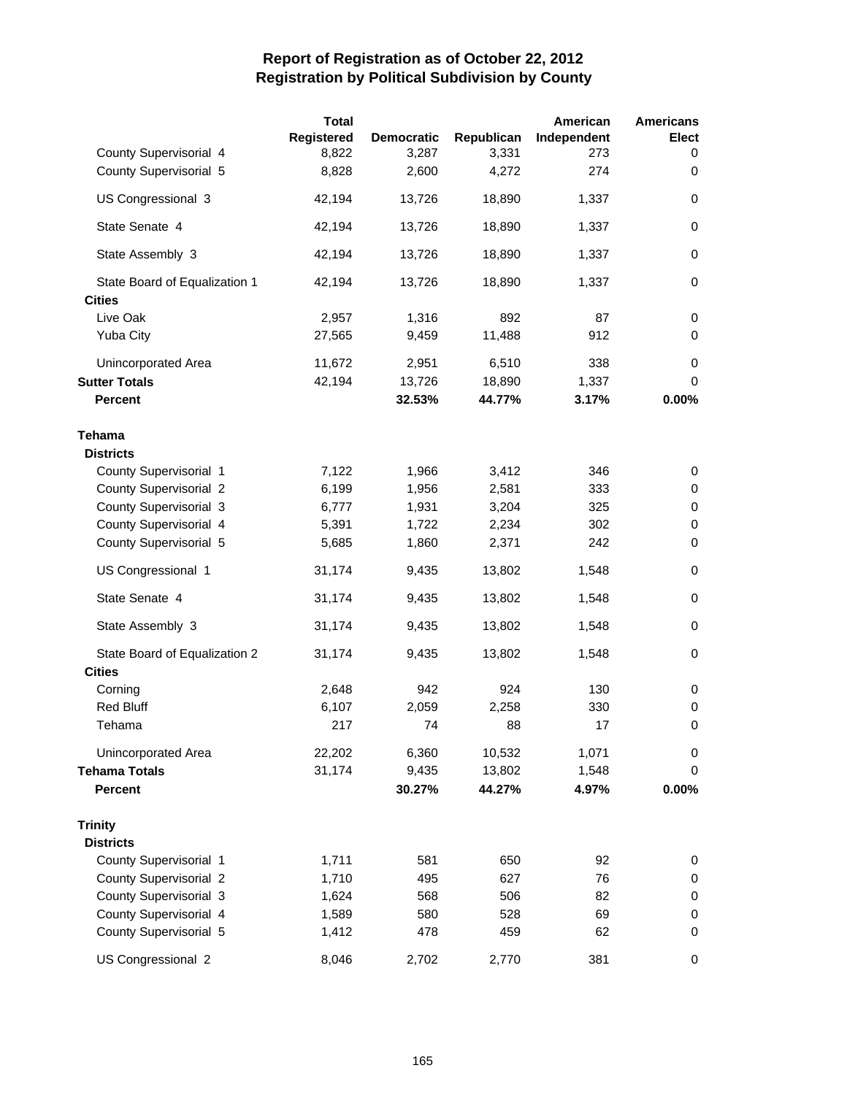|                               | <b>Total</b> |                   |            | American    | <b>Americans</b> |
|-------------------------------|--------------|-------------------|------------|-------------|------------------|
|                               | Registered   | <b>Democratic</b> | Republican | Independent | Elect            |
| County Supervisorial 4        | 8,822        | 3,287             | 3,331      | 273         | 0                |
| County Supervisorial 5        | 8,828        | 2,600             | 4,272      | 274         | 0                |
| US Congressional 3            | 42,194       | 13,726            | 18,890     | 1,337       | 0                |
| State Senate 4                | 42,194       | 13,726            | 18,890     | 1,337       | $\pmb{0}$        |
| State Assembly 3              | 42,194       | 13,726            | 18,890     | 1,337       | 0                |
| State Board of Equalization 1 | 42,194       | 13,726            | 18,890     | 1,337       | 0                |
| <b>Cities</b>                 |              |                   |            |             |                  |
| Live Oak                      | 2,957        | 1,316             | 892        | 87          | 0                |
| Yuba City                     | 27,565       | 9,459             | 11,488     | 912         | $\mathbf 0$      |
| Unincorporated Area           | 11,672       | 2,951             | 6,510      | 338         | 0                |
| <b>Sutter Totals</b>          | 42,194       | 13,726            | 18,890     | 1,337       | 0                |
| <b>Percent</b>                |              | 32.53%            | 44.77%     | 3.17%       | 0.00%            |
| Tehama                        |              |                   |            |             |                  |
| <b>Districts</b>              |              |                   |            |             |                  |
| County Supervisorial 1        | 7,122        | 1,966             | 3,412      | 346         | 0                |
| <b>County Supervisorial 2</b> | 6,199        | 1,956             | 2,581      | 333         | 0                |
| County Supervisorial 3        | 6,777        | 1,931             | 3,204      | 325         | 0                |
| County Supervisorial 4        | 5,391        | 1,722             | 2,234      | 302         | 0                |
| County Supervisorial 5        | 5,685        | 1,860             | 2,371      | 242         | 0                |
| US Congressional 1            | 31,174       | 9,435             | 13,802     | 1,548       | 0                |
| State Senate 4                | 31,174       | 9,435             | 13,802     | 1,548       | 0                |
| State Assembly 3              | 31,174       | 9,435             | 13,802     | 1,548       | 0                |
| State Board of Equalization 2 | 31,174       | 9,435             | 13,802     | 1,548       | 0                |
| <b>Cities</b>                 |              |                   |            |             |                  |
| Corning                       | 2,648        | 942               | 924        | 130         | 0                |
| <b>Red Bluff</b>              | 6,107        | 2,059             | 2,258      | 330         | 0                |
| Tehama                        | 217          | 74                | 88         | 17          | 0                |
| Unincorporated Area           | 22,202       | 6,360             | 10,532     | 1,071       | 0                |
| <b>Tehama Totals</b>          | 31,174       | 9,435             | 13,802     | 1,548       | 0                |
| <b>Percent</b>                |              | 30.27%            | 44.27%     | 4.97%       | 0.00%            |
| <b>Trinity</b>                |              |                   |            |             |                  |
| <b>Districts</b>              |              |                   |            |             |                  |
| County Supervisorial 1        | 1,711        | 581               | 650        | 92          | 0                |
| <b>County Supervisorial 2</b> | 1,710        | 495               | 627        | 76          | 0                |
| County Supervisorial 3        | 1,624        | 568               | 506        | 82          | 0                |
| County Supervisorial 4        | 1,589        | 580               | 528        | 69          | 0                |
| County Supervisorial 5        | 1,412        | 478               | 459        | 62          | 0                |
| US Congressional 2            | 8,046        | 2,702             | 2,770      | 381         | 0                |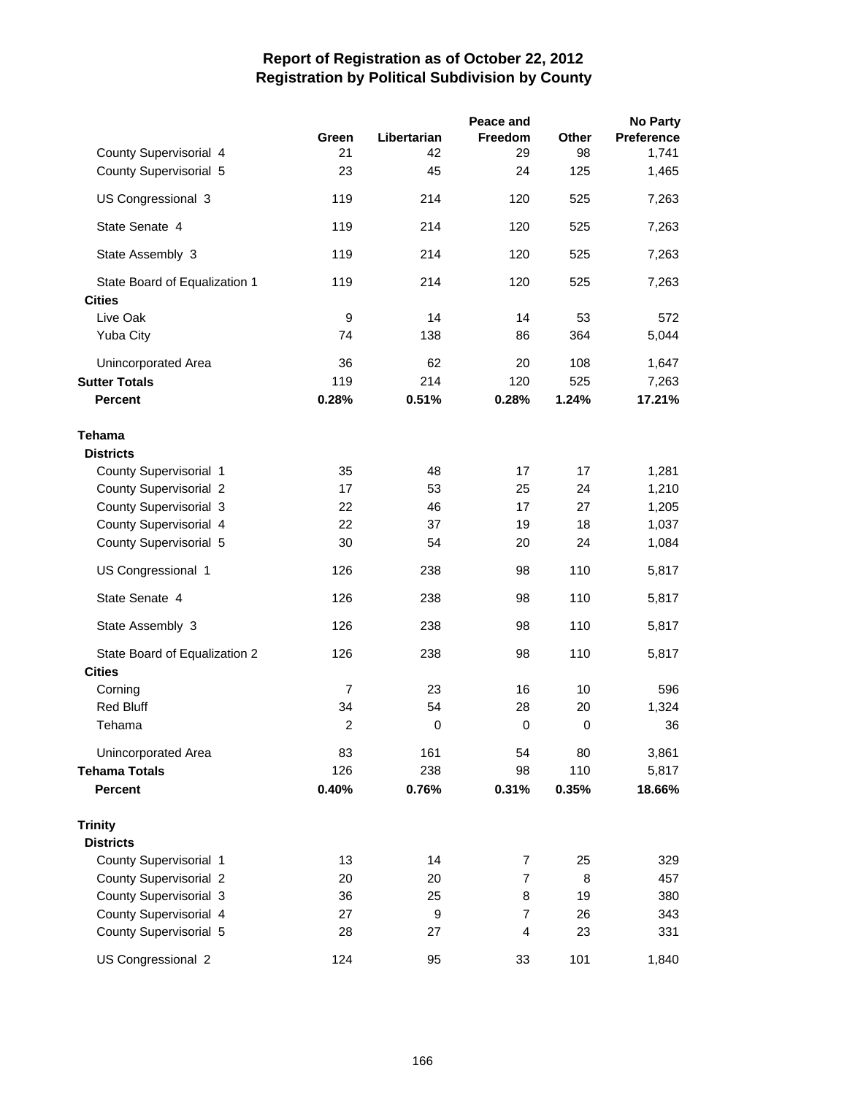|                               |                |             | Peace and      |             | <b>No Party</b>   |
|-------------------------------|----------------|-------------|----------------|-------------|-------------------|
|                               | Green          | Libertarian | <b>Freedom</b> | Other       | <b>Preference</b> |
| County Supervisorial 4        | 21             | 42          | 29             | 98          | 1,741             |
| County Supervisorial 5        | 23             | 45          | 24             | 125         | 1,465             |
| US Congressional 3            | 119            | 214         | 120            | 525         | 7,263             |
| State Senate 4                | 119            | 214         | 120            | 525         | 7,263             |
| State Assembly 3              | 119            | 214         | 120            | 525         | 7,263             |
| State Board of Equalization 1 | 119            | 214         | 120            | 525         | 7,263             |
| <b>Cities</b>                 |                |             |                |             |                   |
| Live Oak                      | 9              | 14          | 14             | 53          | 572               |
| Yuba City                     | 74             | 138         | 86             | 364         | 5,044             |
| Unincorporated Area           | 36             | 62          | 20             | 108         | 1,647             |
| <b>Sutter Totals</b>          | 119            | 214         | 120            | 525         | 7,263             |
| <b>Percent</b>                | 0.28%          | 0.51%       | 0.28%          | 1.24%       | 17.21%            |
| Tehama                        |                |             |                |             |                   |
| <b>Districts</b>              |                |             |                |             |                   |
| County Supervisorial 1        | 35             | 48          | 17             | 17          | 1,281             |
| <b>County Supervisorial 2</b> | 17             | 53          | 25             | 24          | 1,210             |
| County Supervisorial 3        | 22             | 46          | 17             | 27          | 1,205             |
| County Supervisorial 4        | 22             | 37          | 19             | 18          | 1,037             |
| County Supervisorial 5        | 30             | 54          | 20             | 24          | 1,084             |
| US Congressional 1            | 126            | 238         | 98             | 110         | 5,817             |
| State Senate 4                | 126            | 238         | 98             | 110         | 5,817             |
| State Assembly 3              | 126            | 238         | 98             | 110         | 5,817             |
| State Board of Equalization 2 | 126            | 238         | 98             | 110         | 5,817             |
| <b>Cities</b>                 |                |             |                |             |                   |
| Corning                       | $\overline{7}$ | 23          | 16             | 10          | 596               |
| <b>Red Bluff</b>              | 34             | 54          | 28             | 20          | 1,324             |
| Tehama                        | $\overline{2}$ | $\pmb{0}$   | 0              | $\mathbf 0$ | 36                |
| <b>Unincorporated Area</b>    | 83             | 161         | 54             | 80          | 3,861             |
| <b>Tehama Totals</b>          | 126            | 238         | 98             | 110         | 5,817             |
| <b>Percent</b>                | 0.40%          | 0.76%       | 0.31%          | 0.35%       | 18.66%            |
| <b>Trinity</b>                |                |             |                |             |                   |
| <b>Districts</b>              |                |             |                |             |                   |
| County Supervisorial 1        | 13             | 14          | 7              | 25          | 329               |
| <b>County Supervisorial 2</b> | 20             | 20          | $\overline{7}$ | 8           | 457               |
| County Supervisorial 3        | 36             | 25          | 8              | 19          | 380               |
| County Supervisorial 4        | 27             | 9           | 7              | 26          | 343               |
| County Supervisorial 5        | 28             | 27          | $\overline{4}$ | 23          | 331               |
| US Congressional 2            | 124            | 95          | 33             | 101         | 1,840             |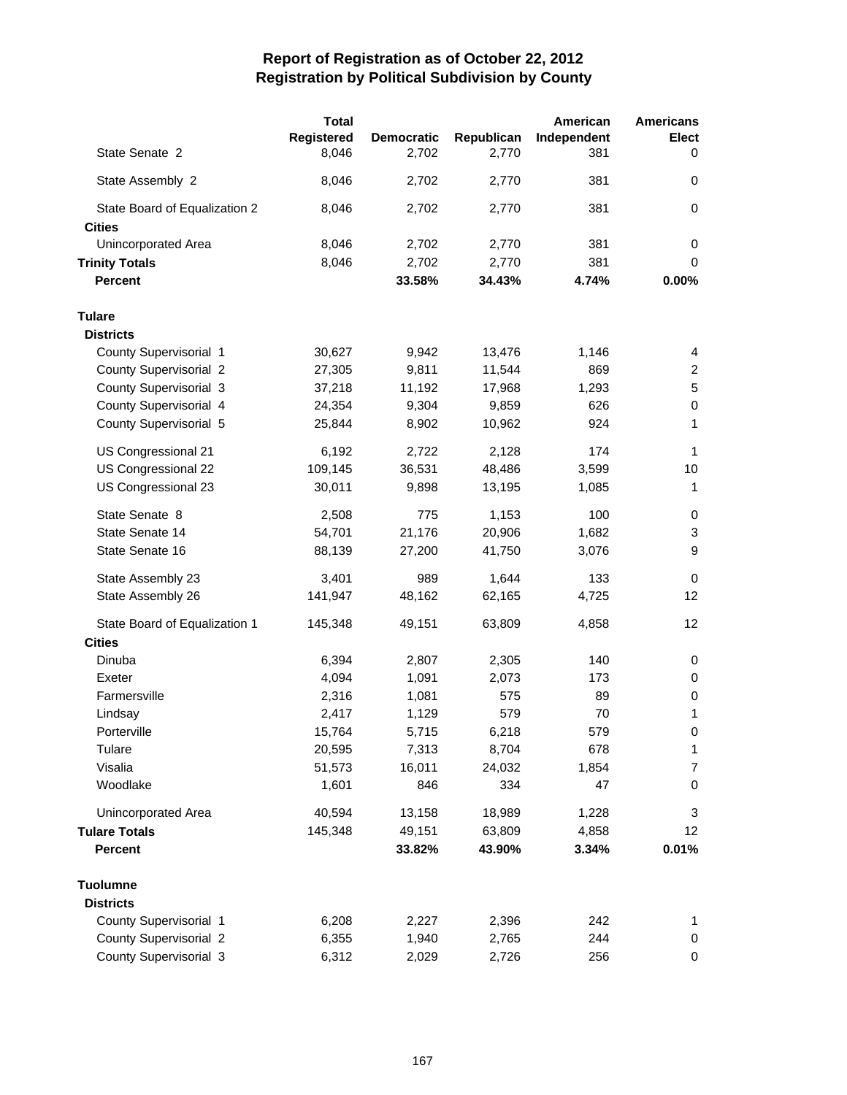|                               | <b>Total</b> |                   |            | American    | <b>Americans</b> |
|-------------------------------|--------------|-------------------|------------|-------------|------------------|
|                               | Registered   | <b>Democratic</b> | Republican | Independent | Elect            |
| State Senate 2                | 8,046        | 2,702             | 2,770      | 381         | 0                |
| State Assembly 2              | 8,046        | 2,702             | 2,770      | 381         | 0                |
| State Board of Equalization 2 | 8,046        | 2,702             | 2,770      | 381         | $\pmb{0}$        |
| <b>Cities</b>                 |              |                   |            |             |                  |
| Unincorporated Area           | 8,046        | 2,702             | 2,770      | 381         | 0                |
| <b>Trinity Totals</b>         | 8,046        | 2,702             | 2,770      | 381         | 0                |
| <b>Percent</b>                |              | 33.58%            | 34.43%     | 4.74%       | 0.00%            |
| <b>Tulare</b>                 |              |                   |            |             |                  |
| <b>Districts</b>              |              |                   |            |             |                  |
| County Supervisorial 1        | 30,627       | 9,942             | 13,476     | 1,146       | 4                |
| <b>County Supervisorial 2</b> | 27,305       | 9,811             | 11,544     | 869         | $\overline{c}$   |
| County Supervisorial 3        | 37,218       | 11,192            | 17,968     | 1,293       | 5                |
| County Supervisorial 4        | 24,354       | 9,304             | 9,859      | 626         | 0                |
| County Supervisorial 5        | 25,844       | 8,902             | 10,962     | 924         | 1                |
| US Congressional 21           | 6,192        | 2,722             | 2,128      | 174         | 1                |
| US Congressional 22           | 109,145      | 36,531            | 48,486     | 3,599       | 10               |
| US Congressional 23           | 30,011       | 9,898             | 13,195     | 1,085       | 1                |
| State Senate 8                | 2,508        | 775               | 1,153      | 100         | 0                |
| State Senate 14               | 54,701       | 21,176            | 20,906     | 1,682       | 3                |
| State Senate 16               | 88,139       | 27,200            | 41,750     | 3,076       | 9                |
| State Assembly 23             | 3,401        | 989               | 1,644      | 133         | 0                |
| State Assembly 26             | 141,947      | 48,162            | 62,165     | 4,725       | 12               |
| State Board of Equalization 1 | 145,348      | 49,151            | 63,809     | 4,858       | 12               |
| <b>Cities</b>                 |              |                   |            |             |                  |
| Dinuba                        | 6,394        | 2,807             | 2,305      | 140         | 0                |
| Exeter                        | 4,094        | 1,091             | 2,073      | 173         | 0                |
| Farmersville                  | 2,316        | 1,081             | 575        | 89          | 0                |
| Lindsay                       | 2,417        | 1,129             | 579        | 70          | 1                |
| Porterville                   | 15,764       | 5,715             | 6,218      | 579         | 0                |
| Tulare                        | 20,595       | 7,313             | 8,704      | 678         | 1                |
| Visalia                       | 51,573       | 16,011            | 24,032     | 1,854       | $\overline{7}$   |
| Woodlake                      | 1,601        | 846               | 334        | 47          | $\pmb{0}$        |
| Unincorporated Area           | 40,594       | 13,158            | 18,989     | 1,228       | 3                |
| <b>Tulare Totals</b>          | 145,348      | 49,151            | 63,809     | 4,858       | 12 <sup>2</sup>  |
| <b>Percent</b>                |              | 33.82%            | 43.90%     | 3.34%       | 0.01%            |
| <b>Tuolumne</b>               |              |                   |            |             |                  |
| <b>Districts</b>              |              |                   |            |             |                  |
| County Supervisorial 1        | 6,208        | 2,227             | 2,396      | 242         | 1                |
| <b>County Supervisorial 2</b> | 6,355        | 1,940             | 2,765      | 244         | 0                |
| County Supervisorial 3        | 6,312        | 2,029             | 2,726      | 256         | 0                |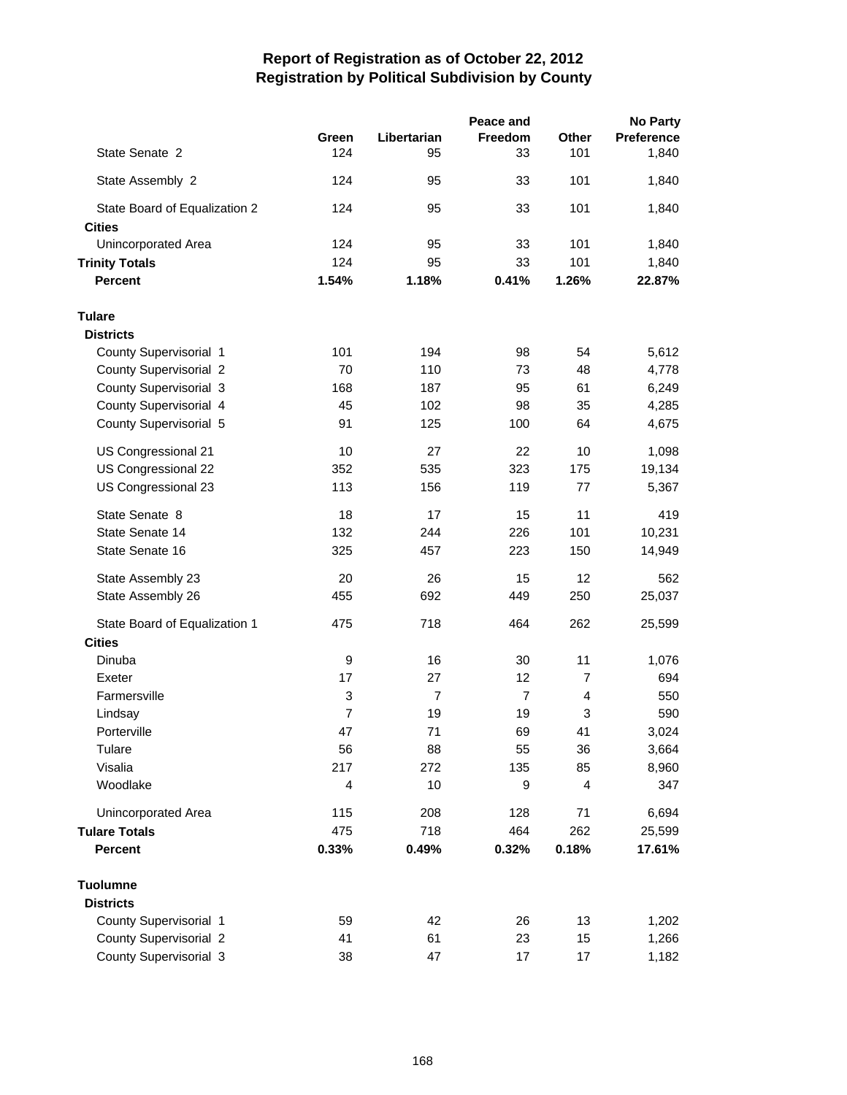|                               |                |                | Peace and      |       | <b>No Party</b> |
|-------------------------------|----------------|----------------|----------------|-------|-----------------|
|                               | Green          | Libertarian    | Freedom        | Other | Preference      |
| State Senate 2                | 124            | 95             | 33             | 101   | 1,840           |
| State Assembly 2              | 124            | 95             | 33             | 101   | 1,840           |
| State Board of Equalization 2 | 124            | 95             | 33             | 101   | 1,840           |
| <b>Cities</b>                 |                |                |                |       |                 |
| Unincorporated Area           | 124            | 95             | 33             | 101   | 1,840           |
| <b>Trinity Totals</b>         | 124            | 95             | 33             | 101   | 1,840           |
| <b>Percent</b>                | 1.54%          | 1.18%          | 0.41%          | 1.26% | 22.87%          |
| <b>Tulare</b>                 |                |                |                |       |                 |
| <b>Districts</b>              |                |                |                |       |                 |
| County Supervisorial 1        | 101            | 194            | 98             | 54    | 5,612           |
| <b>County Supervisorial 2</b> | 70             | 110            | 73             | 48    | 4,778           |
| County Supervisorial 3        | 168            | 187            | 95             | 61    | 6,249           |
| County Supervisorial 4        | 45             | 102            | 98             | 35    | 4,285           |
| County Supervisorial 5        | 91             | 125            | 100            | 64    | 4,675           |
| US Congressional 21           | 10             | 27             | 22             | 10    | 1,098           |
| US Congressional 22           | 352            | 535            | 323            | 175   | 19,134          |
| US Congressional 23           | 113            | 156            | 119            | 77    | 5,367           |
| State Senate 8                | 18             | 17             | 15             | 11    | 419             |
| State Senate 14               | 132            | 244            | 226            | 101   | 10,231          |
| State Senate 16               | 325            | 457            | 223            | 150   | 14,949          |
| State Assembly 23             | 20             | 26             | 15             | 12    | 562             |
| State Assembly 26             | 455            | 692            | 449            | 250   | 25,037          |
| State Board of Equalization 1 | 475            | 718            | 464            | 262   | 25,599          |
| <b>Cities</b>                 |                |                |                |       |                 |
| Dinuba                        | 9              | 16             | 30             | 11    | 1,076           |
| Exeter                        | 17             | 27             | 12             | 7     | 694             |
| Farmersville                  | 3              | $\overline{7}$ | $\overline{7}$ | 4     | 550             |
| Lindsay                       | $\overline{7}$ | 19             | 19             | 3     | 590             |
| Porterville                   | 47             | 71             | 69             | 41    | 3,024           |
| Tulare                        | 56             | 88             | 55             | 36    | 3,664           |
| Visalia                       | 217            | 272            | 135            | 85    | 8,960           |
| Woodlake                      | 4              | 10             | 9              | 4     | 347             |
| Unincorporated Area           | 115            | 208            | 128            | 71    | 6,694           |
| <b>Tulare Totals</b>          | 475            | 718            | 464            | 262   | 25,599          |
| <b>Percent</b>                | 0.33%          | 0.49%          | 0.32%          | 0.18% | 17.61%          |
| <b>Tuolumne</b>               |                |                |                |       |                 |
| <b>Districts</b>              |                |                |                |       |                 |
| County Supervisorial 1        | 59             | 42             | 26             | 13    | 1,202           |
| County Supervisorial 2        | 41             | 61             | 23             | 15    | 1,266           |
| County Supervisorial 3        | 38             | 47             | 17             | 17    | 1,182           |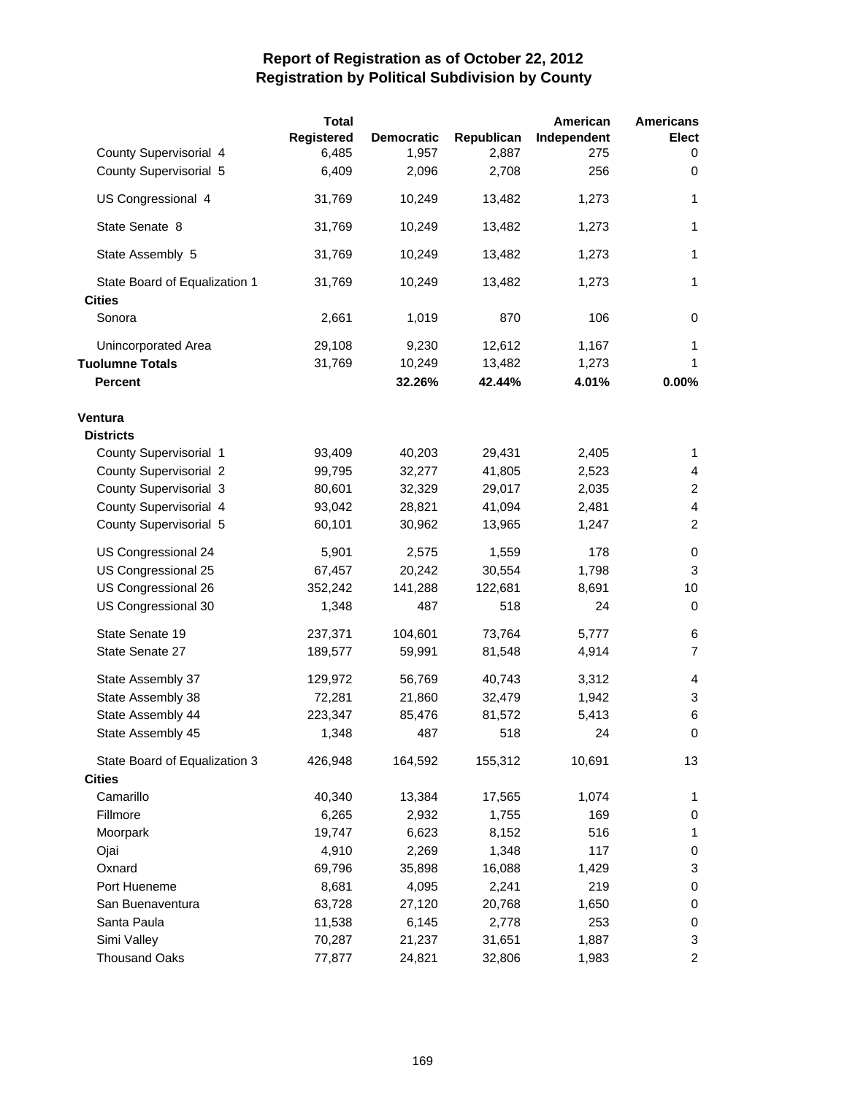|                               | <b>Total</b> |                   |            | American    | <b>Americans</b>          |
|-------------------------------|--------------|-------------------|------------|-------------|---------------------------|
|                               | Registered   | <b>Democratic</b> | Republican | Independent | <b>Elect</b>              |
| County Supervisorial 4        | 6,485        | 1,957             | 2,887      | 275         | 0                         |
| County Supervisorial 5        | 6,409        | 2,096             | 2,708      | 256         | 0                         |
| US Congressional 4            | 31,769       | 10,249            | 13,482     | 1,273       | 1                         |
| State Senate 8                | 31,769       | 10,249            | 13,482     | 1,273       | $\mathbf{1}$              |
| State Assembly 5              | 31,769       | 10,249            | 13,482     | 1,273       | 1                         |
| State Board of Equalization 1 | 31,769       | 10,249            | 13,482     | 1,273       | 1                         |
| <b>Cities</b>                 |              |                   |            |             |                           |
| Sonora                        | 2,661        | 1,019             | 870        | 106         | 0                         |
| Unincorporated Area           | 29,108       | 9,230             | 12,612     | 1,167       | 1                         |
| <b>Tuolumne Totals</b>        | 31,769       | 10,249            | 13,482     | 1,273       | 1                         |
| <b>Percent</b>                |              | 32.26%            | 42.44%     | 4.01%       | 0.00%                     |
| Ventura                       |              |                   |            |             |                           |
| <b>Districts</b>              |              |                   |            |             |                           |
| County Supervisorial 1        | 93,409       | 40,203            | 29,431     | 2,405       | $\mathbf{1}$              |
| <b>County Supervisorial 2</b> | 99,795       | 32,277            | 41,805     | 2,523       | 4                         |
| County Supervisorial 3        | 80,601       | 32,329            | 29,017     | 2,035       | $\overline{c}$            |
| County Supervisorial 4        | 93,042       | 28,821            | 41,094     | 2,481       | $\overline{4}$            |
| County Supervisorial 5        | 60,101       | 30,962            | 13,965     | 1,247       | $\overline{c}$            |
| US Congressional 24           | 5,901        | 2,575             | 1,559      | 178         | 0                         |
| US Congressional 25           | 67,457       | 20,242            | 30,554     | 1,798       | 3                         |
| US Congressional 26           | 352,242      | 141,288           | 122,681    | 8,691       | 10                        |
| US Congressional 30           | 1,348        | 487               | 518        | 24          | 0                         |
| State Senate 19               | 237,371      | 104,601           | 73,764     | 5,777       | 6                         |
| State Senate 27               | 189,577      | 59,991            | 81,548     | 4,914       | $\overline{7}$            |
| State Assembly 37             | 129,972      | 56,769            | 40,743     | 3,312       | 4                         |
| State Assembly 38             | 72,281       | 21,860            | 32,479     | 1,942       | 3                         |
| State Assembly 44             | 223,347      | 85,476            | 81,572     | 5,413       | 6                         |
| State Assembly 45             | 1,348        | 487               | 518        | 24          | 0                         |
| State Board of Equalization 3 | 426,948      | 164,592           | 155,312    | 10,691      | 13                        |
| <b>Cities</b>                 |              |                   |            |             |                           |
| Camarillo                     | 40,340       | 13,384            | 17,565     | 1,074       | 1                         |
| Fillmore                      | 6,265        | 2,932             | 1,755      | 169         | 0                         |
| Moorpark                      | 19,747       | 6,623             | 8,152      | 516         | 1                         |
| Ojai                          | 4,910        | 2,269             | 1,348      | 117         | 0                         |
| Oxnard                        | 69,796       | 35,898            | 16,088     | 1,429       | 3                         |
| Port Hueneme                  | 8,681        | 4,095             | 2,241      | 219         | $\,0\,$                   |
| San Buenaventura              | 63,728       | 27,120            | 20,768     | 1,650       | 0                         |
| Santa Paula                   | 11,538       | 6,145             | 2,778      | 253         | 0                         |
| Simi Valley                   | 70,287       | 21,237            | 31,651     | 1,887       | $\ensuremath{\mathsf{3}}$ |
| <b>Thousand Oaks</b>          | 77,877       | 24,821            | 32,806     | 1,983       | $\overline{a}$            |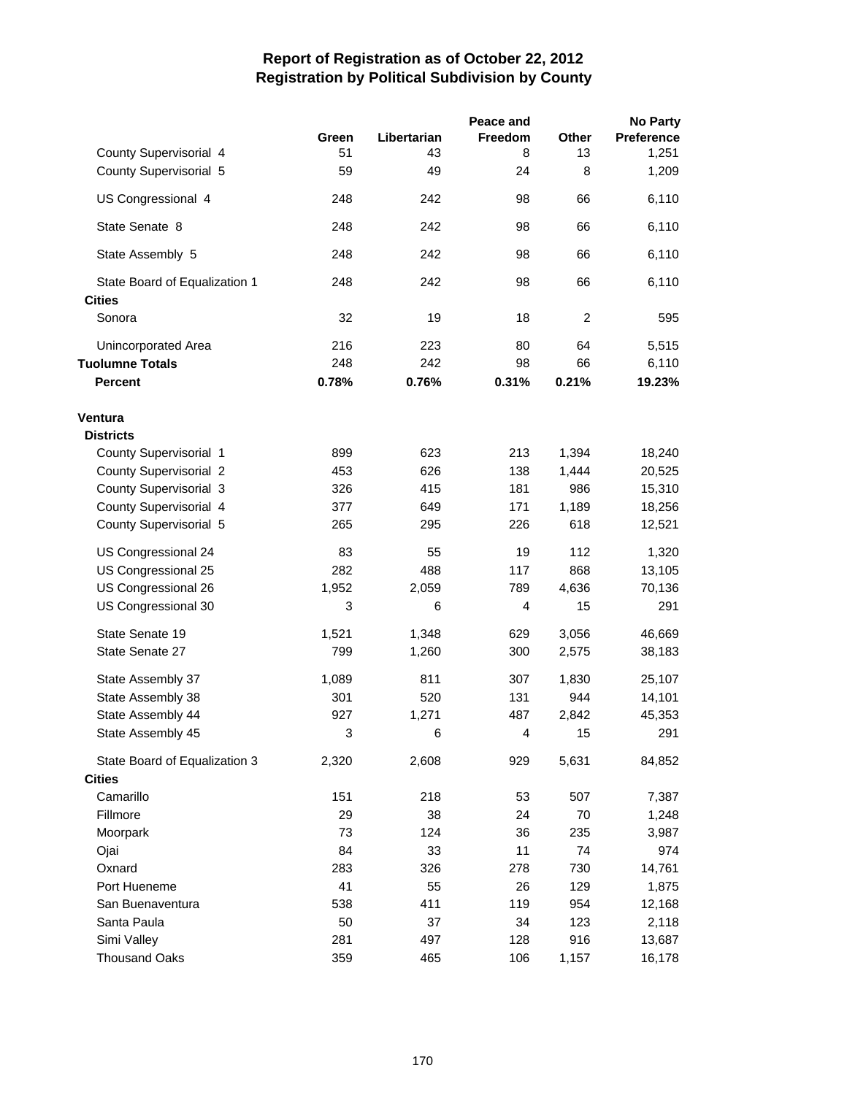|                               |       |             | Peace and      |                | <b>No Party</b>   |
|-------------------------------|-------|-------------|----------------|----------------|-------------------|
|                               | Green | Libertarian | <b>Freedom</b> | Other          | <b>Preference</b> |
| County Supervisorial 4        | 51    | 43          | 8              | 13             | 1,251             |
| County Supervisorial 5        | 59    | 49          | 24             | 8              | 1,209             |
| US Congressional 4            | 248   | 242         | 98             | 66             | 6,110             |
| State Senate 8                | 248   | 242         | 98             | 66             | 6,110             |
| State Assembly 5              | 248   | 242         | 98             | 66             | 6,110             |
| State Board of Equalization 1 | 248   | 242         | 98             | 66             | 6,110             |
| <b>Cities</b>                 |       |             |                |                |                   |
| Sonora                        | 32    | 19          | 18             | $\overline{c}$ | 595               |
| Unincorporated Area           | 216   | 223         | 80             | 64             | 5,515             |
| <b>Tuolumne Totals</b>        | 248   | 242         | 98             | 66             | 6,110             |
| <b>Percent</b>                | 0.78% | 0.76%       | 0.31%          | 0.21%          | 19.23%            |
| Ventura                       |       |             |                |                |                   |
| <b>Districts</b>              |       |             |                |                |                   |
| County Supervisorial 1        | 899   | 623         | 213            | 1,394          | 18,240            |
| County Supervisorial 2        | 453   | 626         | 138            | 1,444          | 20,525            |
| County Supervisorial 3        | 326   | 415         | 181            | 986            | 15,310            |
| County Supervisorial 4        | 377   | 649         | 171            | 1,189          | 18,256            |
| County Supervisorial 5        | 265   | 295         | 226            | 618            | 12,521            |
|                               |       |             |                |                |                   |
| US Congressional 24           | 83    | 55          | 19             | 112            | 1,320             |
| US Congressional 25           | 282   | 488         | 117            | 868            | 13,105            |
| US Congressional 26           | 1,952 | 2,059       | 789            | 4,636          | 70,136            |
| US Congressional 30           | 3     | 6           | 4              | 15             | 291               |
| State Senate 19               | 1,521 | 1,348       | 629            | 3,056          | 46,669            |
| State Senate 27               | 799   | 1,260       | 300            | 2,575          | 38,183            |
| State Assembly 37             | 1,089 | 811         | 307            | 1,830          | 25,107            |
| State Assembly 38             | 301   | 520         | 131            | 944            | 14,101            |
| State Assembly 44             | 927   | 1,271       | 487            | 2,842          | 45,353            |
| State Assembly 45             | 3     | 6           | 4              | 15             | 291               |
| State Board of Equalization 3 | 2,320 | 2,608       | 929            | 5,631          | 84,852            |
| <b>Cities</b>                 |       |             |                |                |                   |
| Camarillo                     | 151   | 218         | 53             | 507            | 7,387             |
| Fillmore                      | 29    | 38          | 24             | 70             | 1,248             |
| Moorpark                      | 73    | 124         | 36             | 235            | 3,987             |
| Ojai                          | 84    | 33          | 11             | 74             | 974               |
| Oxnard                        | 283   | 326         | 278            | 730            | 14,761            |
| Port Hueneme                  | 41    | 55          | 26             | 129            | 1,875             |
| San Buenaventura              | 538   | 411         | 119            | 954            | 12,168            |
| Santa Paula                   | 50    | 37          | 34             | 123            | 2,118             |
| Simi Valley                   | 281   | 497         | 128            | 916            | 13,687            |
| <b>Thousand Oaks</b>          | 359   | 465         | 106            | 1,157          | 16,178            |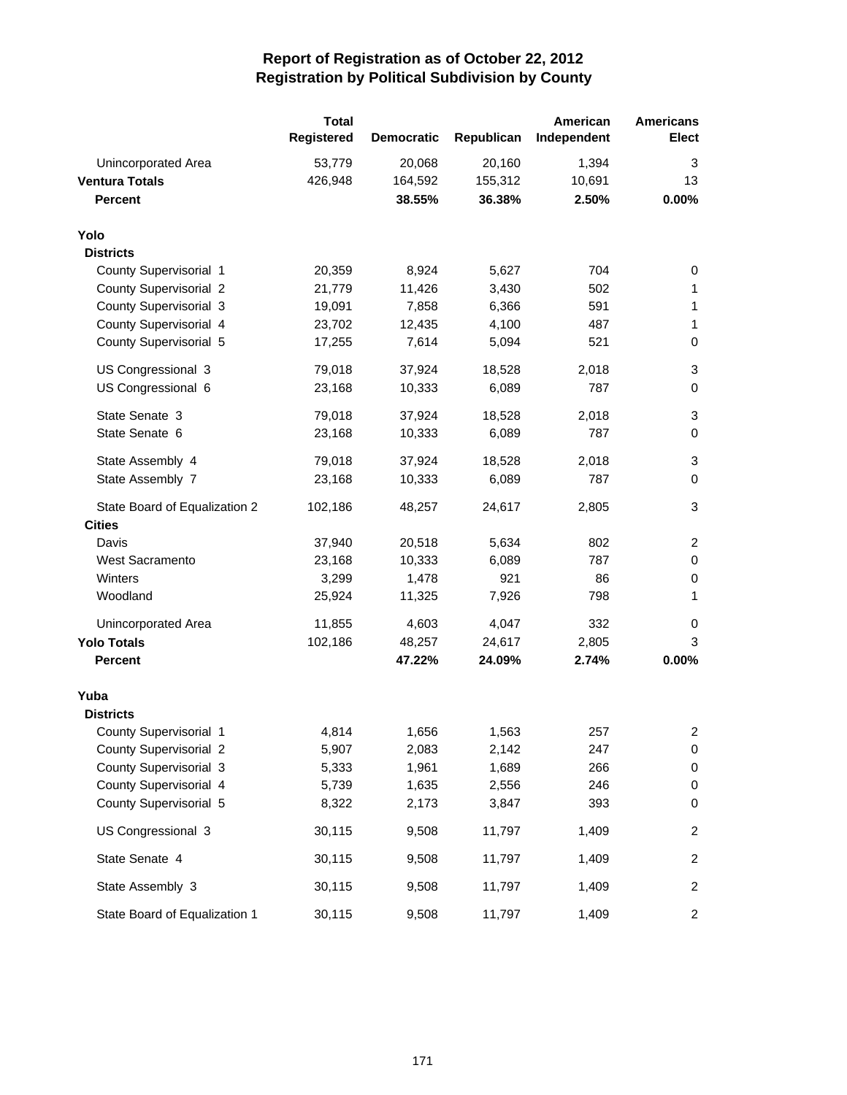|                               | <b>Total</b><br><b>Registered</b> | <b>Democratic</b> | Republican | American<br>Independent | <b>Americans</b><br>Elect |
|-------------------------------|-----------------------------------|-------------------|------------|-------------------------|---------------------------|
| Unincorporated Area           | 53,779                            | 20,068            | 20,160     | 1,394                   | 3                         |
| <b>Ventura Totals</b>         | 426,948                           | 164,592           | 155,312    | 10,691                  | 13                        |
| <b>Percent</b>                |                                   | 38.55%            | 36.38%     | 2.50%                   | 0.00%                     |
| Yolo                          |                                   |                   |            |                         |                           |
| <b>Districts</b>              |                                   |                   |            |                         |                           |
| County Supervisorial 1        | 20,359                            | 8,924             | 5,627      | 704                     | 0                         |
| <b>County Supervisorial 2</b> | 21,779                            | 11,426            | 3,430      | 502                     | 1                         |
| County Supervisorial 3        | 19,091                            | 7,858             | 6,366      | 591                     | 1                         |
| County Supervisorial 4        | 23,702                            | 12,435            | 4,100      | 487                     | 1                         |
| County Supervisorial 5        | 17,255                            | 7,614             | 5,094      | 521                     | $\pmb{0}$                 |
| US Congressional 3            | 79,018                            | 37,924            | 18,528     | 2,018                   | 3                         |
| US Congressional 6            | 23,168                            | 10,333            | 6,089      | 787                     | $\mathbf 0$               |
| State Senate 3                | 79,018                            | 37,924            | 18,528     | 2,018                   | 3                         |
| State Senate 6                | 23,168                            | 10,333            | 6,089      | 787                     | $\mathbf 0$               |
| State Assembly 4              | 79,018                            | 37,924            | 18,528     | 2,018                   | 3                         |
| State Assembly 7              | 23,168                            | 10,333            | 6,089      | 787                     | 0                         |
| State Board of Equalization 2 | 102,186                           | 48,257            | 24,617     | 2,805                   | 3                         |
| <b>Cities</b>                 |                                   |                   |            |                         |                           |
| Davis                         | 37,940                            | 20,518            | 5,634      | 802                     | $\overline{c}$            |
| <b>West Sacramento</b>        | 23,168                            | 10,333            | 6,089      | 787                     | $\pmb{0}$                 |
| Winters                       | 3,299                             | 1,478             | 921        | 86                      | 0                         |
| Woodland                      | 25,924                            | 11,325            | 7,926      | 798                     | 1                         |
| Unincorporated Area           | 11,855                            | 4,603             | 4,047      | 332                     | 0                         |
| <b>Yolo Totals</b>            | 102,186                           | 48,257            | 24,617     | 2,805                   | 3                         |
| <b>Percent</b>                |                                   | 47.22%            | 24.09%     | 2.74%                   | 0.00%                     |
| Yuba                          |                                   |                   |            |                         |                           |
| <b>Districts</b>              |                                   |                   |            |                         |                           |
| County Supervisorial 1        | 4,814                             | 1,656             | 1,563      | 257                     | 2                         |
| <b>County Supervisorial 2</b> | 5,907                             | 2,083             | 2,142      | 247                     | 0                         |
| County Supervisorial 3        | 5,333                             | 1,961             | 1,689      | 266                     | 0                         |
| County Supervisorial 4        | 5,739                             | 1,635             | 2,556      | 246                     | 0                         |
| County Supervisorial 5        | 8,322                             | 2,173             | 3,847      | 393                     | 0                         |
| US Congressional 3            | 30,115                            | 9,508             | 11,797     | 1,409                   | 2                         |
| State Senate 4                | 30,115                            | 9,508             | 11,797     | 1,409                   | 2                         |
| State Assembly 3              | 30,115                            | 9,508             | 11,797     | 1,409                   | 2                         |
| State Board of Equalization 1 | 30,115                            | 9,508             | 11,797     | 1,409                   | $\overline{a}$            |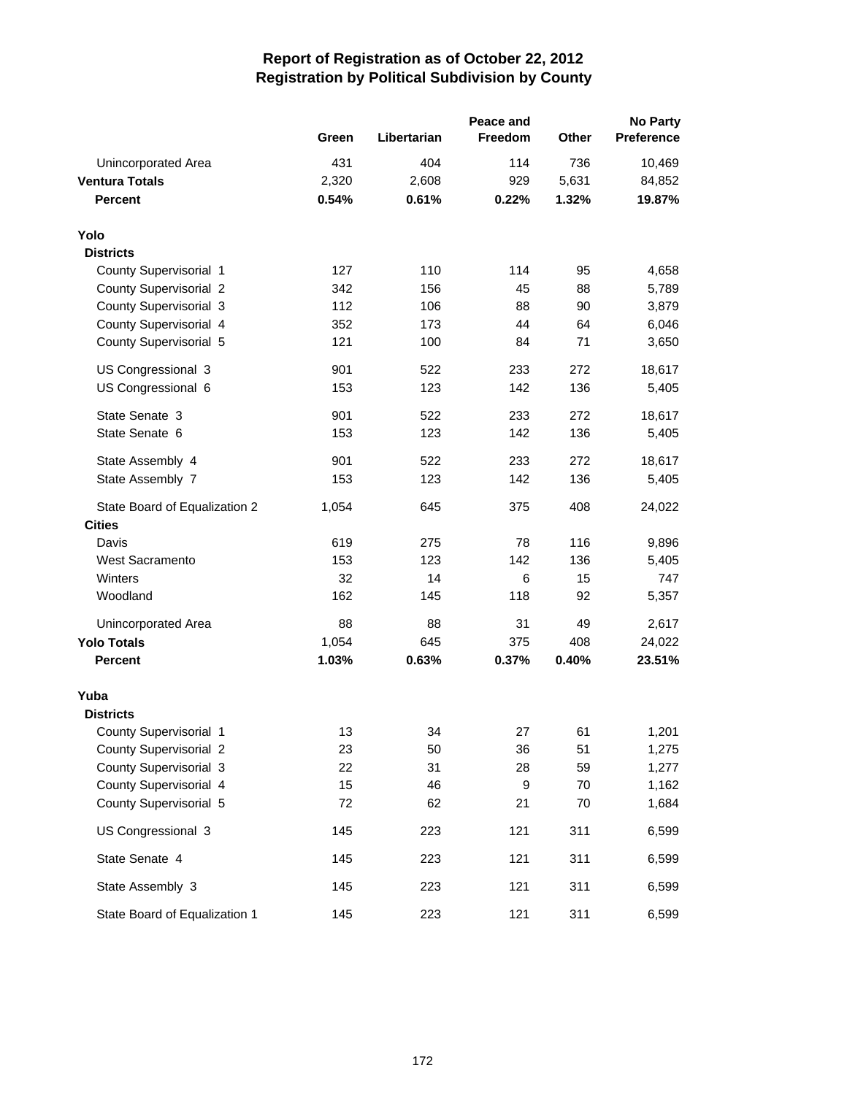|                               |       |             | <b>No Party</b> |       |                   |
|-------------------------------|-------|-------------|-----------------|-------|-------------------|
|                               | Green | Libertarian | Freedom         | Other | <b>Preference</b> |
| Unincorporated Area           | 431   | 404         | 114             | 736   | 10,469            |
| <b>Ventura Totals</b>         | 2,320 | 2,608       | 929             | 5,631 | 84,852            |
| <b>Percent</b>                | 0.54% | 0.61%       | 0.22%           | 1.32% | 19.87%            |
| Yolo                          |       |             |                 |       |                   |
| <b>Districts</b>              |       |             |                 |       |                   |
| County Supervisorial 1        | 127   | 110         | 114             | 95    | 4,658             |
| County Supervisorial 2        | 342   | 156         | 45              | 88    | 5,789             |
| County Supervisorial 3        | 112   | 106         | 88              | 90    | 3,879             |
| County Supervisorial 4        | 352   | 173         | 44              | 64    | 6,046             |
| County Supervisorial 5        | 121   | 100         | 84              | 71    | 3,650             |
| US Congressional 3            | 901   | 522         | 233             | 272   | 18,617            |
| US Congressional 6            | 153   | 123         | 142             | 136   | 5,405             |
| State Senate 3                | 901   | 522         | 233             | 272   | 18,617            |
| State Senate 6                | 153   | 123         | 142             | 136   | 5,405             |
| State Assembly 4              | 901   | 522         | 233             | 272   | 18,617            |
| State Assembly 7              | 153   | 123         | 142             | 136   | 5,405             |
| State Board of Equalization 2 | 1,054 | 645         | 375             | 408   | 24,022            |
| <b>Cities</b>                 |       |             |                 |       |                   |
| Davis                         | 619   | 275         | 78              | 116   | 9,896             |
| West Sacramento               | 153   | 123         | 142             | 136   | 5,405             |
| Winters                       | 32    | 14          | 6               | 15    | 747               |
| Woodland                      | 162   | 145         | 118             | 92    | 5,357             |
| Unincorporated Area           | 88    | 88          | 31              | 49    | 2,617             |
| <b>Yolo Totals</b>            | 1,054 | 645         | 375             | 408   | 24,022            |
| <b>Percent</b>                | 1.03% | 0.63%       | 0.37%           | 0.40% | 23.51%            |
| Yuba                          |       |             |                 |       |                   |
| <b>Districts</b>              |       |             |                 |       |                   |
| County Supervisorial 1        | 13    | 34          | 27              | 61    | 1,201             |
| County Supervisorial 2        | 23    | 50          | 36              | 51    | 1,275             |
| County Supervisorial 3        | 22    | 31          | 28              | 59    | 1,277             |
| County Supervisorial 4        | 15    | 46          | 9               | 70    | 1,162             |
| County Supervisorial 5        | 72    | 62          | 21              | 70    | 1,684             |
| US Congressional 3            | 145   | 223         | 121             | 311   | 6,599             |
| State Senate 4                | 145   | 223         | 121             | 311   | 6,599             |
| State Assembly 3              | 145   | 223         | 121             | 311   | 6,599             |
| State Board of Equalization 1 | 145   | 223         | 121             | 311   | 6,599             |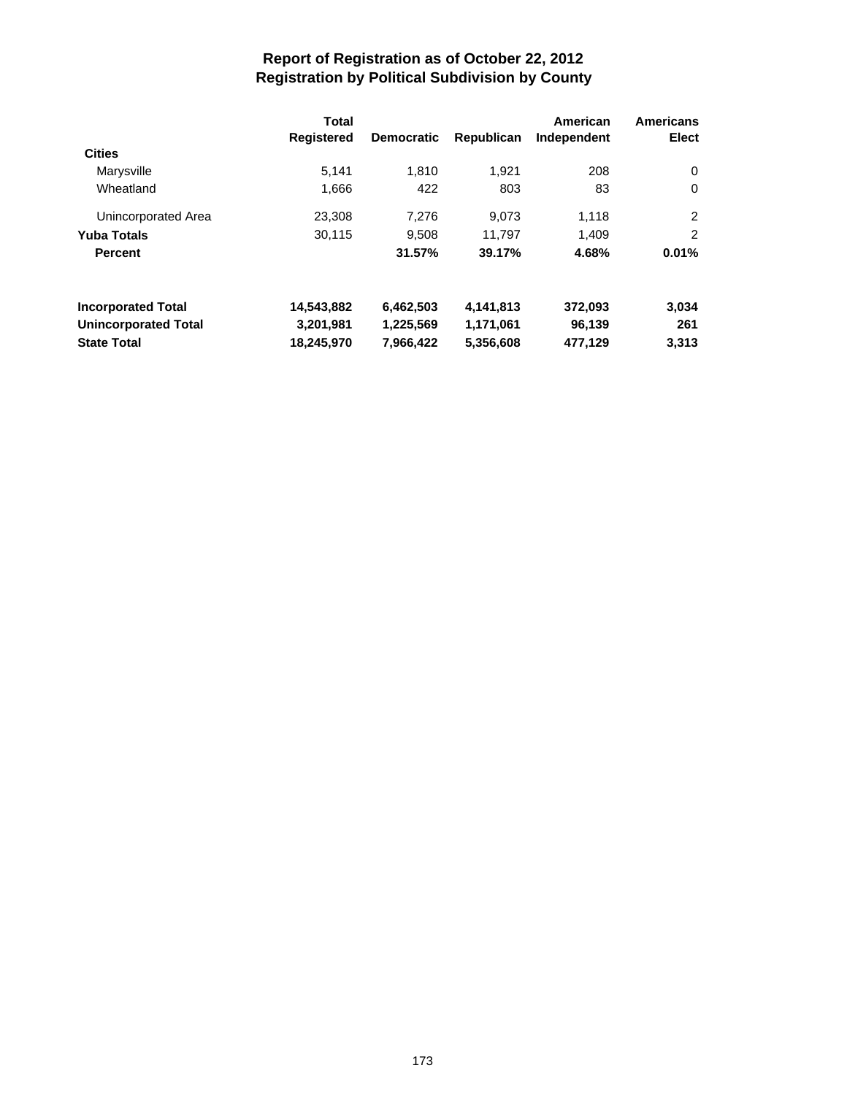|                             | Total<br><b>Registered</b> | <b>Democratic</b> | Republican | American<br>Independent | <b>Americans</b><br>Elect |
|-----------------------------|----------------------------|-------------------|------------|-------------------------|---------------------------|
| <b>Cities</b>               |                            |                   |            |                         |                           |
| Marysville                  | 5.141                      | 1.810             | 1.921      | 208                     | $\Omega$                  |
| Wheatland                   | 1,666                      | 422               | 803        | 83                      | $\Omega$                  |
| Unincorporated Area         | 23,308                     | 7.276             | 9,073      | 1,118                   | 2                         |
| <b>Yuba Totals</b>          | 30,115                     | 9,508             | 11,797     | 1.409                   | $\overline{2}$            |
| <b>Percent</b>              |                            | 31.57%            | 39.17%     | 4.68%                   | 0.01%                     |
| <b>Incorporated Total</b>   | 14,543,882                 | 6,462,503         | 4,141,813  | 372,093                 | 3,034                     |
| <b>Unincorporated Total</b> | 3,201,981                  | 1,225,569         | 1,171,061  | 96,139                  | 261                       |
| <b>State Total</b>          | 18,245,970                 | 7,966,422         | 5,356,608  | 477.129                 | 3.313                     |